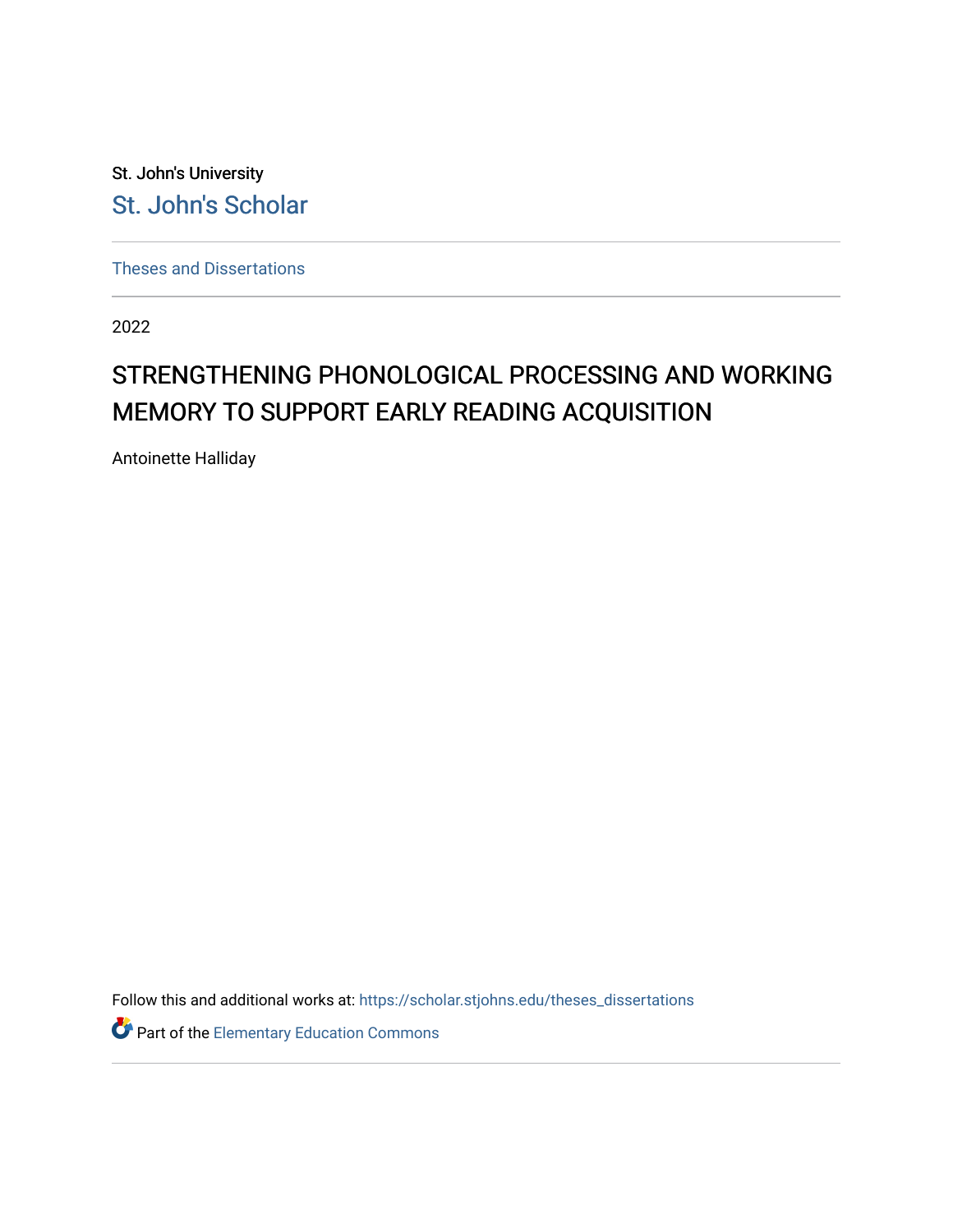St. John's University [St. John's Scholar](https://scholar.stjohns.edu/) 

[Theses and Dissertations](https://scholar.stjohns.edu/theses_dissertations)

2022

# STRENGTHENING PHONOLOGICAL PROCESSING AND WORKING MEMORY TO SUPPORT EARLY READING ACQUISITION

Antoinette Halliday

Follow this and additional works at: [https://scholar.stjohns.edu/theses\\_dissertations](https://scholar.stjohns.edu/theses_dissertations?utm_source=scholar.stjohns.edu%2Ftheses_dissertations%2F366&utm_medium=PDF&utm_campaign=PDFCoverPages)

Part of the [Elementary Education Commons](http://network.bepress.com/hgg/discipline/1378?utm_source=scholar.stjohns.edu%2Ftheses_dissertations%2F366&utm_medium=PDF&utm_campaign=PDFCoverPages)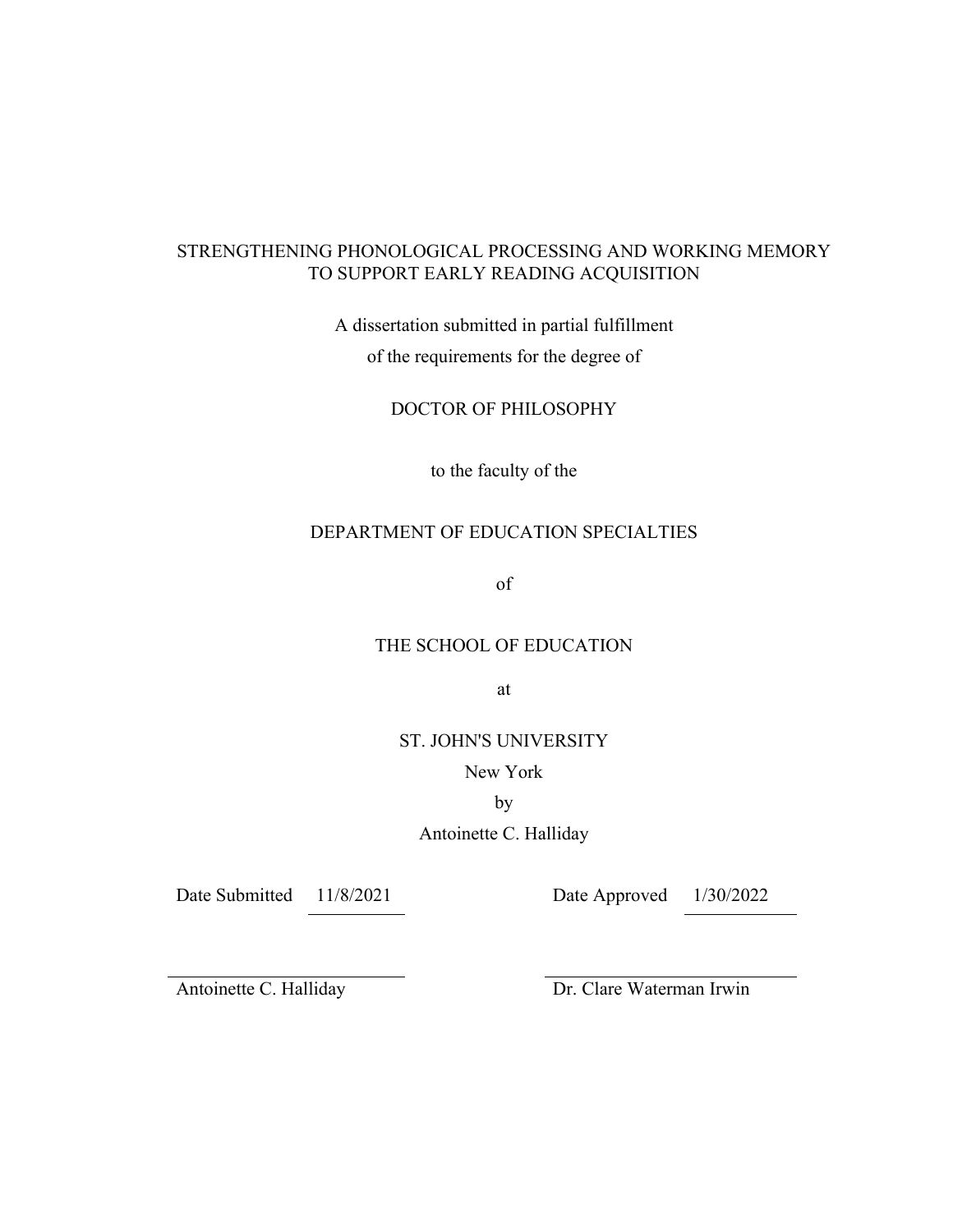# STRENGTHENING PHONOLOGICAL PROCESSING AND WORKING MEMORY TO SUPPORT EARLY READING ACQUISITION

A dissertation submitted in partial fulfillment

of the requirements for the degree of

DOCTOR OF PHILOSOPHY

to the faculty of the

# DEPARTMENT OF EDUCATION SPECIALTIES

of

# THE SCHOOL OF EDUCATION

at

ST. JOHN'S UNIVERSITY

New York

by

Antoinette C. Halliday

Date Submitted 11/8/2021 Date Approved 1/30/2022

Antoinette C. Halliday Dr. Clare Waterman Irwin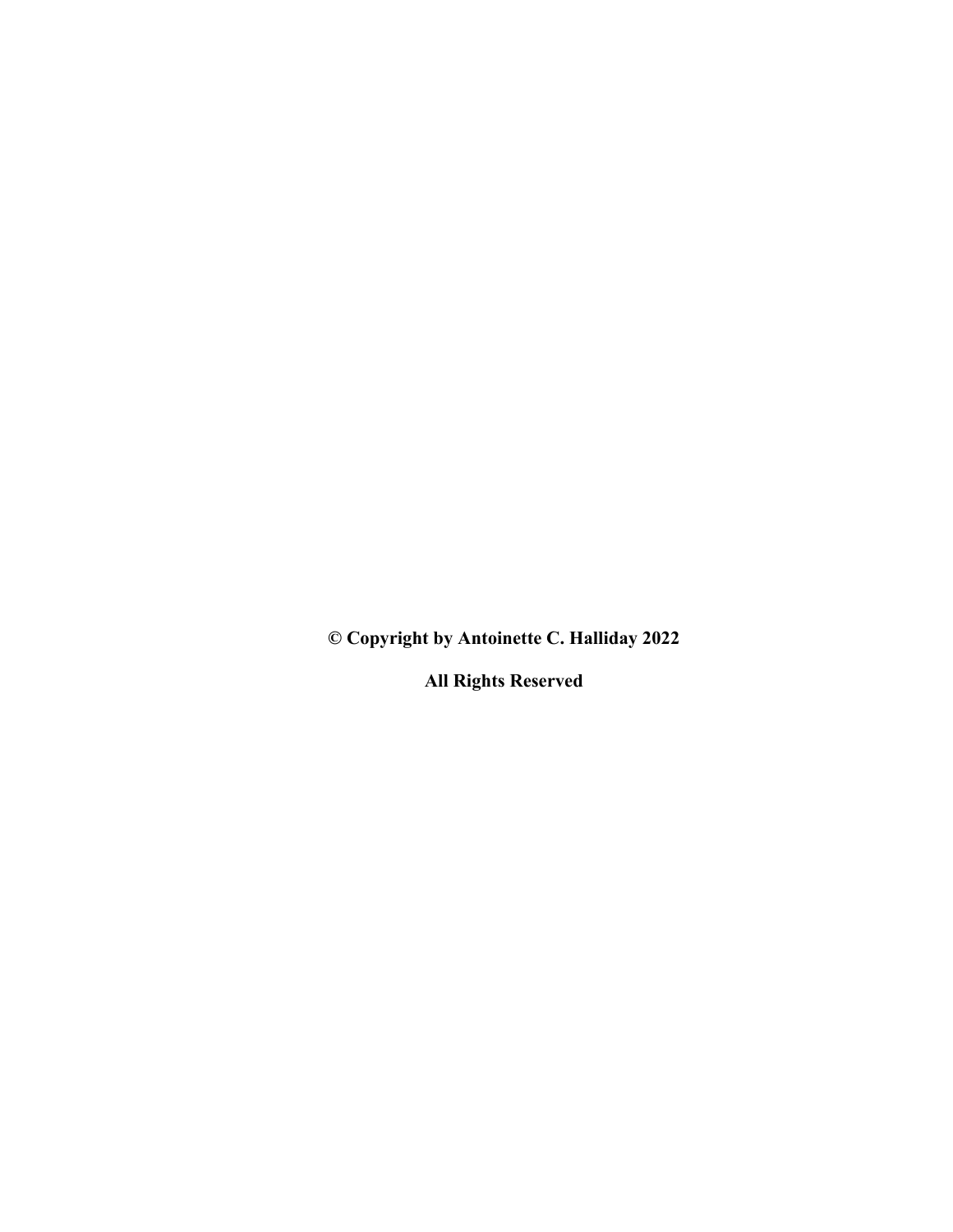**© Copyright by Antoinette C. Halliday 2022**

**All Rights Reserved**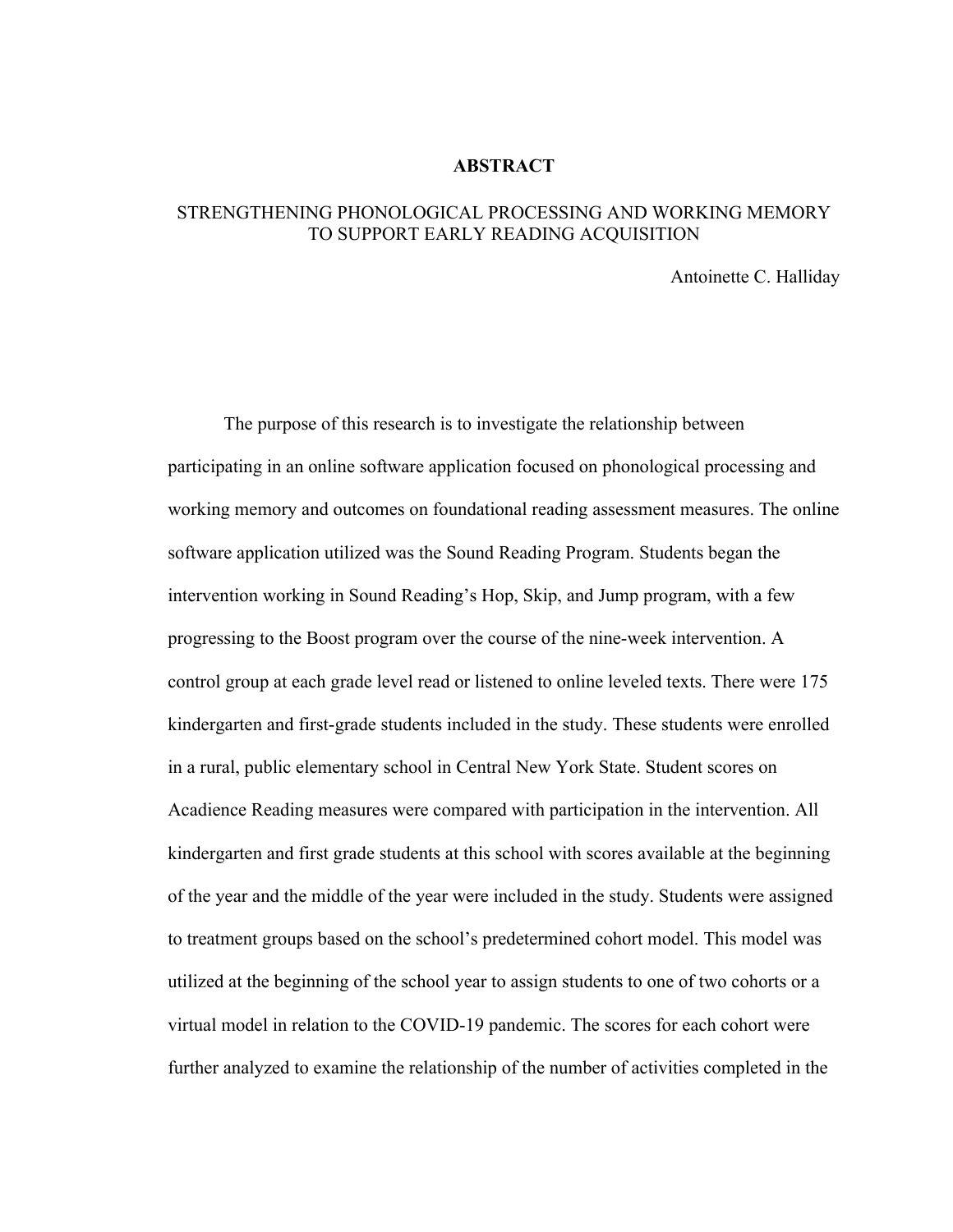#### **ABSTRACT**

# STRENGTHENING PHONOLOGICAL PROCESSING AND WORKING MEMORY TO SUPPORT EARLY READING ACQUISITION

Antoinette C. Halliday

The purpose of this research is to investigate the relationship between participating in an online software application focused on phonological processing and working memory and outcomes on foundational reading assessment measures. The online software application utilized was the Sound Reading Program. Students began the intervention working in Sound Reading's Hop, Skip, and Jump program, with a few progressing to the Boost program over the course of the nine-week intervention. A control group at each grade level read or listened to online leveled texts. There were 175 kindergarten and first-grade students included in the study. These students were enrolled in a rural, public elementary school in Central New York State. Student scores on Acadience Reading measures were compared with participation in the intervention. All kindergarten and first grade students at this school with scores available at the beginning of the year and the middle of the year were included in the study. Students were assigned to treatment groups based on the school's predetermined cohort model. This model was utilized at the beginning of the school year to assign students to one of two cohorts or a virtual model in relation to the COVID-19 pandemic. The scores for each cohort were further analyzed to examine the relationship of the number of activities completed in the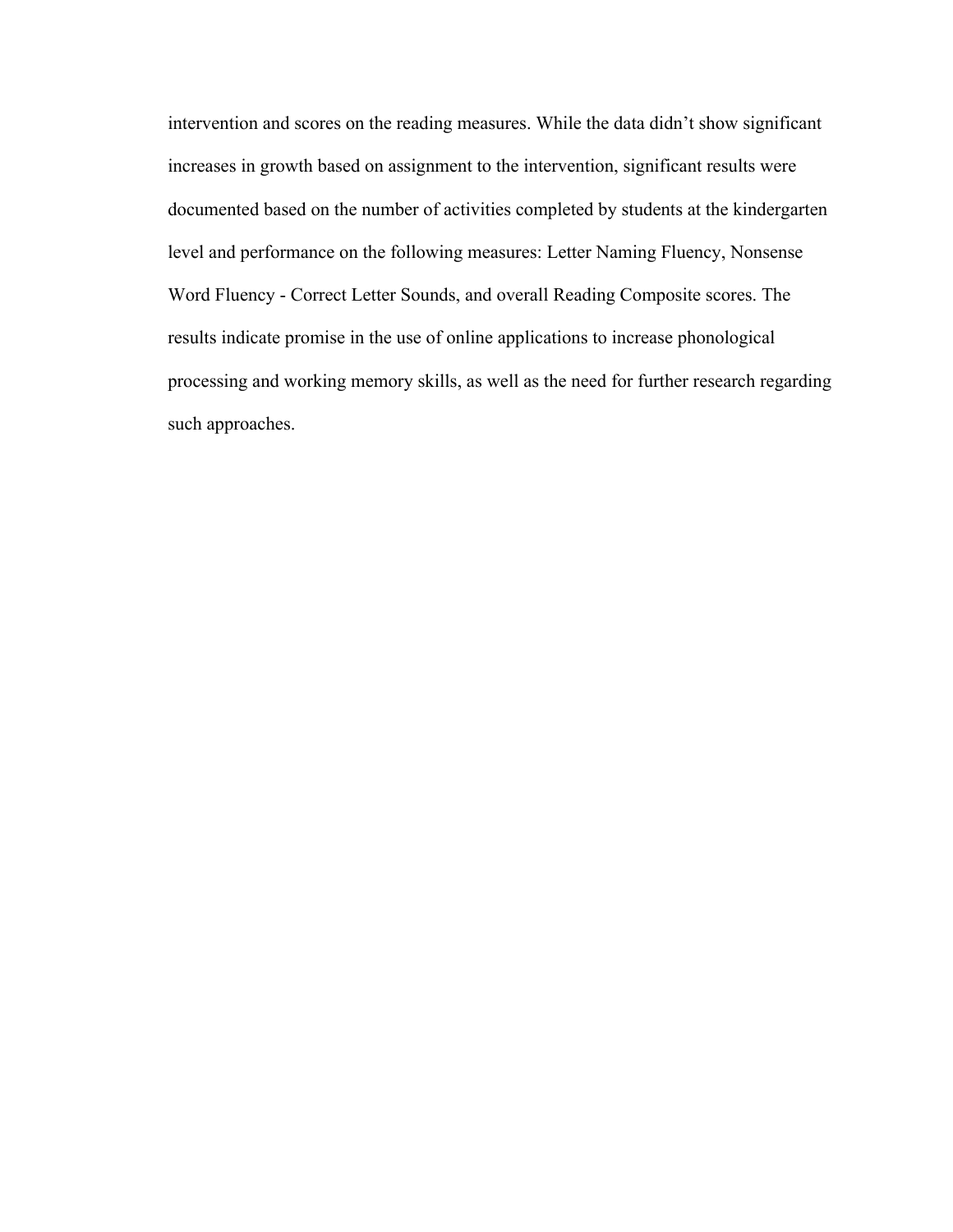intervention and scores on the reading measures. While the data didn't show significant increases in growth based on assignment to the intervention, significant results were documented based on the number of activities completed by students at the kindergarten level and performance on the following measures: Letter Naming Fluency, Nonsense Word Fluency - Correct Letter Sounds, and overall Reading Composite scores. The results indicate promise in the use of online applications to increase phonological processing and working memory skills, as well as the need for further research regarding such approaches.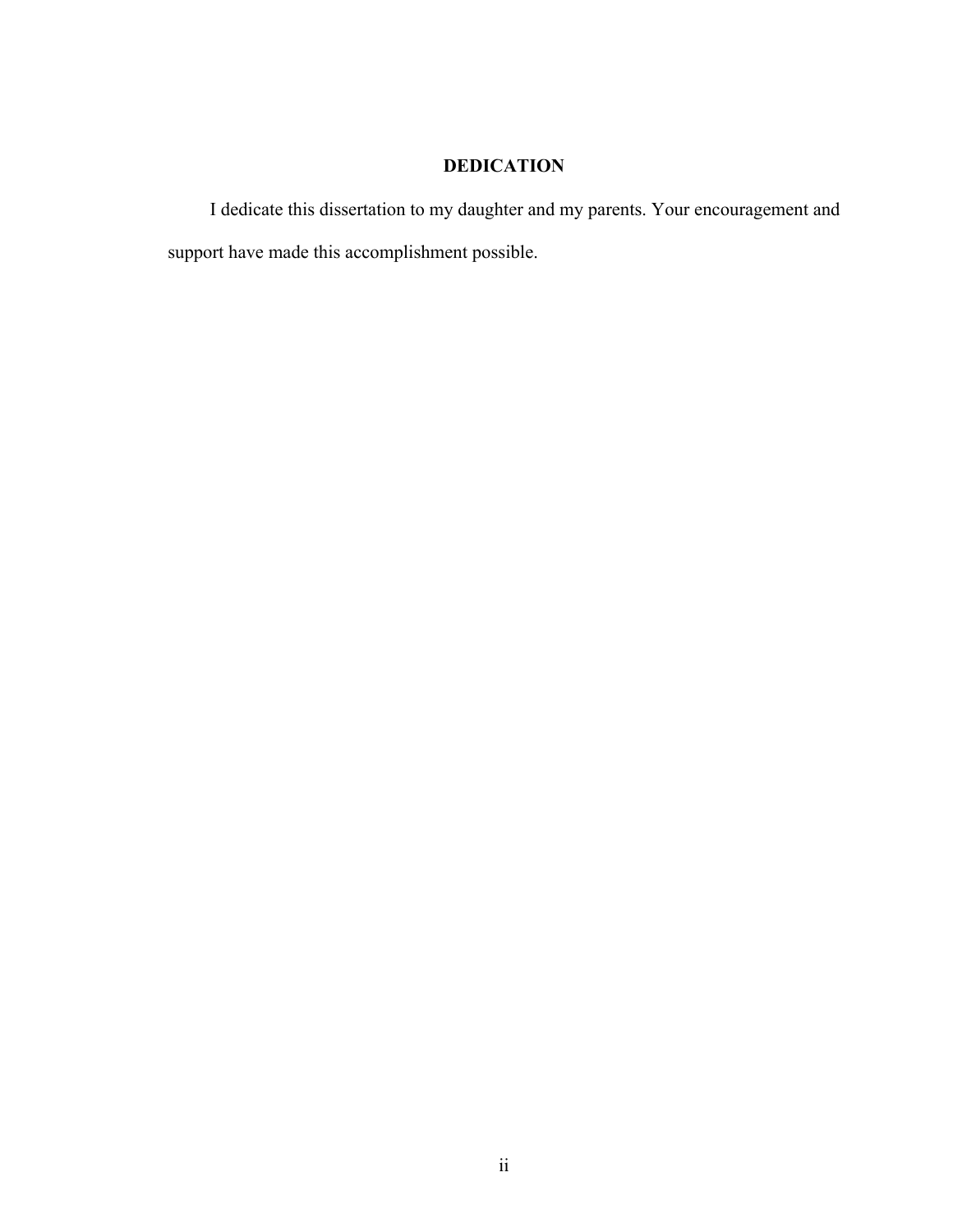# **DEDICATION**

I dedicate this dissertation to my daughter and my parents. Your encouragement and support have made this accomplishment possible.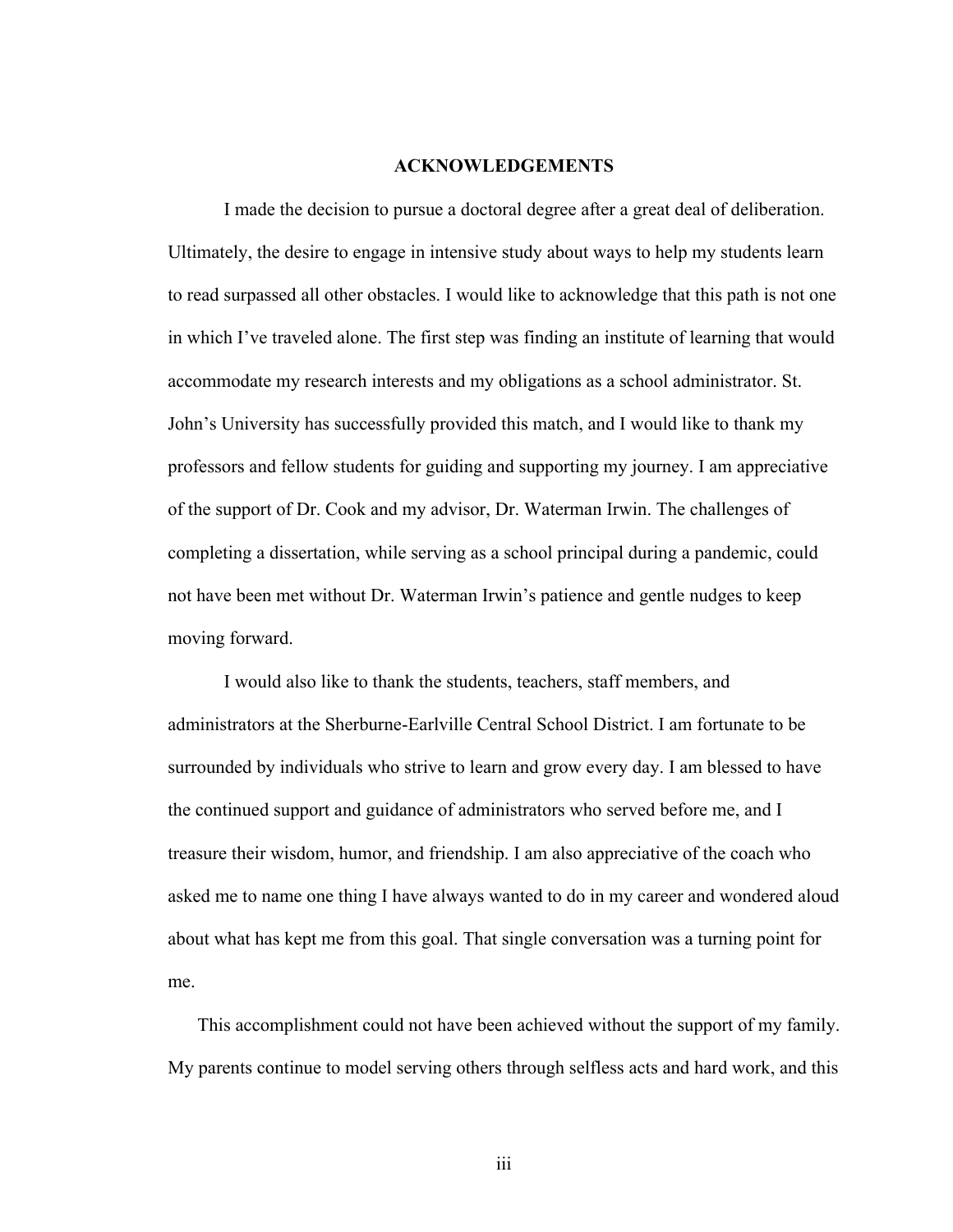#### **ACKNOWLEDGEMENTS**

I made the decision to pursue a doctoral degree after a great deal of deliberation. Ultimately, the desire to engage in intensive study about ways to help my students learn to read surpassed all other obstacles. I would like to acknowledge that this path is not one in which I've traveled alone. The first step was finding an institute of learning that would accommodate my research interests and my obligations as a school administrator. St. John's University has successfully provided this match, and I would like to thank my professors and fellow students for guiding and supporting my journey. I am appreciative of the support of Dr. Cook and my advisor, Dr. Waterman Irwin. The challenges of completing a dissertation, while serving as a school principal during a pandemic, could not have been met without Dr. Waterman Irwin's patience and gentle nudges to keep moving forward.

I would also like to thank the students, teachers, staff members, and administrators at the Sherburne-Earlville Central School District. I am fortunate to be surrounded by individuals who strive to learn and grow every day. I am blessed to have the continued support and guidance of administrators who served before me, and I treasure their wisdom, humor, and friendship. I am also appreciative of the coach who asked me to name one thing I have always wanted to do in my career and wondered aloud about what has kept me from this goal. That single conversation was a turning point for me.

This accomplishment could not have been achieved without the support of my family. My parents continue to model serving others through selfless acts and hard work, and this

iii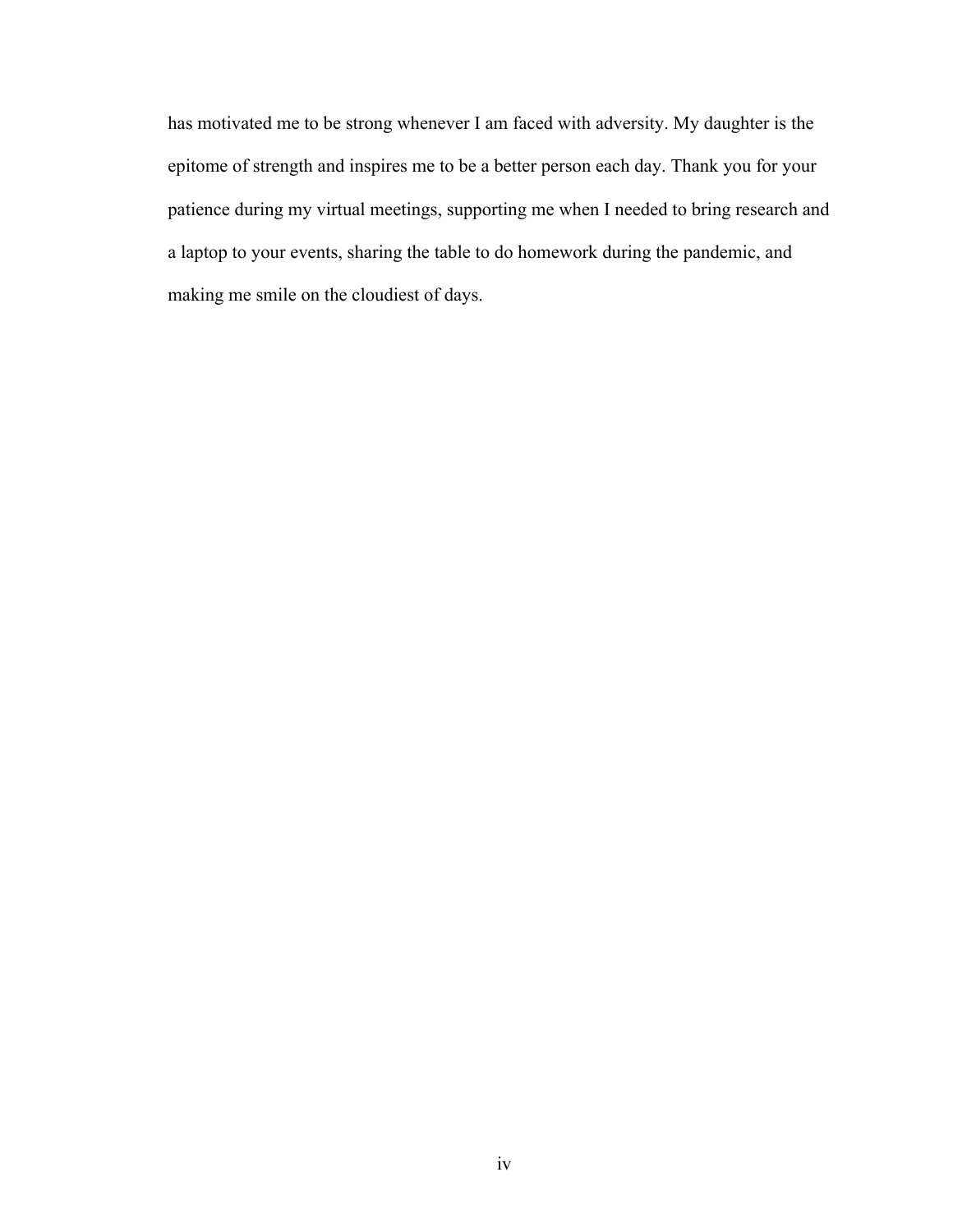has motivated me to be strong whenever I am faced with adversity. My daughter is the epitome of strength and inspires me to be a better person each day. Thank you for your patience during my virtual meetings, supporting me when I needed to bring research and a laptop to your events, sharing the table to do homework during the pandemic, and making me smile on the cloudiest of days.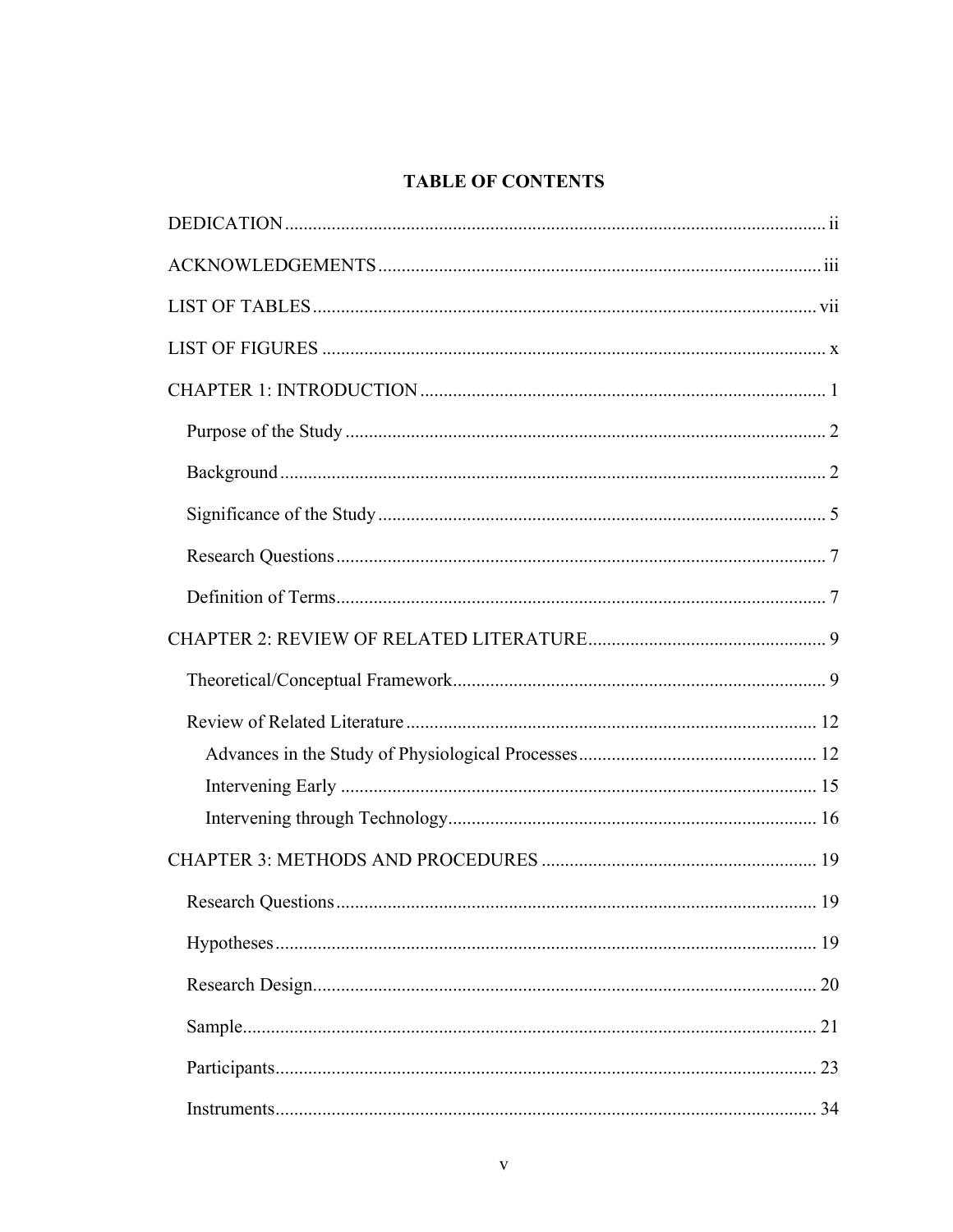# **TABLE OF CONTENTS**

| Research Questions | . 19 |
|--------------------|------|
|                    |      |
|                    |      |
|                    |      |
|                    |      |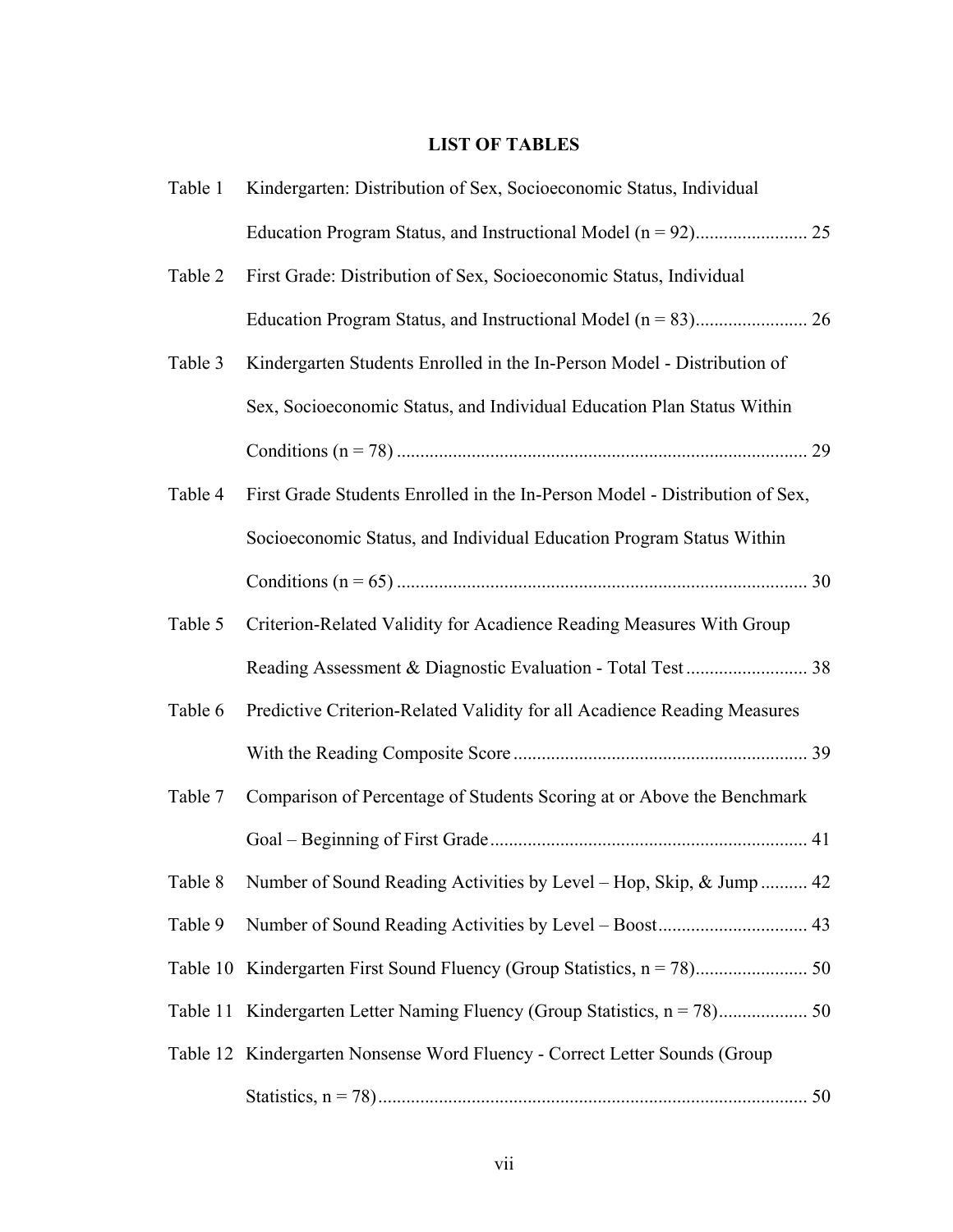# **LIST OF TABLES**

| Table 1  | Kindergarten: Distribution of Sex, Socioeconomic Status, Individual         |
|----------|-----------------------------------------------------------------------------|
|          |                                                                             |
| Table 2  | First Grade: Distribution of Sex, Socioeconomic Status, Individual          |
|          |                                                                             |
| Table 3  | Kindergarten Students Enrolled in the In-Person Model - Distribution of     |
|          | Sex, Socioeconomic Status, and Individual Education Plan Status Within      |
|          |                                                                             |
| Table 4  | First Grade Students Enrolled in the In-Person Model - Distribution of Sex, |
|          | Socioeconomic Status, and Individual Education Program Status Within        |
|          |                                                                             |
| Table 5  | Criterion-Related Validity for Acadience Reading Measures With Group        |
|          |                                                                             |
| Table 6  | Predictive Criterion-Related Validity for all Acadience Reading Measures    |
|          |                                                                             |
| Table 7  | Comparison of Percentage of Students Scoring at or Above the Benchmark      |
|          |                                                                             |
|          | Table 8 Number of Sound Reading Activities by Level - Hop, Skip, & Jump 42  |
| Table 9  |                                                                             |
| Table 10 |                                                                             |
|          |                                                                             |
|          | Table 12 Kindergarten Nonsense Word Fluency - Correct Letter Sounds (Group  |
|          |                                                                             |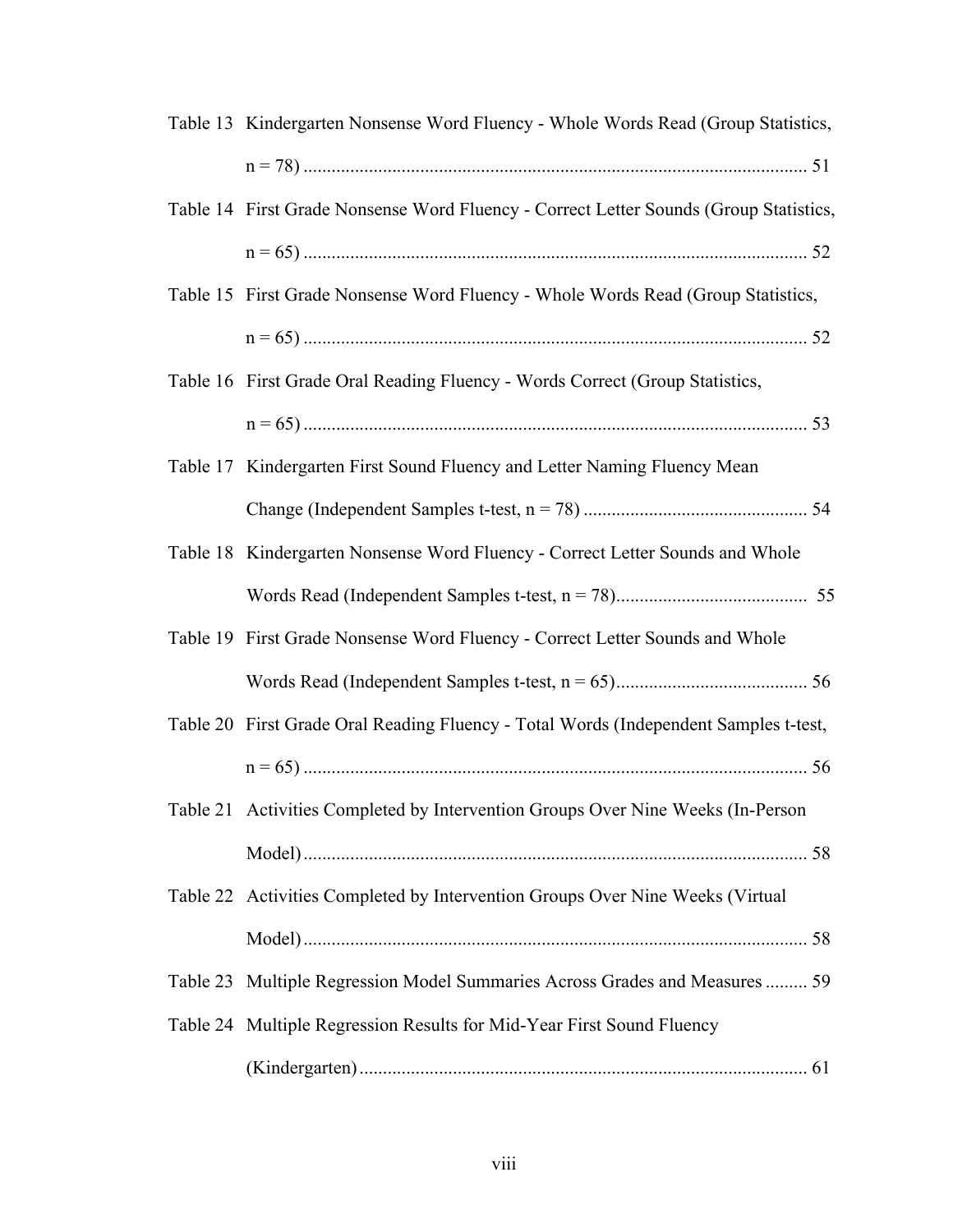| Table 13 Kindergarten Nonsense Word Fluency - Whole Words Read (Group Statistics,     |
|---------------------------------------------------------------------------------------|
|                                                                                       |
| Table 14 First Grade Nonsense Word Fluency - Correct Letter Sounds (Group Statistics, |
|                                                                                       |
| Table 15 First Grade Nonsense Word Fluency - Whole Words Read (Group Statistics,      |
|                                                                                       |
| Table 16 First Grade Oral Reading Fluency - Words Correct (Group Statistics,          |
|                                                                                       |
| Table 17 Kindergarten First Sound Fluency and Letter Naming Fluency Mean              |
|                                                                                       |
| Table 18 Kindergarten Nonsense Word Fluency - Correct Letter Sounds and Whole         |
|                                                                                       |
| Table 19 First Grade Nonsense Word Fluency - Correct Letter Sounds and Whole          |
|                                                                                       |
| Table 20 First Grade Oral Reading Fluency - Total Words (Independent Samples t-test,  |
|                                                                                       |
| Table 21 Activities Completed by Intervention Groups Over Nine Weeks (In-Person       |
|                                                                                       |
| Table 22 Activities Completed by Intervention Groups Over Nine Weeks (Virtual         |
|                                                                                       |
| Table 23 Multiple Regression Model Summaries Across Grades and Measures  59           |
| Table 24 Multiple Regression Results for Mid-Year First Sound Fluency                 |
|                                                                                       |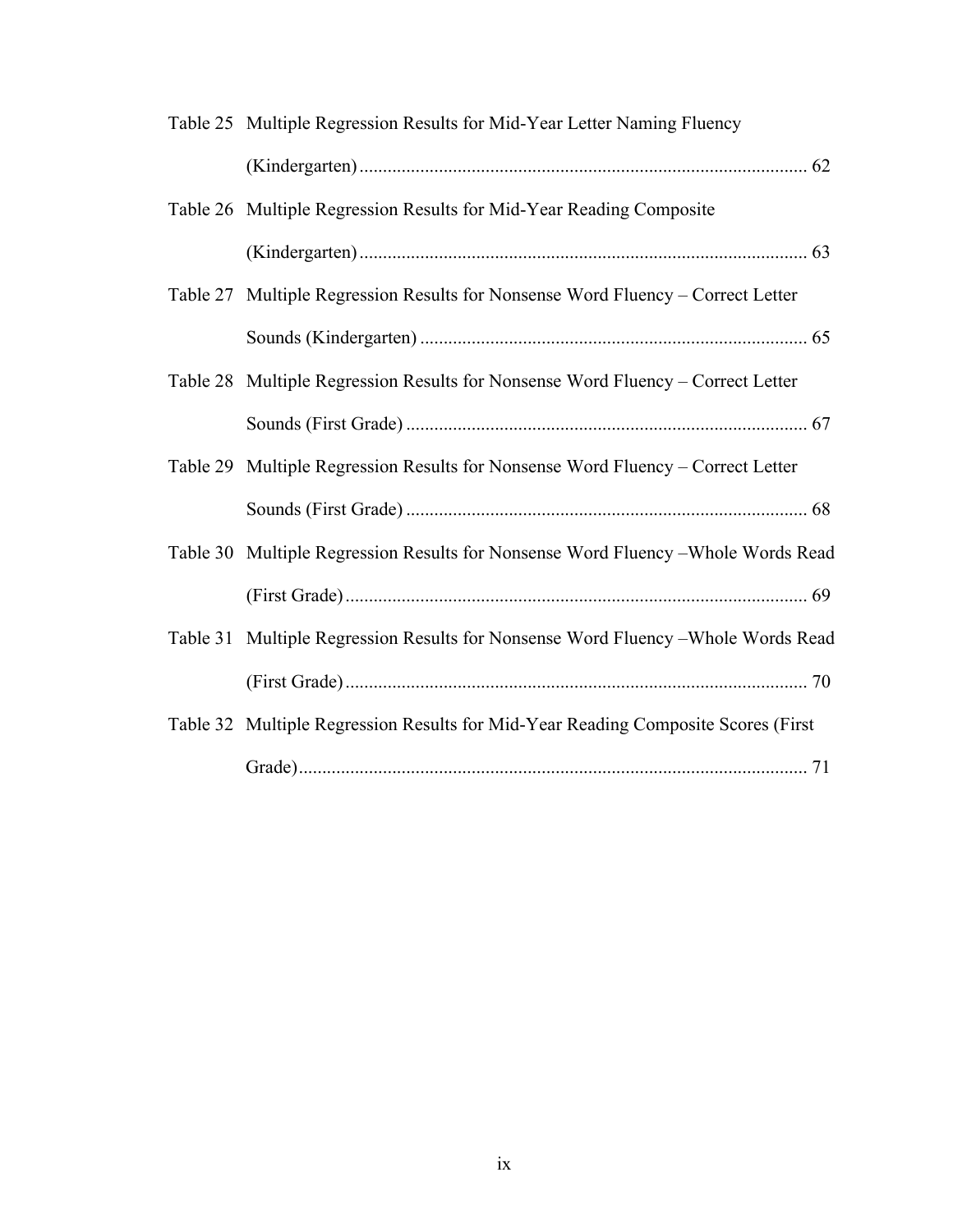| Table 25 Multiple Regression Results for Mid-Year Letter Naming Fluency           |
|-----------------------------------------------------------------------------------|
|                                                                                   |
| Table 26 Multiple Regression Results for Mid-Year Reading Composite               |
|                                                                                   |
| Table 27 Multiple Regression Results for Nonsense Word Fluency – Correct Letter   |
|                                                                                   |
| Table 28 Multiple Regression Results for Nonsense Word Fluency – Correct Letter   |
|                                                                                   |
| Table 29 Multiple Regression Results for Nonsense Word Fluency – Correct Letter   |
|                                                                                   |
| Table 30 Multiple Regression Results for Nonsense Word Fluency - Whole Words Read |
|                                                                                   |
| Table 31 Multiple Regression Results for Nonsense Word Fluency – Whole Words Read |
|                                                                                   |
| Table 32 Multiple Regression Results for Mid-Year Reading Composite Scores (First |
|                                                                                   |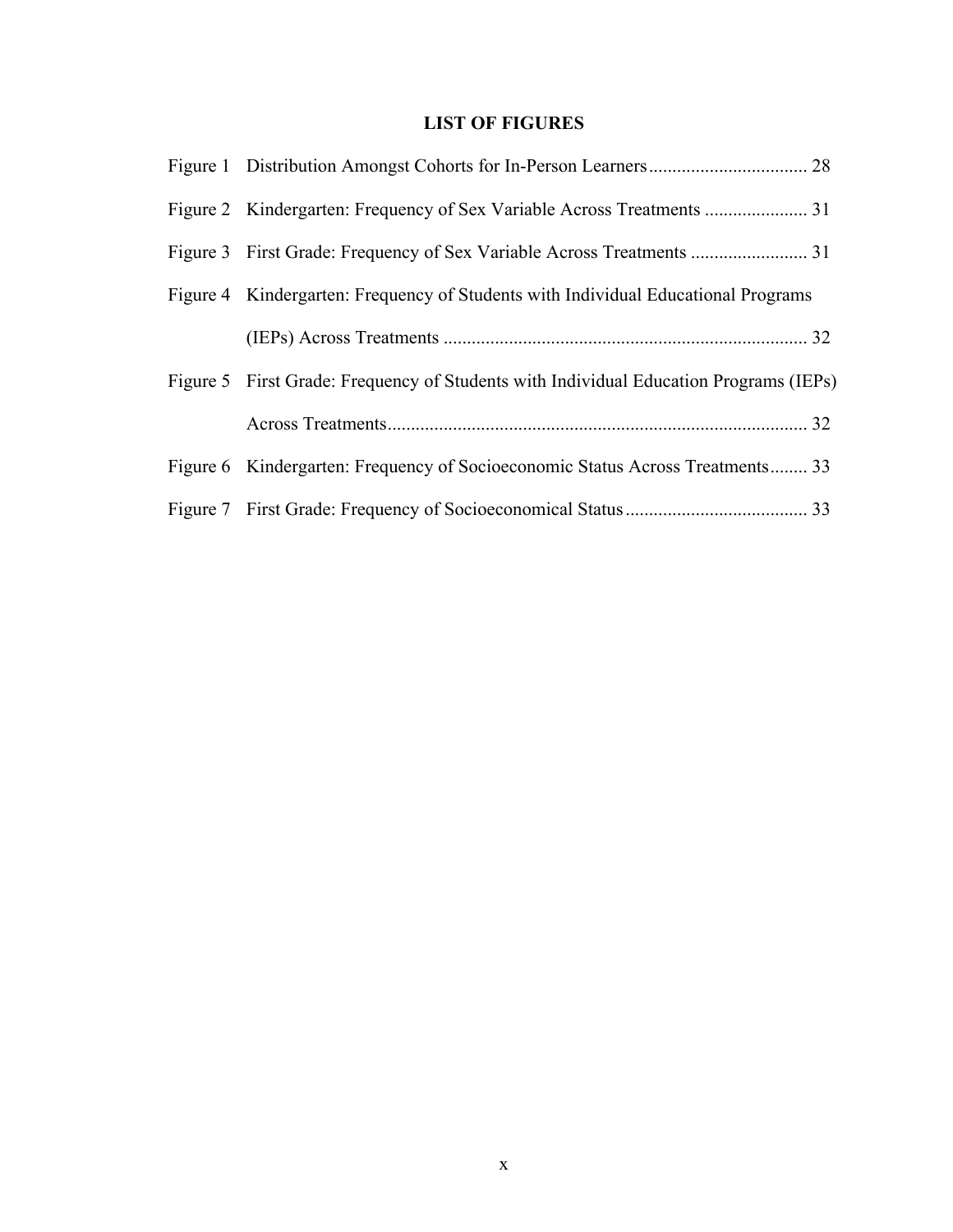# **LIST OF FIGURES**

| Figure 4 Kindergarten: Frequency of Students with Individual Educational Programs     |
|---------------------------------------------------------------------------------------|
|                                                                                       |
| Figure 5 First Grade: Frequency of Students with Individual Education Programs (IEPs) |
|                                                                                       |
| Figure 6 Kindergarten: Frequency of Socioeconomic Status Across Treatments 33         |
|                                                                                       |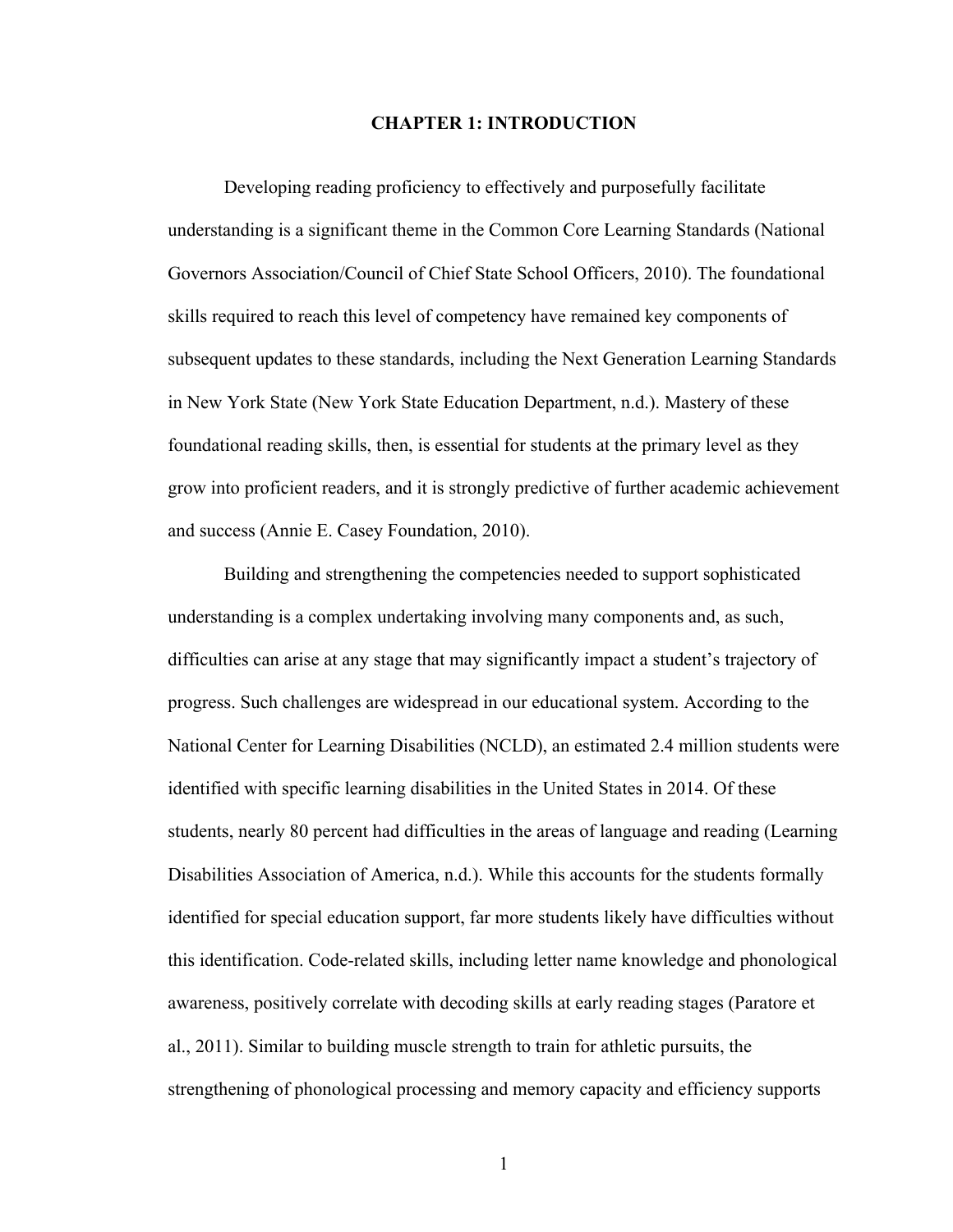## **CHAPTER 1: INTRODUCTION**

Developing reading proficiency to effectively and purposefully facilitate understanding is a significant theme in the Common Core Learning Standards (National Governors Association/Council of Chief State School Officers, 2010). The foundational skills required to reach this level of competency have remained key components of subsequent updates to these standards, including the Next Generation Learning Standards in New York State (New York State Education Department, n.d.). Mastery of these foundational reading skills, then, is essential for students at the primary level as they grow into proficient readers, and it is strongly predictive of further academic achievement and success (Annie E. Casey Foundation, 2010).

Building and strengthening the competencies needed to support sophisticated understanding is a complex undertaking involving many components and, as such, difficulties can arise at any stage that may significantly impact a student's trajectory of progress. Such challenges are widespread in our educational system. According to the National Center for Learning Disabilities (NCLD), an estimated 2.4 million students were identified with specific learning disabilities in the United States in 2014. Of these students, nearly 80 percent had difficulties in the areas of language and reading (Learning Disabilities Association of America, n.d.). While this accounts for the students formally identified for special education support, far more students likely have difficulties without this identification. Code-related skills, including letter name knowledge and phonological awareness, positively correlate with decoding skills at early reading stages (Paratore et al., 2011). Similar to building muscle strength to train for athletic pursuits, the strengthening of phonological processing and memory capacity and efficiency supports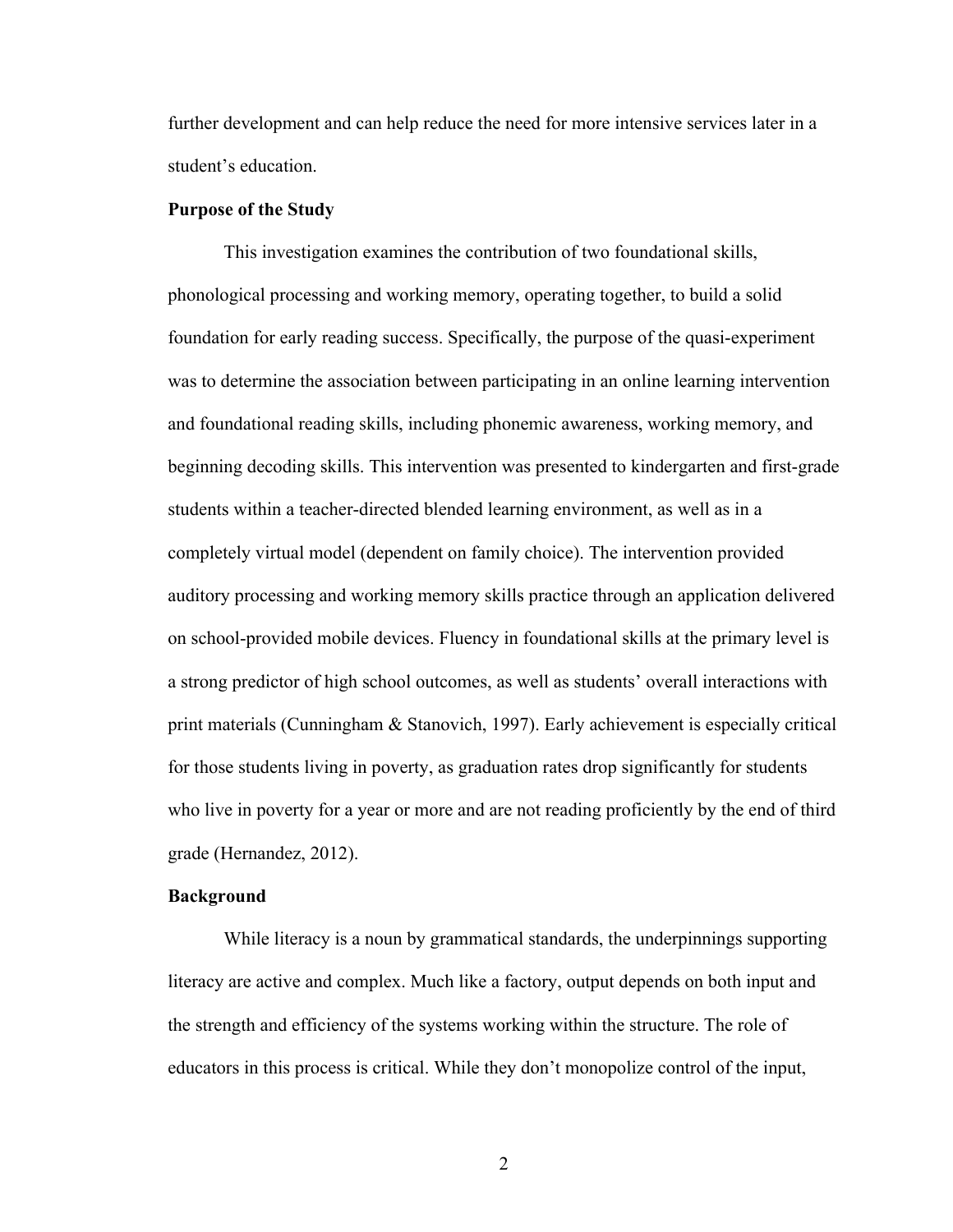further development and can help reduce the need for more intensive services later in a student's education.

## **Purpose of the Study**

This investigation examines the contribution of two foundational skills, phonological processing and working memory, operating together, to build a solid foundation for early reading success. Specifically, the purpose of the quasi-experiment was to determine the association between participating in an online learning intervention and foundational reading skills, including phonemic awareness, working memory, and beginning decoding skills. This intervention was presented to kindergarten and first-grade students within a teacher-directed blended learning environment, as well as in a completely virtual model (dependent on family choice). The intervention provided auditory processing and working memory skills practice through an application delivered on school-provided mobile devices. Fluency in foundational skills at the primary level is a strong predictor of high school outcomes, as well as students' overall interactions with print materials (Cunningham & Stanovich, 1997). Early achievement is especially critical for those students living in poverty, as graduation rates drop significantly for students who live in poverty for a year or more and are not reading proficiently by the end of third grade (Hernandez, 2012).

## **Background**

While literacy is a noun by grammatical standards, the underpinnings supporting literacy are active and complex. Much like a factory, output depends on both input and the strength and efficiency of the systems working within the structure. The role of educators in this process is critical. While they don't monopolize control of the input,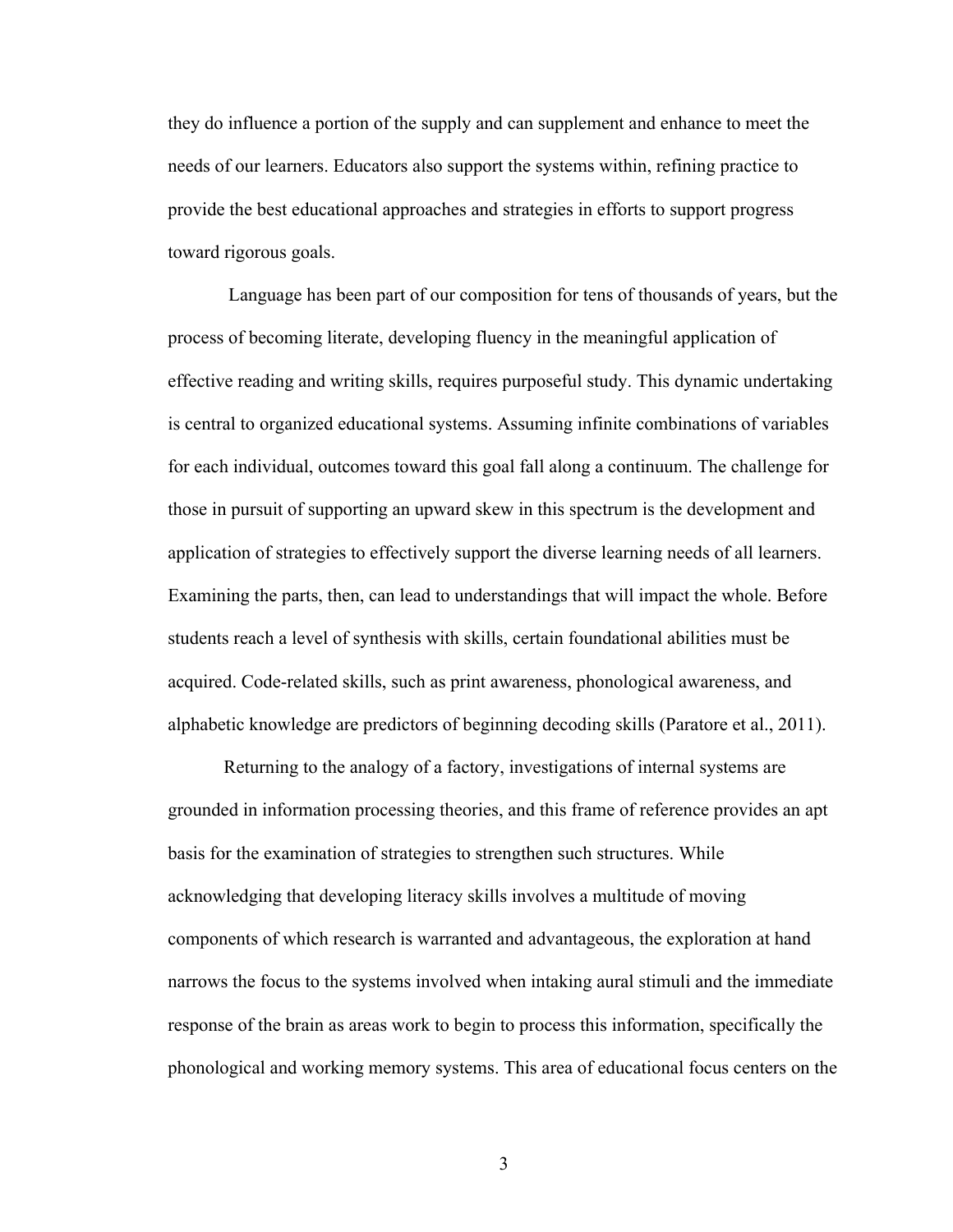they do influence a portion of the supply and can supplement and enhance to meet the needs of our learners. Educators also support the systems within, refining practice to provide the best educational approaches and strategies in efforts to support progress toward rigorous goals.

Language has been part of our composition for tens of thousands of years, but the process of becoming literate, developing fluency in the meaningful application of effective reading and writing skills, requires purposeful study. This dynamic undertaking is central to organized educational systems. Assuming infinite combinations of variables for each individual, outcomes toward this goal fall along a continuum. The challenge for those in pursuit of supporting an upward skew in this spectrum is the development and application of strategies to effectively support the diverse learning needs of all learners. Examining the parts, then, can lead to understandings that will impact the whole. Before students reach a level of synthesis with skills, certain foundational abilities must be acquired. Code-related skills, such as print awareness, phonological awareness, and alphabetic knowledge are predictors of beginning decoding skills (Paratore et al., 2011).

Returning to the analogy of a factory, investigations of internal systems are grounded in information processing theories, and this frame of reference provides an apt basis for the examination of strategies to strengthen such structures. While acknowledging that developing literacy skills involves a multitude of moving components of which research is warranted and advantageous, the exploration at hand narrows the focus to the systems involved when intaking aural stimuli and the immediate response of the brain as areas work to begin to process this information, specifically the phonological and working memory systems. This area of educational focus centers on the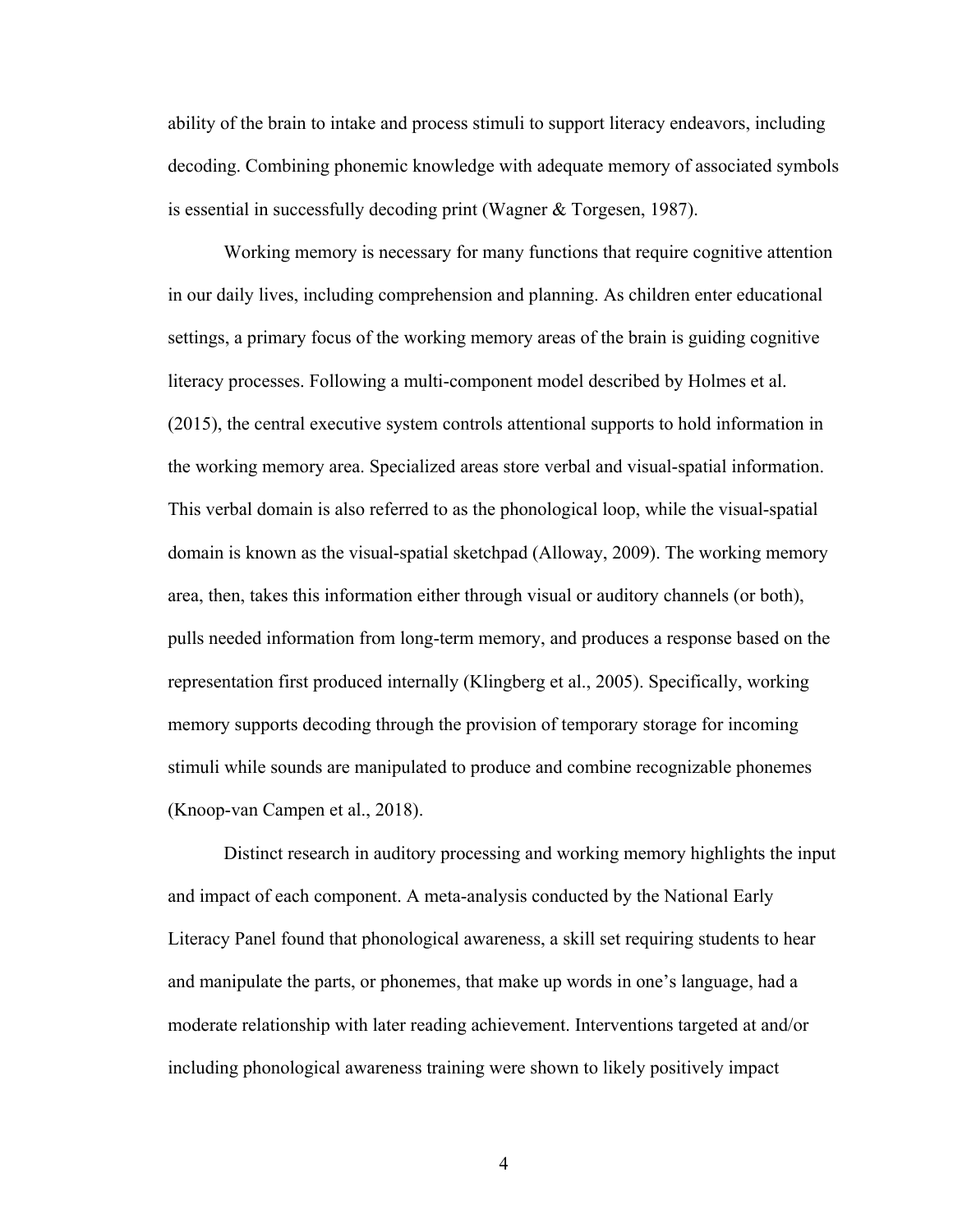ability of the brain to intake and process stimuli to support literacy endeavors, including decoding. Combining phonemic knowledge with adequate memory of associated symbols is essential in successfully decoding print (Wagner & Torgesen, 1987).

Working memory is necessary for many functions that require cognitive attention in our daily lives, including comprehension and planning. As children enter educational settings, a primary focus of the working memory areas of the brain is guiding cognitive literacy processes. Following a multi-component model described by Holmes et al. (2015), the central executive system controls attentional supports to hold information in the working memory area. Specialized areas store verbal and visual-spatial information. This verbal domain is also referred to as the phonological loop, while the visual-spatial domain is known as the visual-spatial sketchpad (Alloway, 2009). The working memory area, then, takes this information either through visual or auditory channels (or both), pulls needed information from long-term memory, and produces a response based on the representation first produced internally (Klingberg et al., 2005). Specifically, working memory supports decoding through the provision of temporary storage for incoming stimuli while sounds are manipulated to produce and combine recognizable phonemes (Knoop-van Campen et al., 2018).

Distinct research in auditory processing and working memory highlights the input and impact of each component. A meta-analysis conducted by the National Early Literacy Panel found that phonological awareness, a skill set requiring students to hear and manipulate the parts, or phonemes, that make up words in one's language, had a moderate relationship with later reading achievement. Interventions targeted at and/or including phonological awareness training were shown to likely positively impact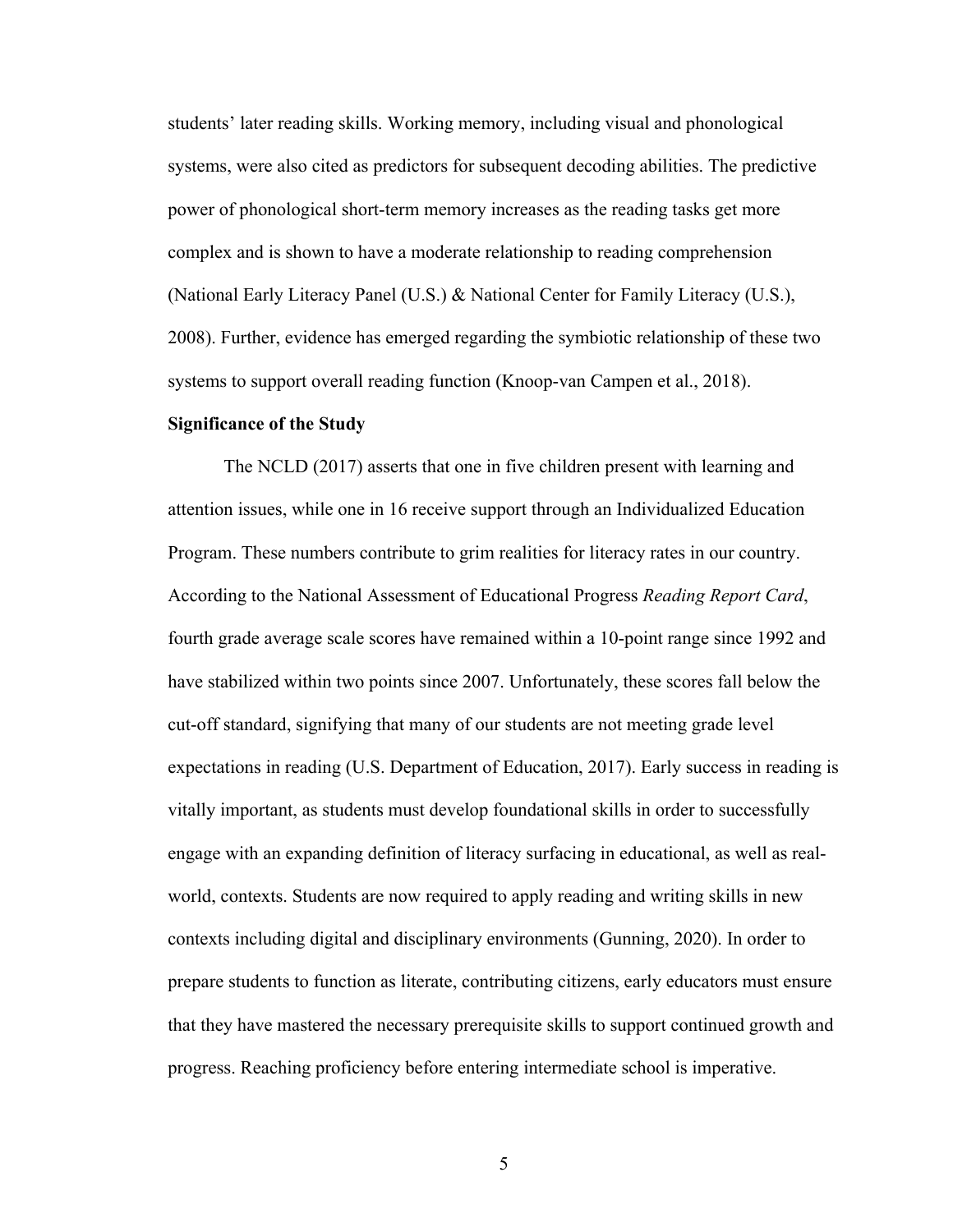students' later reading skills. Working memory, including visual and phonological systems, were also cited as predictors for subsequent decoding abilities. The predictive power of phonological short-term memory increases as the reading tasks get more complex and is shown to have a moderate relationship to reading comprehension (National Early Literacy Panel (U.S.) & National Center for Family Literacy (U.S.), 2008). Further, evidence has emerged regarding the symbiotic relationship of these two systems to support overall reading function (Knoop-van Campen et al., 2018).

## **Significance of the Study**

The NCLD (2017) asserts that one in five children present with learning and attention issues, while one in 16 receive support through an Individualized Education Program. These numbers contribute to grim realities for literacy rates in our country. According to the National Assessment of Educational Progress *Reading Report Card*, fourth grade average scale scores have remained within a 10-point range since 1992 and have stabilized within two points since 2007. Unfortunately, these scores fall below the cut-off standard, signifying that many of our students are not meeting grade level expectations in reading (U.S. Department of Education, 2017). Early success in reading is vitally important, as students must develop foundational skills in order to successfully engage with an expanding definition of literacy surfacing in educational, as well as realworld, contexts. Students are now required to apply reading and writing skills in new contexts including digital and disciplinary environments (Gunning, 2020). In order to prepare students to function as literate, contributing citizens, early educators must ensure that they have mastered the necessary prerequisite skills to support continued growth and progress. Reaching proficiency before entering intermediate school is imperative.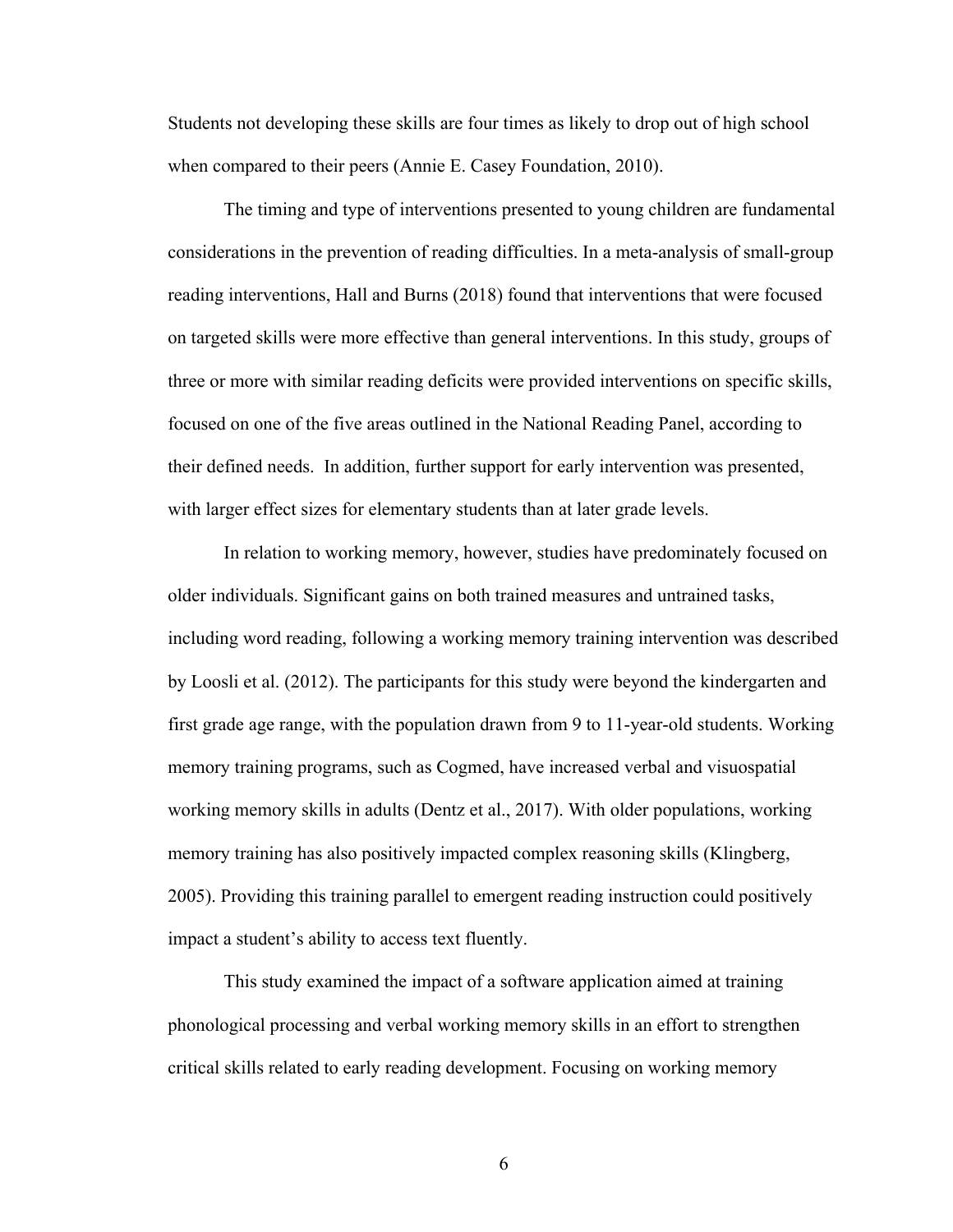Students not developing these skills are four times as likely to drop out of high school when compared to their peers (Annie E. Casey Foundation, 2010).

The timing and type of interventions presented to young children are fundamental considerations in the prevention of reading difficulties. In a meta-analysis of small-group reading interventions, Hall and Burns (2018) found that interventions that were focused on targeted skills were more effective than general interventions. In this study, groups of three or more with similar reading deficits were provided interventions on specific skills, focused on one of the five areas outlined in the National Reading Panel, according to their defined needs. In addition, further support for early intervention was presented, with larger effect sizes for elementary students than at later grade levels.

In relation to working memory, however, studies have predominately focused on older individuals. Significant gains on both trained measures and untrained tasks, including word reading, following a working memory training intervention was described by Loosli et al. (2012). The participants for this study were beyond the kindergarten and first grade age range, with the population drawn from 9 to 11-year-old students. Working memory training programs, such as Cogmed, have increased verbal and visuospatial working memory skills in adults (Dentz et al., 2017). With older populations, working memory training has also positively impacted complex reasoning skills (Klingberg, 2005). Providing this training parallel to emergent reading instruction could positively impact a student's ability to access text fluently.

This study examined the impact of a software application aimed at training phonological processing and verbal working memory skills in an effort to strengthen critical skills related to early reading development. Focusing on working memory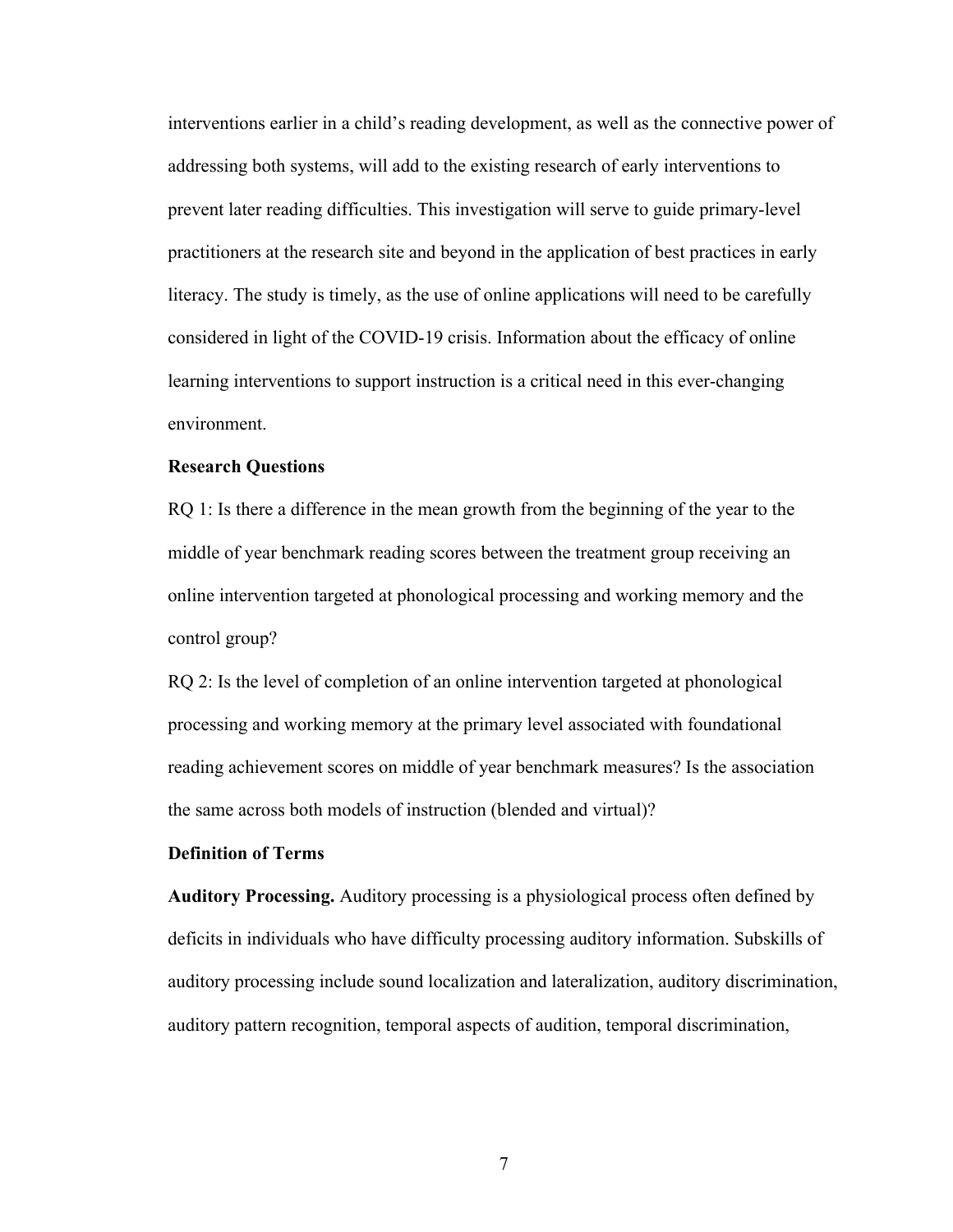interventions earlier in a child's reading development, as well as the connective power of addressing both systems, will add to the existing research of early interventions to prevent later reading difficulties. This investigation will serve to guide primary-level practitioners at the research site and beyond in the application of best practices in early literacy. The study is timely, as the use of online applications will need to be carefully considered in light of the COVID-19 crisis. Information about the efficacy of online learning interventions to support instruction is a critical need in this ever-changing environment.

## **Research Questions**

RQ 1: Is there a difference in the mean growth from the beginning of the year to the middle of year benchmark reading scores between the treatment group receiving an online intervention targeted at phonological processing and working memory and the control group?

RQ 2: Is the level of completion of an online intervention targeted at phonological processing and working memory at the primary level associated with foundational reading achievement scores on middle of year benchmark measures? Is the association the same across both models of instruction (blended and virtual)?

## **Definition of Terms**

**Auditory Processing.** Auditory processing is a physiological process often defined by deficits in individuals who have difficulty processing auditory information. Subskills of auditory processing include sound localization and lateralization, auditory discrimination, auditory pattern recognition, temporal aspects of audition, temporal discrimination,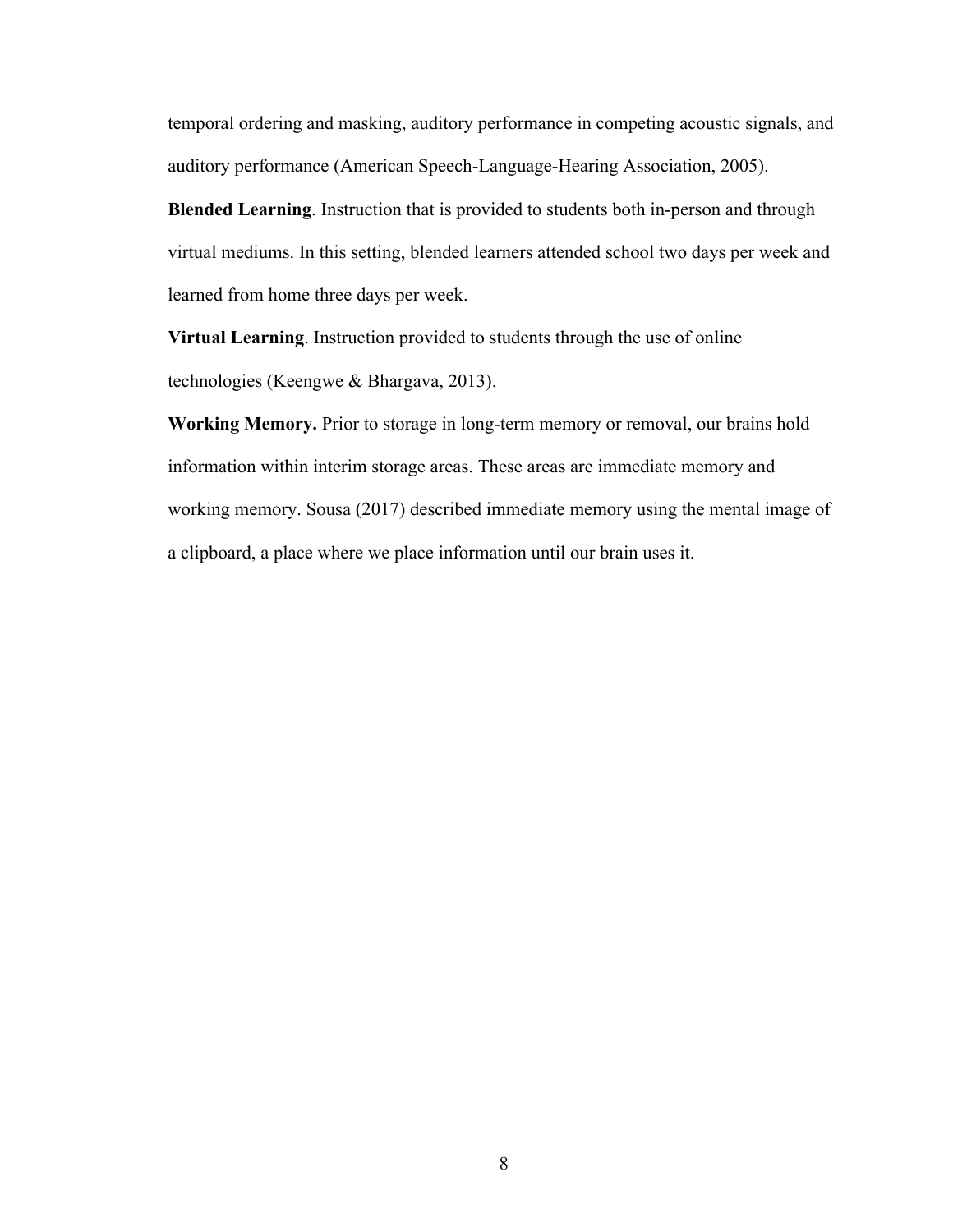temporal ordering and masking, auditory performance in competing acoustic signals, and auditory performance (American Speech-Language-Hearing Association, 2005).

**Blended Learning**. Instruction that is provided to students both in-person and through virtual mediums. In this setting, blended learners attended school two days per week and learned from home three days per week.

**Virtual Learning**. Instruction provided to students through the use of online technologies (Keengwe & Bhargava, 2013).

**Working Memory.** Prior to storage in long-term memory or removal, our brains hold information within interim storage areas. These areas are immediate memory and working memory. Sousa (2017) described immediate memory using the mental image of a clipboard, a place where we place information until our brain uses it.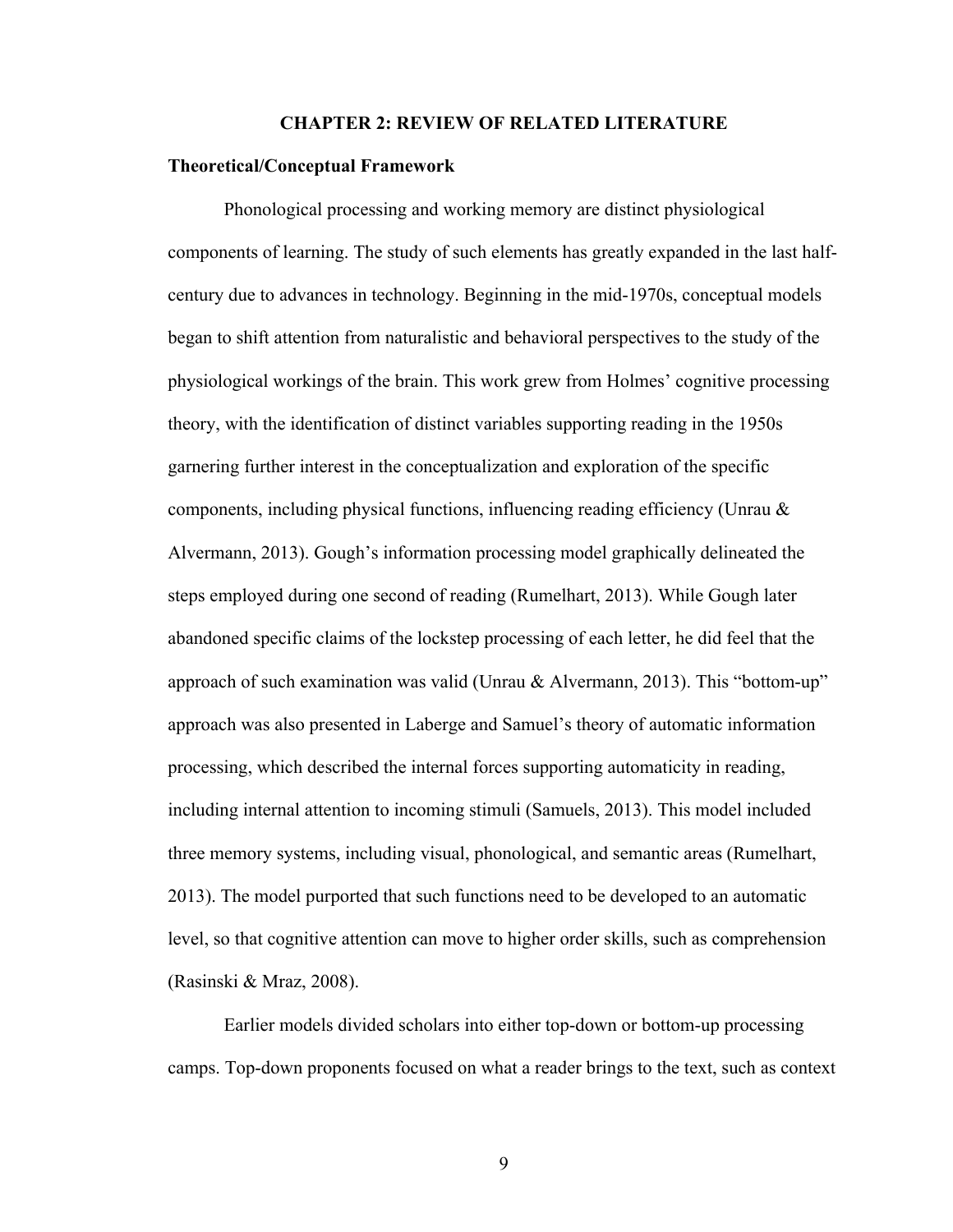#### **CHAPTER 2: REVIEW OF RELATED LITERATURE**

#### **Theoretical/Conceptual Framework**

Phonological processing and working memory are distinct physiological components of learning. The study of such elements has greatly expanded in the last halfcentury due to advances in technology. Beginning in the mid-1970s, conceptual models began to shift attention from naturalistic and behavioral perspectives to the study of the physiological workings of the brain. This work grew from Holmes' cognitive processing theory, with the identification of distinct variables supporting reading in the 1950s garnering further interest in the conceptualization and exploration of the specific components, including physical functions, influencing reading efficiency (Unrau & Alvermann, 2013). Gough's information processing model graphically delineated the steps employed during one second of reading (Rumelhart, 2013). While Gough later abandoned specific claims of the lockstep processing of each letter, he did feel that the approach of such examination was valid (Unrau & Alvermann, 2013). This "bottom-up" approach was also presented in Laberge and Samuel's theory of automatic information processing, which described the internal forces supporting automaticity in reading, including internal attention to incoming stimuli (Samuels, 2013). This model included three memory systems, including visual, phonological, and semantic areas (Rumelhart, 2013). The model purported that such functions need to be developed to an automatic level, so that cognitive attention can move to higher order skills, such as comprehension (Rasinski & Mraz, 2008).

Earlier models divided scholars into either top-down or bottom-up processing camps. Top-down proponents focused on what a reader brings to the text, such as context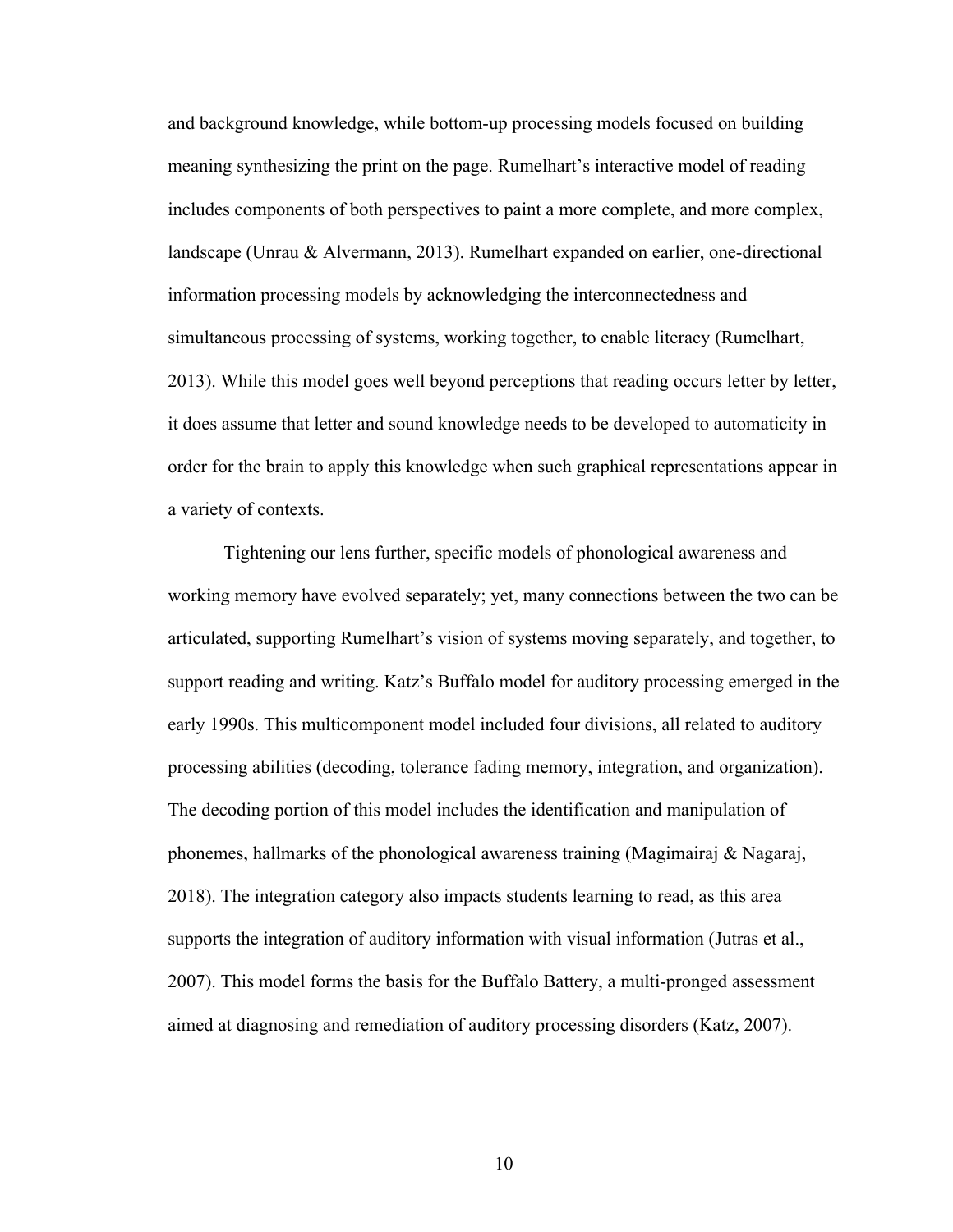and background knowledge, while bottom-up processing models focused on building meaning synthesizing the print on the page. Rumelhart's interactive model of reading includes components of both perspectives to paint a more complete, and more complex, landscape (Unrau & Alvermann, 2013). Rumelhart expanded on earlier, one-directional information processing models by acknowledging the interconnectedness and simultaneous processing of systems, working together, to enable literacy (Rumelhart, 2013). While this model goes well beyond perceptions that reading occurs letter by letter, it does assume that letter and sound knowledge needs to be developed to automaticity in order for the brain to apply this knowledge when such graphical representations appear in a variety of contexts.

Tightening our lens further, specific models of phonological awareness and working memory have evolved separately; yet, many connections between the two can be articulated, supporting Rumelhart's vision of systems moving separately, and together, to support reading and writing. Katz's Buffalo model for auditory processing emerged in the early 1990s. This multicomponent model included four divisions, all related to auditory processing abilities (decoding, tolerance fading memory, integration, and organization). The decoding portion of this model includes the identification and manipulation of phonemes, hallmarks of the phonological awareness training (Magimairaj & Nagaraj, 2018). The integration category also impacts students learning to read, as this area supports the integration of auditory information with visual information (Jutras et al., 2007). This model forms the basis for the Buffalo Battery, a multi-pronged assessment aimed at diagnosing and remediation of auditory processing disorders (Katz, 2007).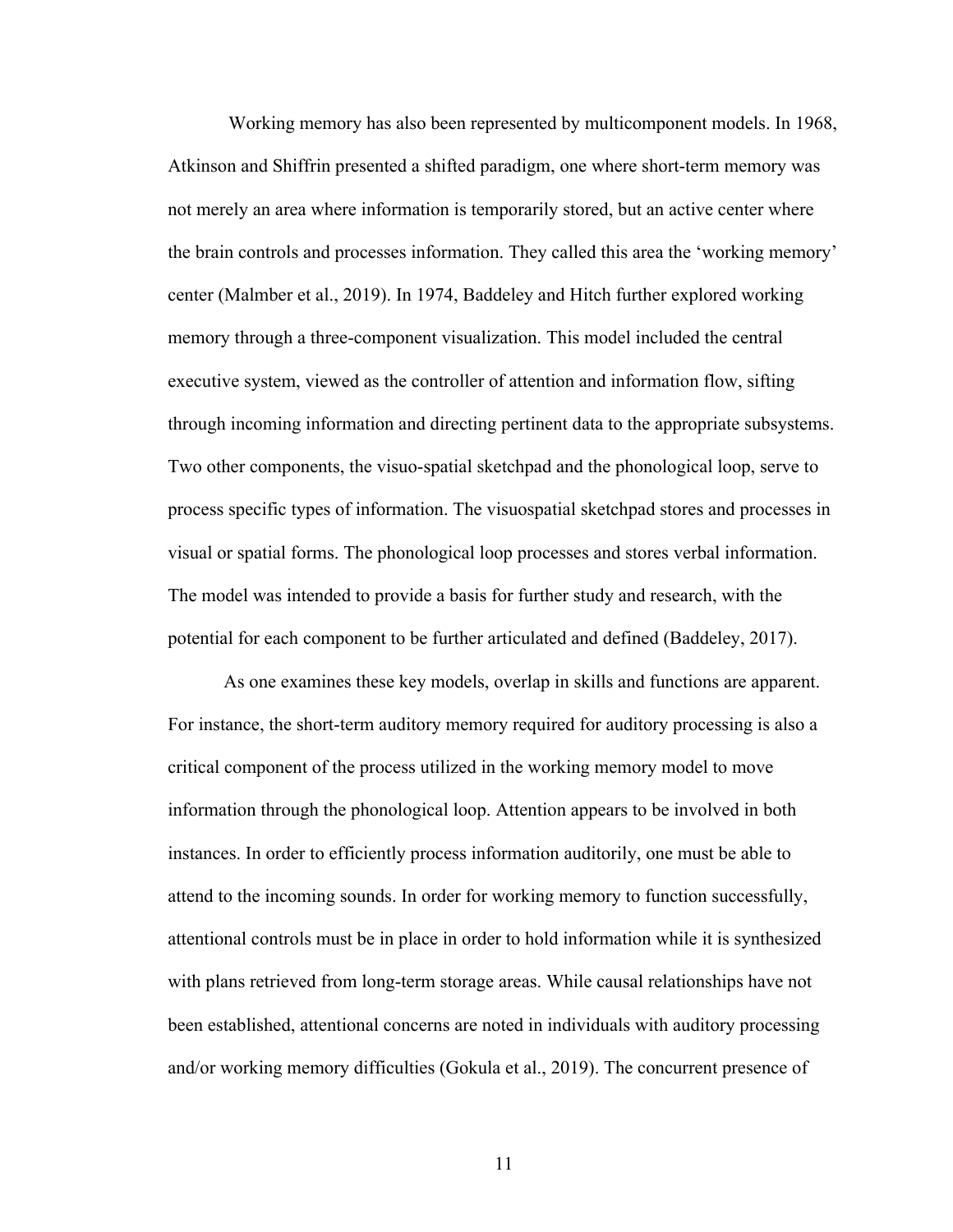Working memory has also been represented by multicomponent models. In 1968, Atkinson and Shiffrin presented a shifted paradigm, one where short-term memory was not merely an area where information is temporarily stored, but an active center where the brain controls and processes information. They called this area the 'working memory' center (Malmber et al., 2019). In 1974, Baddeley and Hitch further explored working memory through a three-component visualization. This model included the central executive system, viewed as the controller of attention and information flow, sifting through incoming information and directing pertinent data to the appropriate subsystems. Two other components, the visuo-spatial sketchpad and the phonological loop, serve to process specific types of information. The visuospatial sketchpad stores and processes in visual or spatial forms. The phonological loop processes and stores verbal information. The model was intended to provide a basis for further study and research, with the potential for each component to be further articulated and defined (Baddeley, 2017).

As one examines these key models, overlap in skills and functions are apparent. For instance, the short-term auditory memory required for auditory processing is also a critical component of the process utilized in the working memory model to move information through the phonological loop. Attention appears to be involved in both instances. In order to efficiently process information auditorily, one must be able to attend to the incoming sounds. In order for working memory to function successfully, attentional controls must be in place in order to hold information while it is synthesized with plans retrieved from long-term storage areas. While causal relationships have not been established, attentional concerns are noted in individuals with auditory processing and/or working memory difficulties (Gokula et al., 2019). The concurrent presence of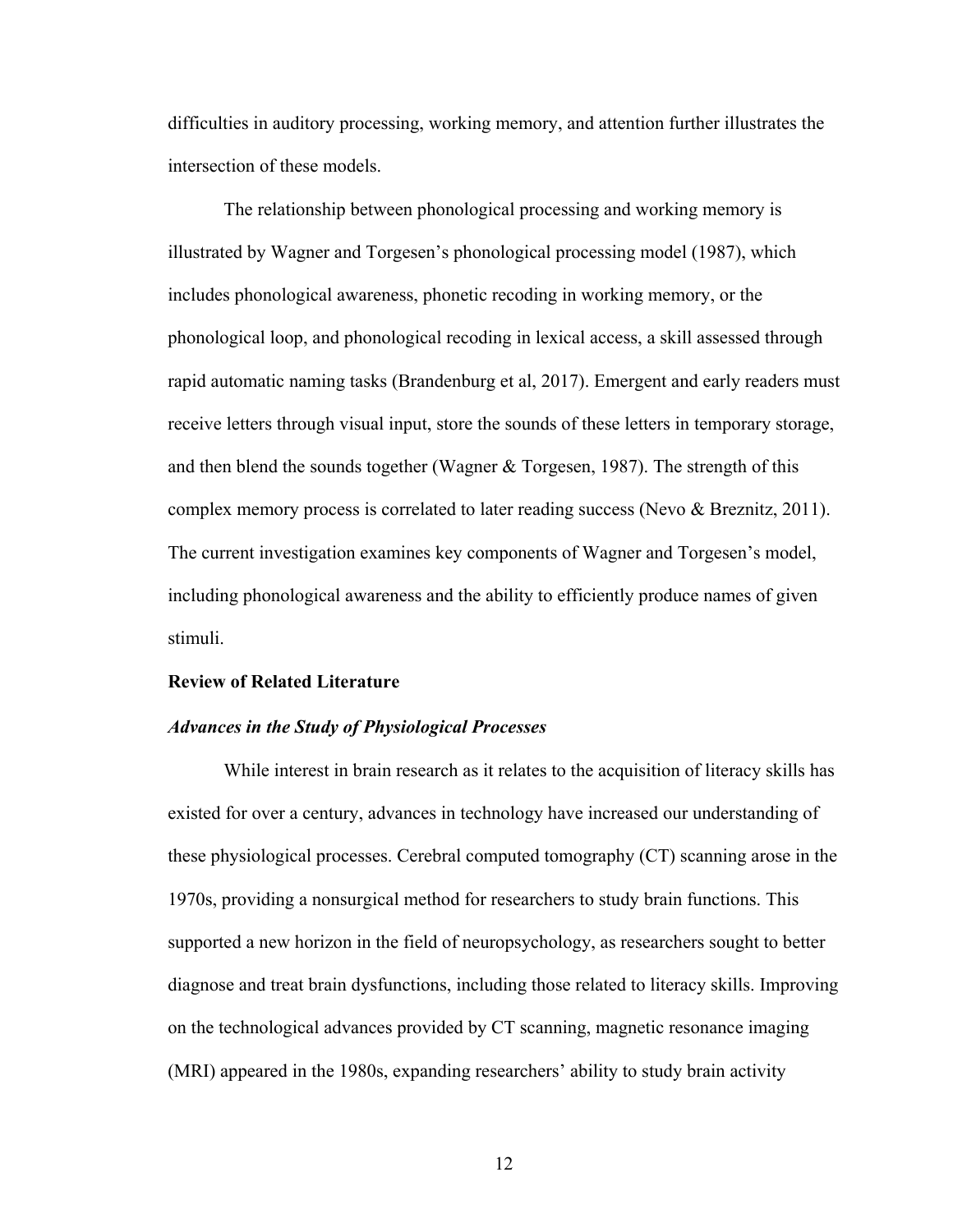difficulties in auditory processing, working memory, and attention further illustrates the intersection of these models.

The relationship between phonological processing and working memory is illustrated by Wagner and Torgesen's phonological processing model (1987), which includes phonological awareness, phonetic recoding in working memory, or the phonological loop, and phonological recoding in lexical access, a skill assessed through rapid automatic naming tasks (Brandenburg et al, 2017). Emergent and early readers must receive letters through visual input, store the sounds of these letters in temporary storage, and then blend the sounds together (Wagner & Torgesen, 1987). The strength of this complex memory process is correlated to later reading success (Nevo & Breznitz, 2011). The current investigation examines key components of Wagner and Torgesen's model, including phonological awareness and the ability to efficiently produce names of given stimuli.

#### **Review of Related Literature**

#### *Advances in the Study of Physiological Processes*

While interest in brain research as it relates to the acquisition of literacy skills has existed for over a century, advances in technology have increased our understanding of these physiological processes. Cerebral computed tomography (CT) scanning arose in the 1970s, providing a nonsurgical method for researchers to study brain functions. This supported a new horizon in the field of neuropsychology, as researchers sought to better diagnose and treat brain dysfunctions, including those related to literacy skills. Improving on the technological advances provided by CT scanning, magnetic resonance imaging (MRI) appeared in the 1980s, expanding researchers' ability to study brain activity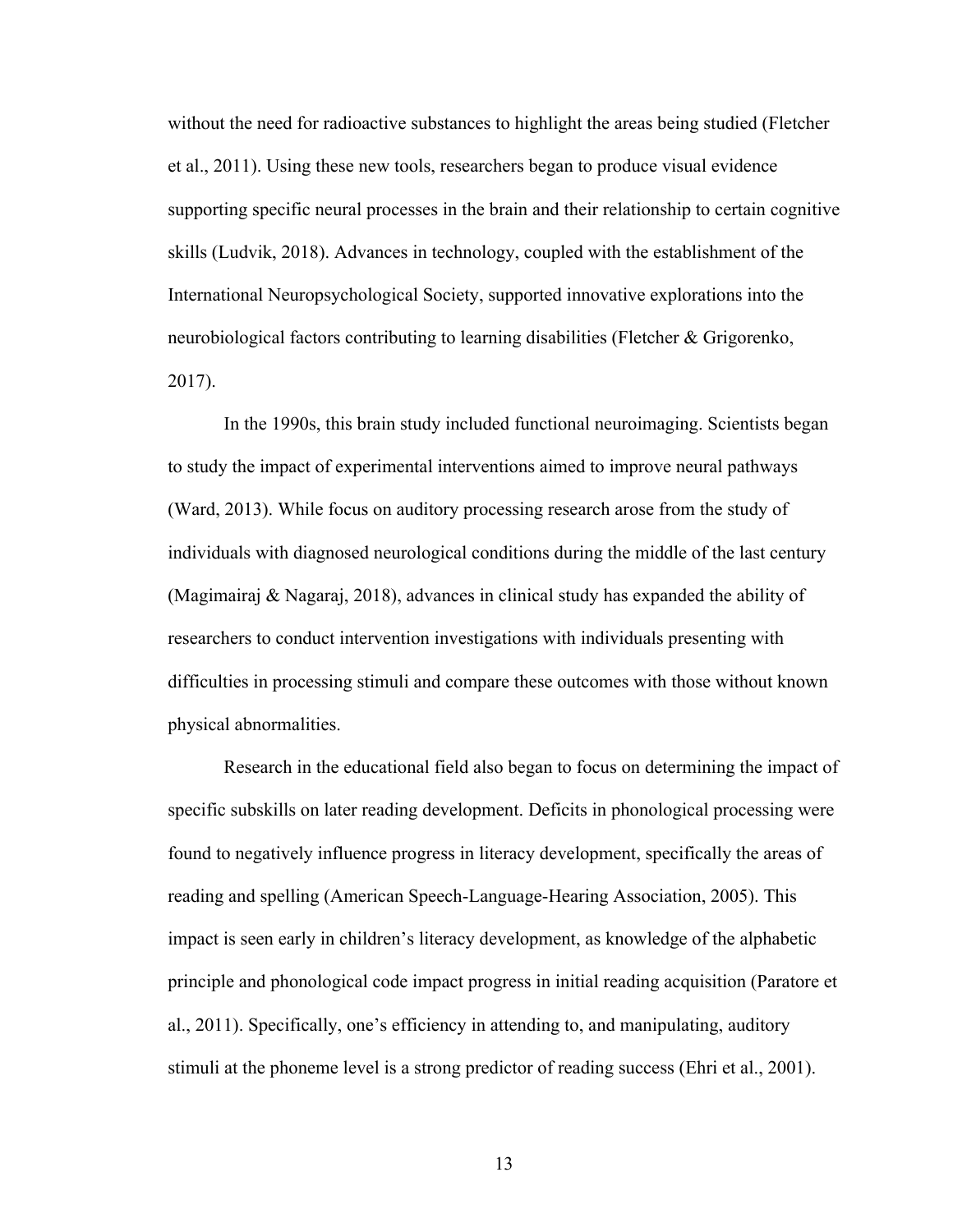without the need for radioactive substances to highlight the areas being studied (Fletcher et al., 2011). Using these new tools, researchers began to produce visual evidence supporting specific neural processes in the brain and their relationship to certain cognitive skills (Ludvik, 2018). Advances in technology, coupled with the establishment of the International Neuropsychological Society, supported innovative explorations into the neurobiological factors contributing to learning disabilities (Fletcher & Grigorenko, 2017).

In the 1990s, this brain study included functional neuroimaging. Scientists began to study the impact of experimental interventions aimed to improve neural pathways (Ward, 2013). While focus on auditory processing research arose from the study of individuals with diagnosed neurological conditions during the middle of the last century (Magimairaj & Nagaraj, 2018), advances in clinical study has expanded the ability of researchers to conduct intervention investigations with individuals presenting with difficulties in processing stimuli and compare these outcomes with those without known physical abnormalities.

Research in the educational field also began to focus on determining the impact of specific subskills on later reading development. Deficits in phonological processing were found to negatively influence progress in literacy development, specifically the areas of reading and spelling (American Speech-Language-Hearing Association, 2005). This impact is seen early in children's literacy development, as knowledge of the alphabetic principle and phonological code impact progress in initial reading acquisition (Paratore et al., 2011). Specifically, one's efficiency in attending to, and manipulating, auditory stimuli at the phoneme level is a strong predictor of reading success (Ehri et al., 2001).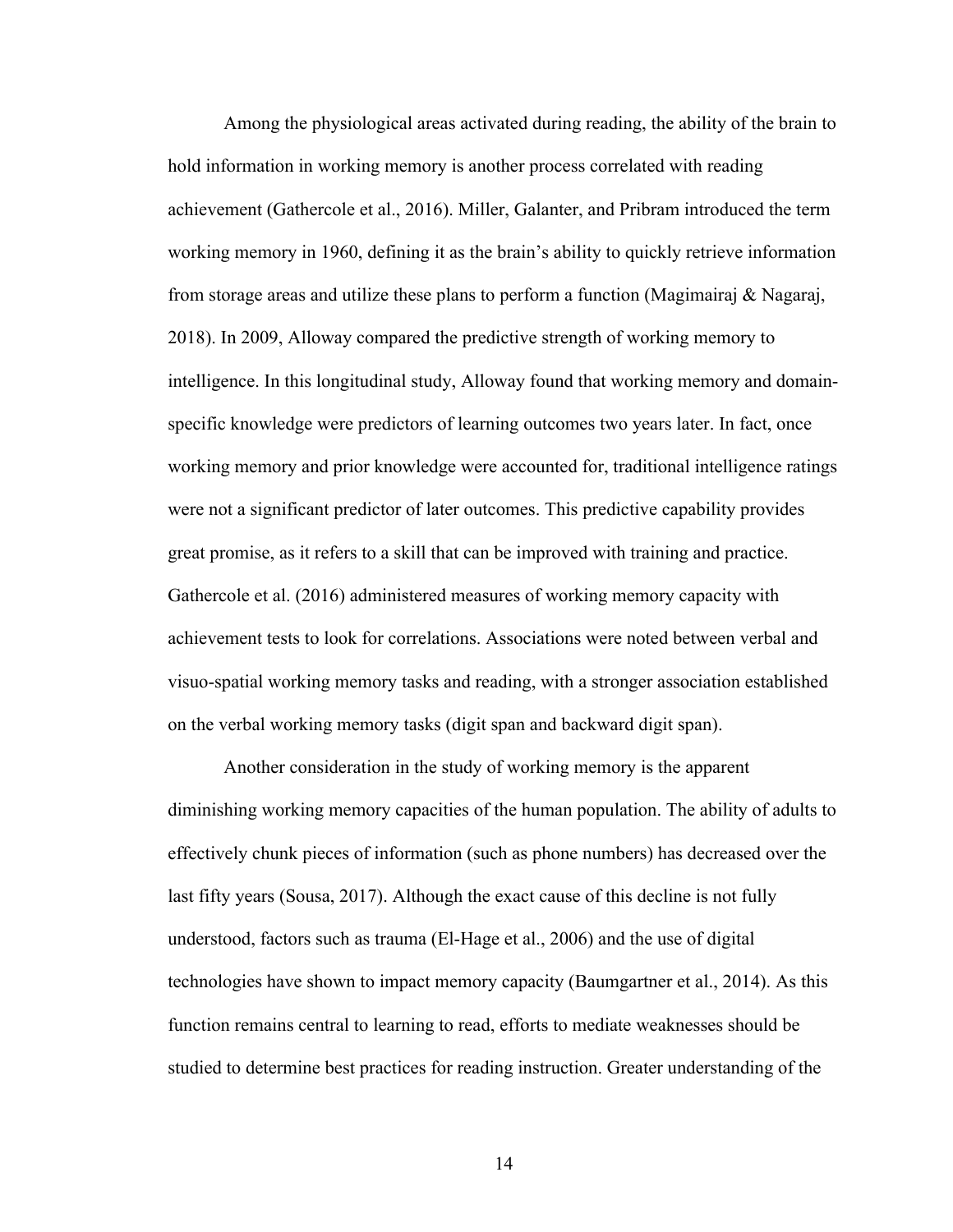Among the physiological areas activated during reading, the ability of the brain to hold information in working memory is another process correlated with reading achievement (Gathercole et al., 2016). Miller, Galanter, and Pribram introduced the term working memory in 1960, defining it as the brain's ability to quickly retrieve information from storage areas and utilize these plans to perform a function (Magimairaj & Nagaraj, 2018). In 2009, Alloway compared the predictive strength of working memory to intelligence. In this longitudinal study, Alloway found that working memory and domainspecific knowledge were predictors of learning outcomes two years later. In fact, once working memory and prior knowledge were accounted for, traditional intelligence ratings were not a significant predictor of later outcomes. This predictive capability provides great promise, as it refers to a skill that can be improved with training and practice. Gathercole et al. (2016) administered measures of working memory capacity with achievement tests to look for correlations. Associations were noted between verbal and visuo-spatial working memory tasks and reading, with a stronger association established on the verbal working memory tasks (digit span and backward digit span).

Another consideration in the study of working memory is the apparent diminishing working memory capacities of the human population. The ability of adults to effectively chunk pieces of information (such as phone numbers) has decreased over the last fifty years (Sousa, 2017). Although the exact cause of this decline is not fully understood, factors such as trauma (El-Hage et al., 2006) and the use of digital technologies have shown to impact memory capacity (Baumgartner et al., 2014). As this function remains central to learning to read, efforts to mediate weaknesses should be studied to determine best practices for reading instruction. Greater understanding of the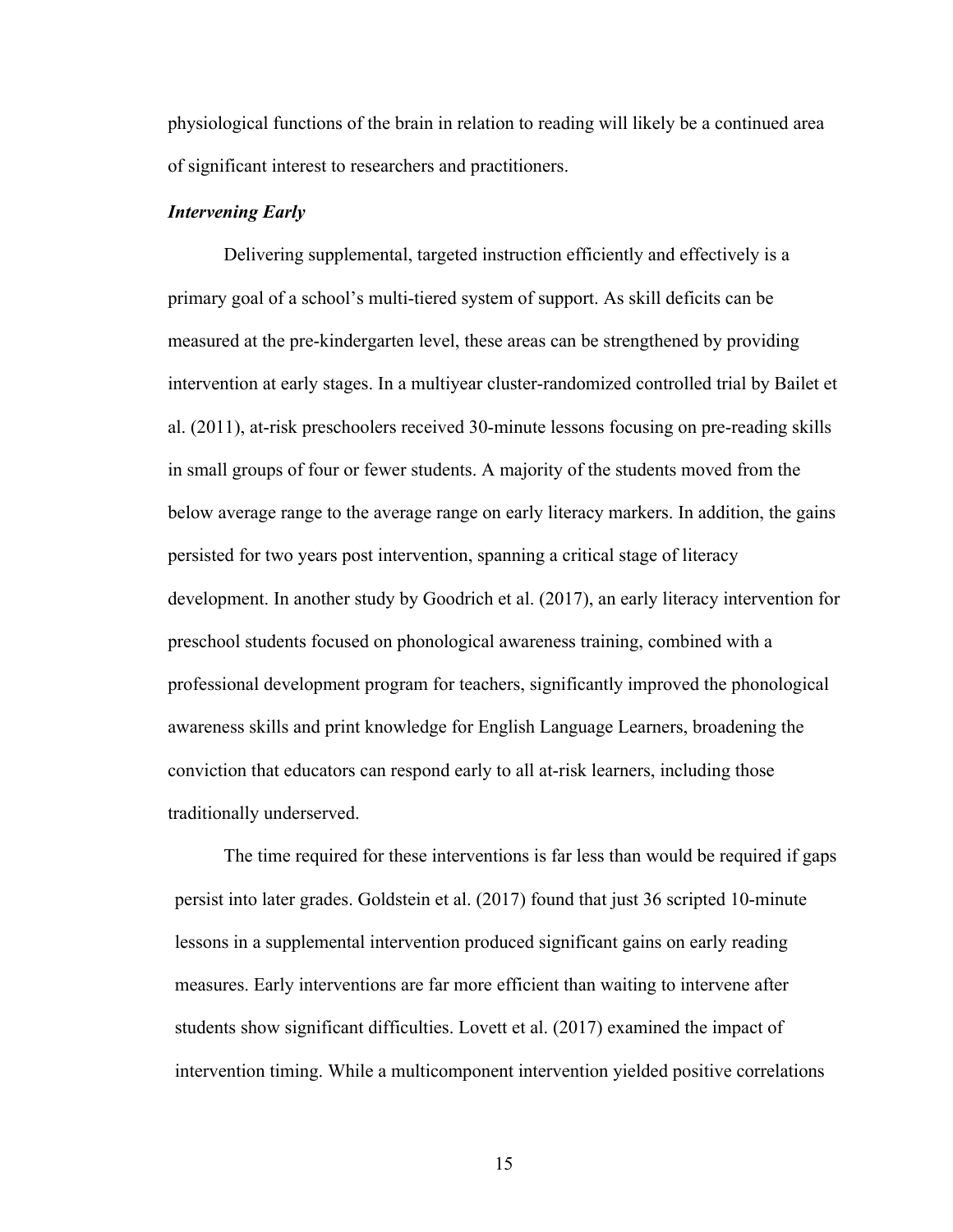physiological functions of the brain in relation to reading will likely be a continued area of significant interest to researchers and practitioners.

#### *Intervening Early*

Delivering supplemental, targeted instruction efficiently and effectively is a primary goal of a school's multi-tiered system of support. As skill deficits can be measured at the pre-kindergarten level, these areas can be strengthened by providing intervention at early stages. In a multiyear cluster-randomized controlled trial by Bailet et al. (2011), at-risk preschoolers received 30-minute lessons focusing on pre-reading skills in small groups of four or fewer students. A majority of the students moved from the below average range to the average range on early literacy markers. In addition, the gains persisted for two years post intervention, spanning a critical stage of literacy development. In another study by Goodrich et al. (2017), an early literacy intervention for preschool students focused on phonological awareness training, combined with a professional development program for teachers, significantly improved the phonological awareness skills and print knowledge for English Language Learners, broadening the conviction that educators can respond early to all at-risk learners, including those traditionally underserved.

The time required for these interventions is far less than would be required if gaps persist into later grades. Goldstein et al. (2017) found that just 36 scripted 10-minute lessons in a supplemental intervention produced significant gains on early reading measures. Early interventions are far more efficient than waiting to intervene after students show significant difficulties. Lovett et al. (2017) examined the impact of intervention timing. While a multicomponent intervention yielded positive correlations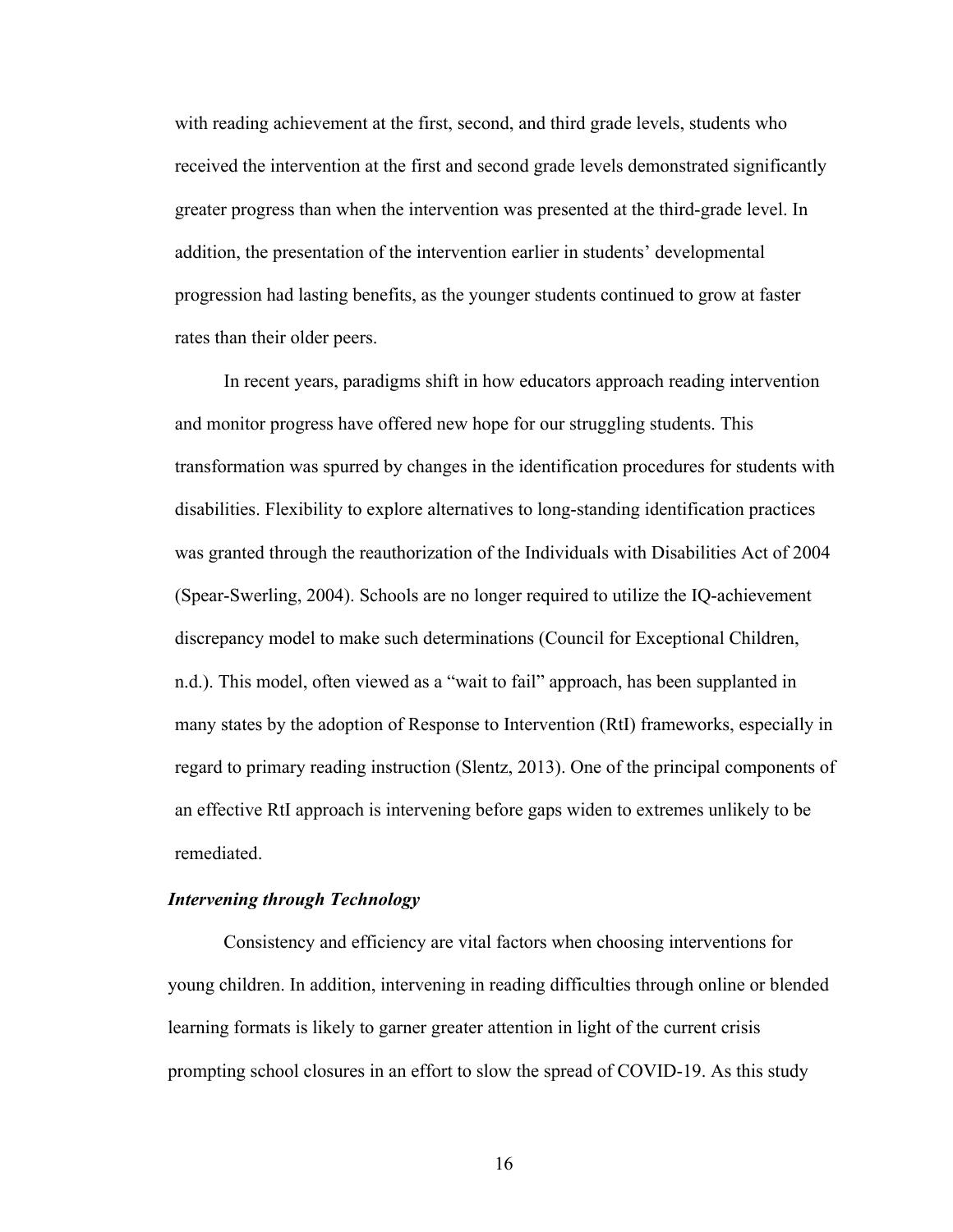with reading achievement at the first, second, and third grade levels, students who received the intervention at the first and second grade levels demonstrated significantly greater progress than when the intervention was presented at the third-grade level. In addition, the presentation of the intervention earlier in students' developmental progression had lasting benefits, as the younger students continued to grow at faster rates than their older peers.

In recent years, paradigms shift in how educators approach reading intervention and monitor progress have offered new hope for our struggling students. This transformation was spurred by changes in the identification procedures for students with disabilities. Flexibility to explore alternatives to long-standing identification practices was granted through the reauthorization of the Individuals with Disabilities Act of 2004 (Spear-Swerling, 2004). Schools are no longer required to utilize the IQ-achievement discrepancy model to make such determinations (Council for Exceptional Children, n.d.). This model, often viewed as a "wait to fail" approach, has been supplanted in many states by the adoption of Response to Intervention (RtI) frameworks, especially in regard to primary reading instruction (Slentz, 2013). One of the principal components of an effective RtI approach is intervening before gaps widen to extremes unlikely to be remediated.

## *Intervening through Technology*

Consistency and efficiency are vital factors when choosing interventions for young children. In addition, intervening in reading difficulties through online or blended learning formats is likely to garner greater attention in light of the current crisis prompting school closures in an effort to slow the spread of COVID-19. As this study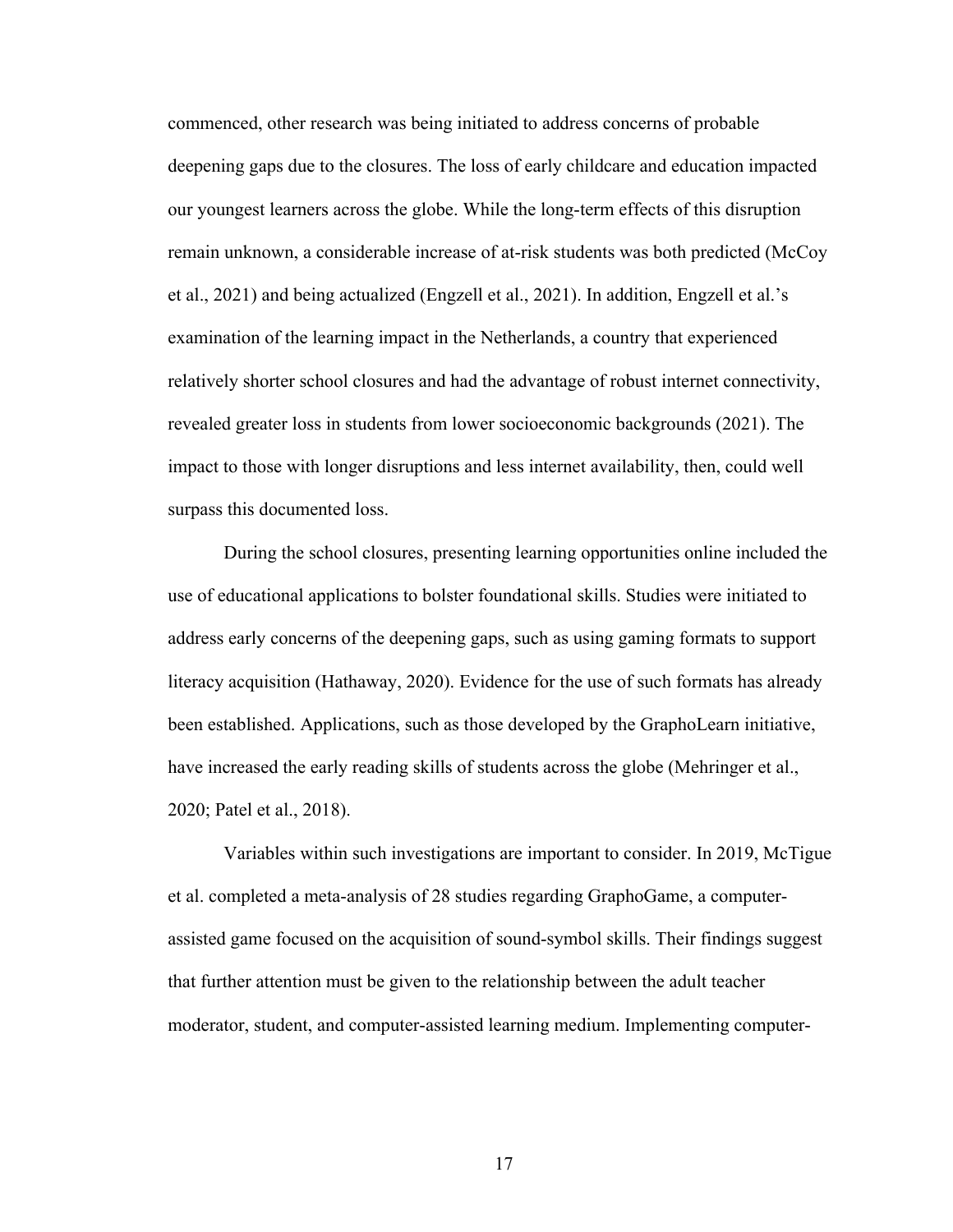commenced, other research was being initiated to address concerns of probable deepening gaps due to the closures. The loss of early childcare and education impacted our youngest learners across the globe. While the long-term effects of this disruption remain unknown, a considerable increase of at-risk students was both predicted (McCoy et al., 2021) and being actualized (Engzell et al., 2021). In addition, Engzell et al.'s examination of the learning impact in the Netherlands, a country that experienced relatively shorter school closures and had the advantage of robust internet connectivity, revealed greater loss in students from lower socioeconomic backgrounds (2021). The impact to those with longer disruptions and less internet availability, then, could well surpass this documented loss.

During the school closures, presenting learning opportunities online included the use of educational applications to bolster foundational skills. Studies were initiated to address early concerns of the deepening gaps, such as using gaming formats to support literacy acquisition (Hathaway, 2020). Evidence for the use of such formats has already been established. Applications, such as those developed by the GraphoLearn initiative, have increased the early reading skills of students across the globe (Mehringer et al., 2020; Patel et al., 2018).

Variables within such investigations are important to consider. In 2019, McTigue et al. completed a meta-analysis of 28 studies regarding GraphoGame, a computerassisted game focused on the acquisition of sound-symbol skills. Their findings suggest that further attention must be given to the relationship between the adult teacher moderator, student, and computer-assisted learning medium. Implementing computer-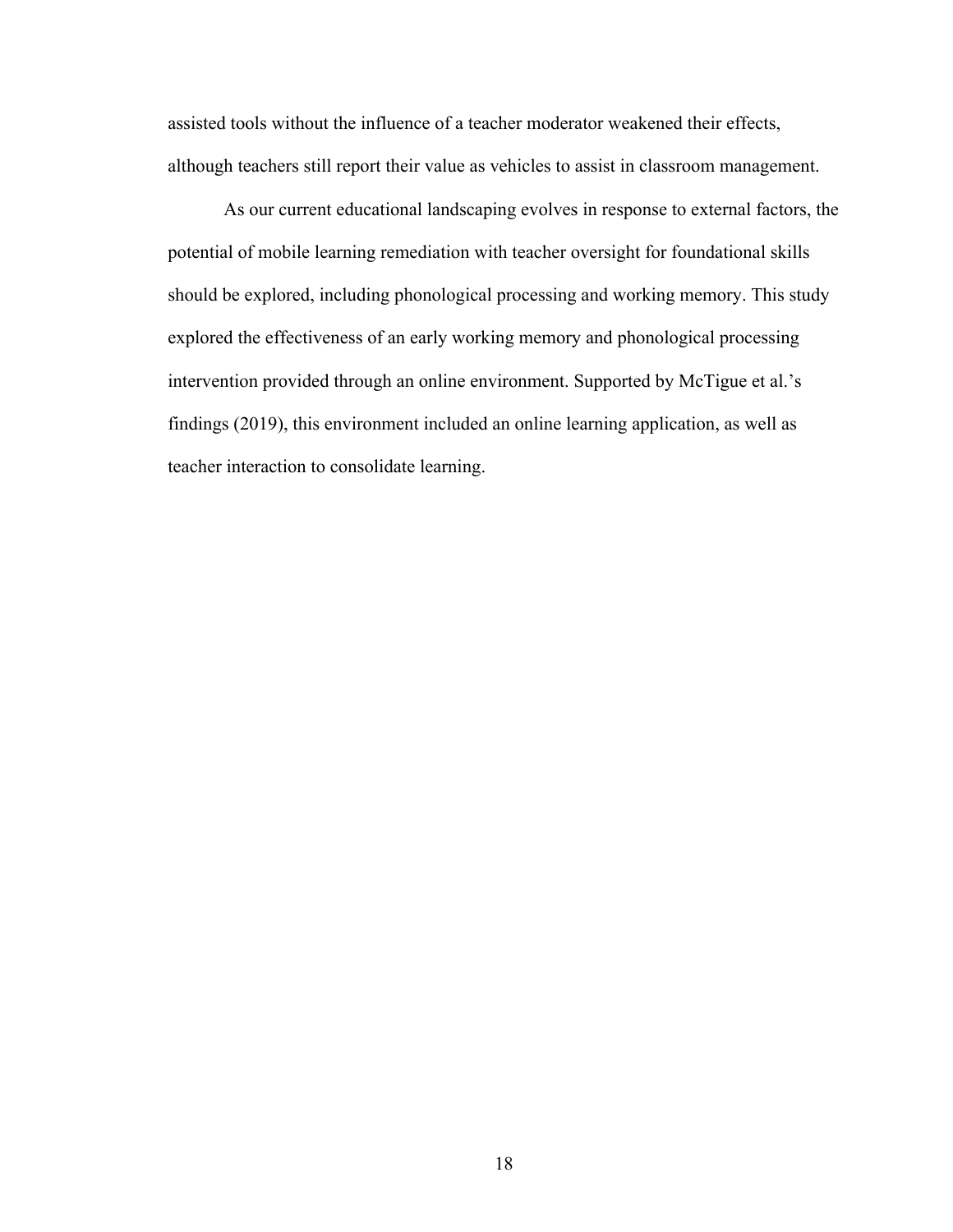assisted tools without the influence of a teacher moderator weakened their effects, although teachers still report their value as vehicles to assist in classroom management.

As our current educational landscaping evolves in response to external factors, the potential of mobile learning remediation with teacher oversight for foundational skills should be explored, including phonological processing and working memory. This study explored the effectiveness of an early working memory and phonological processing intervention provided through an online environment. Supported by McTigue et al.'s findings (2019), this environment included an online learning application, as well as teacher interaction to consolidate learning.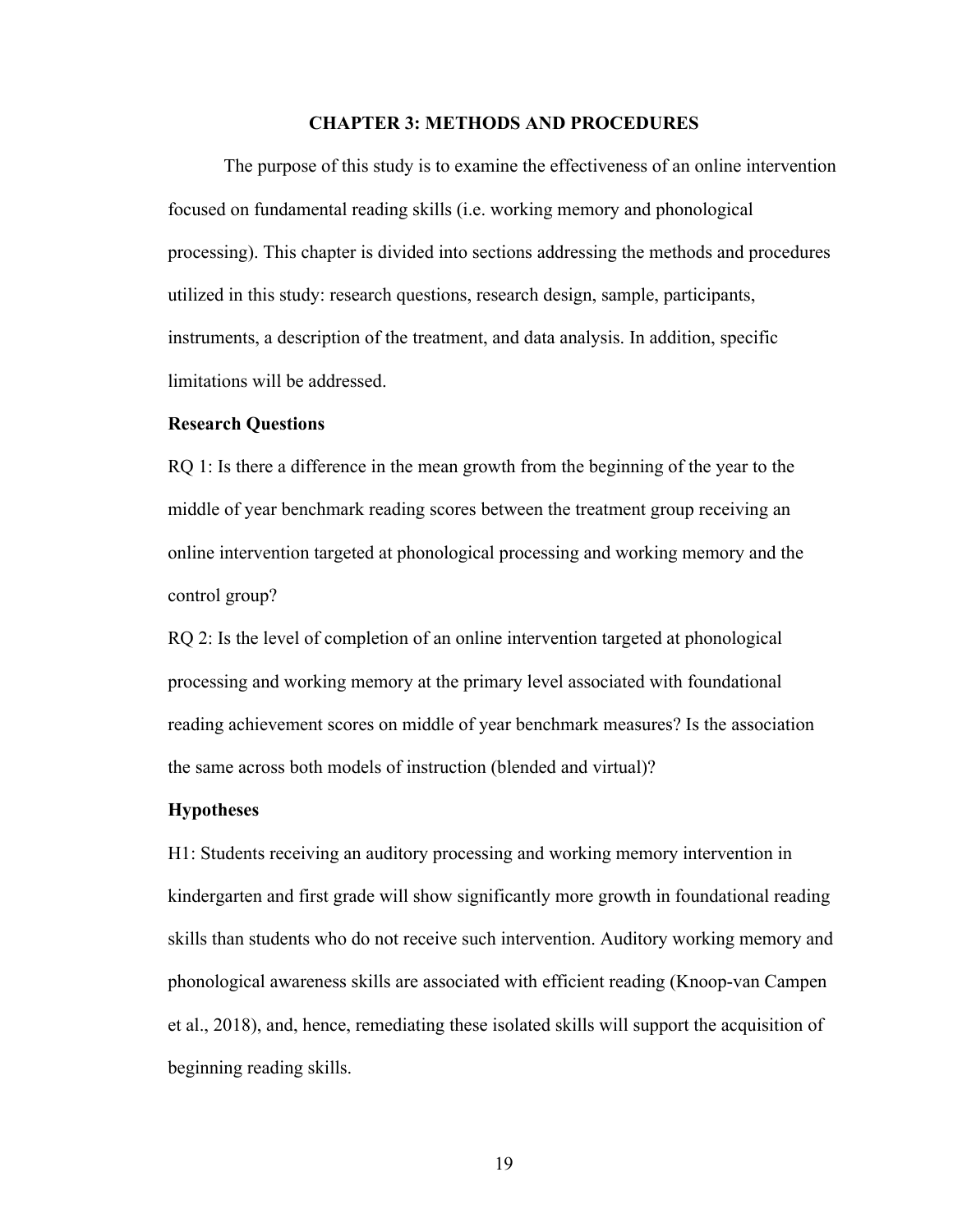#### **CHAPTER 3: METHODS AND PROCEDURES**

The purpose of this study is to examine the effectiveness of an online intervention focused on fundamental reading skills (i.e. working memory and phonological processing). This chapter is divided into sections addressing the methods and procedures utilized in this study: research questions, research design, sample, participants, instruments, a description of the treatment, and data analysis. In addition, specific limitations will be addressed.

#### **Research Questions**

RQ 1: Is there a difference in the mean growth from the beginning of the year to the middle of year benchmark reading scores between the treatment group receiving an online intervention targeted at phonological processing and working memory and the control group?

RQ 2: Is the level of completion of an online intervention targeted at phonological processing and working memory at the primary level associated with foundational reading achievement scores on middle of year benchmark measures? Is the association the same across both models of instruction (blended and virtual)?

#### **Hypotheses**

H1: Students receiving an auditory processing and working memory intervention in kindergarten and first grade will show significantly more growth in foundational reading skills than students who do not receive such intervention. Auditory working memory and phonological awareness skills are associated with efficient reading (Knoop-van Campen et al., 2018), and, hence, remediating these isolated skills will support the acquisition of beginning reading skills.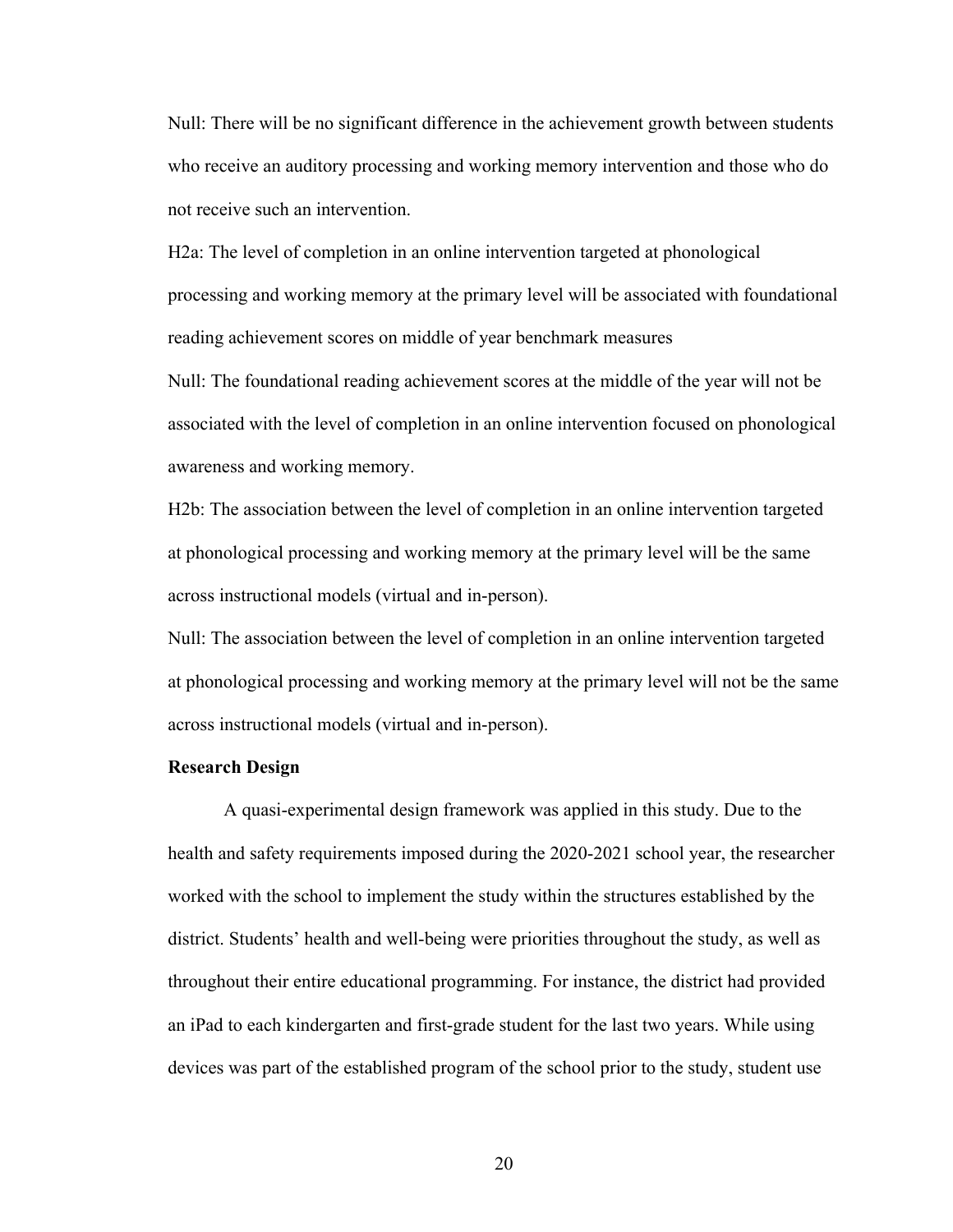Null: There will be no significant difference in the achievement growth between students who receive an auditory processing and working memory intervention and those who do not receive such an intervention.

H2a: The level of completion in an online intervention targeted at phonological processing and working memory at the primary level will be associated with foundational reading achievement scores on middle of year benchmark measures

Null: The foundational reading achievement scores at the middle of the year will not be associated with the level of completion in an online intervention focused on phonological awareness and working memory.

H2b: The association between the level of completion in an online intervention targeted at phonological processing and working memory at the primary level will be the same across instructional models (virtual and in-person).

Null: The association between the level of completion in an online intervention targeted at phonological processing and working memory at the primary level will not be the same across instructional models (virtual and in-person).

## **Research Design**

A quasi-experimental design framework was applied in this study. Due to the health and safety requirements imposed during the 2020-2021 school year, the researcher worked with the school to implement the study within the structures established by the district. Students' health and well-being were priorities throughout the study, as well as throughout their entire educational programming. For instance, the district had provided an iPad to each kindergarten and first-grade student for the last two years. While using devices was part of the established program of the school prior to the study, student use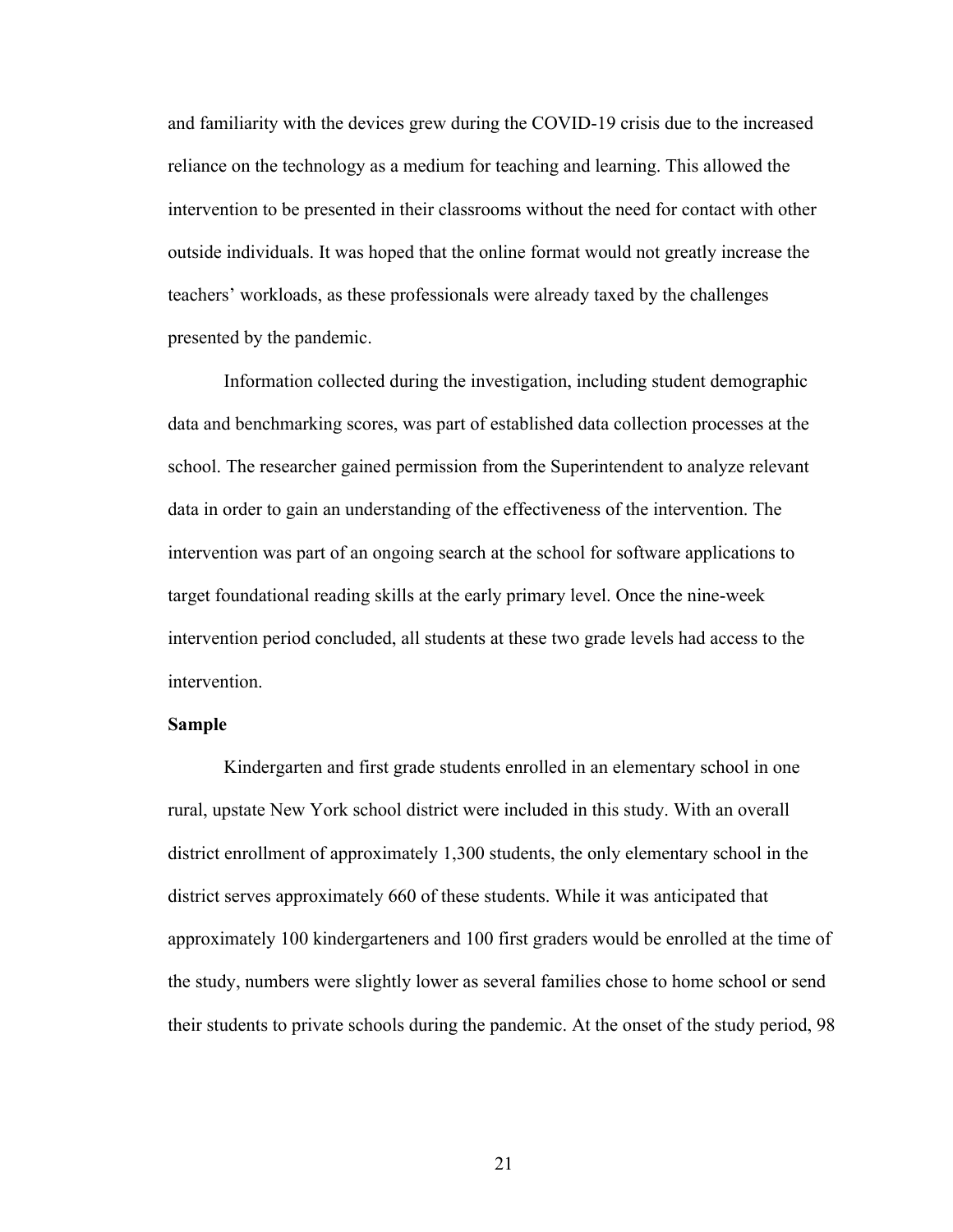and familiarity with the devices grew during the COVID-19 crisis due to the increased reliance on the technology as a medium for teaching and learning. This allowed the intervention to be presented in their classrooms without the need for contact with other outside individuals. It was hoped that the online format would not greatly increase the teachers' workloads, as these professionals were already taxed by the challenges presented by the pandemic.

Information collected during the investigation, including student demographic data and benchmarking scores, was part of established data collection processes at the school. The researcher gained permission from the Superintendent to analyze relevant data in order to gain an understanding of the effectiveness of the intervention. The intervention was part of an ongoing search at the school for software applications to target foundational reading skills at the early primary level. Once the nine-week intervention period concluded, all students at these two grade levels had access to the intervention.

## **Sample**

Kindergarten and first grade students enrolled in an elementary school in one rural, upstate New York school district were included in this study. With an overall district enrollment of approximately 1,300 students, the only elementary school in the district serves approximately 660 of these students. While it was anticipated that approximately 100 kindergarteners and 100 first graders would be enrolled at the time of the study, numbers were slightly lower as several families chose to home school or send their students to private schools during the pandemic. At the onset of the study period, 98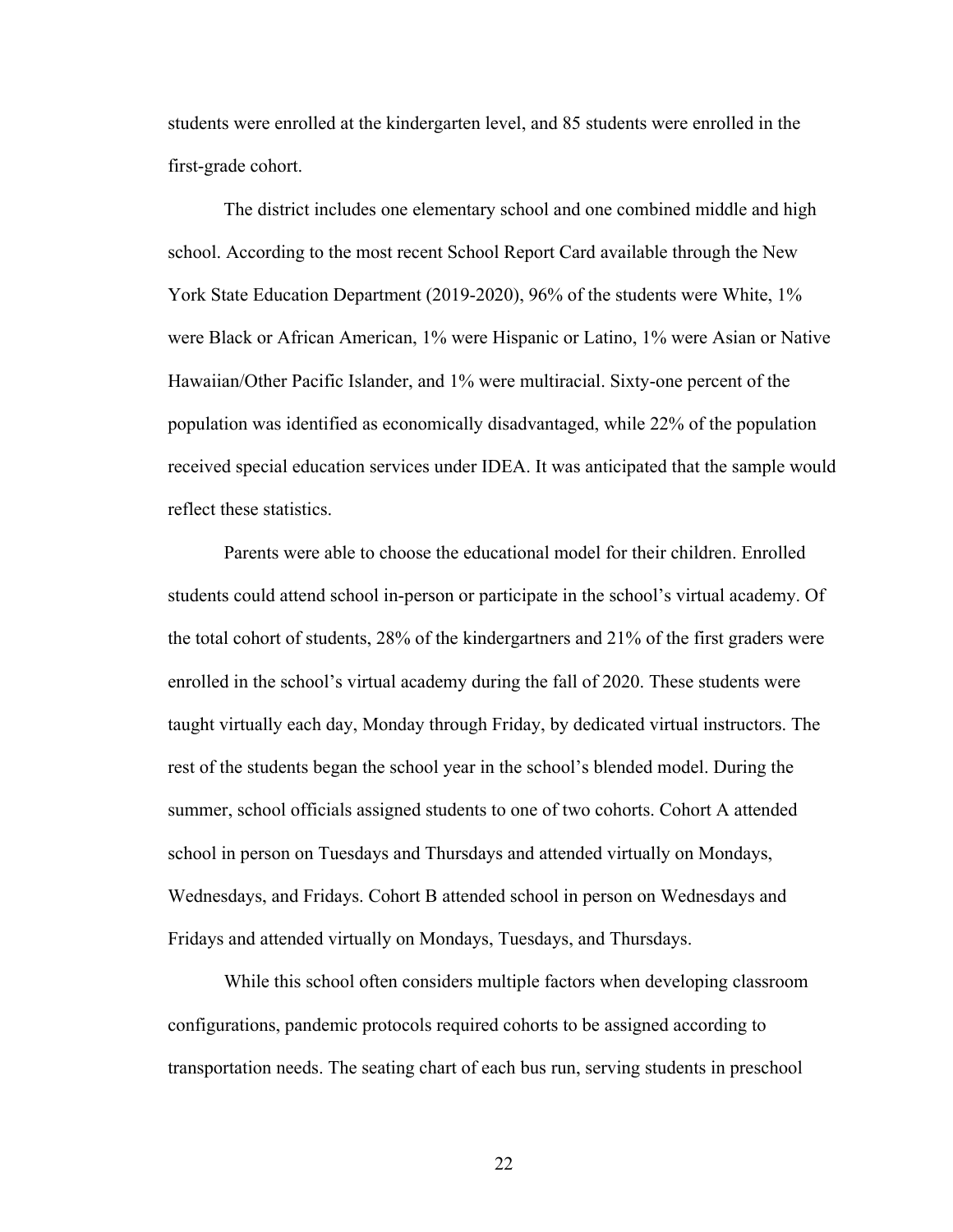students were enrolled at the kindergarten level, and 85 students were enrolled in the first-grade cohort.

The district includes one elementary school and one combined middle and high school. According to the most recent School Report Card available through the New York State Education Department (2019-2020), 96% of the students were White, 1% were Black or African American, 1% were Hispanic or Latino, 1% were Asian or Native Hawaiian/Other Pacific Islander, and 1% were multiracial. Sixty-one percent of the population was identified as economically disadvantaged, while 22% of the population received special education services under IDEA. It was anticipated that the sample would reflect these statistics.

Parents were able to choose the educational model for their children. Enrolled students could attend school in-person or participate in the school's virtual academy. Of the total cohort of students, 28% of the kindergartners and 21% of the first graders were enrolled in the school's virtual academy during the fall of 2020. These students were taught virtually each day, Monday through Friday, by dedicated virtual instructors. The rest of the students began the school year in the school's blended model. During the summer, school officials assigned students to one of two cohorts. Cohort A attended school in person on Tuesdays and Thursdays and attended virtually on Mondays, Wednesdays, and Fridays. Cohort B attended school in person on Wednesdays and Fridays and attended virtually on Mondays, Tuesdays, and Thursdays.

While this school often considers multiple factors when developing classroom configurations, pandemic protocols required cohorts to be assigned according to transportation needs. The seating chart of each bus run, serving students in preschool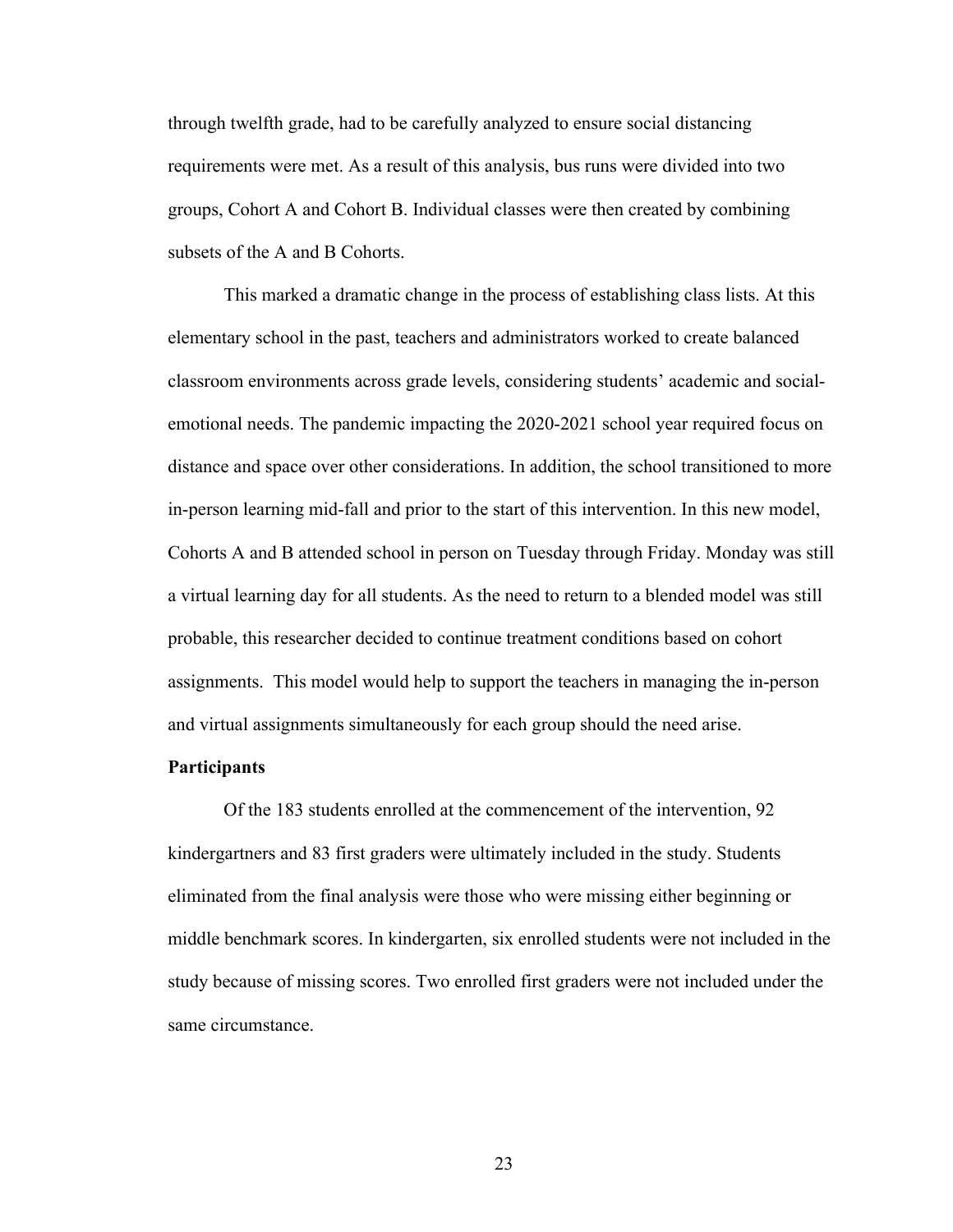through twelfth grade, had to be carefully analyzed to ensure social distancing requirements were met. As a result of this analysis, bus runs were divided into two groups, Cohort A and Cohort B. Individual classes were then created by combining subsets of the A and B Cohorts.

This marked a dramatic change in the process of establishing class lists. At this elementary school in the past, teachers and administrators worked to create balanced classroom environments across grade levels, considering students' academic and socialemotional needs. The pandemic impacting the 2020-2021 school year required focus on distance and space over other considerations. In addition, the school transitioned to more in-person learning mid-fall and prior to the start of this intervention. In this new model, Cohorts A and B attended school in person on Tuesday through Friday. Monday was still a virtual learning day for all students. As the need to return to a blended model was still probable, this researcher decided to continue treatment conditions based on cohort assignments. This model would help to support the teachers in managing the in-person and virtual assignments simultaneously for each group should the need arise.

#### **Participants**

Of the 183 students enrolled at the commencement of the intervention, 92 kindergartners and 83 first graders were ultimately included in the study. Students eliminated from the final analysis were those who were missing either beginning or middle benchmark scores. In kindergarten, six enrolled students were not included in the study because of missing scores. Two enrolled first graders were not included under the same circumstance.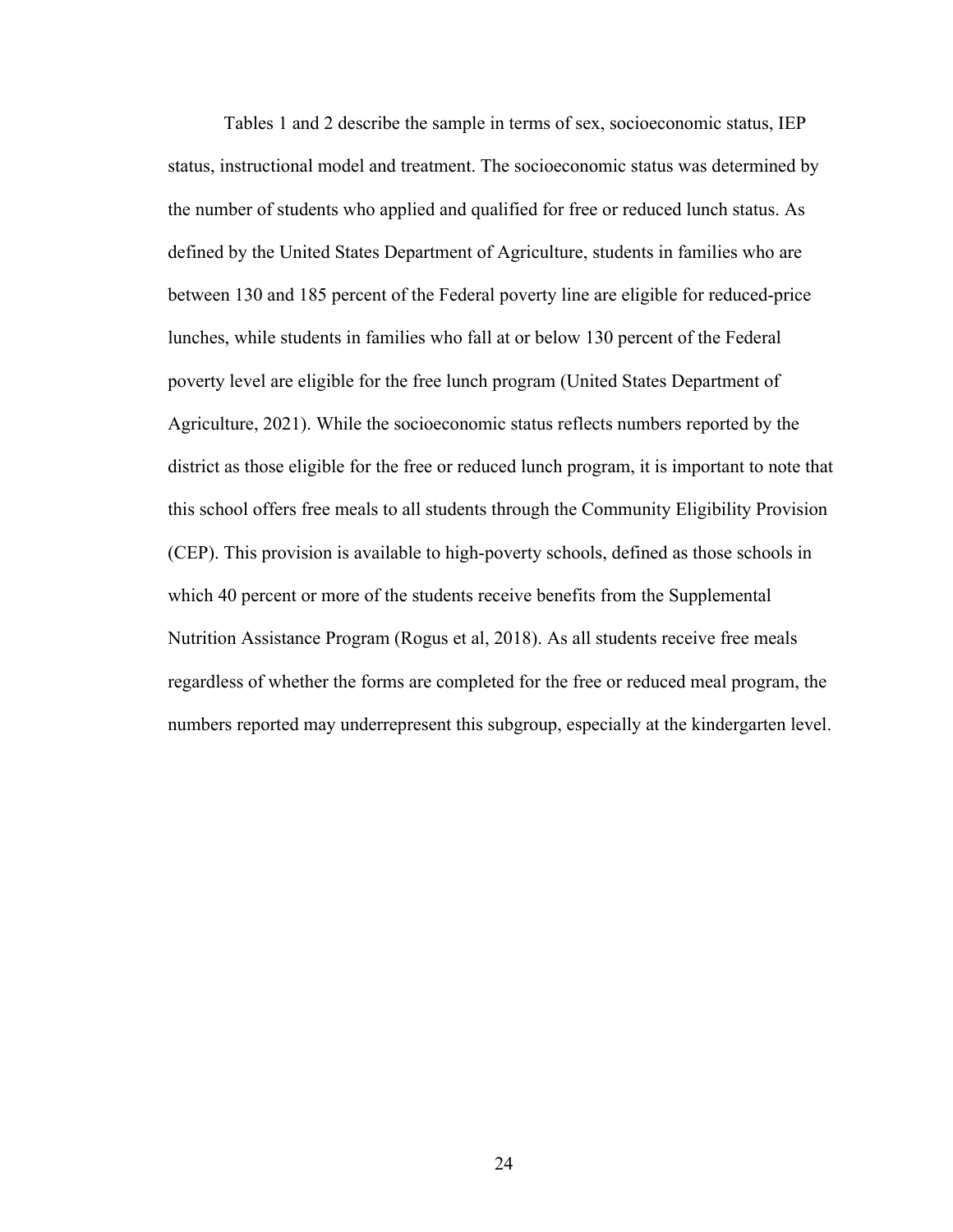Tables 1 and 2 describe the sample in terms of sex, socioeconomic status, IEP status, instructional model and treatment. The socioeconomic status was determined by the number of students who applied and qualified for free or reduced lunch status. As defined by the United States Department of Agriculture, students in families who are between 130 and 185 percent of the Federal poverty line are eligible for reduced-price lunches, while students in families who fall at or below 130 percent of the Federal poverty level are eligible for the free lunch program (United States Department of Agriculture, 2021). While the socioeconomic status reflects numbers reported by the district as those eligible for the free or reduced lunch program, it is important to note that this school offers free meals to all students through the Community Eligibility Provision (CEP). This provision is available to high-poverty schools, defined as those schools in which 40 percent or more of the students receive benefits from the Supplemental Nutrition Assistance Program (Rogus et al, 2018). As all students receive free meals regardless of whether the forms are completed for the free or reduced meal program, the numbers reported may underrepresent this subgroup, especially at the kindergarten level.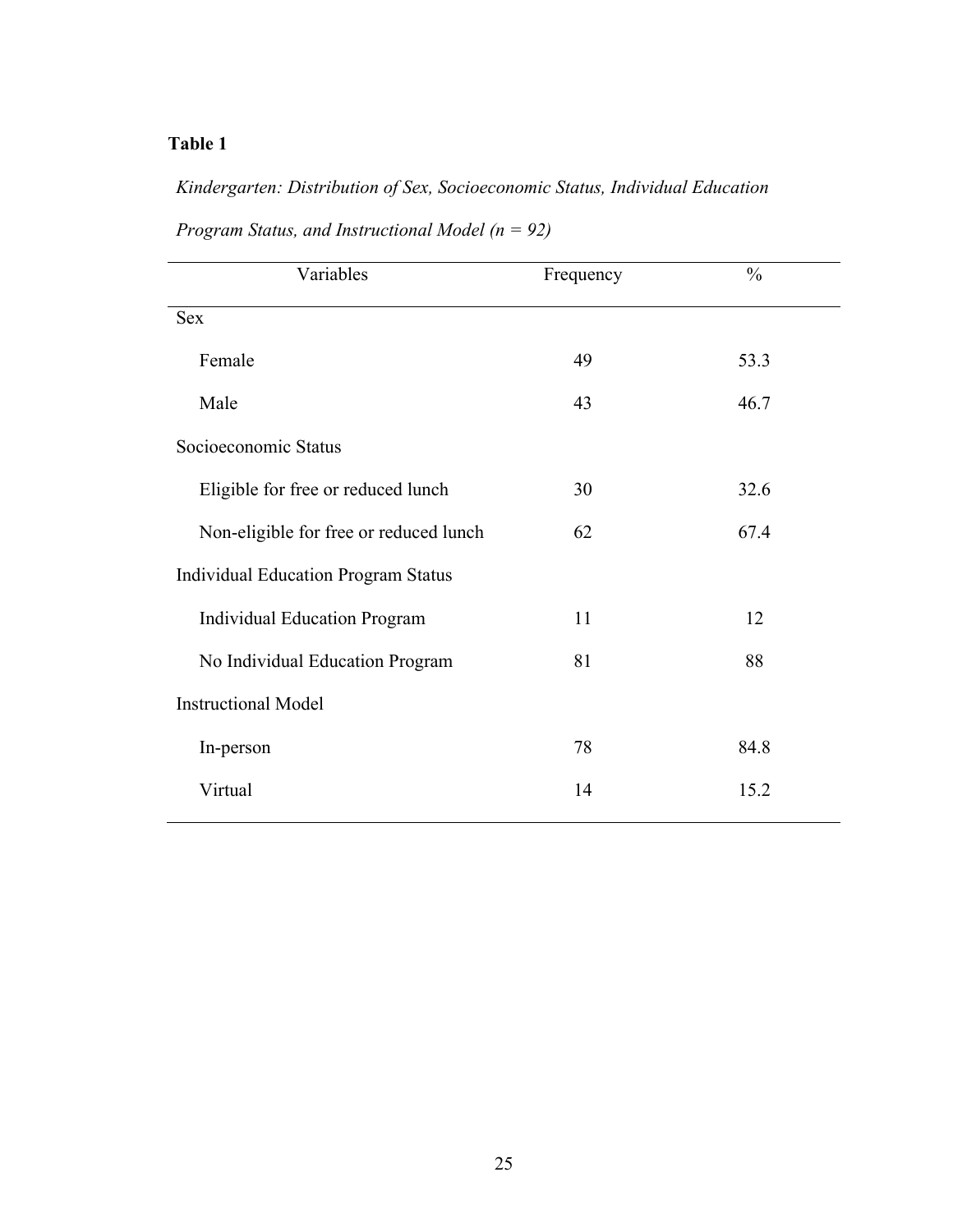# *Kindergarten: Distribution of Sex, Socioeconomic Status, Individual Education*

| Variables                                  | Frequency | $\frac{0}{0}$ |
|--------------------------------------------|-----------|---------------|
| <b>Sex</b>                                 |           |               |
| Female                                     | 49        | 53.3          |
| Male                                       | 43        | 46.7          |
| Socioeconomic Status                       |           |               |
| Eligible for free or reduced lunch         | 30        | 32.6          |
| Non-eligible for free or reduced lunch     | 62        | 67.4          |
| <b>Individual Education Program Status</b> |           |               |
| <b>Individual Education Program</b>        | 11        | 12            |
| No Individual Education Program            | 81        | 88            |
| <b>Instructional Model</b>                 |           |               |
| In-person                                  | 78        | 84.8          |
| Virtual                                    | 14        | 15.2          |

*Program Status, and Instructional Model (n = 92)*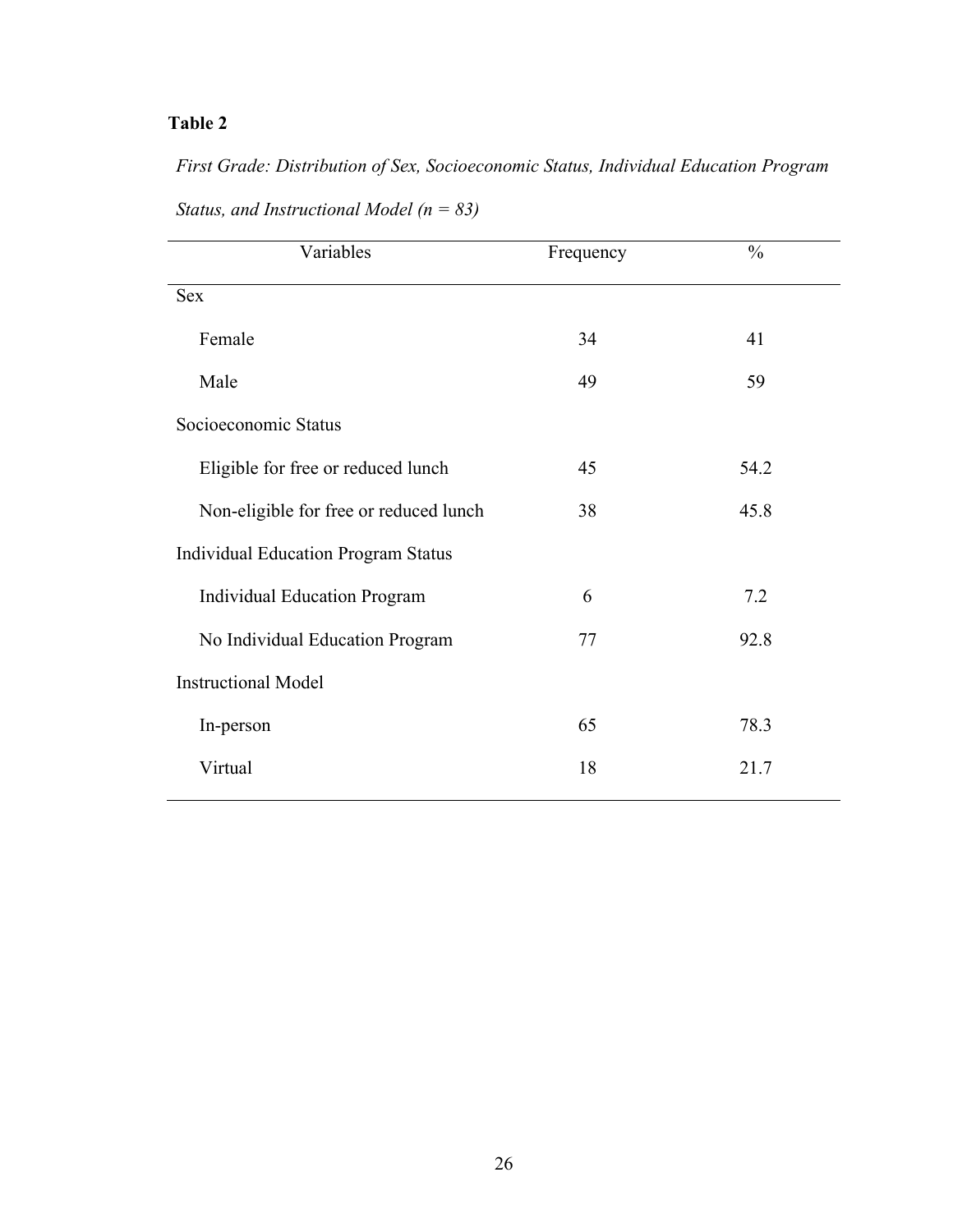*First Grade: Distribution of Sex, Socioeconomic Status, Individual Education Program Status, and Instructional Model (n = 83)*

| Variables                                  | Frequency | $\frac{0}{0}$ |
|--------------------------------------------|-----------|---------------|
| <b>Sex</b>                                 |           |               |
| Female                                     | 34        | 41            |
| Male                                       | 49        | 59            |
| Socioeconomic Status                       |           |               |
| Eligible for free or reduced lunch         | 45        | 54.2          |
| Non-eligible for free or reduced lunch     | 38        | 45.8          |
| <b>Individual Education Program Status</b> |           |               |
| <b>Individual Education Program</b>        | 6         | 7.2           |
| No Individual Education Program            | 77        | 92.8          |
| <b>Instructional Model</b>                 |           |               |
| In-person                                  | 65        | 78.3          |
| Virtual                                    | 18        | 21.7          |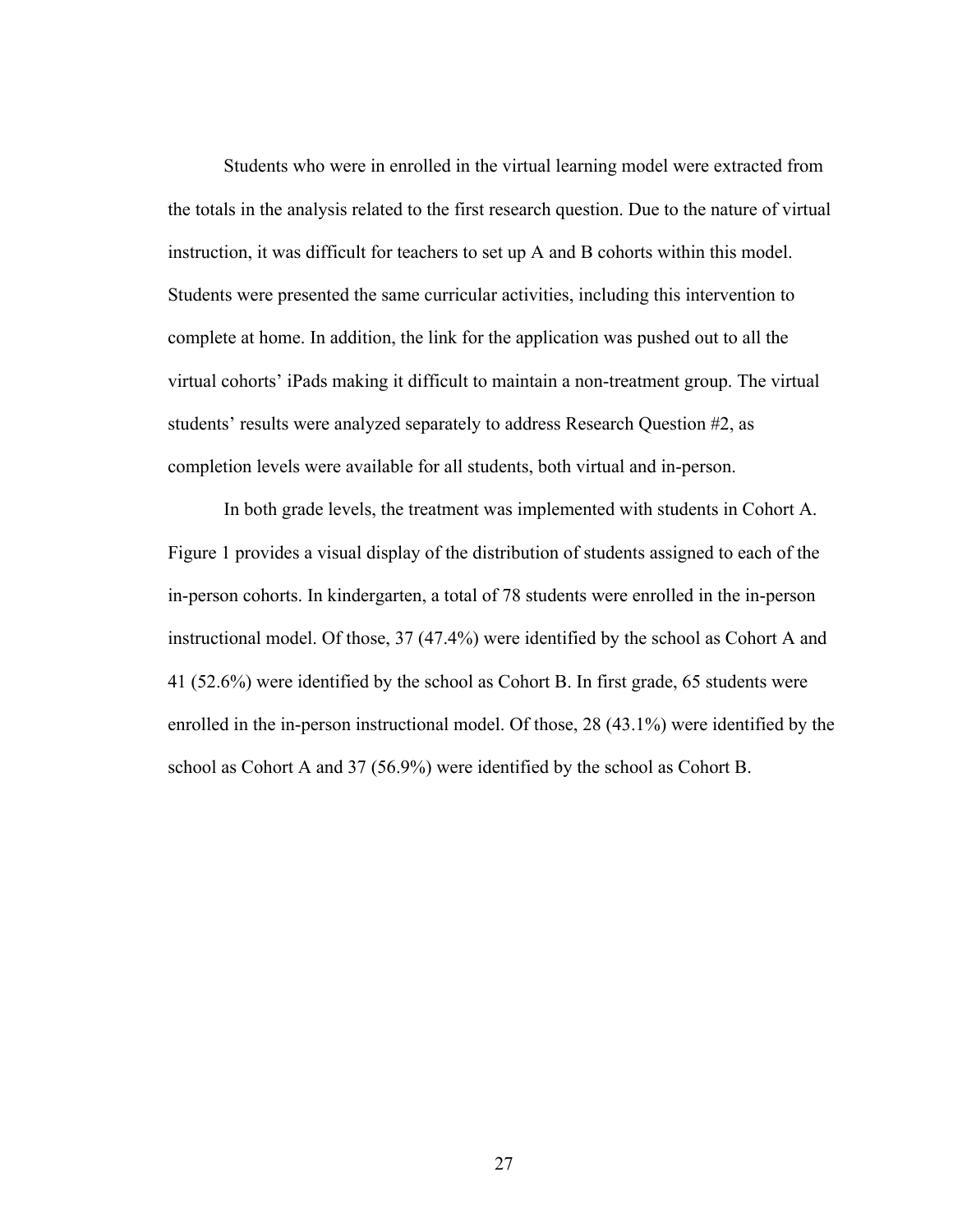Students who were in enrolled in the virtual learning model were extracted from the totals in the analysis related to the first research question. Due to the nature of virtual instruction, it was difficult for teachers to set up A and B cohorts within this model. Students were presented the same curricular activities, including this intervention to complete at home. In addition, the link for the application was pushed out to all the virtual cohorts' iPads making it difficult to maintain a non-treatment group. The virtual students' results were analyzed separately to address Research Question #2, as completion levels were available for all students, both virtual and in-person.

In both grade levels, the treatment was implemented with students in Cohort A. Figure 1 provides a visual display of the distribution of students assigned to each of the in-person cohorts. In kindergarten, a total of 78 students were enrolled in the in-person instructional model. Of those, 37 (47.4%) were identified by the school as Cohort A and 41 (52.6%) were identified by the school as Cohort B. In first grade, 65 students were enrolled in the in-person instructional model. Of those, 28 (43.1%) were identified by the school as Cohort A and 37 (56.9%) were identified by the school as Cohort B.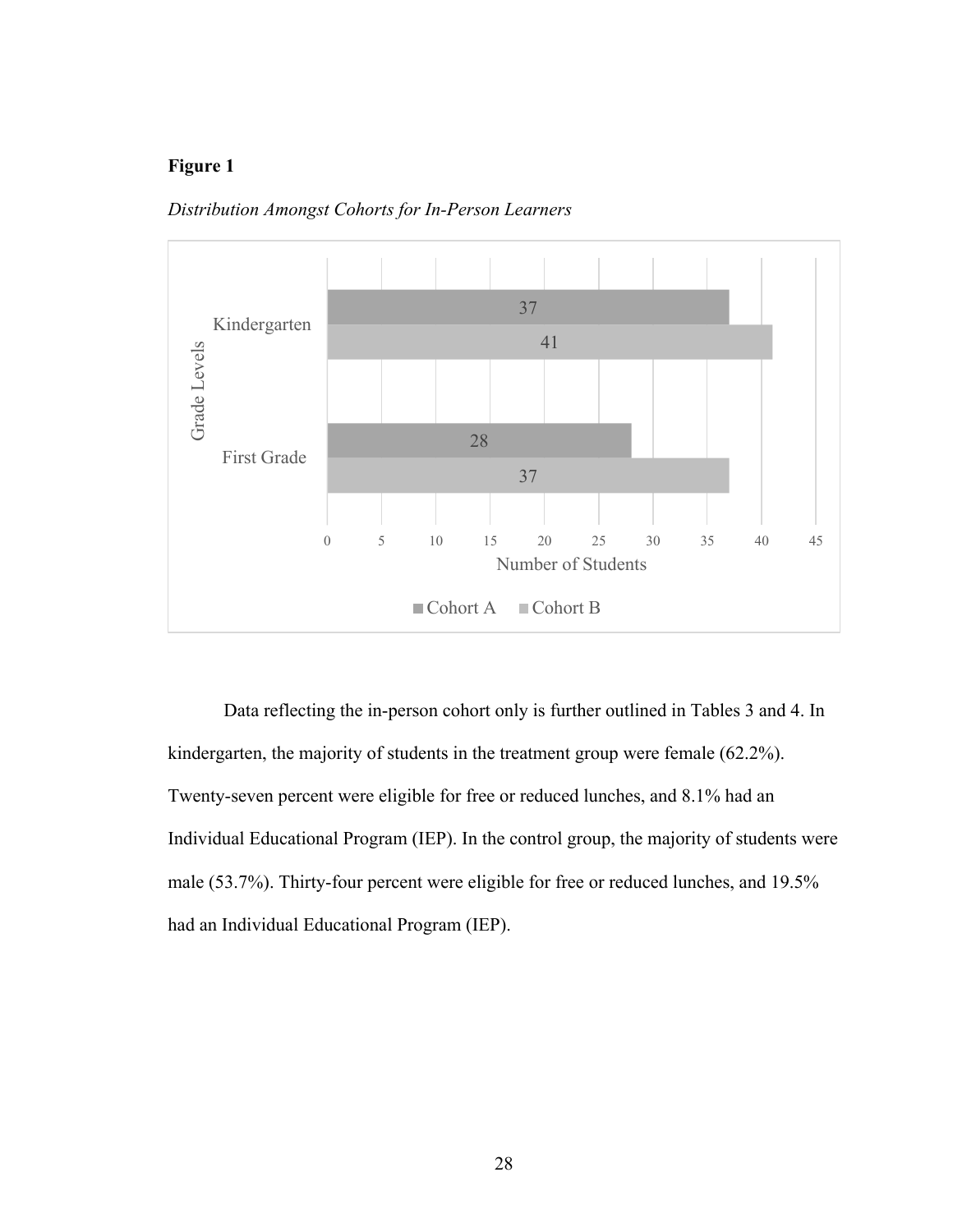

*Distribution Amongst Cohorts for In-Person Learners*

Data reflecting the in-person cohort only is further outlined in Tables 3 and 4. In kindergarten, the majority of students in the treatment group were female (62.2%). Twenty-seven percent were eligible for free or reduced lunches, and 8.1% had an Individual Educational Program (IEP). In the control group, the majority of students were male (53.7%). Thirty-four percent were eligible for free or reduced lunches, and 19.5% had an Individual Educational Program (IEP).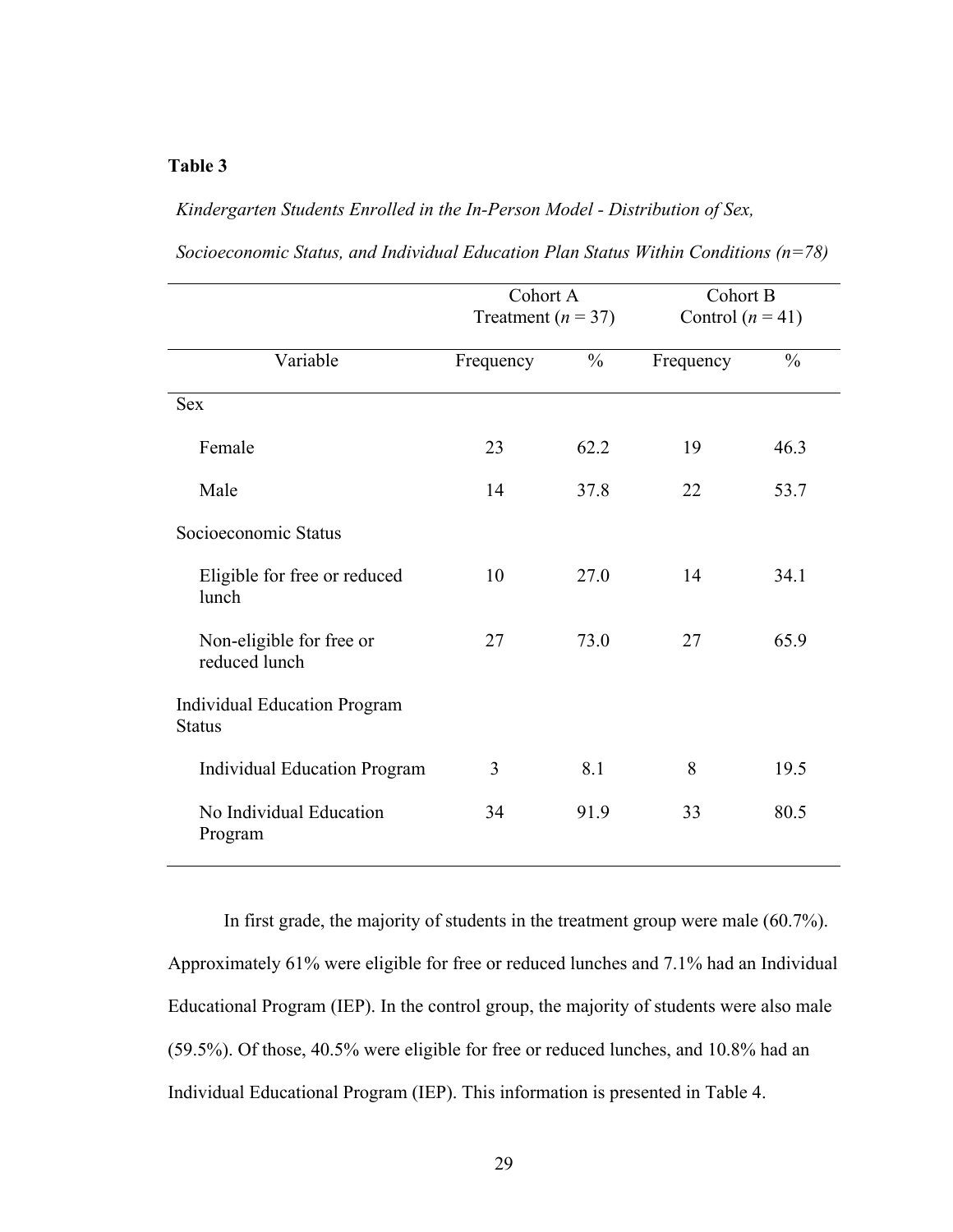### *Kindergarten Students Enrolled in the In-Person Model - Distribution of Sex,*

|                                                      | Cohort A<br>Treatment ( $n = 37$ ) |               | Cohort B           |               |
|------------------------------------------------------|------------------------------------|---------------|--------------------|---------------|
|                                                      |                                    |               | Control $(n = 41)$ |               |
| Variable                                             | Frequency                          | $\frac{0}{0}$ | Frequency          | $\frac{0}{0}$ |
| <b>Sex</b>                                           |                                    |               |                    |               |
| Female                                               | 23                                 | 62.2          | 19                 | 46.3          |
| Male                                                 | 14                                 | 37.8          | 22                 | 53.7          |
| Socioeconomic Status                                 |                                    |               |                    |               |
| Eligible for free or reduced<br>lunch                | 10                                 | 27.0          | 14                 | 34.1          |
| Non-eligible for free or<br>reduced lunch            | 27                                 | 73.0          | 27                 | 65.9          |
| <b>Individual Education Program</b><br><b>Status</b> |                                    |               |                    |               |
| <b>Individual Education Program</b>                  | 3                                  | 8.1           | 8                  | 19.5          |
| No Individual Education<br>Program                   | 34                                 | 91.9          | 33                 | 80.5          |

*Socioeconomic Status, and Individual Education Plan Status Within Conditions (n=78)*

In first grade, the majority of students in the treatment group were male (60.7%). Approximately 61% were eligible for free or reduced lunches and 7.1% had an Individual Educational Program (IEP). In the control group, the majority of students were also male (59.5%). Of those, 40.5% were eligible for free or reduced lunches, and 10.8% had an Individual Educational Program (IEP). This information is presented in Table 4.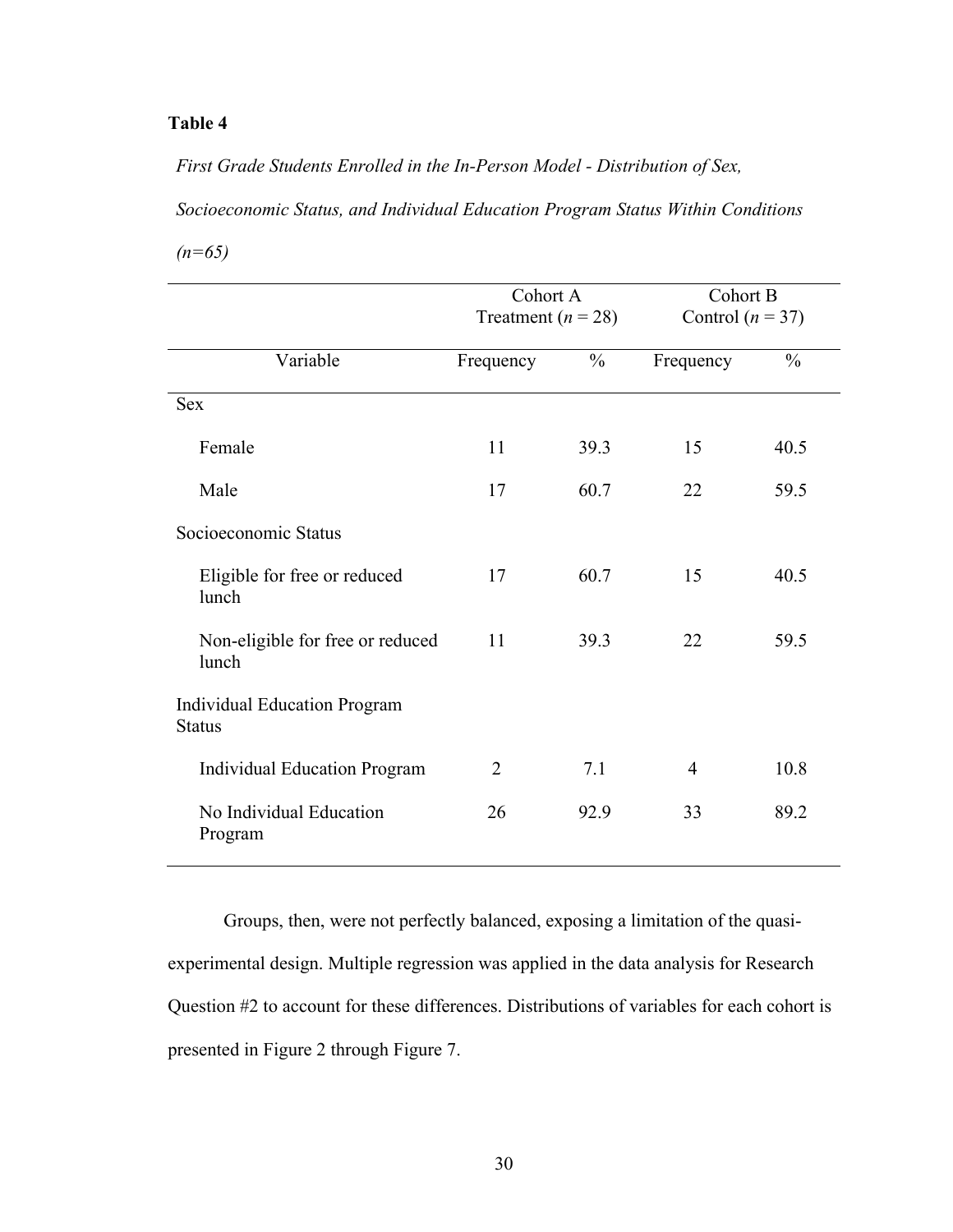*First Grade Students Enrolled in the In-Person Model - Distribution of Sex,* 

*Socioeconomic Status, and Individual Education Program Status Within Conditions*

*(n=65)*

|                                                      |                | Cohort A<br>Treatment ( $n = 28$ ) |           | Cohort B             |
|------------------------------------------------------|----------------|------------------------------------|-----------|----------------------|
|                                                      |                |                                    |           | Control ( $n = 37$ ) |
| Variable                                             | Frequency      | $\frac{0}{0}$                      | Frequency | $\frac{0}{0}$        |
| Sex                                                  |                |                                    |           |                      |
| Female                                               | 11             | 39.3                               | 15        | 40.5                 |
| Male                                                 | 17             | 60.7                               | 22        | 59.5                 |
| Socioeconomic Status                                 |                |                                    |           |                      |
| Eligible for free or reduced<br>lunch                | 17             | 60.7                               | 15        | 40.5                 |
| Non-eligible for free or reduced<br>lunch            | 11             | 39.3                               | 22        | 59.5                 |
| <b>Individual Education Program</b><br><b>Status</b> |                |                                    |           |                      |
| <b>Individual Education Program</b>                  | $\overline{2}$ | 7.1                                | 4         | 10.8                 |
| No Individual Education<br>Program                   | 26             | 92.9                               | 33        | 89.2                 |

Groups, then, were not perfectly balanced, exposing a limitation of the quasiexperimental design. Multiple regression was applied in the data analysis for Research Question #2 to account for these differences. Distributions of variables for each cohort is presented in Figure 2 through Figure 7.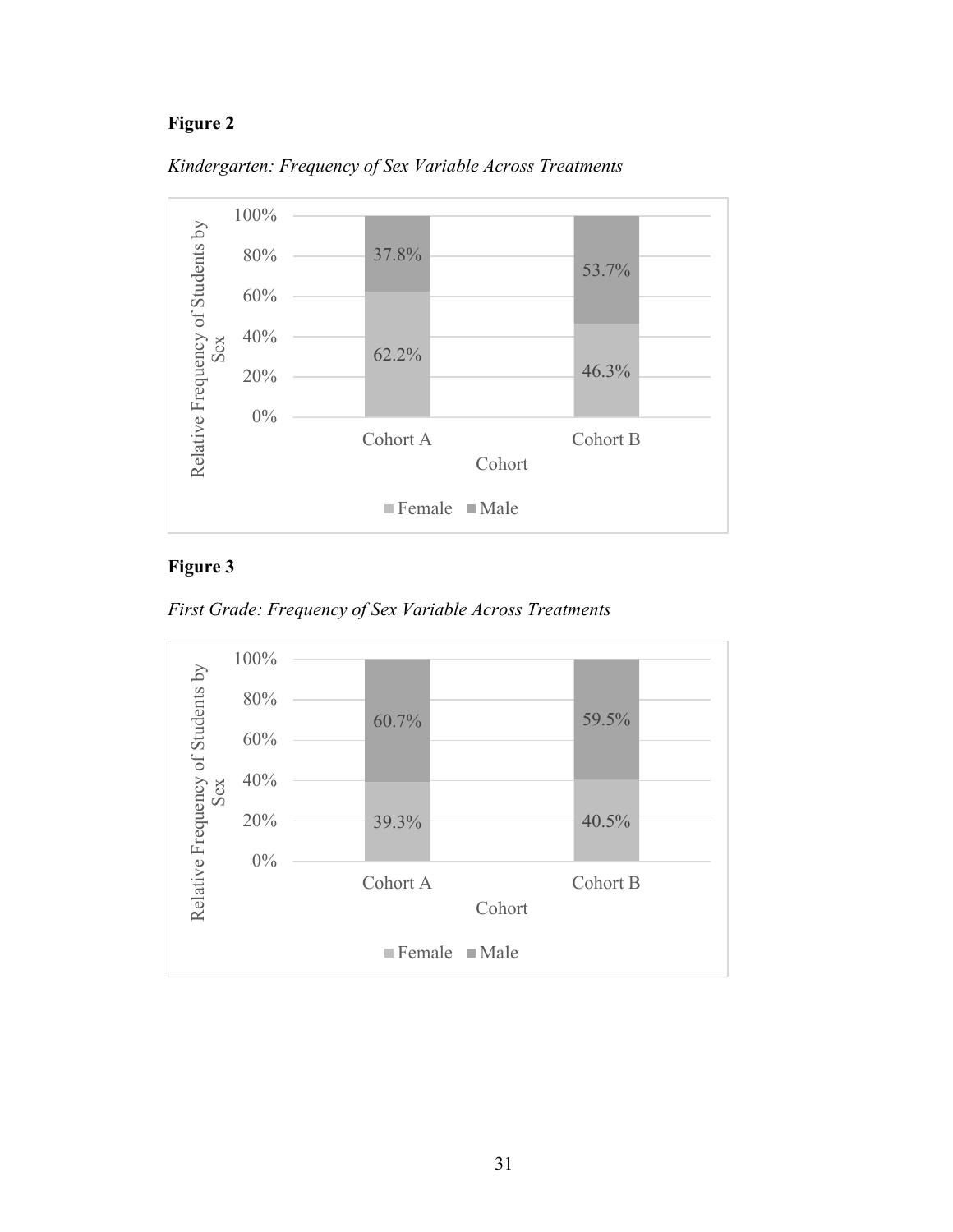



## **Figure 3**



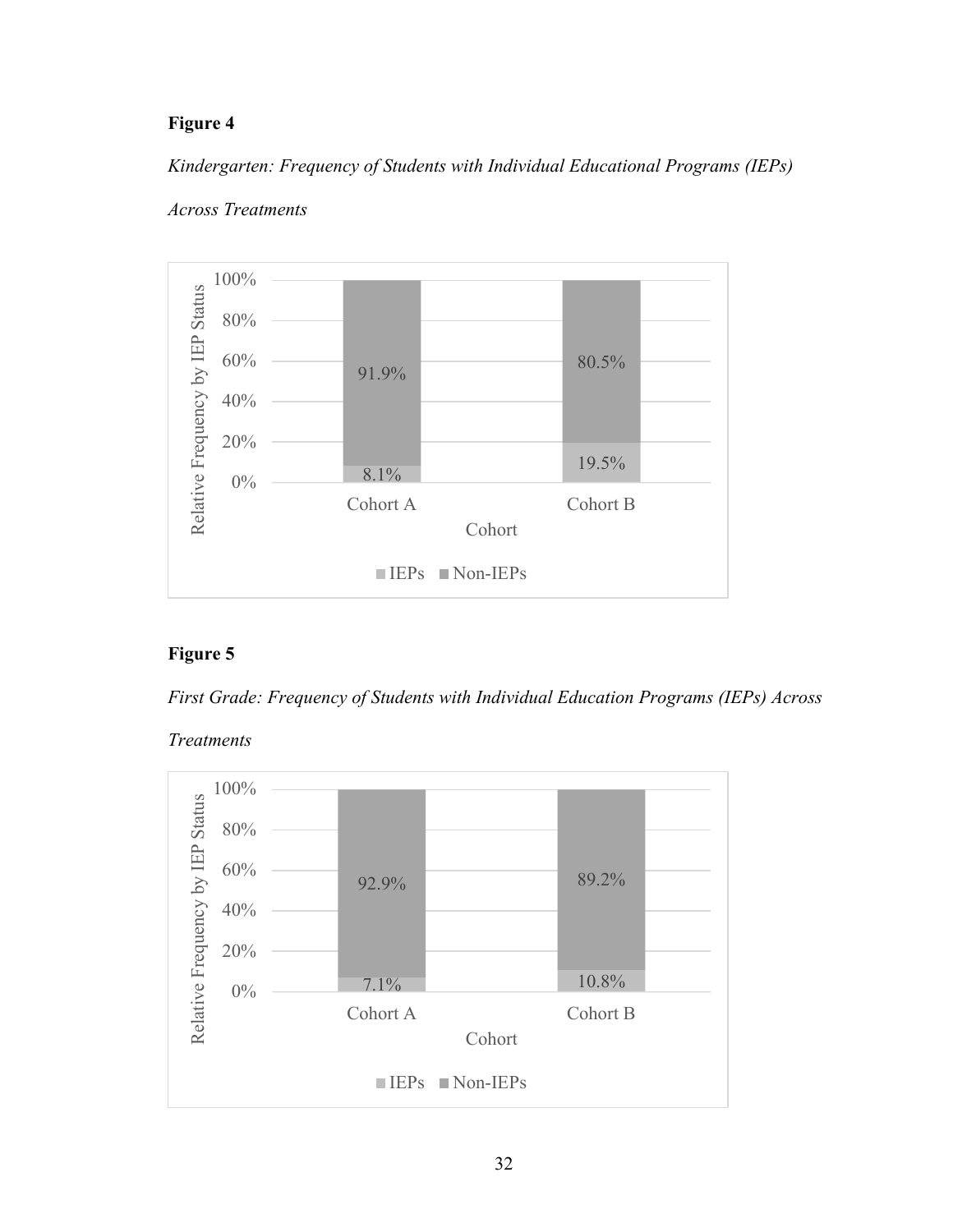*Kindergarten: Frequency of Students with Individual Educational Programs (IEPs)* 



### *Across Treatments*

## **Figure 5**

*First Grade: Frequency of Students with Individual Education Programs (IEPs) Across* 



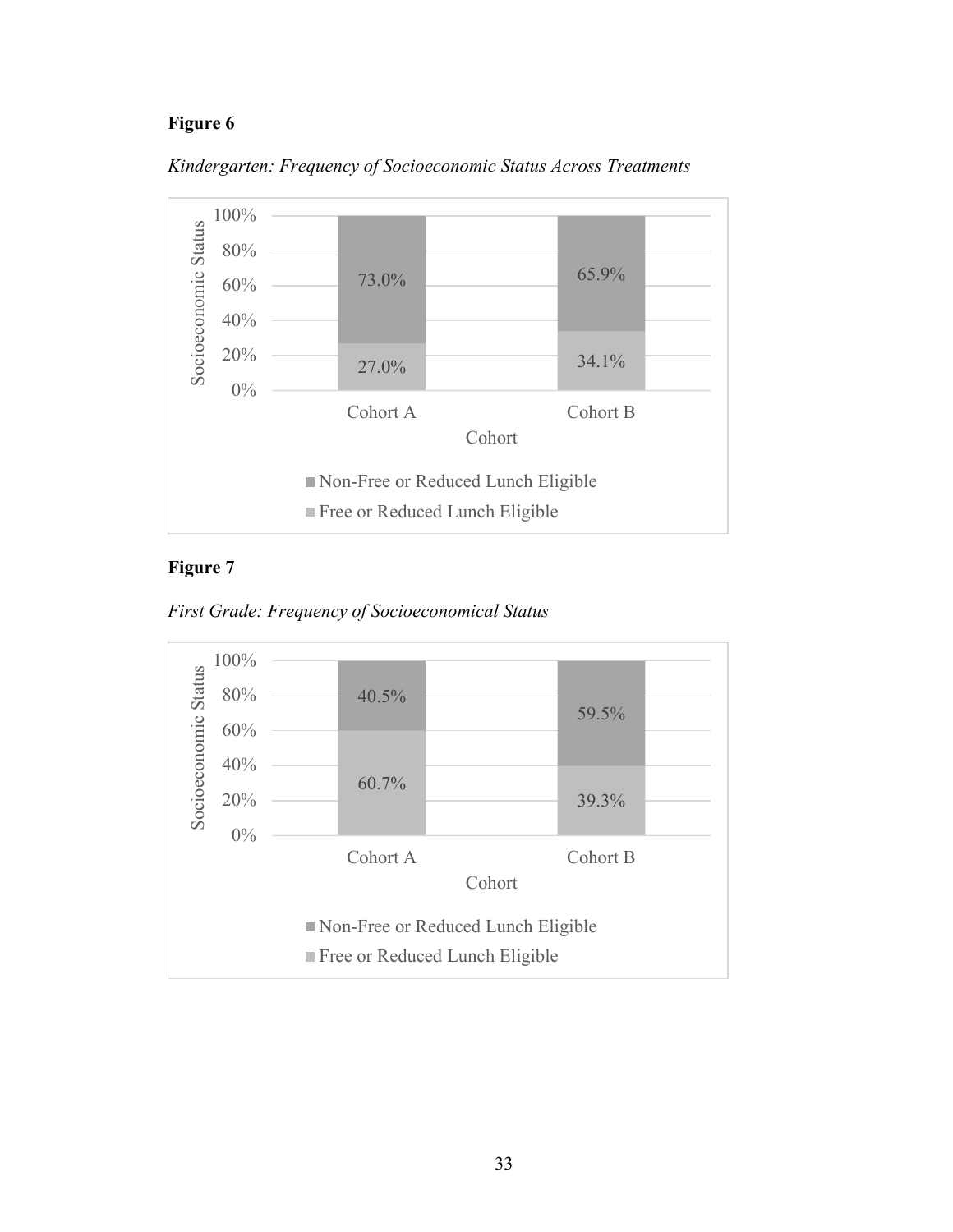



## **Figure 7**



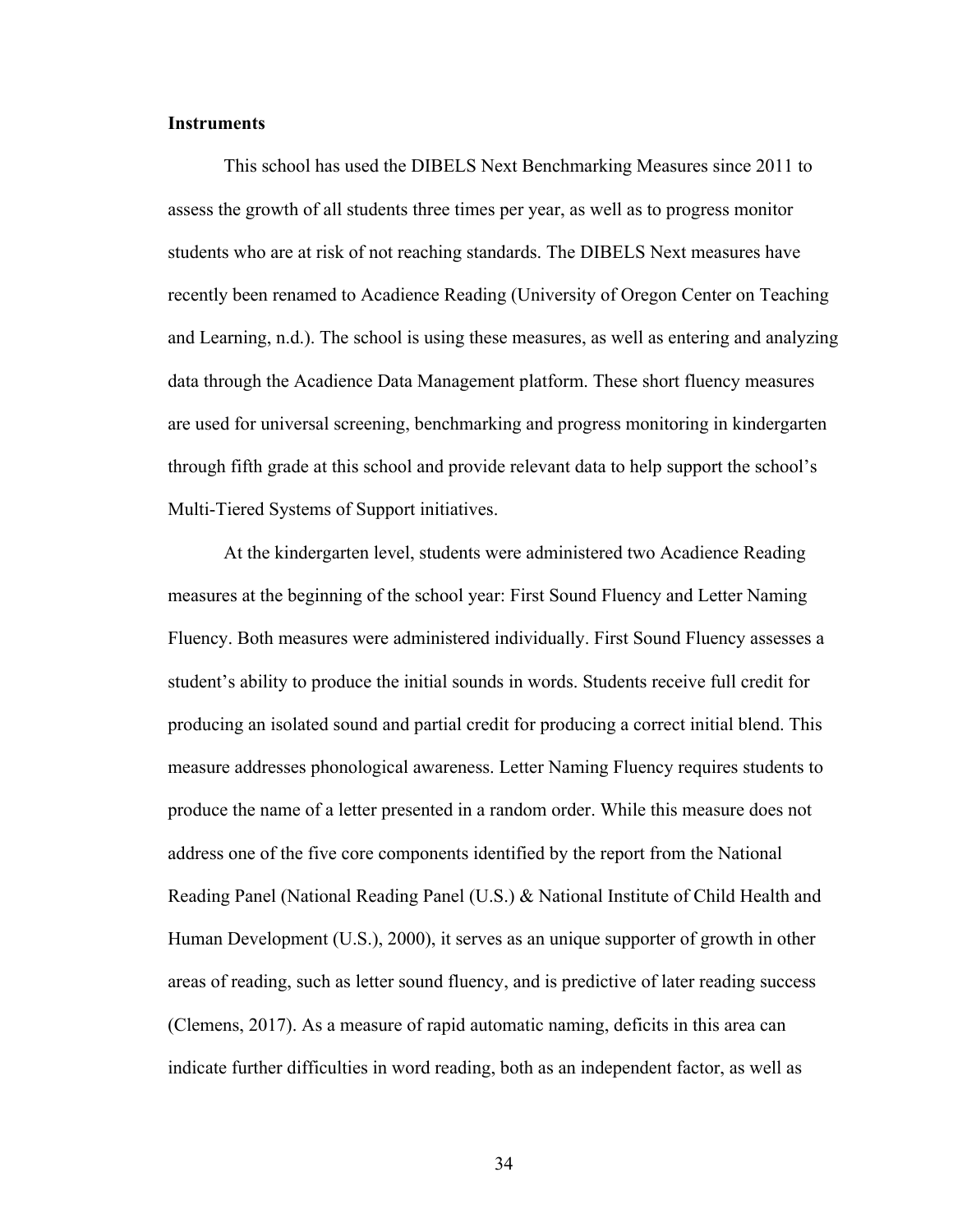### **Instruments**

This school has used the DIBELS Next Benchmarking Measures since 2011 to assess the growth of all students three times per year, as well as to progress monitor students who are at risk of not reaching standards. The DIBELS Next measures have recently been renamed to Acadience Reading (University of Oregon Center on Teaching and Learning, n.d.). The school is using these measures, as well as entering and analyzing data through the Acadience Data Management platform. These short fluency measures are used for universal screening, benchmarking and progress monitoring in kindergarten through fifth grade at this school and provide relevant data to help support the school's Multi-Tiered Systems of Support initiatives.

At the kindergarten level, students were administered two Acadience Reading measures at the beginning of the school year: First Sound Fluency and Letter Naming Fluency. Both measures were administered individually. First Sound Fluency assesses a student's ability to produce the initial sounds in words. Students receive full credit for producing an isolated sound and partial credit for producing a correct initial blend. This measure addresses phonological awareness. Letter Naming Fluency requires students to produce the name of a letter presented in a random order. While this measure does not address one of the five core components identified by the report from the National Reading Panel (National Reading Panel (U.S.) & National Institute of Child Health and Human Development (U.S.), 2000), it serves as an unique supporter of growth in other areas of reading, such as letter sound fluency, and is predictive of later reading success (Clemens, 2017). As a measure of rapid automatic naming, deficits in this area can indicate further difficulties in word reading, both as an independent factor, as well as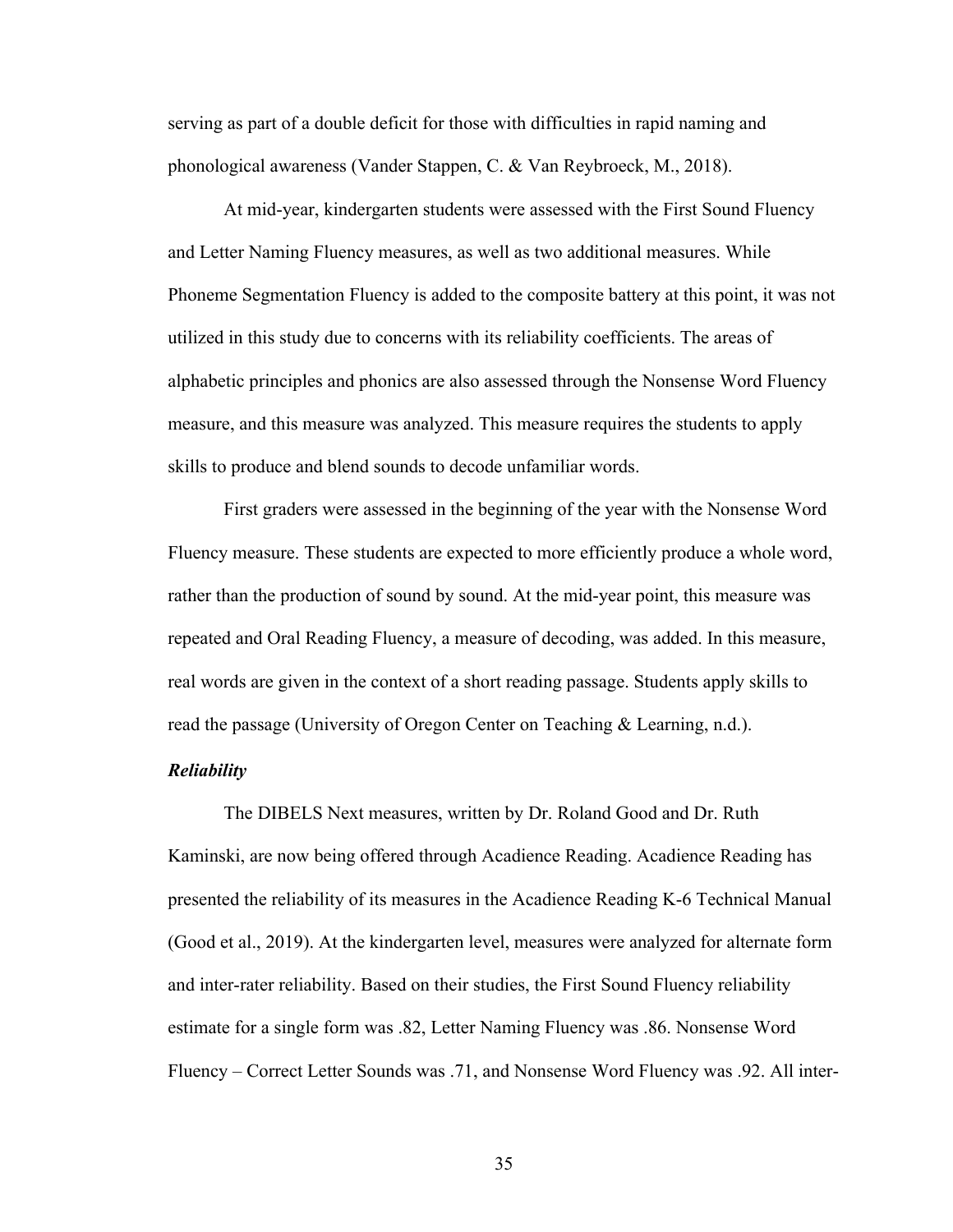serving as part of a double deficit for those with difficulties in rapid naming and phonological awareness (Vander Stappen, C. & Van Reybroeck, M., 2018).

At mid-year, kindergarten students were assessed with the First Sound Fluency and Letter Naming Fluency measures, as well as two additional measures. While Phoneme Segmentation Fluency is added to the composite battery at this point, it was not utilized in this study due to concerns with its reliability coefficients. The areas of alphabetic principles and phonics are also assessed through the Nonsense Word Fluency measure, and this measure was analyzed. This measure requires the students to apply skills to produce and blend sounds to decode unfamiliar words.

First graders were assessed in the beginning of the year with the Nonsense Word Fluency measure. These students are expected to more efficiently produce a whole word, rather than the production of sound by sound. At the mid-year point, this measure was repeated and Oral Reading Fluency, a measure of decoding, was added. In this measure, real words are given in the context of a short reading passage. Students apply skills to read the passage (University of Oregon Center on Teaching & Learning, n.d.).

### *Reliability*

The DIBELS Next measures, written by Dr. Roland Good and Dr. Ruth Kaminski, are now being offered through Acadience Reading. Acadience Reading has presented the reliability of its measures in the Acadience Reading K-6 Technical Manual (Good et al., 2019). At the kindergarten level, measures were analyzed for alternate form and inter-rater reliability. Based on their studies, the First Sound Fluency reliability estimate for a single form was .82, Letter Naming Fluency was .86. Nonsense Word Fluency – Correct Letter Sounds was .71, and Nonsense Word Fluency was .92. All inter-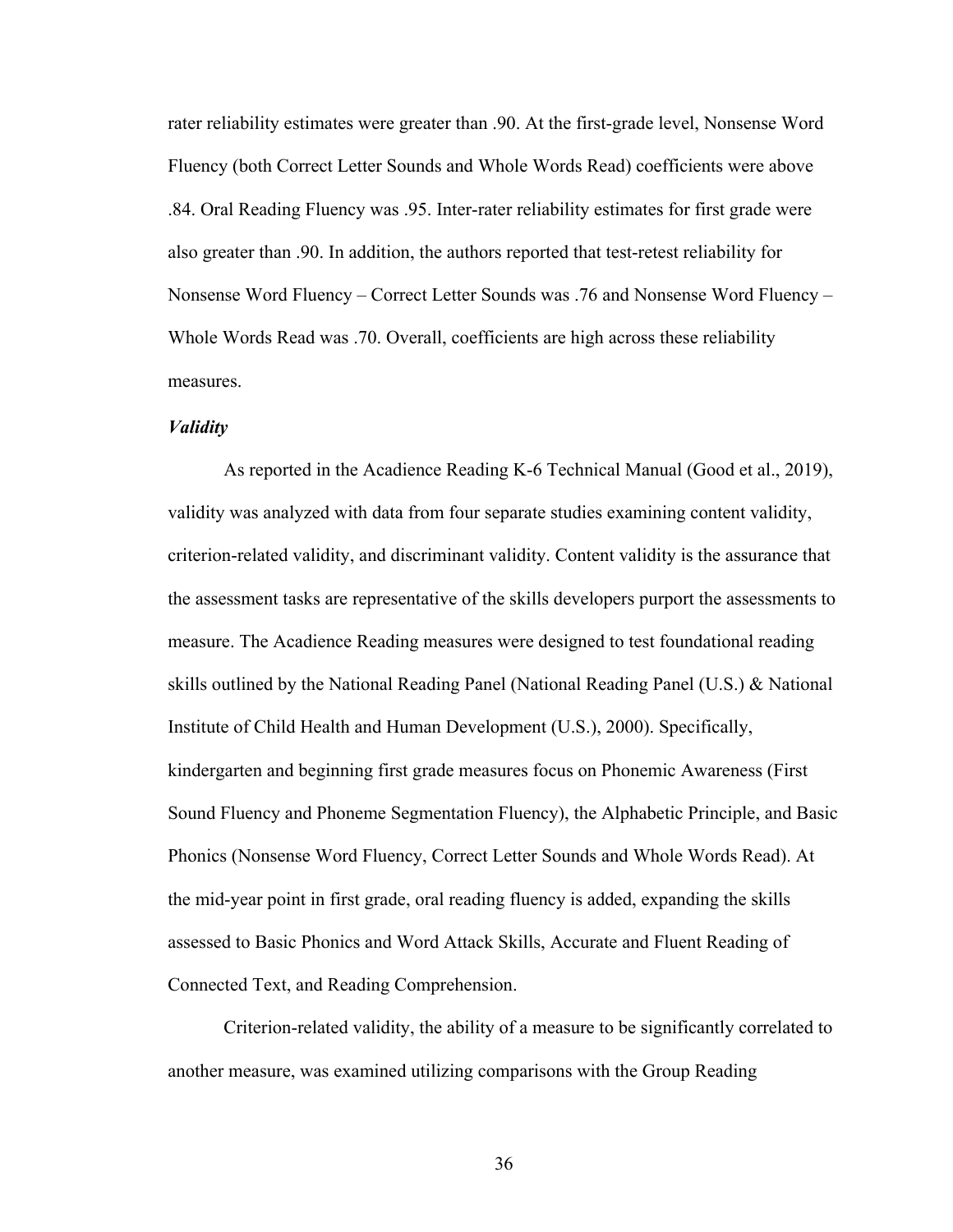rater reliability estimates were greater than .90. At the first-grade level, Nonsense Word Fluency (both Correct Letter Sounds and Whole Words Read) coefficients were above .84. Oral Reading Fluency was .95. Inter-rater reliability estimates for first grade were also greater than .90. In addition, the authors reported that test-retest reliability for Nonsense Word Fluency – Correct Letter Sounds was .76 and Nonsense Word Fluency – Whole Words Read was .70. Overall, coefficients are high across these reliability measures.

### *Validity*

As reported in the Acadience Reading K-6 Technical Manual (Good et al., 2019), validity was analyzed with data from four separate studies examining content validity, criterion-related validity, and discriminant validity. Content validity is the assurance that the assessment tasks are representative of the skills developers purport the assessments to measure. The Acadience Reading measures were designed to test foundational reading skills outlined by the National Reading Panel (National Reading Panel (U.S.) & National Institute of Child Health and Human Development (U.S.), 2000). Specifically, kindergarten and beginning first grade measures focus on Phonemic Awareness (First Sound Fluency and Phoneme Segmentation Fluency), the Alphabetic Principle, and Basic Phonics (Nonsense Word Fluency, Correct Letter Sounds and Whole Words Read). At the mid-year point in first grade, oral reading fluency is added, expanding the skills assessed to Basic Phonics and Word Attack Skills, Accurate and Fluent Reading of Connected Text, and Reading Comprehension.

Criterion-related validity, the ability of a measure to be significantly correlated to another measure, was examined utilizing comparisons with the Group Reading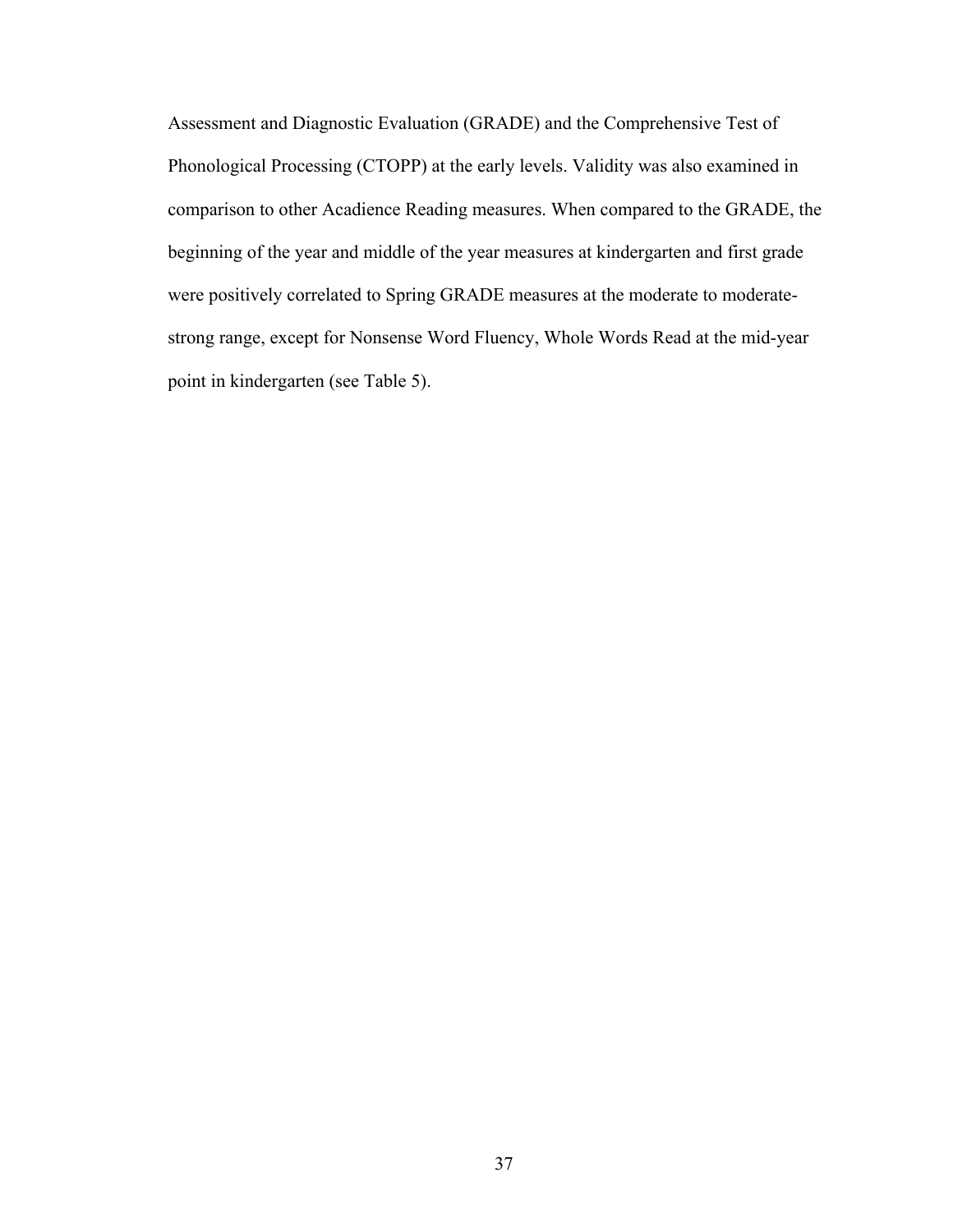Assessment and Diagnostic Evaluation (GRADE) and the Comprehensive Test of Phonological Processing (CTOPP) at the early levels. Validity was also examined in comparison to other Acadience Reading measures. When compared to the GRADE, the beginning of the year and middle of the year measures at kindergarten and first grade were positively correlated to Spring GRADE measures at the moderate to moderatestrong range, except for Nonsense Word Fluency, Whole Words Read at the mid-year point in kindergarten (see Table 5).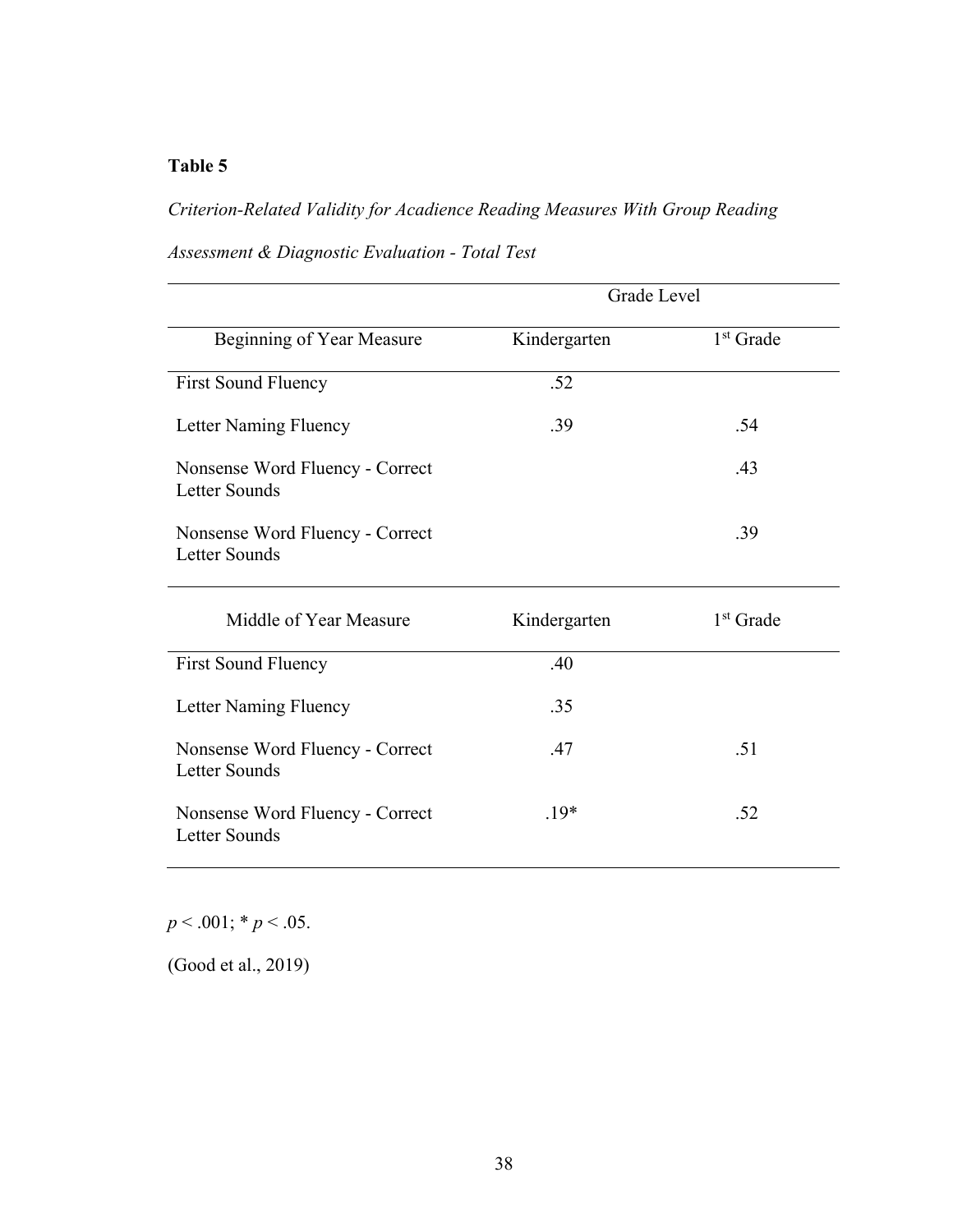# *Criterion-Related Validity for Acadience Reading Measures With Group Reading*

*Assessment & Diagnostic Evaluation - Total Test*

|                                                         | Grade Level  |                       |  |  |
|---------------------------------------------------------|--------------|-----------------------|--|--|
| Beginning of Year Measure                               | Kindergarten | 1 <sup>st</sup> Grade |  |  |
| <b>First Sound Fluency</b>                              | .52          |                       |  |  |
| Letter Naming Fluency                                   | .39          | .54                   |  |  |
| Nonsense Word Fluency - Correct<br><b>Letter Sounds</b> |              | .43                   |  |  |
| Nonsense Word Fluency - Correct<br>Letter Sounds        |              | .39                   |  |  |
| Middle of Year Measure                                  | Kindergarten | $1st$ Grade           |  |  |
| <b>First Sound Fluency</b>                              | .40          |                       |  |  |
| Letter Naming Fluency                                   | .35          |                       |  |  |
| Nonsense Word Fluency - Correct<br><b>Letter Sounds</b> | .47          | .51                   |  |  |
| Nonsense Word Fluency - Correct<br><b>Letter Sounds</b> | $.19*$       | .52                   |  |  |

*p* < .001; \* *p* < .05.

(Good et al., 2019)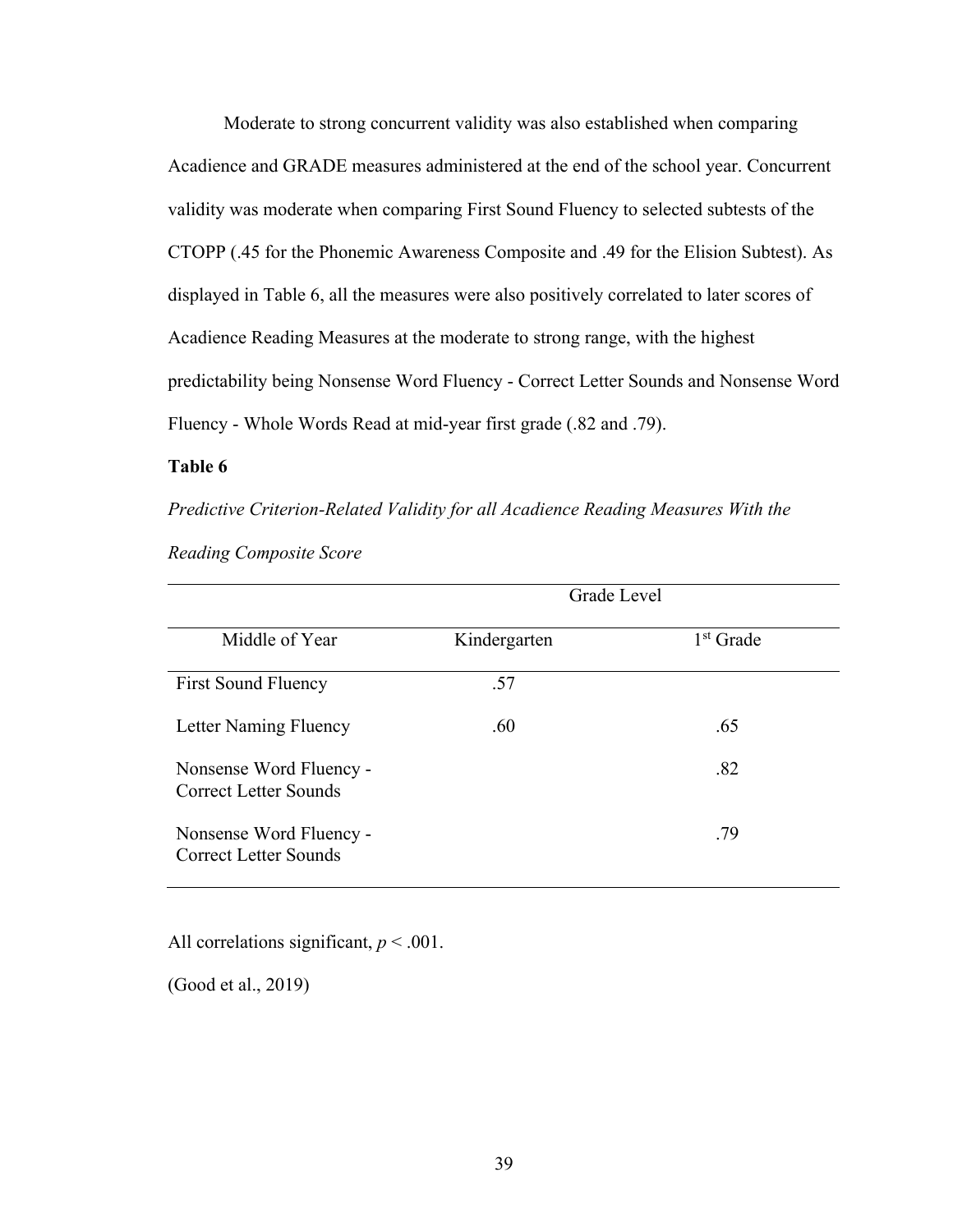Moderate to strong concurrent validity was also established when comparing Acadience and GRADE measures administered at the end of the school year. Concurrent validity was moderate when comparing First Sound Fluency to selected subtests of the CTOPP (.45 for the Phonemic Awareness Composite and .49 for the Elision Subtest). As displayed in Table 6, all the measures were also positively correlated to later scores of Acadience Reading Measures at the moderate to strong range, with the highest predictability being Nonsense Word Fluency - Correct Letter Sounds and Nonsense Word Fluency - Whole Words Read at mid-year first grade (.82 and .79).

### **Table 6**

*Predictive Criterion-Related Validity for all Acadience Reading Measures With the* 

*Reading Composite Score*

|                                                  | Grade Level  |                       |  |  |
|--------------------------------------------------|--------------|-----------------------|--|--|
| Middle of Year                                   | Kindergarten | 1 <sup>st</sup> Grade |  |  |
| <b>First Sound Fluency</b>                       | .57          |                       |  |  |
| Letter Naming Fluency                            | .60          | .65                   |  |  |
| Nonsense Word Fluency -<br>Correct Letter Sounds |              | .82                   |  |  |
| Nonsense Word Fluency -<br>Correct Letter Sounds |              | .79                   |  |  |

All correlations significant,  $p < .001$ .

(Good et al., 2019)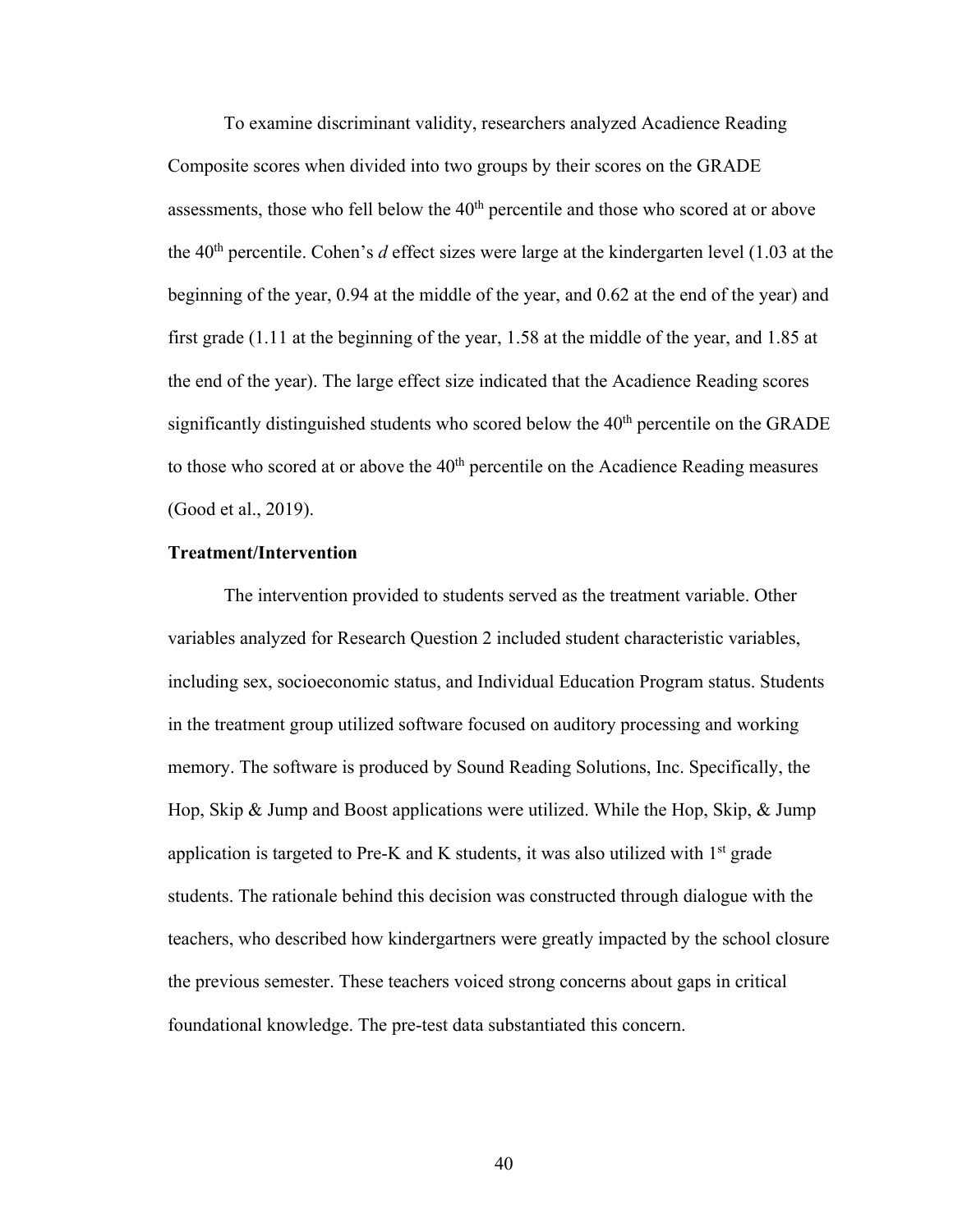To examine discriminant validity, researchers analyzed Acadience Reading Composite scores when divided into two groups by their scores on the GRADE assessments, those who fell below the  $40<sup>th</sup>$  percentile and those who scored at or above the 40th percentile. Cohen's *d* effect sizes were large at the kindergarten level (1.03 at the beginning of the year, 0.94 at the middle of the year, and 0.62 at the end of the year) and first grade (1.11 at the beginning of the year, 1.58 at the middle of the year, and 1.85 at the end of the year). The large effect size indicated that the Acadience Reading scores significantly distinguished students who scored below the  $40<sup>th</sup>$  percentile on the GRADE to those who scored at or above the  $40<sup>th</sup>$  percentile on the Acadience Reading measures (Good et al., 2019).

#### **Treatment/Intervention**

The intervention provided to students served as the treatment variable. Other variables analyzed for Research Question 2 included student characteristic variables, including sex, socioeconomic status, and Individual Education Program status. Students in the treatment group utilized software focused on auditory processing and working memory. The software is produced by Sound Reading Solutions, Inc. Specifically, the Hop, Skip & Jump and Boost applications were utilized. While the Hop, Skip, & Jump application is targeted to Pre-K and K students, it was also utilized with  $1<sup>st</sup>$  grade students. The rationale behind this decision was constructed through dialogue with the teachers, who described how kindergartners were greatly impacted by the school closure the previous semester. These teachers voiced strong concerns about gaps in critical foundational knowledge. The pre-test data substantiated this concern.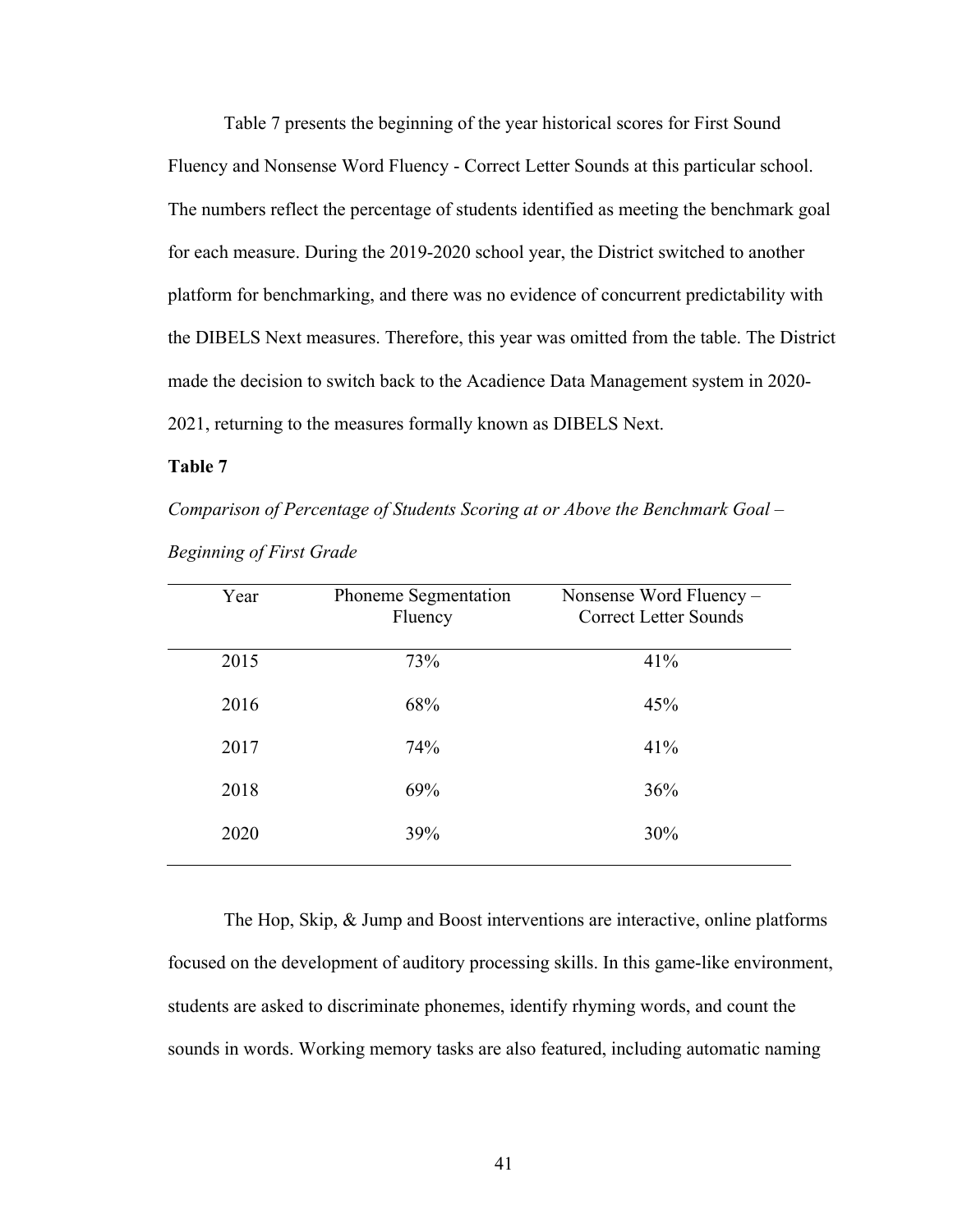Table 7 presents the beginning of the year historical scores for First Sound Fluency and Nonsense Word Fluency - Correct Letter Sounds at this particular school. The numbers reflect the percentage of students identified as meeting the benchmark goal for each measure. During the 2019-2020 school year, the District switched to another platform for benchmarking, and there was no evidence of concurrent predictability with the DIBELS Next measures. Therefore, this year was omitted from the table. The District made the decision to switch back to the Acadience Data Management system in 2020- 2021, returning to the measures formally known as DIBELS Next.

#### **Table 7**

*Comparison of Percentage of Students Scoring at or Above the Benchmark Goal –*

| Year | Phoneme Segmentation<br>Fluency | Nonsense Word Fluency –<br><b>Correct Letter Sounds</b> |
|------|---------------------------------|---------------------------------------------------------|
| 2015 | 73%                             | 41%                                                     |
| 2016 | 68%                             | 45%                                                     |
| 2017 | 74%                             | 41%                                                     |
| 2018 | 69%                             | 36%                                                     |
| 2020 | 39%                             | 30%                                                     |

*Beginning of First Grade* 

The Hop, Skip, & Jump and Boost interventions are interactive, online platforms focused on the development of auditory processing skills. In this game-like environment, students are asked to discriminate phonemes, identify rhyming words, and count the sounds in words. Working memory tasks are also featured, including automatic naming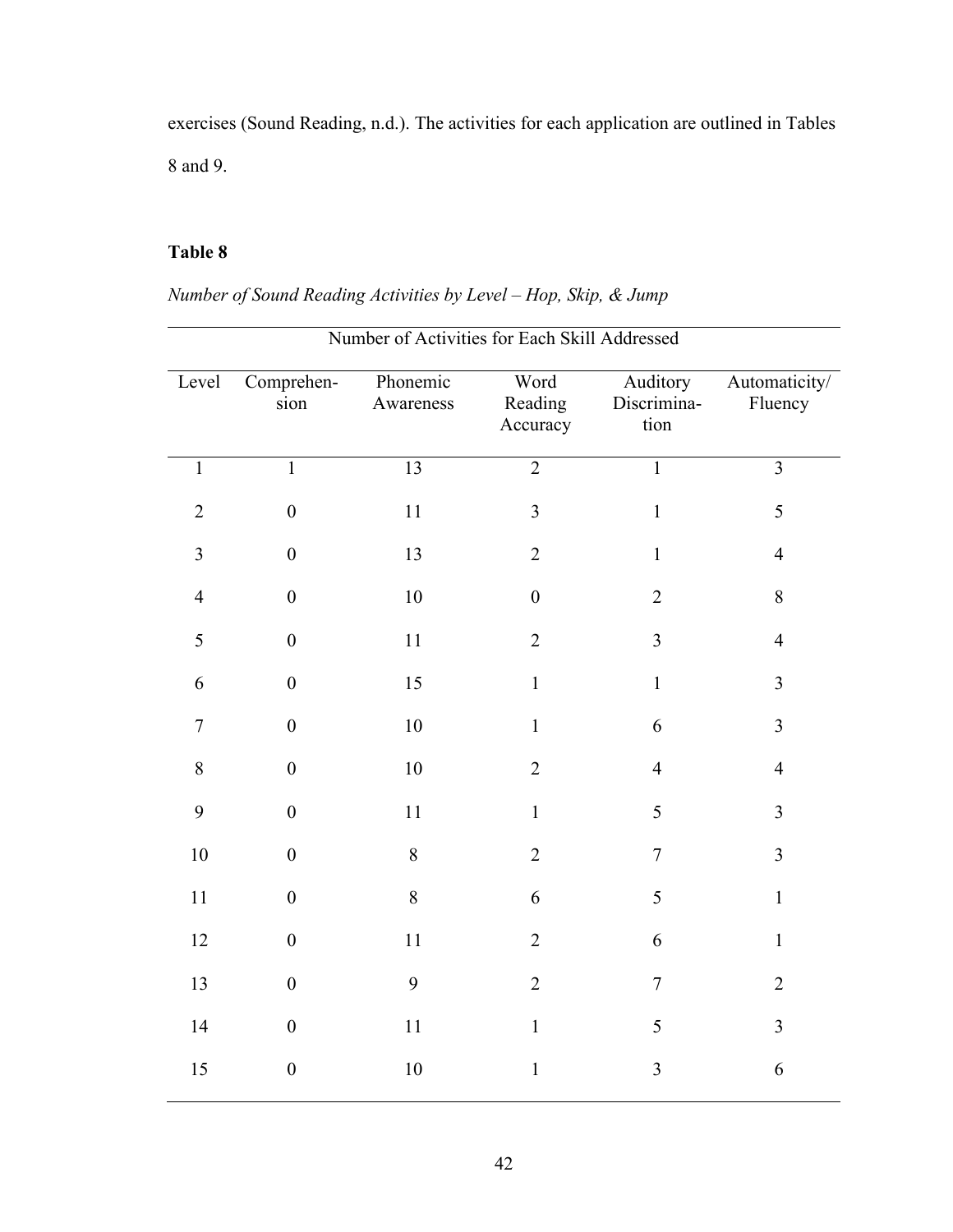exercises (Sound Reading, n.d.). The activities for each application are outlined in Tables 8 and 9.

## **Table 8**

*Number of Sound Reading Activities by Level – Hop, Skip, & Jump*

|                | Number of Activities for Each Skill Addressed |                       |                             |                                 |                          |  |  |
|----------------|-----------------------------------------------|-----------------------|-----------------------------|---------------------------------|--------------------------|--|--|
| Level          | Comprehen-<br>sion                            | Phonemic<br>Awareness | Word<br>Reading<br>Accuracy | Auditory<br>Discrimina-<br>tion | Automaticity/<br>Fluency |  |  |
| $\mathbf{1}$   | $\overline{1}$                                | 13                    | $\overline{2}$              | $\overline{1}$                  | $\overline{3}$           |  |  |
| $\overline{2}$ | $\boldsymbol{0}$                              | $11\,$                | $\mathfrak{Z}$              | $\mathbf{1}$                    | 5                        |  |  |
| $\overline{3}$ | $\mathbf{0}$                                  | 13                    | $\overline{2}$              | $\mathbf{1}$                    | $\overline{4}$           |  |  |
| $\overline{4}$ | $\boldsymbol{0}$                              | 10                    | $\boldsymbol{0}$            | $\overline{2}$                  | 8                        |  |  |
| 5              | $\boldsymbol{0}$                              | $11\,$                | $\overline{2}$              | $\overline{3}$                  | $\overline{4}$           |  |  |
| 6              | $\boldsymbol{0}$                              | 15                    | $\mathbf{1}$                | $\mathbf{1}$                    | $\overline{3}$           |  |  |
| $\overline{7}$ | $\mathbf{0}$                                  | 10                    | $\mathbf{1}$                | 6                               | $\overline{3}$           |  |  |
| $8\,$          | $\boldsymbol{0}$                              | $10\,$                | $\overline{2}$              | $\overline{4}$                  | $\overline{4}$           |  |  |
| 9              | $\boldsymbol{0}$                              | 11                    | $\mathbf{1}$                | 5                               | $\overline{3}$           |  |  |
| 10             | $\boldsymbol{0}$                              | $8\,$                 | $\overline{2}$              | $\boldsymbol{7}$                | $\overline{3}$           |  |  |
| 11             | $\boldsymbol{0}$                              | $\,8\,$               | 6                           | 5                               | $\mathbf{1}$             |  |  |
| 12             | $\boldsymbol{0}$                              | 11                    | $\overline{2}$              | 6                               | $\mathbf{1}$             |  |  |
| 13             | $\boldsymbol{0}$                              | 9                     | $\overline{2}$              | $\boldsymbol{7}$                | $\overline{2}$           |  |  |
| 14             | $\boldsymbol{0}$                              | $11\,$                | $\mathbf{1}$                | 5                               | $\overline{3}$           |  |  |
| 15             | $\boldsymbol{0}$                              | 10                    | $\mathbf{1}$                | 3                               | 6                        |  |  |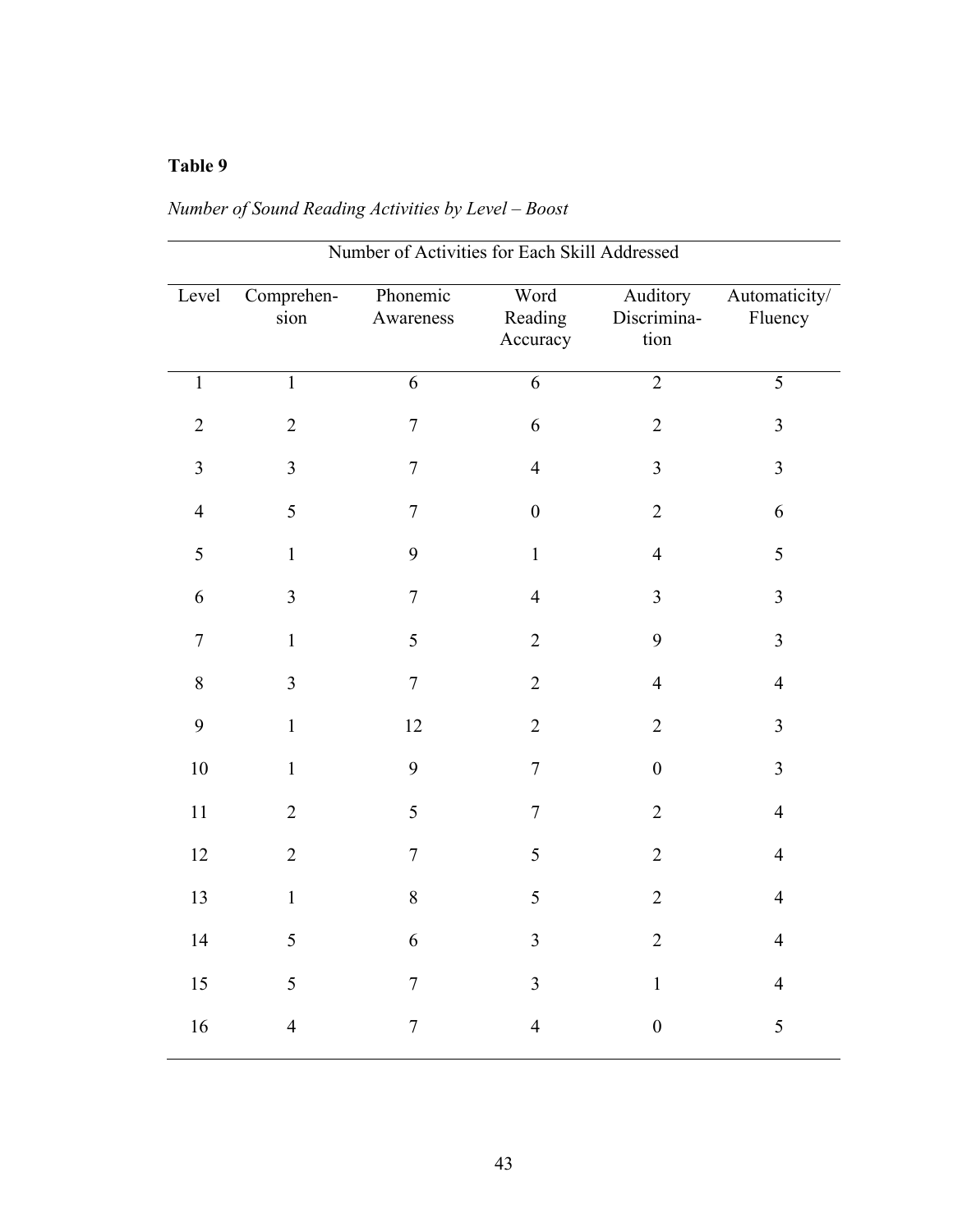| Number of Activities for Each Skill Addressed |                    |                       |                             |                                 |                          |  |  |
|-----------------------------------------------|--------------------|-----------------------|-----------------------------|---------------------------------|--------------------------|--|--|
| Level                                         | Comprehen-<br>sion | Phonemic<br>Awareness | Word<br>Reading<br>Accuracy | Auditory<br>Discrimina-<br>tion | Automaticity/<br>Fluency |  |  |
| $\mathbf{1}$                                  | $\mathbf{1}$       | $\overline{6}$        | $\overline{6}$              | $\overline{2}$                  | $\overline{5}$           |  |  |
| $\sqrt{2}$                                    | $\overline{2}$     | $\overline{7}$        | 6                           | $\overline{2}$                  | $\overline{3}$           |  |  |
| 3                                             | $\overline{3}$     | $\boldsymbol{7}$      | $\overline{4}$              | $\overline{3}$                  | $\overline{3}$           |  |  |
| $\overline{4}$                                | 5                  | $\boldsymbol{7}$      | $\boldsymbol{0}$            | $\sqrt{2}$                      | 6                        |  |  |
| 5                                             | $\mathbf{1}$       | 9                     | $\mathbf{1}$                | $\overline{4}$                  | 5                        |  |  |
| 6                                             | $\overline{3}$     | $\overline{7}$        | $\overline{4}$              | $\mathfrak{Z}$                  | $\overline{3}$           |  |  |
| $\boldsymbol{7}$                              | $\mathbf{1}$       | 5                     | $\overline{2}$              | 9                               | $\overline{3}$           |  |  |
| $\,8\,$                                       | $\overline{3}$     | $\boldsymbol{7}$      | $\overline{2}$              | $\overline{4}$                  | $\overline{\mathbf{4}}$  |  |  |
| 9                                             | $\mathbf{1}$       | 12                    | $\overline{2}$              | $\sqrt{2}$                      | $\overline{3}$           |  |  |
| 10                                            | $\mathbf{1}$       | 9                     | $\overline{7}$              | $\boldsymbol{0}$                | $\overline{3}$           |  |  |
| 11                                            | $\overline{2}$     | 5                     | $\boldsymbol{7}$            | $\sqrt{2}$                      | $\overline{4}$           |  |  |
| 12                                            | $\overline{2}$     | $\overline{7}$        | 5                           | $\overline{2}$                  | $\overline{4}$           |  |  |
| 13                                            | $\mathbf{1}$       | 8                     | 5                           | $\overline{2}$                  | $\overline{4}$           |  |  |
| 14                                            | 5                  | 6                     | $\mathfrak{Z}$              | $\overline{2}$                  | $\overline{4}$           |  |  |
| 15                                            | 5                  | $\overline{7}$        | 3                           | $\mathbf{1}$                    | $\overline{4}$           |  |  |
| 16                                            | $\overline{4}$     | $\overline{7}$        | $\overline{4}$              | $\boldsymbol{0}$                | 5                        |  |  |

# *Number of Sound Reading Activities by Level – Boost*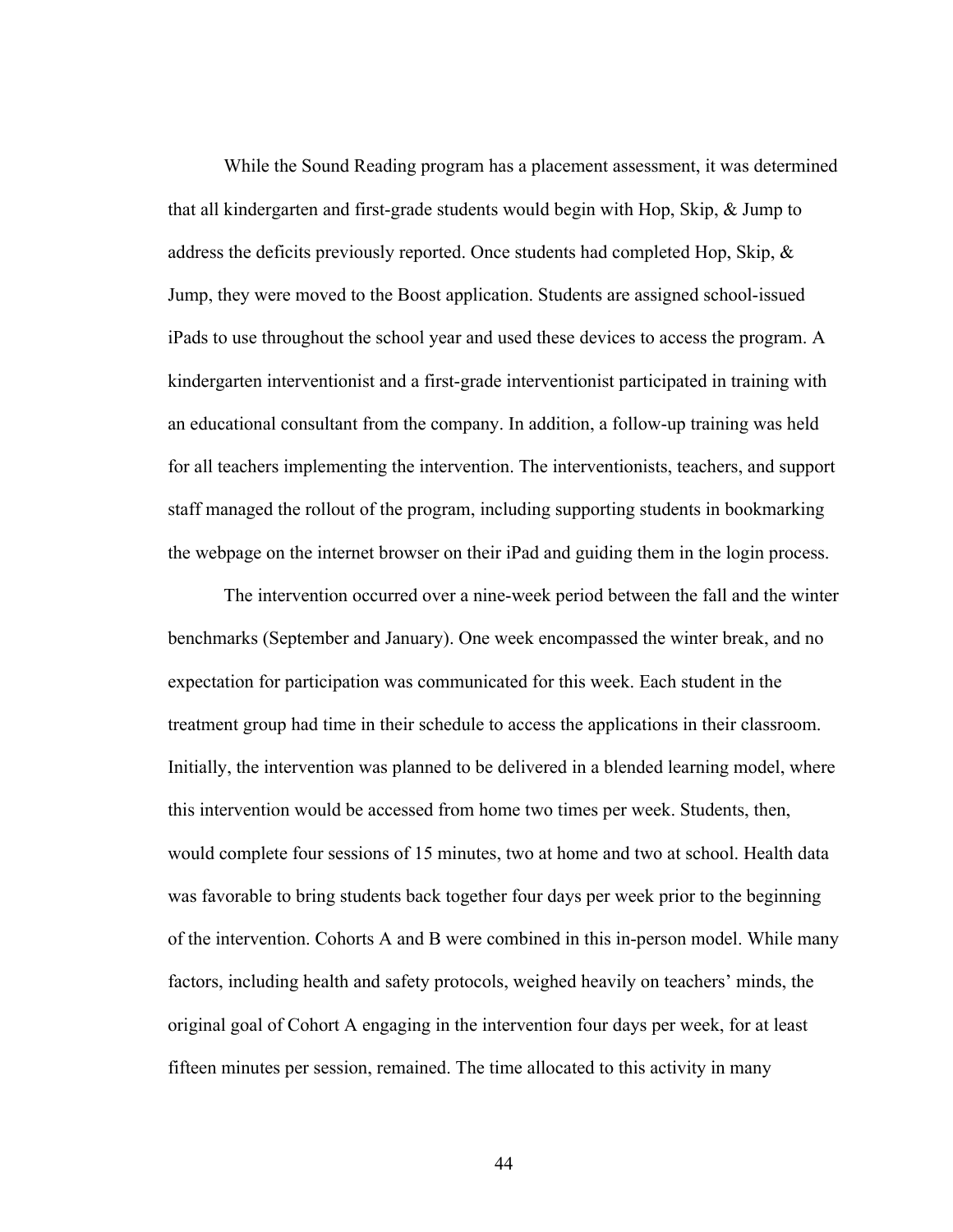While the Sound Reading program has a placement assessment, it was determined that all kindergarten and first-grade students would begin with Hop, Skip, & Jump to address the deficits previously reported. Once students had completed Hop, Skip, & Jump, they were moved to the Boost application. Students are assigned school-issued iPads to use throughout the school year and used these devices to access the program. A kindergarten interventionist and a first-grade interventionist participated in training with an educational consultant from the company. In addition, a follow-up training was held for all teachers implementing the intervention. The interventionists, teachers, and support staff managed the rollout of the program, including supporting students in bookmarking the webpage on the internet browser on their iPad and guiding them in the login process.

The intervention occurred over a nine-week period between the fall and the winter benchmarks (September and January). One week encompassed the winter break, and no expectation for participation was communicated for this week. Each student in the treatment group had time in their schedule to access the applications in their classroom. Initially, the intervention was planned to be delivered in a blended learning model, where this intervention would be accessed from home two times per week. Students, then, would complete four sessions of 15 minutes, two at home and two at school. Health data was favorable to bring students back together four days per week prior to the beginning of the intervention. Cohorts A and B were combined in this in-person model. While many factors, including health and safety protocols, weighed heavily on teachers' minds, the original goal of Cohort A engaging in the intervention four days per week, for at least fifteen minutes per session, remained. The time allocated to this activity in many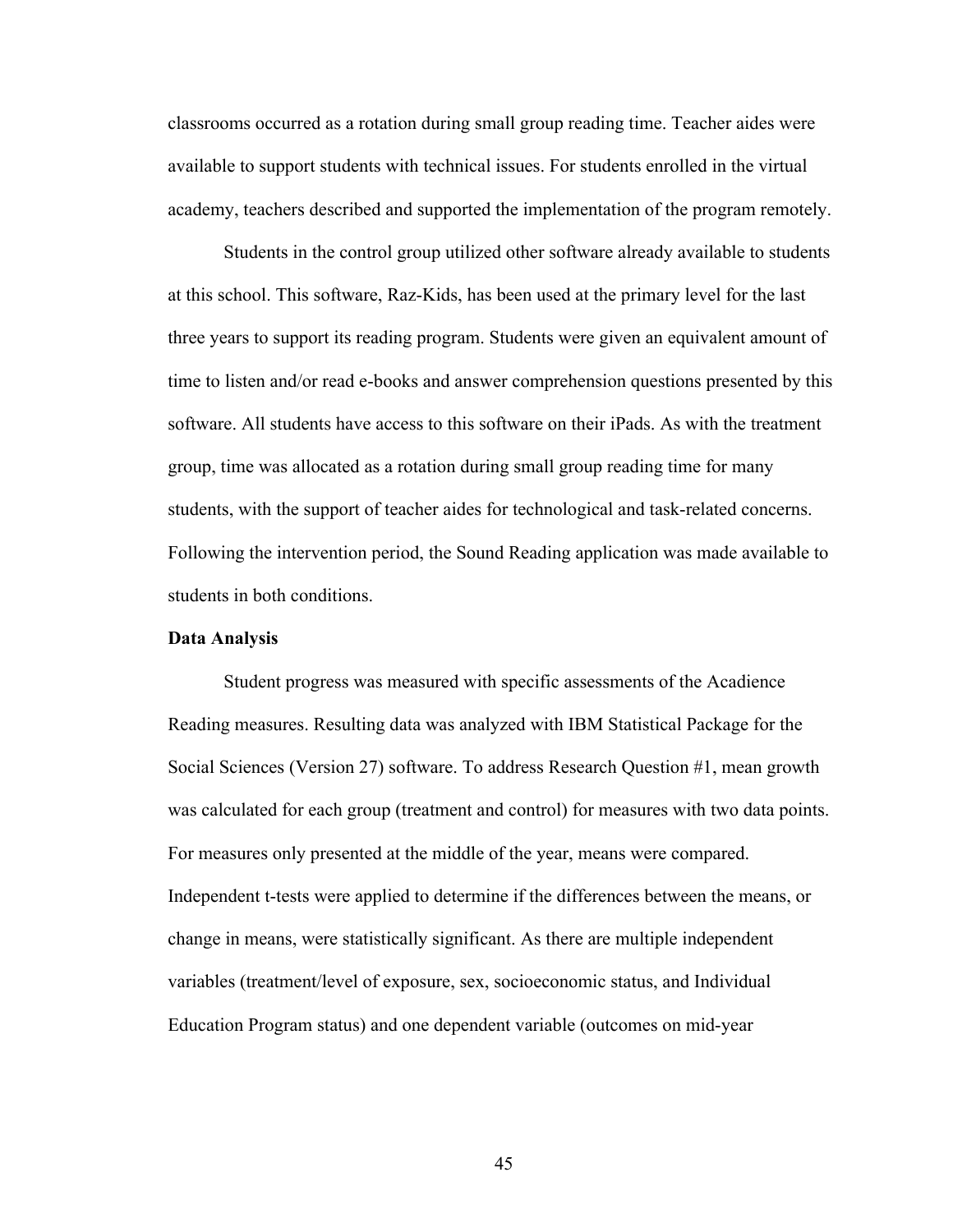classrooms occurred as a rotation during small group reading time. Teacher aides were available to support students with technical issues. For students enrolled in the virtual academy, teachers described and supported the implementation of the program remotely.

Students in the control group utilized other software already available to students at this school. This software, Raz-Kids, has been used at the primary level for the last three years to support its reading program. Students were given an equivalent amount of time to listen and/or read e-books and answer comprehension questions presented by this software. All students have access to this software on their iPads. As with the treatment group, time was allocated as a rotation during small group reading time for many students, with the support of teacher aides for technological and task-related concerns. Following the intervention period, the Sound Reading application was made available to students in both conditions.

#### **Data Analysis**

Student progress was measured with specific assessments of the Acadience Reading measures. Resulting data was analyzed with IBM Statistical Package for the Social Sciences (Version 27) software. To address Research Question #1, mean growth was calculated for each group (treatment and control) for measures with two data points. For measures only presented at the middle of the year, means were compared. Independent t-tests were applied to determine if the differences between the means, or change in means, were statistically significant. As there are multiple independent variables (treatment/level of exposure, sex, socioeconomic status, and Individual Education Program status) and one dependent variable (outcomes on mid-year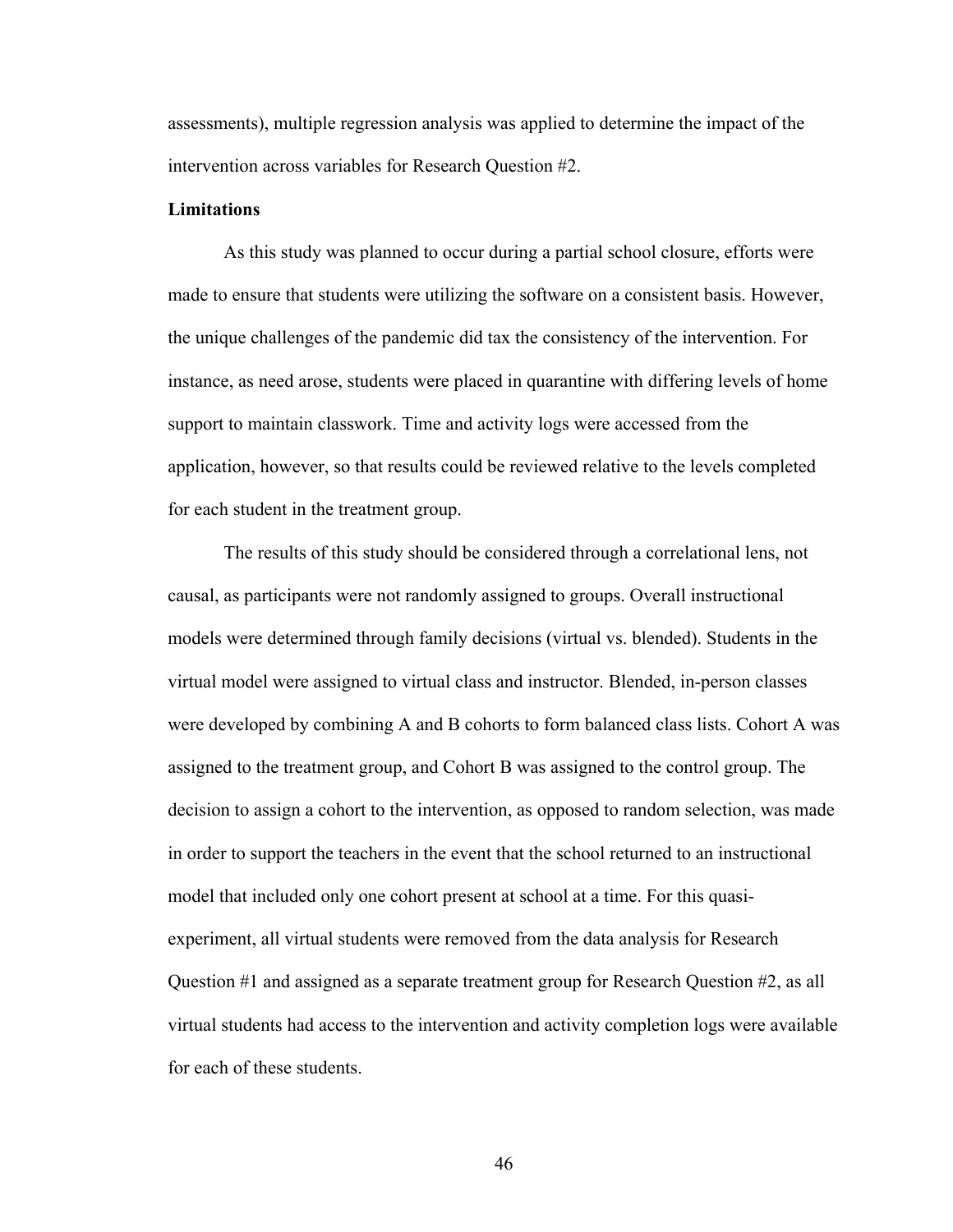assessments), multiple regression analysis was applied to determine the impact of the intervention across variables for Research Question #2.

#### **Limitations**

As this study was planned to occur during a partial school closure, efforts were made to ensure that students were utilizing the software on a consistent basis. However, the unique challenges of the pandemic did tax the consistency of the intervention. For instance, as need arose, students were placed in quarantine with differing levels of home support to maintain classwork. Time and activity logs were accessed from the application, however, so that results could be reviewed relative to the levels completed for each student in the treatment group.

The results of this study should be considered through a correlational lens, not causal, as participants were not randomly assigned to groups. Overall instructional models were determined through family decisions (virtual vs. blended). Students in the virtual model were assigned to virtual class and instructor. Blended, in-person classes were developed by combining A and B cohorts to form balanced class lists. Cohort A was assigned to the treatment group, and Cohort B was assigned to the control group. The decision to assign a cohort to the intervention, as opposed to random selection, was made in order to support the teachers in the event that the school returned to an instructional model that included only one cohort present at school at a time. For this quasiexperiment, all virtual students were removed from the data analysis for Research Question #1 and assigned as a separate treatment group for Research Question #2, as all virtual students had access to the intervention and activity completion logs were available for each of these students.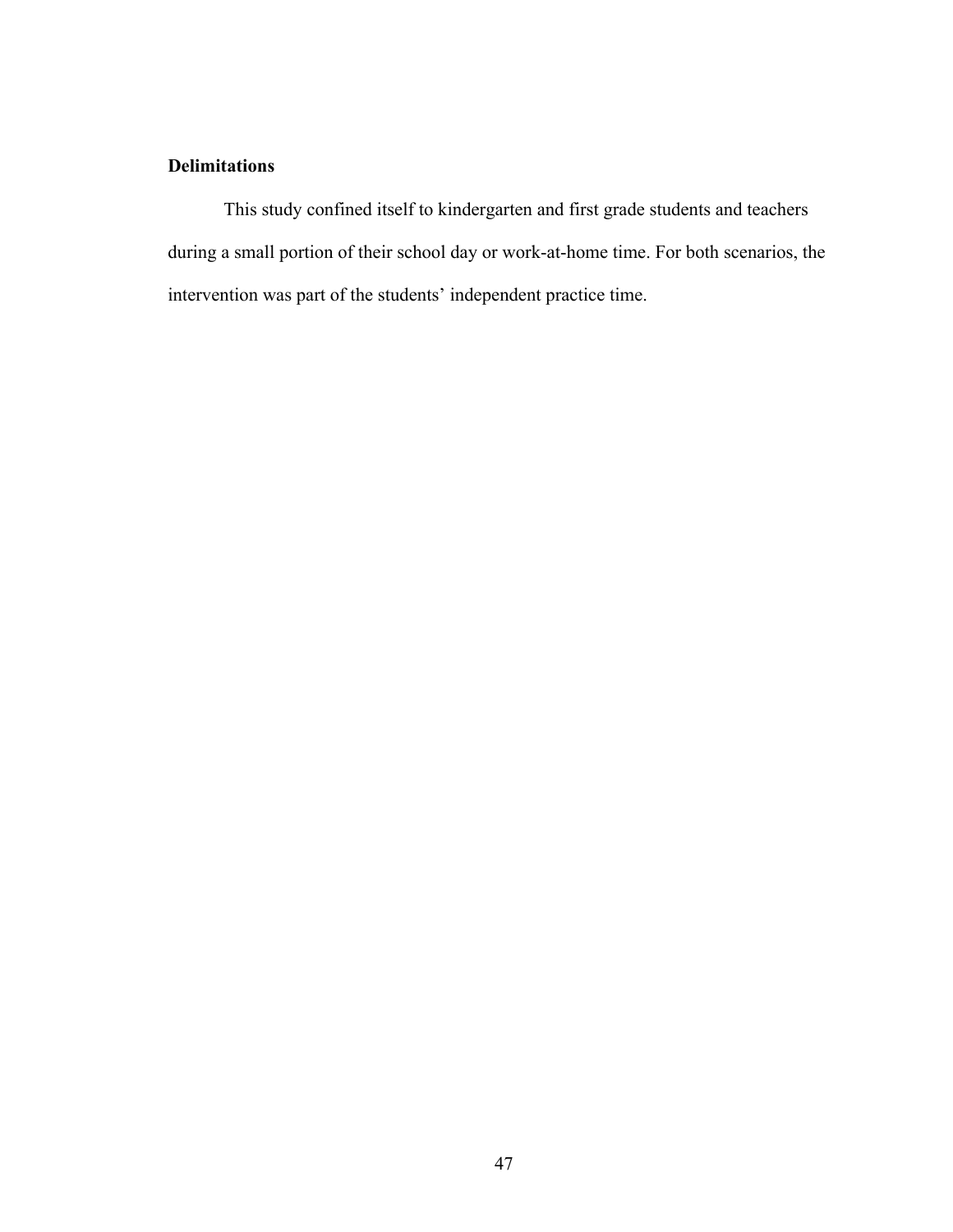## **Delimitations**

This study confined itself to kindergarten and first grade students and teachers during a small portion of their school day or work-at-home time. For both scenarios, the intervention was part of the students' independent practice time.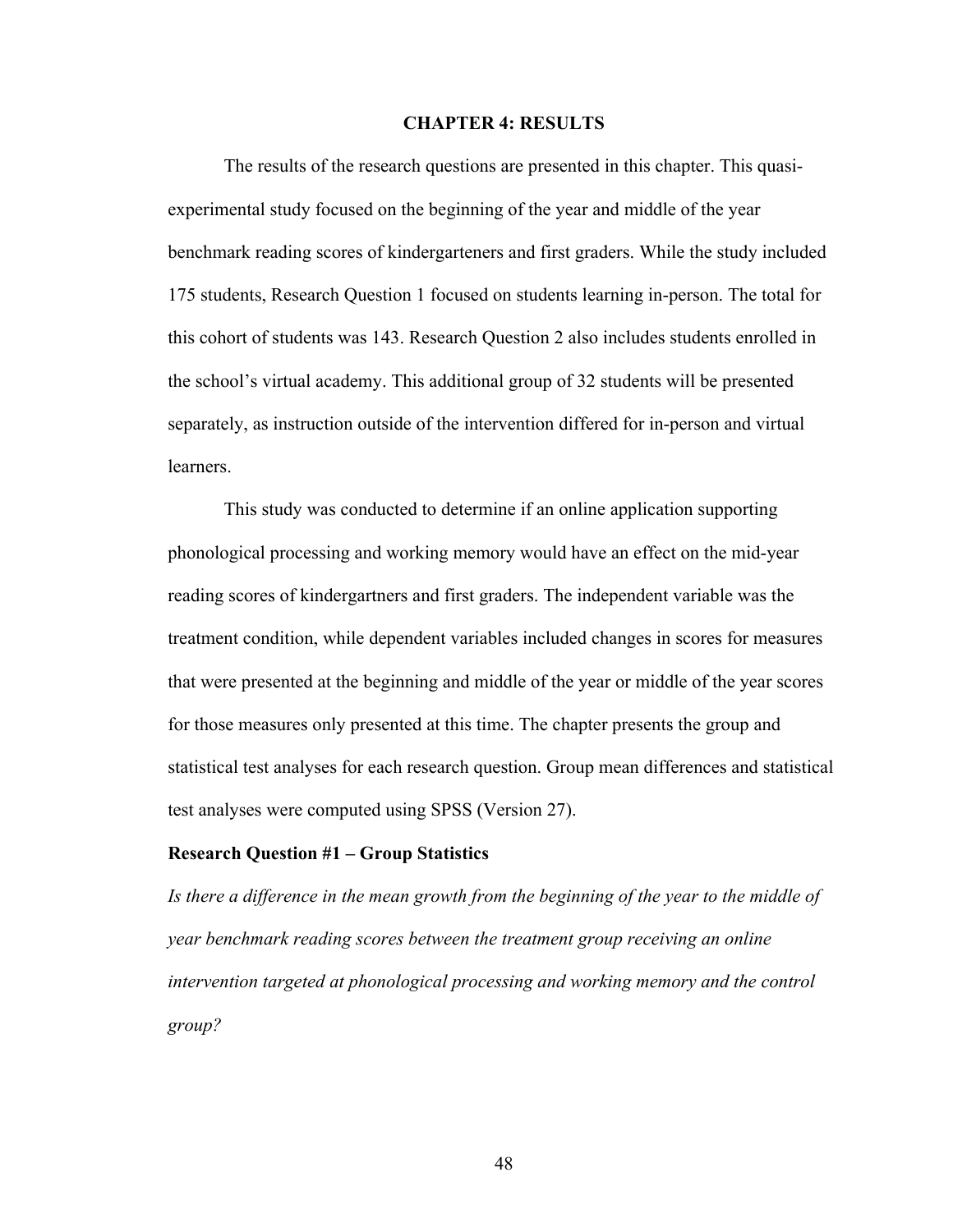#### **CHAPTER 4: RESULTS**

The results of the research questions are presented in this chapter. This quasiexperimental study focused on the beginning of the year and middle of the year benchmark reading scores of kindergarteners and first graders. While the study included 175 students, Research Question 1 focused on students learning in-person. The total for this cohort of students was 143. Research Question 2 also includes students enrolled in the school's virtual academy. This additional group of 32 students will be presented separately, as instruction outside of the intervention differed for in-person and virtual learners.

This study was conducted to determine if an online application supporting phonological processing and working memory would have an effect on the mid-year reading scores of kindergartners and first graders. The independent variable was the treatment condition, while dependent variables included changes in scores for measures that were presented at the beginning and middle of the year or middle of the year scores for those measures only presented at this time. The chapter presents the group and statistical test analyses for each research question. Group mean differences and statistical test analyses were computed using SPSS (Version 27).

#### **Research Question #1 – Group Statistics**

*Is there a difference in the mean growth from the beginning of the year to the middle of year benchmark reading scores between the treatment group receiving an online intervention targeted at phonological processing and working memory and the control group?*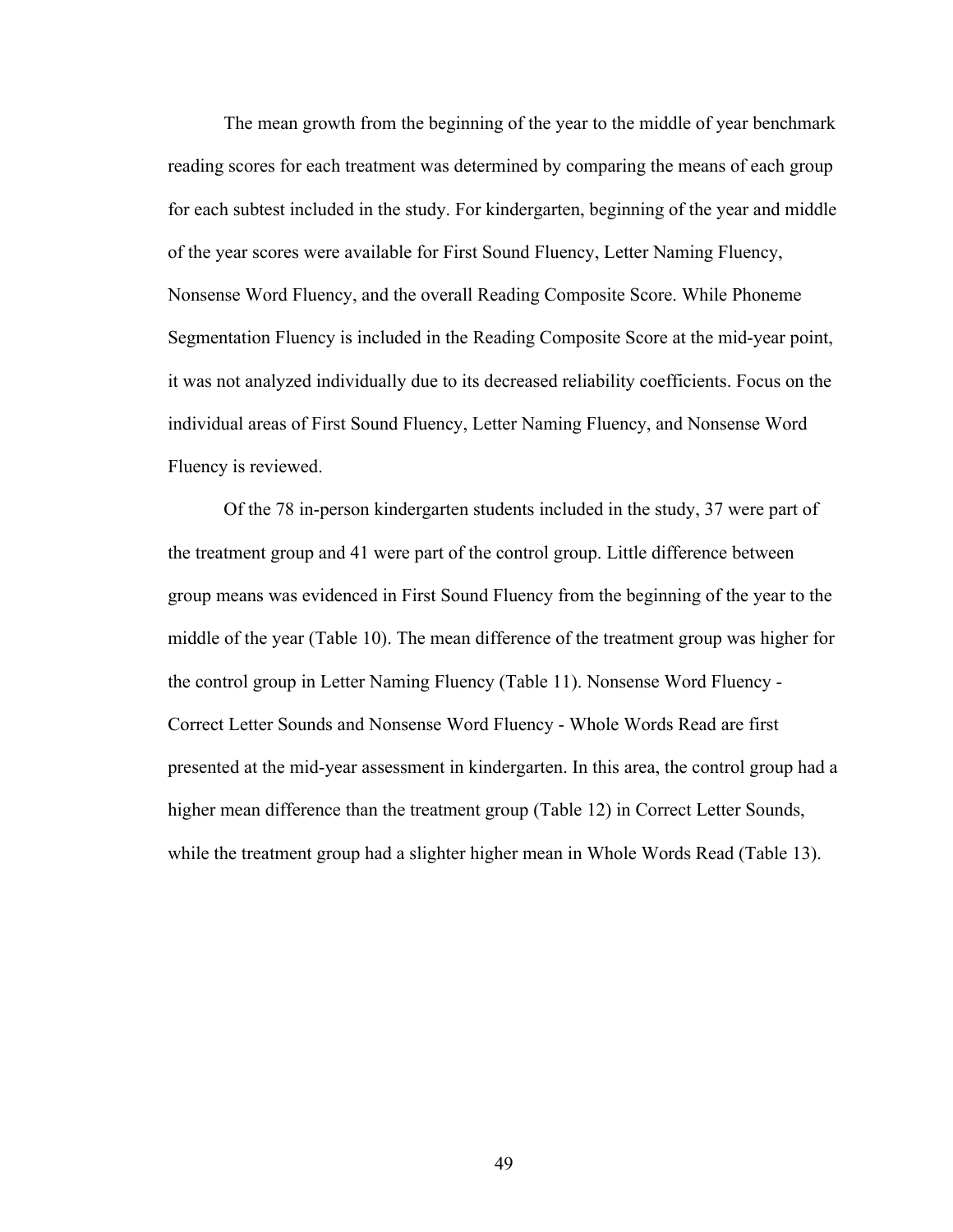The mean growth from the beginning of the year to the middle of year benchmark reading scores for each treatment was determined by comparing the means of each group for each subtest included in the study. For kindergarten, beginning of the year and middle of the year scores were available for First Sound Fluency, Letter Naming Fluency, Nonsense Word Fluency, and the overall Reading Composite Score. While Phoneme Segmentation Fluency is included in the Reading Composite Score at the mid-year point, it was not analyzed individually due to its decreased reliability coefficients. Focus on the individual areas of First Sound Fluency, Letter Naming Fluency, and Nonsense Word Fluency is reviewed.

Of the 78 in-person kindergarten students included in the study, 37 were part of the treatment group and 41 were part of the control group. Little difference between group means was evidenced in First Sound Fluency from the beginning of the year to the middle of the year (Table 10). The mean difference of the treatment group was higher for the control group in Letter Naming Fluency (Table 11). Nonsense Word Fluency - Correct Letter Sounds and Nonsense Word Fluency - Whole Words Read are first presented at the mid-year assessment in kindergarten. In this area, the control group had a higher mean difference than the treatment group (Table 12) in Correct Letter Sounds, while the treatment group had a slighter higher mean in Whole Words Read (Table 13).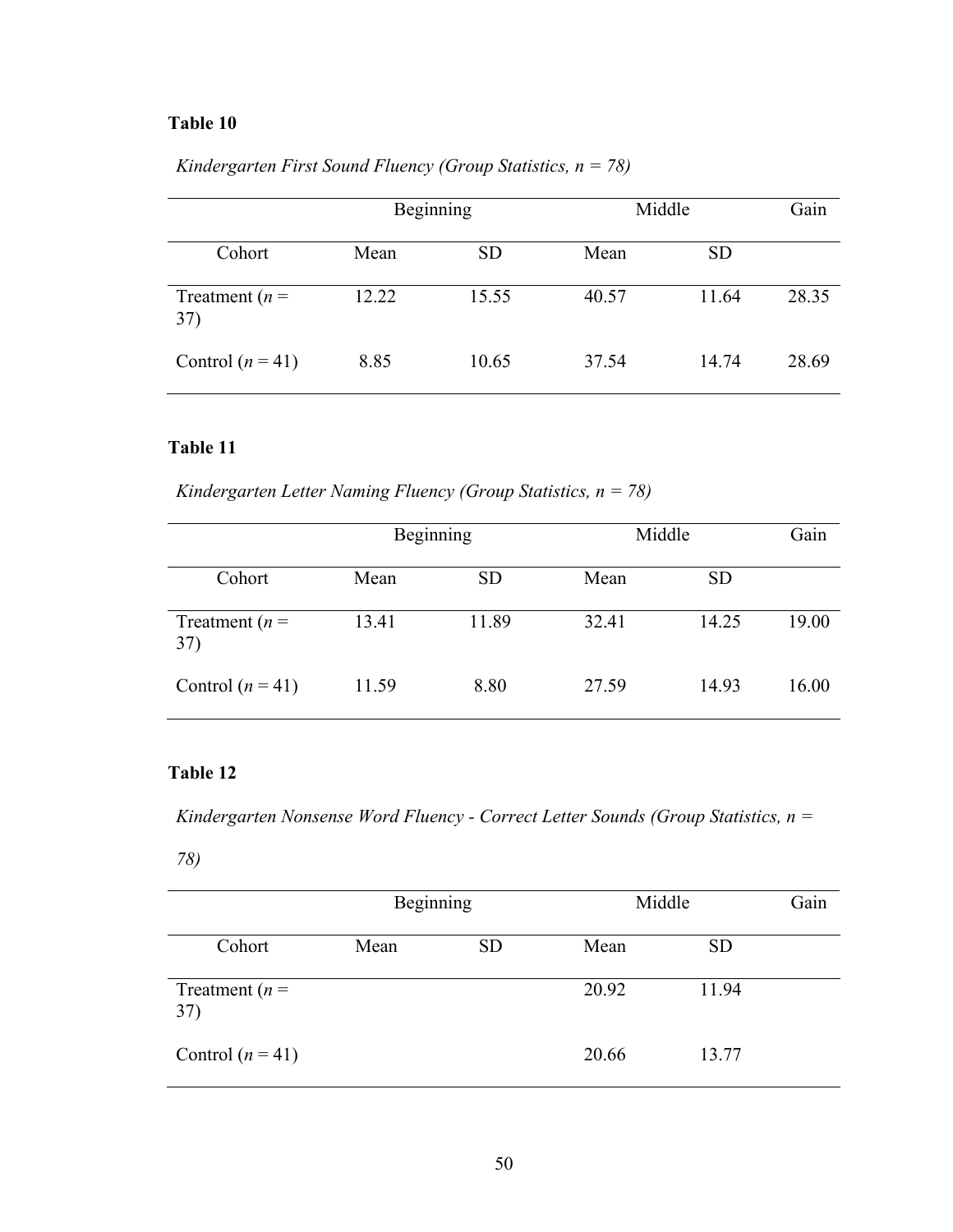|                          | Beginning |           |       | Middle    |       |
|--------------------------|-----------|-----------|-------|-----------|-------|
| Cohort                   | Mean      | <b>SD</b> | Mean  | <b>SD</b> |       |
| Treatment ( $n =$<br>37) | 12.22     | 15.55     | 40.57 | 11.64     | 28.35 |
| Control $(n=41)$         | 8.85      | 10.65     | 37.54 | 14.74     | 28.69 |

*Kindergarten First Sound Fluency (Group Statistics, n = 78)*

### **Table 11**

*Kindergarten Letter Naming Fluency (Group Statistics, n = 78)*

|                          | Beginning |           |       | Middle    |       |
|--------------------------|-----------|-----------|-------|-----------|-------|
| Cohort                   | Mean      | <b>SD</b> | Mean  | <b>SD</b> |       |
| Treatment ( $n =$<br>37) | 13.41     | 11.89     | 32.41 | 14.25     | 19.00 |
| Control $(n=41)$         | 11.59     | 8.80      | 27.59 | 14.93     | 16.00 |

## **Table 12**

*Kindergarten Nonsense Word Fluency - Correct Letter Sounds (Group Statistics, n =* 

*78)*

|                          | Beginning |           | Middle |           | Gain |
|--------------------------|-----------|-----------|--------|-----------|------|
| Cohort                   | Mean      | <b>SD</b> | Mean   | <b>SD</b> |      |
| Treatment ( $n =$<br>37) |           |           | 20.92  | 11.94     |      |
| Control $(n=41)$         |           |           | 20.66  | 13.77     |      |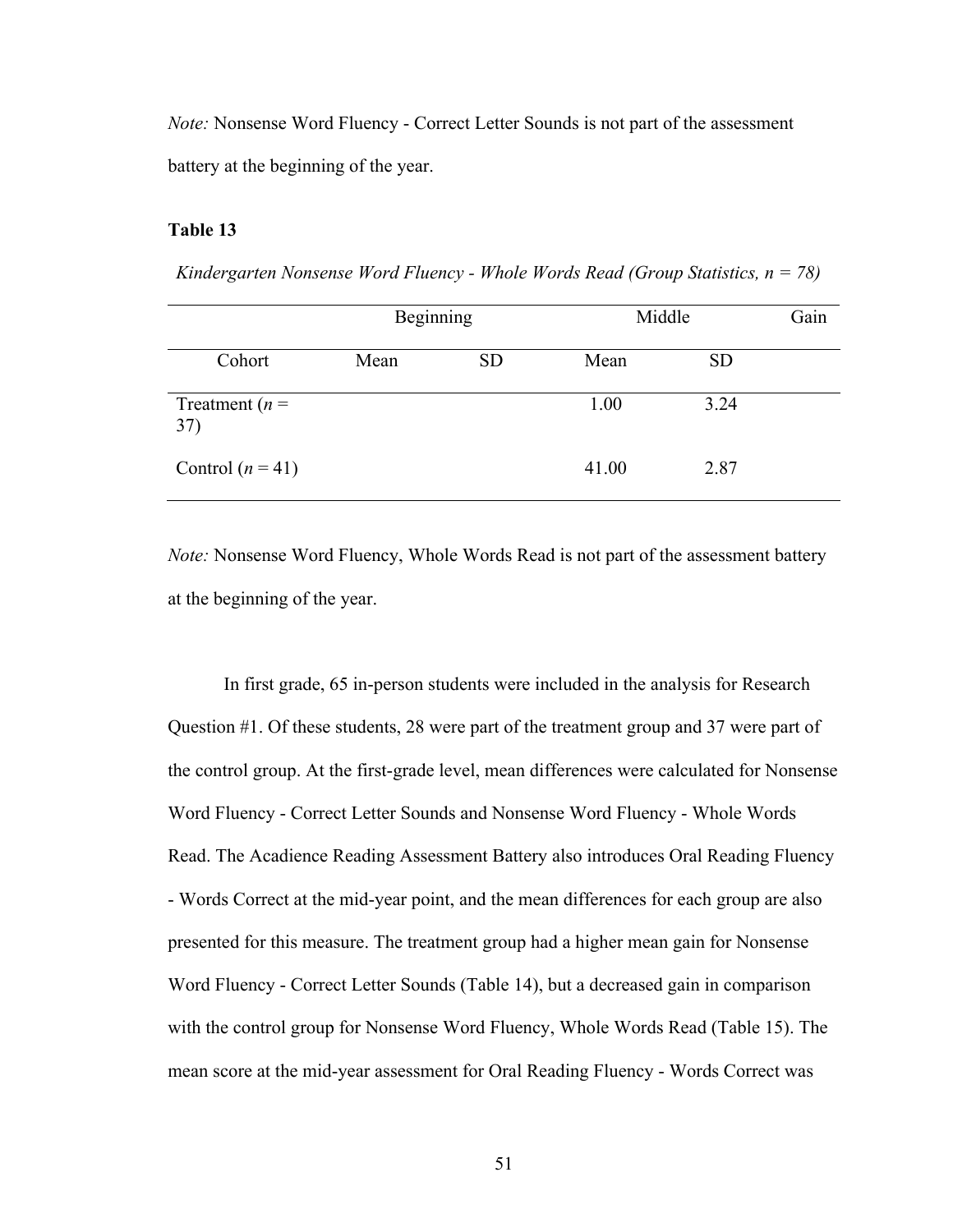*Note:* Nonsense Word Fluency - Correct Letter Sounds is not part of the assessment battery at the beginning of the year.

#### **Table 13**

*Kindergarten Nonsense Word Fluency - Whole Words Read (Group Statistics, n = 78)*

|                          | Beginning |           | Middle | Gain      |  |
|--------------------------|-----------|-----------|--------|-----------|--|
| Cohort                   | Mean      | <b>SD</b> | Mean   | <b>SD</b> |  |
| Treatment ( $n =$<br>37) |           |           | 1.00   | 3.24      |  |
| Control $(n=41)$         |           |           | 41.00  | 2.87      |  |

*Note:* Nonsense Word Fluency, Whole Words Read is not part of the assessment battery at the beginning of the year.

In first grade, 65 in-person students were included in the analysis for Research Question #1. Of these students, 28 were part of the treatment group and 37 were part of the control group. At the first-grade level, mean differences were calculated for Nonsense Word Fluency - Correct Letter Sounds and Nonsense Word Fluency - Whole Words Read. The Acadience Reading Assessment Battery also introduces Oral Reading Fluency - Words Correct at the mid-year point, and the mean differences for each group are also presented for this measure. The treatment group had a higher mean gain for Nonsense Word Fluency - Correct Letter Sounds (Table 14), but a decreased gain in comparison with the control group for Nonsense Word Fluency, Whole Words Read (Table 15). The mean score at the mid-year assessment for Oral Reading Fluency - Words Correct was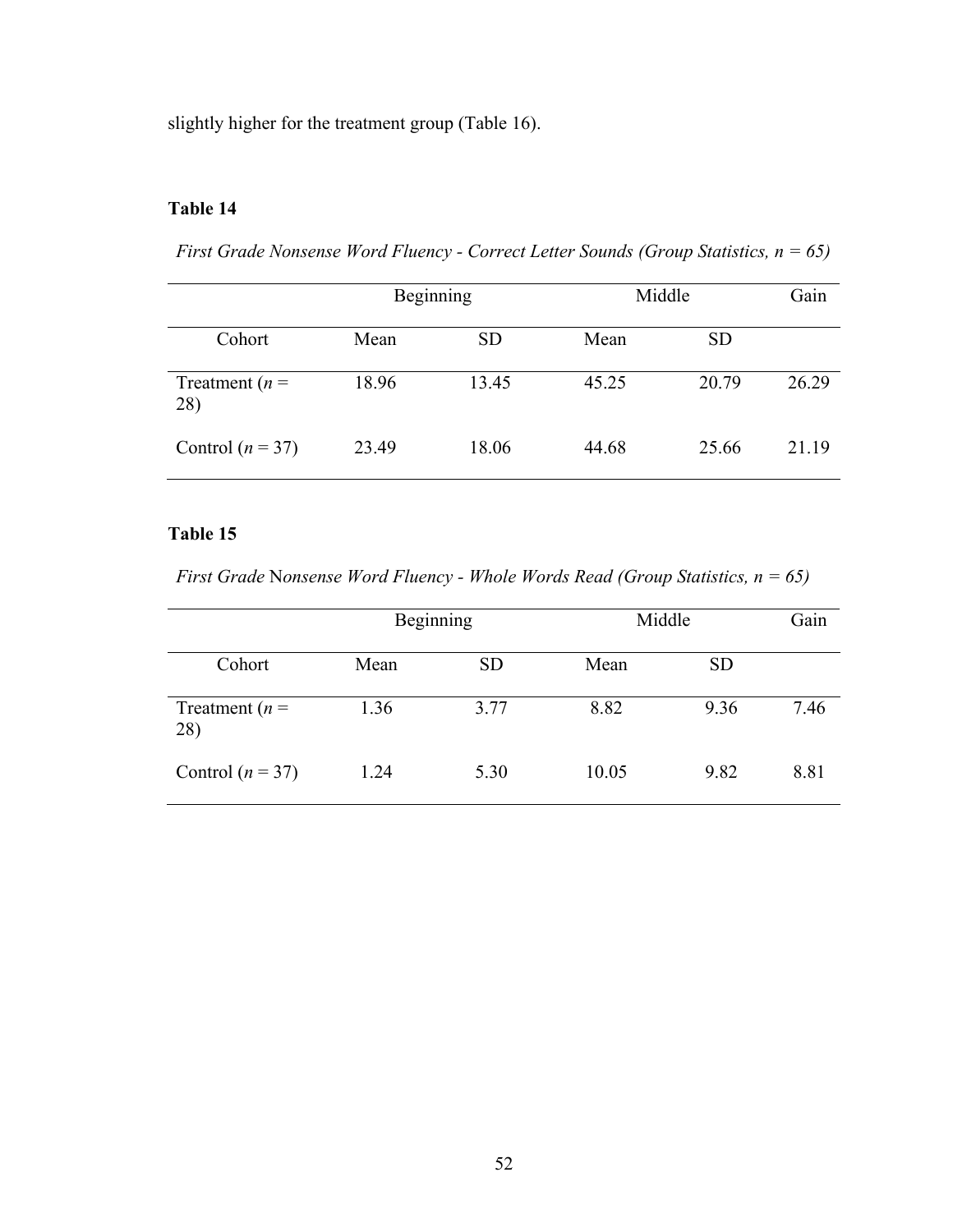slightly higher for the treatment group (Table 16).

## **Table 14**

*First Grade Nonsense Word Fluency - Correct Letter Sounds (Group Statistics, n = 65)*

|                         |       | Beginning |       | Middle    |       |  |
|-------------------------|-------|-----------|-------|-----------|-------|--|
| Cohort                  | Mean  | <b>SD</b> | Mean  | <b>SD</b> |       |  |
| Treatment $(n =$<br>28) | 18.96 | 13.45     | 45.25 | 20.79     | 26.29 |  |
| Control $(n = 37)$      | 23.49 | 18.06     | 44.68 | 25.66     | 21.19 |  |

## **Table 15**

*First Grade* N*onsense Word Fluency - Whole Words Read (Group Statistics, n = 65)*

|                         | Beginning |           |       | Middle    |      |  |
|-------------------------|-----------|-----------|-------|-----------|------|--|
| Cohort                  | Mean      | <b>SD</b> | Mean  | <b>SD</b> |      |  |
| Treatment $(n =$<br>28) | 1.36      | 3.77      | 8.82  | 9.36      | 7.46 |  |
| Control $(n = 37)$      | 1.24      | 5.30      | 10.05 | 9.82      | 8.81 |  |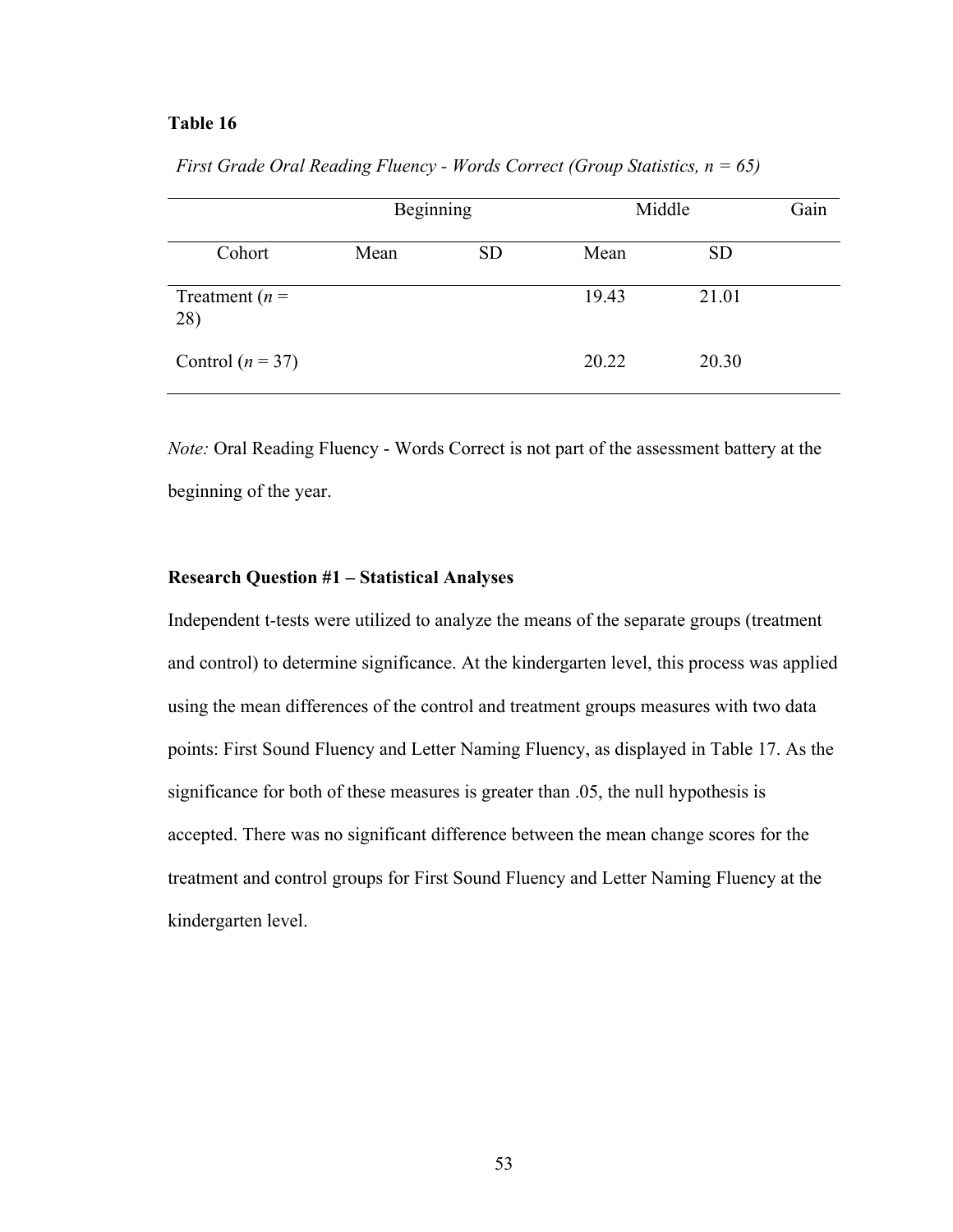|                         | Beginning |           |       | Middle    |  |
|-------------------------|-----------|-----------|-------|-----------|--|
| Cohort                  | Mean      | <b>SD</b> | Mean  | <b>SD</b> |  |
| Treatment $(n =$<br>28) |           |           | 19.43 | 21.01     |  |
| Control ( $n = 37$ )    |           |           | 20.22 | 20.30     |  |

*First Grade Oral Reading Fluency - Words Correct (Group Statistics, n = 65)*

*Note:* Oral Reading Fluency - Words Correct is not part of the assessment battery at the beginning of the year.

#### **Research Question #1 – Statistical Analyses**

Independent t-tests were utilized to analyze the means of the separate groups (treatment and control) to determine significance. At the kindergarten level, this process was applied using the mean differences of the control and treatment groups measures with two data points: First Sound Fluency and Letter Naming Fluency, as displayed in Table 17. As the significance for both of these measures is greater than .05, the null hypothesis is accepted. There was no significant difference between the mean change scores for the treatment and control groups for First Sound Fluency and Letter Naming Fluency at the kindergarten level.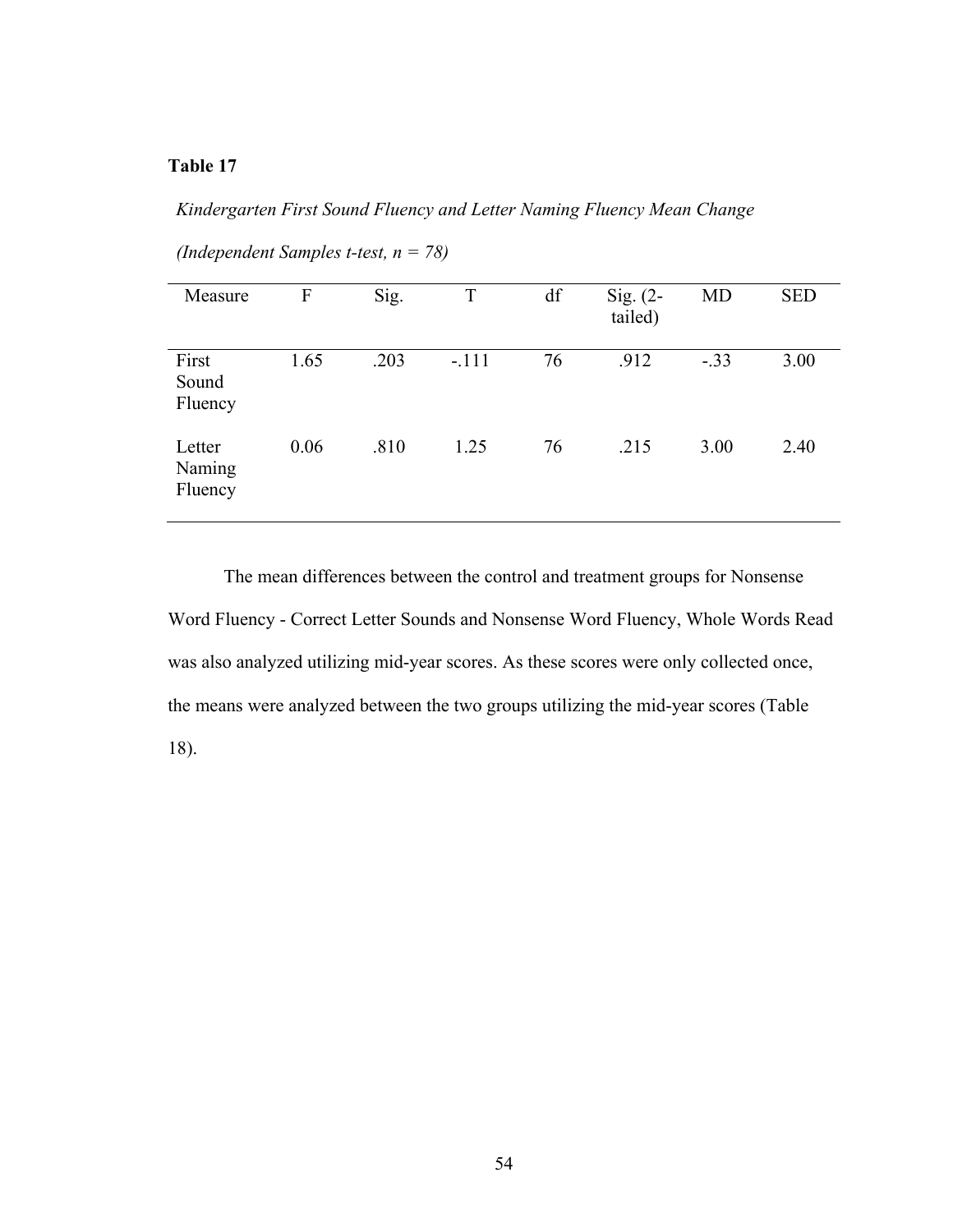*Kindergarten First Sound Fluency and Letter Naming Fluency Mean Change* 

| Measure                     | F    | Sig. | T       | df | Sig. $(2-$<br>tailed) | <b>MD</b> | <b>SED</b> |
|-----------------------------|------|------|---------|----|-----------------------|-----------|------------|
| First<br>Sound<br>Fluency   | 1.65 | .203 | $-.111$ | 76 | .912                  | $-.33$    | 3.00       |
| Letter<br>Naming<br>Fluency | 0.06 | .810 | 1.25    | 76 | .215                  | 3.00      | 2.40       |

*(Independent Samples t-test, n = 78)*

The mean differences between the control and treatment groups for Nonsense Word Fluency - Correct Letter Sounds and Nonsense Word Fluency, Whole Words Read was also analyzed utilizing mid-year scores. As these scores were only collected once, the means were analyzed between the two groups utilizing the mid-year scores (Table 18).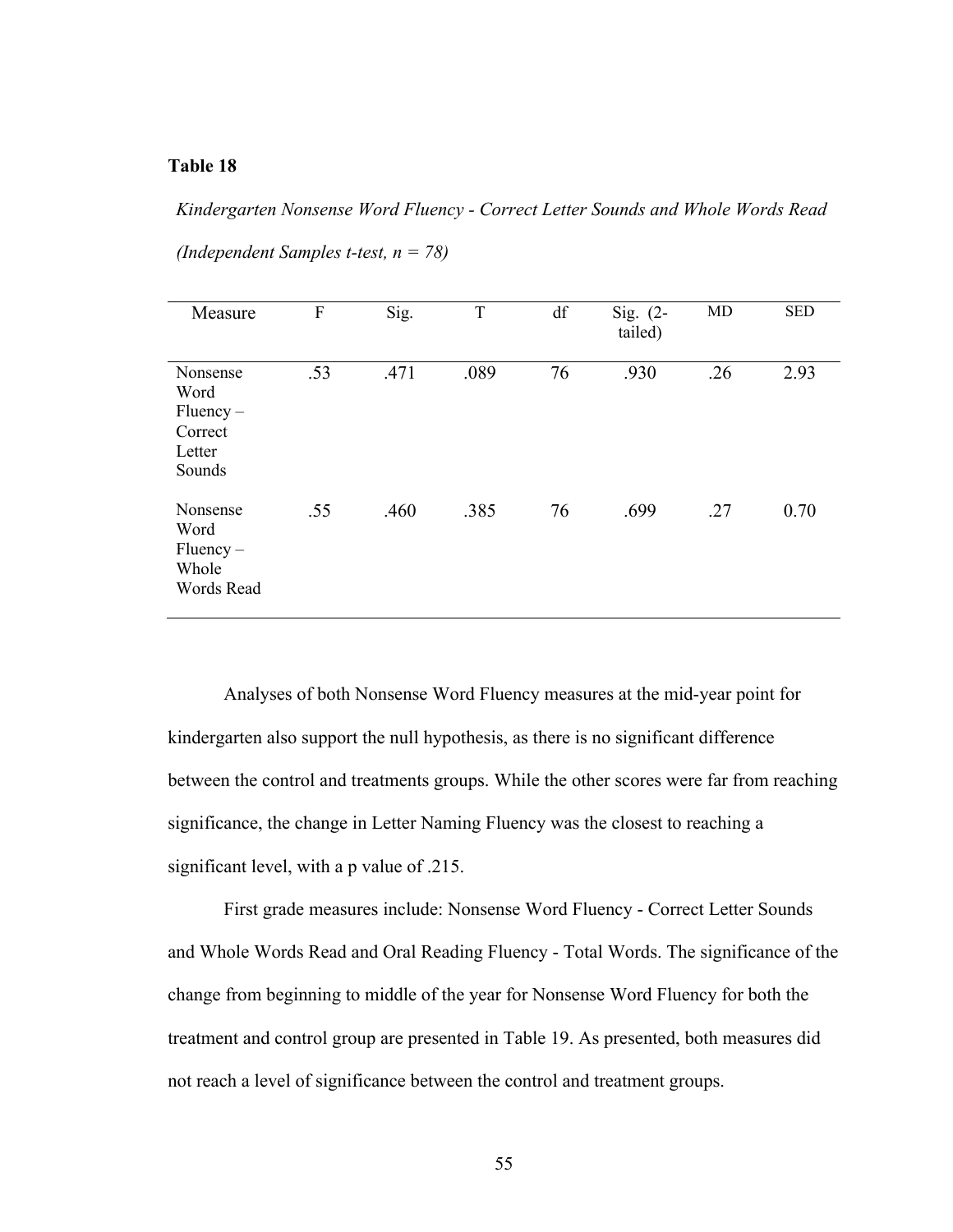*Kindergarten Nonsense Word Fluency - Correct Letter Sounds and Whole Words Read*

| (Independent Samples t-test, $n = 78$ ) |  |  |  |
|-----------------------------------------|--|--|--|
|-----------------------------------------|--|--|--|

| Measure                                                        | $\overline{F}$ | Sig. | T    | df | Sig. $(2-$<br>tailed) | <b>MD</b> | <b>SED</b> |
|----------------------------------------------------------------|----------------|------|------|----|-----------------------|-----------|------------|
| Nonsense<br>Word<br>$Fluency -$<br>Correct<br>Letter<br>Sounds | .53            | .471 | .089 | 76 | .930                  | .26       | 2.93       |
| Nonsense<br>Word<br>$Fluency -$<br>Whole<br>Words Read         | .55            | .460 | .385 | 76 | .699                  | .27       | 0.70       |

Analyses of both Nonsense Word Fluency measures at the mid-year point for kindergarten also support the null hypothesis, as there is no significant difference between the control and treatments groups. While the other scores were far from reaching significance, the change in Letter Naming Fluency was the closest to reaching a significant level, with a p value of .215.

First grade measures include: Nonsense Word Fluency - Correct Letter Sounds and Whole Words Read and Oral Reading Fluency - Total Words. The significance of the change from beginning to middle of the year for Nonsense Word Fluency for both the treatment and control group are presented in Table 19. As presented, both measures did not reach a level of significance between the control and treatment groups.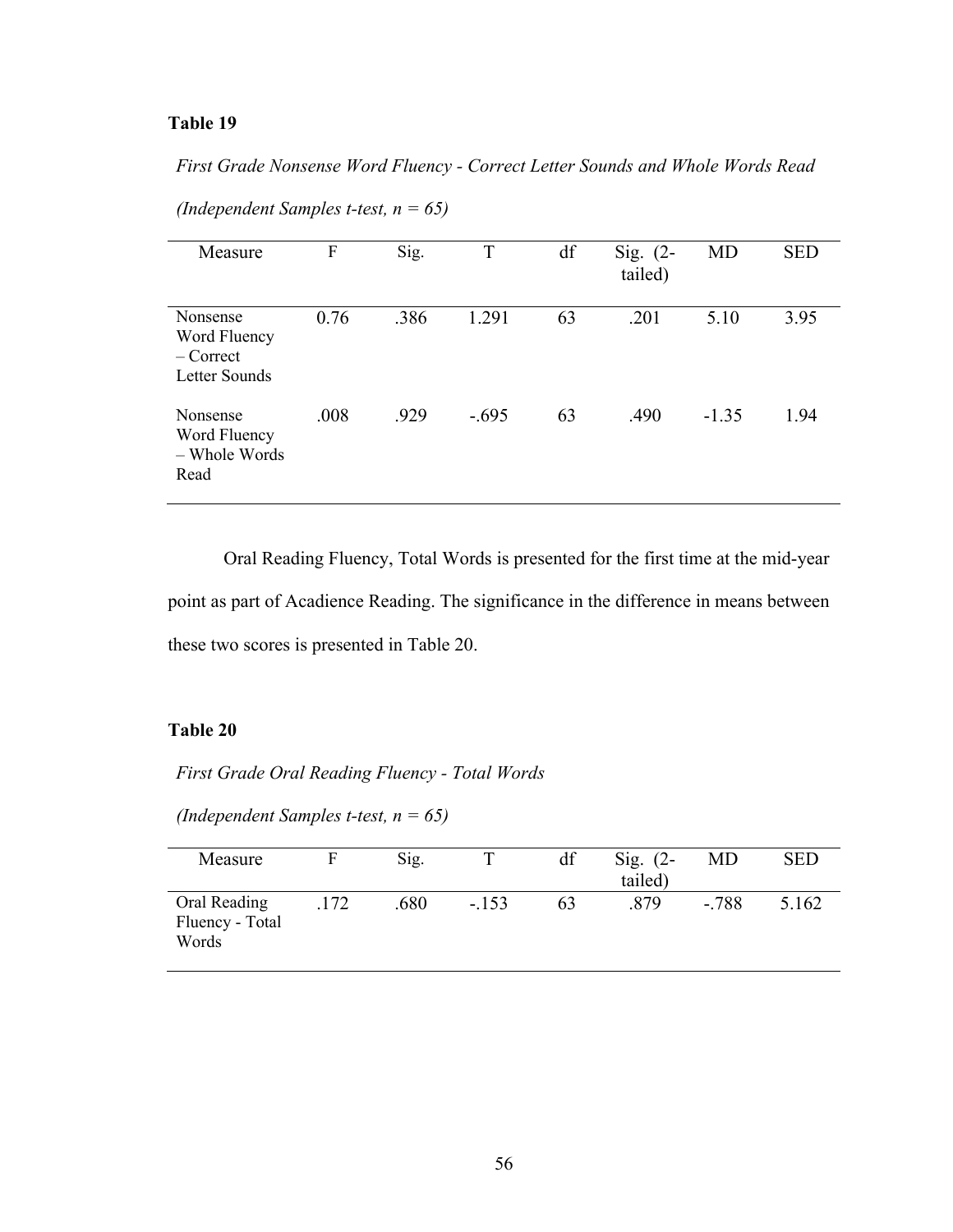*First Grade Nonsense Word Fluency - Correct Letter Sounds and Whole Words Read* 

| Measure                                                  | F    | Sig. | T       | df | Sig. $(2-$<br>tailed) | MD      | <b>SED</b> |
|----------------------------------------------------------|------|------|---------|----|-----------------------|---------|------------|
| Nonsense<br>Word Fluency<br>$-$ Correct<br>Letter Sounds | 0.76 | .386 | 1.291   | 63 | .201                  | 5.10    | 3.95       |
| Nonsense<br>Word Fluency<br>– Whole Words<br>Read        | .008 | .929 | $-.695$ | 63 | .490                  | $-1.35$ | 1.94       |

*(Independent Samples t-test, n = 65)*

Oral Reading Fluency, Total Words is presented for the first time at the mid-year point as part of Acadience Reading. The significance in the difference in means between these two scores is presented in Table 20.

### **Table 20**

*First Grade Oral Reading Fluency - Total Words*

*(Independent Samples t-test, n = 65)*

| Measure                                  |      | Sig. |         | df | Sig. $(2-$<br>tailed) | MD      | <b>SED</b> |
|------------------------------------------|------|------|---------|----|-----------------------|---------|------------|
| Oral Reading<br>Fluency - Total<br>Words | .172 | .680 | $-.153$ | 63 | .879                  | $-.788$ | 5.162      |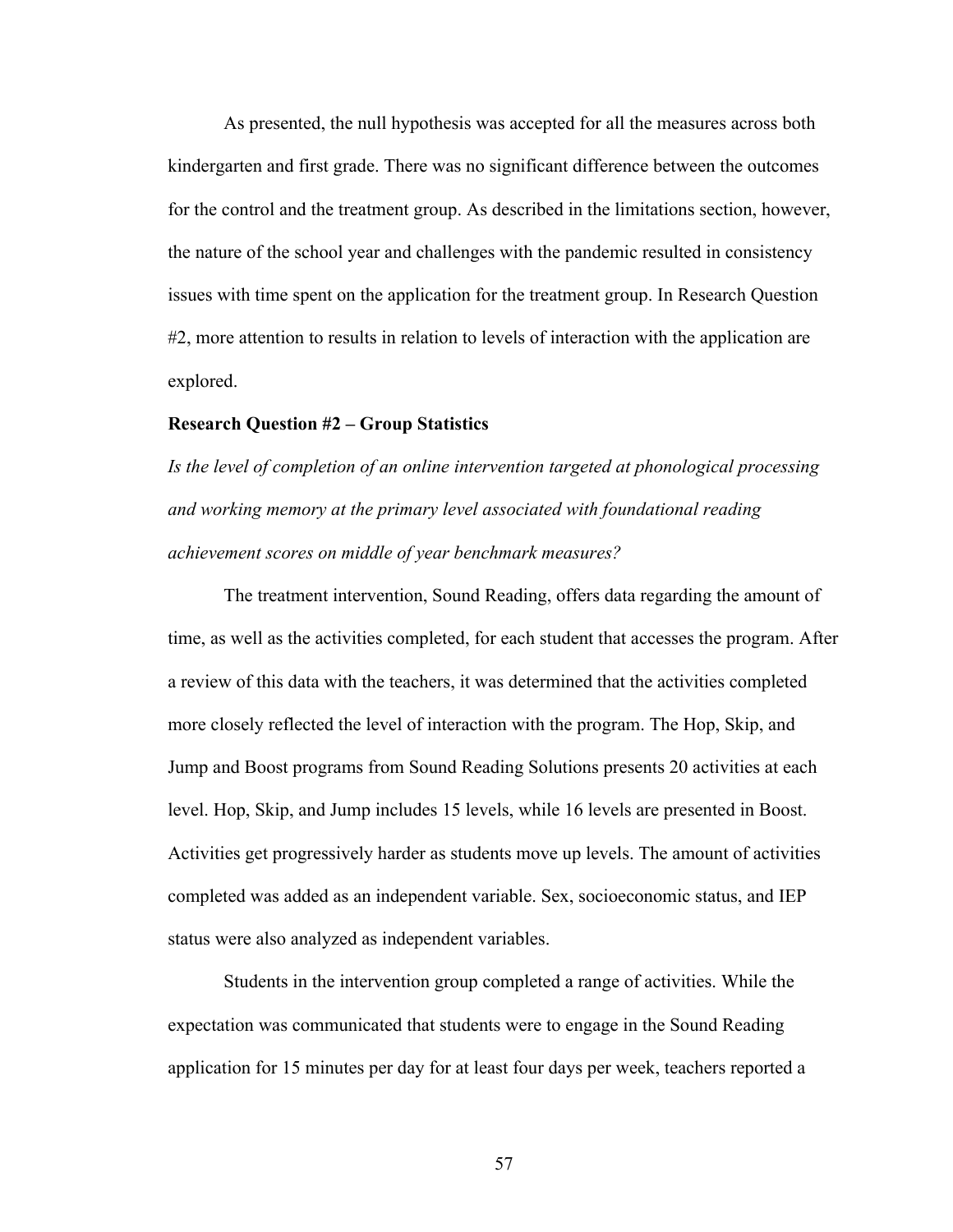As presented, the null hypothesis was accepted for all the measures across both kindergarten and first grade. There was no significant difference between the outcomes for the control and the treatment group. As described in the limitations section, however, the nature of the school year and challenges with the pandemic resulted in consistency issues with time spent on the application for the treatment group. In Research Question #2, more attention to results in relation to levels of interaction with the application are explored.

#### **Research Question #2 – Group Statistics**

*Is the level of completion of an online intervention targeted at phonological processing and working memory at the primary level associated with foundational reading achievement scores on middle of year benchmark measures?*

The treatment intervention, Sound Reading, offers data regarding the amount of time, as well as the activities completed, for each student that accesses the program. After a review of this data with the teachers, it was determined that the activities completed more closely reflected the level of interaction with the program. The Hop, Skip, and Jump and Boost programs from Sound Reading Solutions presents 20 activities at each level. Hop, Skip, and Jump includes 15 levels, while 16 levels are presented in Boost. Activities get progressively harder as students move up levels. The amount of activities completed was added as an independent variable. Sex, socioeconomic status, and IEP status were also analyzed as independent variables.

Students in the intervention group completed a range of activities. While the expectation was communicated that students were to engage in the Sound Reading application for 15 minutes per day for at least four days per week, teachers reported a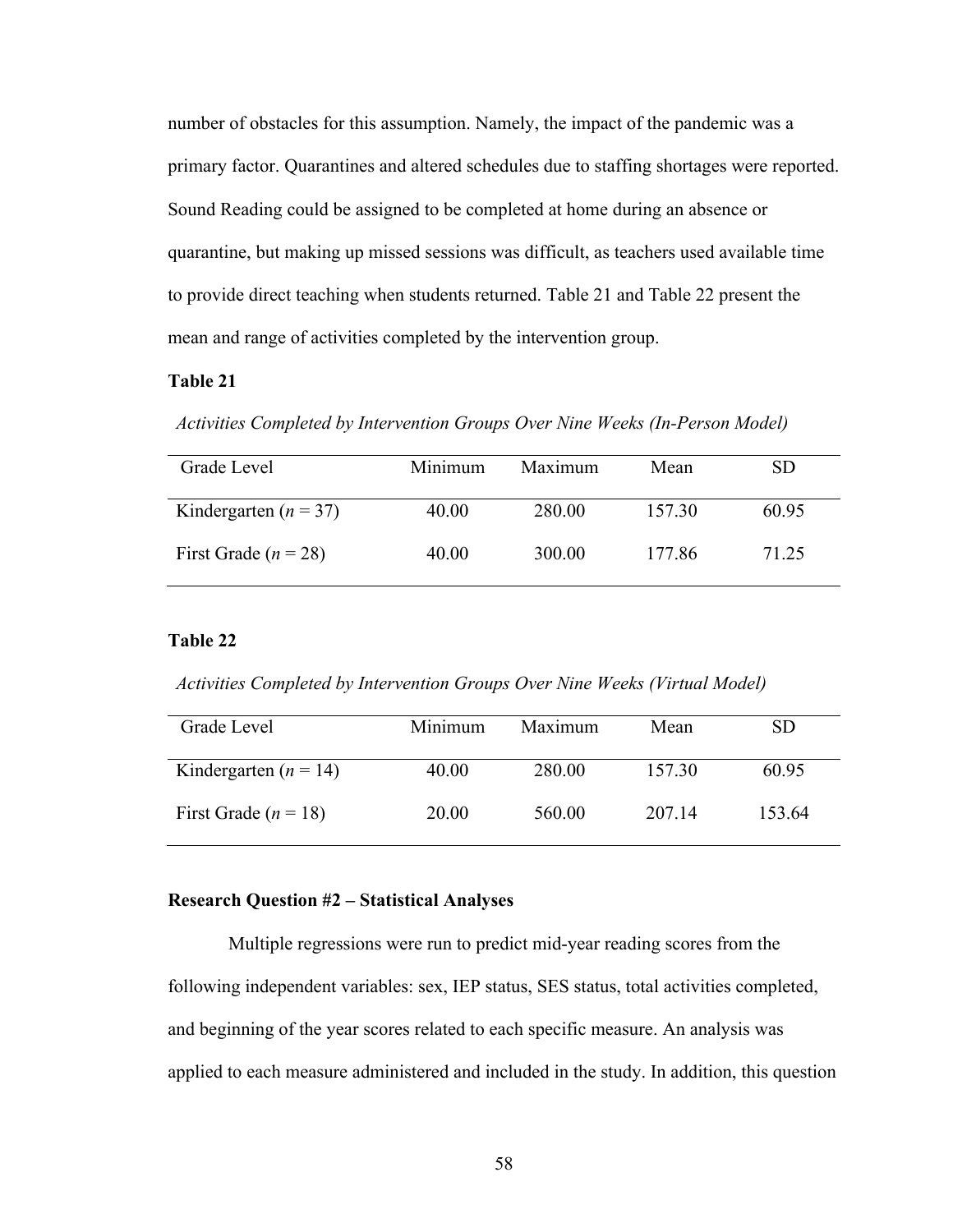number of obstacles for this assumption. Namely, the impact of the pandemic was a primary factor. Quarantines and altered schedules due to staffing shortages were reported. Sound Reading could be assigned to be completed at home during an absence or quarantine, but making up missed sessions was difficult, as teachers used available time to provide direct teaching when students returned. Table 21 and Table 22 present the mean and range of activities completed by the intervention group.

### **Table 21**

*Activities Completed by Intervention Groups Over Nine Weeks (In-Person Model)*

| Grade Level               | Minimum | Maximum | Mean   | <b>SD</b> |
|---------------------------|---------|---------|--------|-----------|
| Kindergarten ( $n = 37$ ) | 40.00   | 280.00  | 157.30 | 60.95     |
| First Grade ( $n = 28$ )  | 40.00   | 300.00  | 177.86 | 71.25     |

#### **Table 22**

*Activities Completed by Intervention Groups Over Nine Weeks (Virtual Model)*

| Grade Level               | Minimum | Maximum | Mean   | SD.    |
|---------------------------|---------|---------|--------|--------|
| Kindergarten ( $n = 14$ ) | 40.00   | 280.00  | 157.30 | 60.95  |
| First Grade ( $n = 18$ )  | 20.00   | 560.00  | 207.14 | 153.64 |

#### **Research Question #2 – Statistical Analyses**

Multiple regressions were run to predict mid-year reading scores from the following independent variables: sex, IEP status, SES status, total activities completed, and beginning of the year scores related to each specific measure. An analysis was applied to each measure administered and included in the study. In addition, this question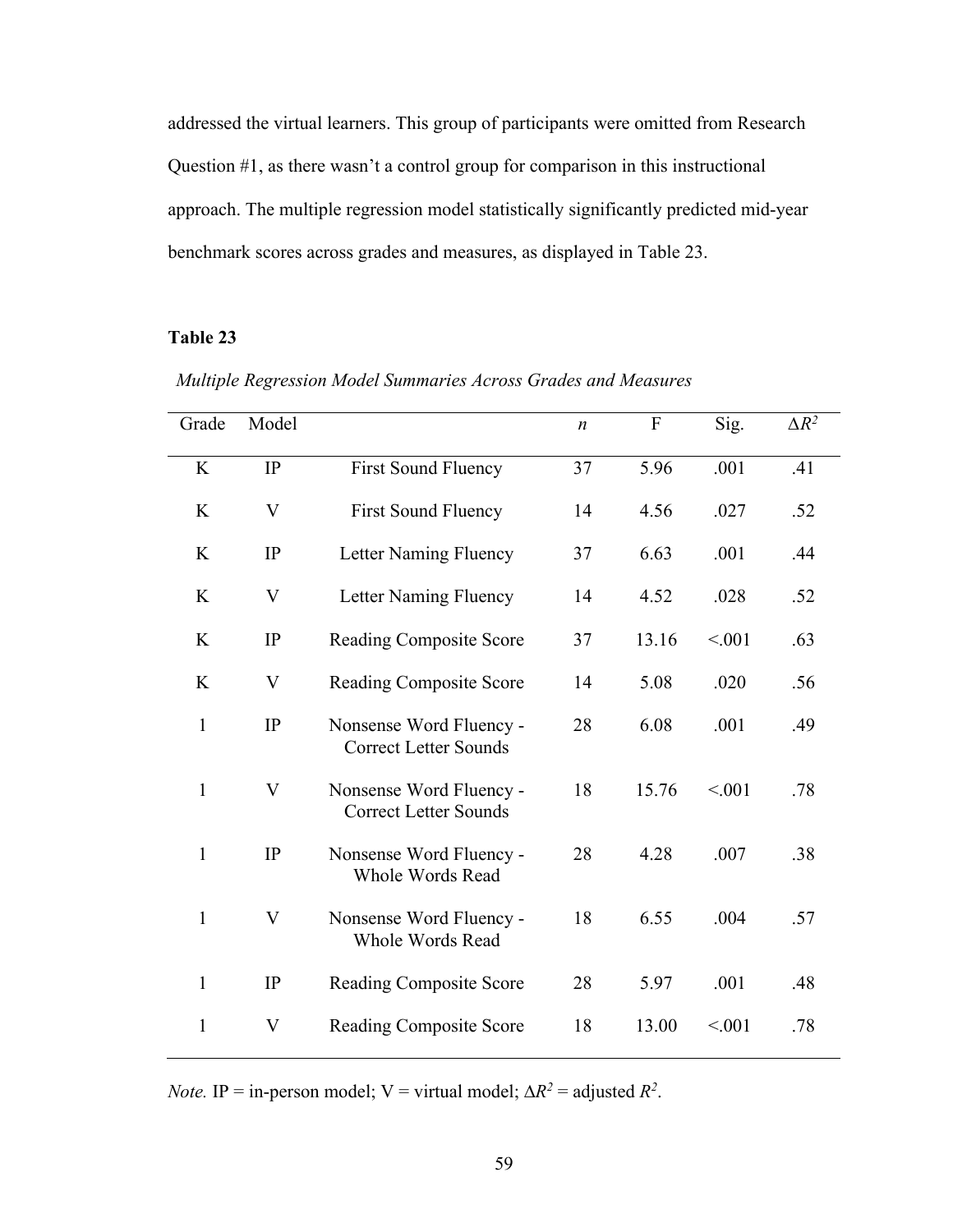addressed the virtual learners. This group of participants were omitted from Research Question #1, as there wasn't a control group for comparison in this instructional approach. The multiple regression model statistically significantly predicted mid-year benchmark scores across grades and measures, as displayed in Table 23.

#### **Table 23**

| Grade        | Model |                                                         | $\boldsymbol{n}$ | ${\bf F}$ | Sig.   | $\Delta R^2$ |
|--------------|-------|---------------------------------------------------------|------------------|-----------|--------|--------------|
| K            | IP    | <b>First Sound Fluency</b>                              | 37               | 5.96      | .001   | .41          |
| K            | V     | <b>First Sound Fluency</b>                              | 14               | 4.56      | .027   | .52          |
| K            | IP    | Letter Naming Fluency                                   | 37               | 6.63      | .001   | .44          |
| K            | V     | Letter Naming Fluency                                   | 14               | 4.52      | .028   | .52          |
| K            | IP    | <b>Reading Composite Score</b>                          | 37               | 13.16     | < 0.01 | .63          |
| K            | V     | <b>Reading Composite Score</b>                          | 14               | 5.08      | .020   | .56          |
| $\mathbf{1}$ | IP    | Nonsense Word Fluency -<br><b>Correct Letter Sounds</b> | 28               | 6.08      | .001   | .49          |
| $\mathbf{1}$ | V     | Nonsense Word Fluency -<br><b>Correct Letter Sounds</b> | 18               | 15.76     | < 0.01 | .78          |
| $\mathbf{1}$ | IP    | Nonsense Word Fluency -<br><b>Whole Words Read</b>      | 28               | 4.28      | .007   | .38          |
| $\mathbf{1}$ | V     | Nonsense Word Fluency -<br><b>Whole Words Read</b>      | 18               | 6.55      | .004   | .57          |
| $\mathbf{1}$ | IP    | Reading Composite Score                                 | 28               | 5.97      | .001   | .48          |
| $\mathbf{1}$ | V     | <b>Reading Composite Score</b>                          | 18               | 13.00     | < 0.01 | .78          |

*Multiple Regression Model Summaries Across Grades and Measures*

*Note.* IP = in-person model; V = virtual model;  $\Delta R^2$  = adjusted  $R^2$ .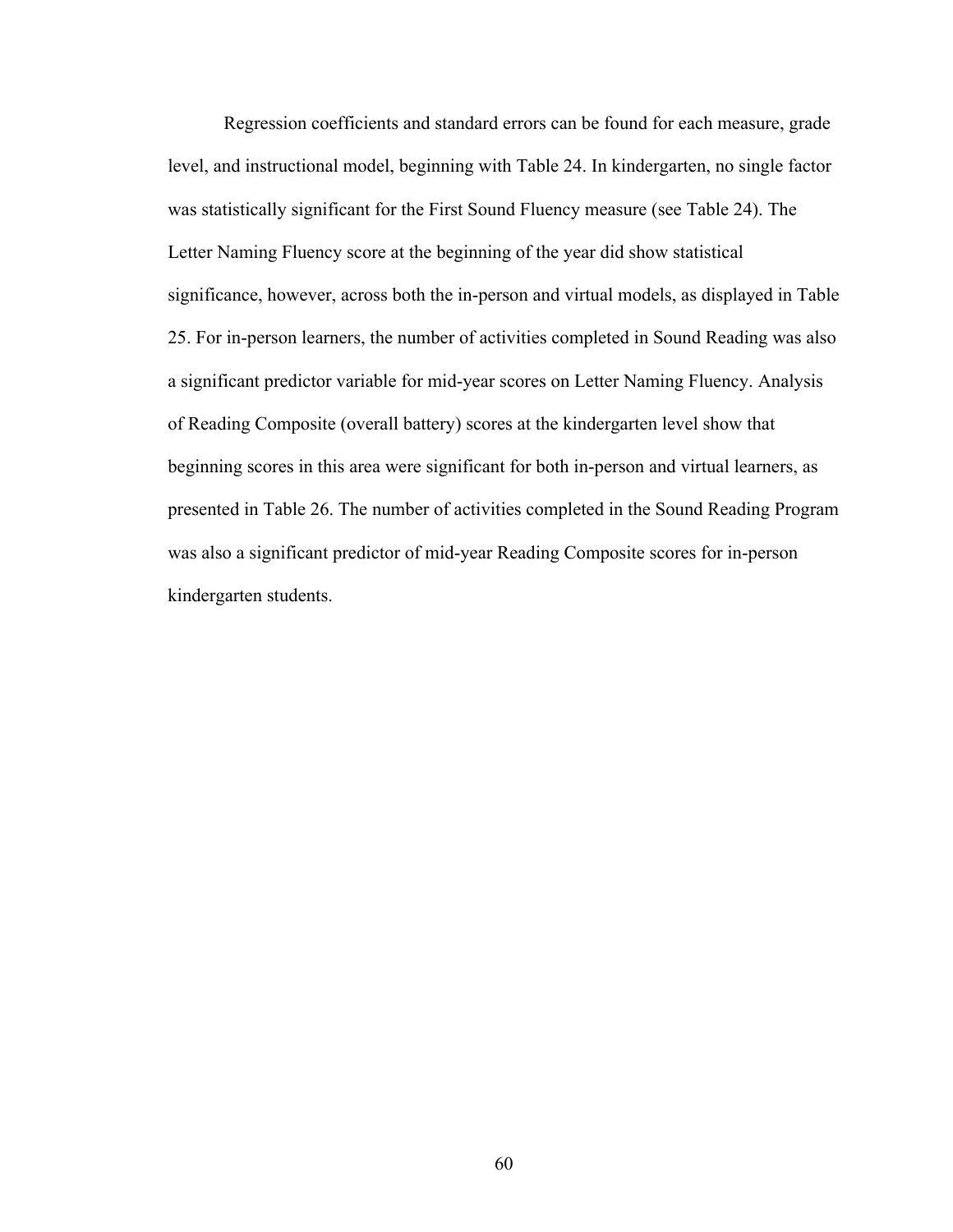Regression coefficients and standard errors can be found for each measure, grade level, and instructional model, beginning with Table 24. In kindergarten, no single factor was statistically significant for the First Sound Fluency measure (see Table 24). The Letter Naming Fluency score at the beginning of the year did show statistical significance, however, across both the in-person and virtual models, as displayed in Table 25. For in-person learners, the number of activities completed in Sound Reading was also a significant predictor variable for mid-year scores on Letter Naming Fluency. Analysis of Reading Composite (overall battery) scores at the kindergarten level show that beginning scores in this area were significant for both in-person and virtual learners, as presented in Table 26. The number of activities completed in the Sound Reading Program was also a significant predictor of mid-year Reading Composite scores for in-person kindergarten students.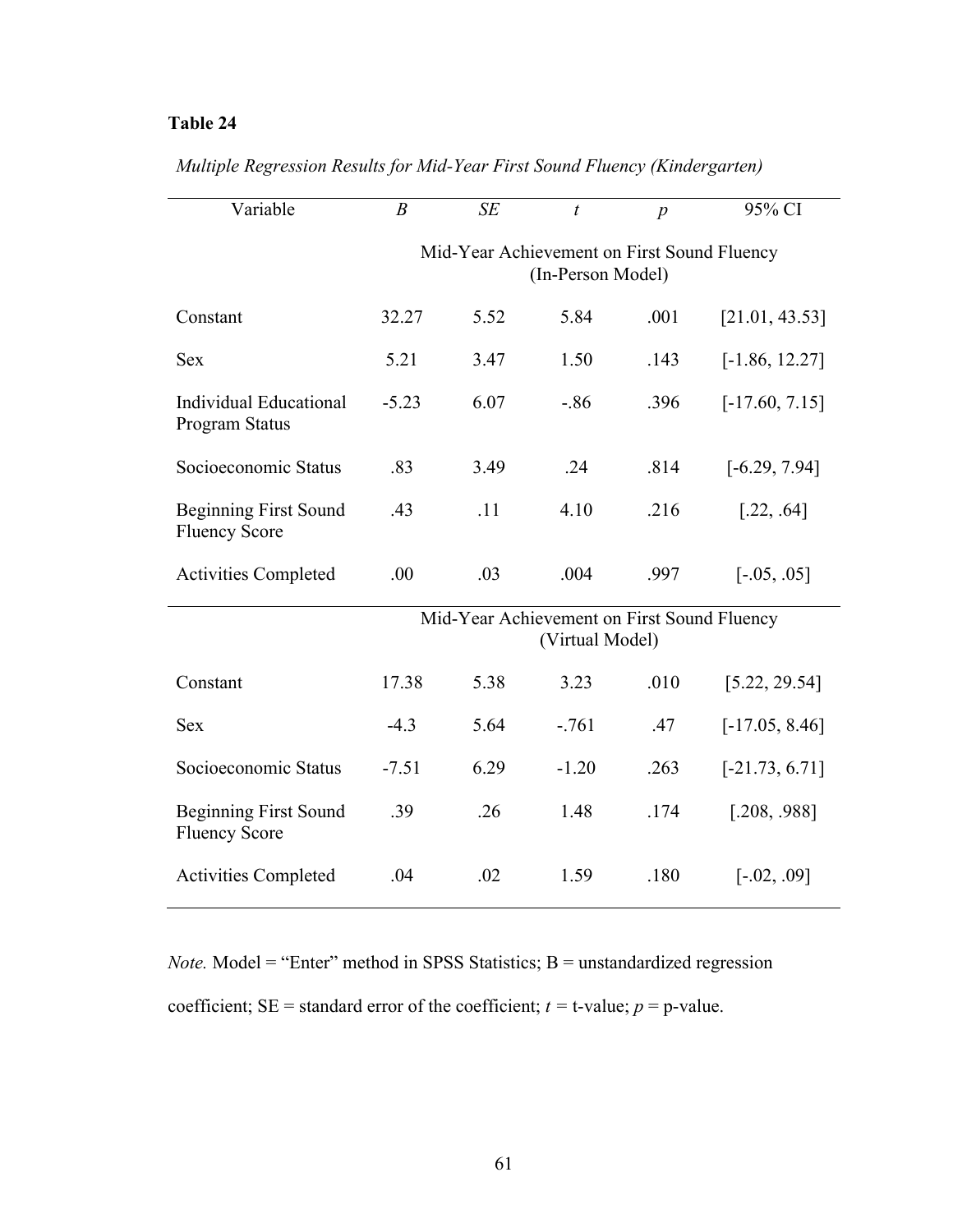| Variable                                             | $\boldsymbol{B}$                                                 | SE   | $\boldsymbol{t}$ | $\boldsymbol{p}$ | 95% CI           |
|------------------------------------------------------|------------------------------------------------------------------|------|------------------|------------------|------------------|
|                                                      | Mid-Year Achievement on First Sound Fluency<br>(In-Person Model) |      |                  |                  |                  |
| Constant                                             | 32.27                                                            | 5.52 | 5.84             | .001             | [21.01, 43.53]   |
| <b>Sex</b>                                           | 5.21                                                             | 3.47 | 1.50             | .143             | $[-1.86, 12.27]$ |
| Individual Educational<br>Program Status             | $-5.23$                                                          | 6.07 | $-.86$           | .396             | $[-17.60, 7.15]$ |
| Socioeconomic Status                                 | .83                                                              | 3.49 | .24              | .814             | $[-6.29, 7.94]$  |
| <b>Beginning First Sound</b><br><b>Fluency Score</b> | .43                                                              | .11  | 4.10             | .216             | [.22, .64]       |
| <b>Activities Completed</b>                          | .00                                                              | .03  | .004             | .997             | $[-.05, .05]$    |
|                                                      | Mid-Year Achievement on First Sound Fluency<br>(Virtual Model)   |      |                  |                  |                  |
| Constant                                             | 17.38                                                            | 5.38 | 3.23             | .010             | [5.22, 29.54]    |
| <b>Sex</b>                                           | $-4.3$                                                           | 5.64 | $-.761$          | .47              | $[-17.05, 8.46]$ |
| Socioeconomic Status                                 | $-7.51$                                                          | 6.29 | $-1.20$          | .263             | $[-21.73, 6.71]$ |
| <b>Beginning First Sound</b><br><b>Fluency Score</b> | .39                                                              | .26  | 1.48             | .174             | [.208, .988]     |
| <b>Activities Completed</b>                          | .04                                                              | .02  | 1.59             | .180             | $[-.02, .09]$    |

#### *Multiple Regression Results for Mid-Year First Sound Fluency (Kindergarten)*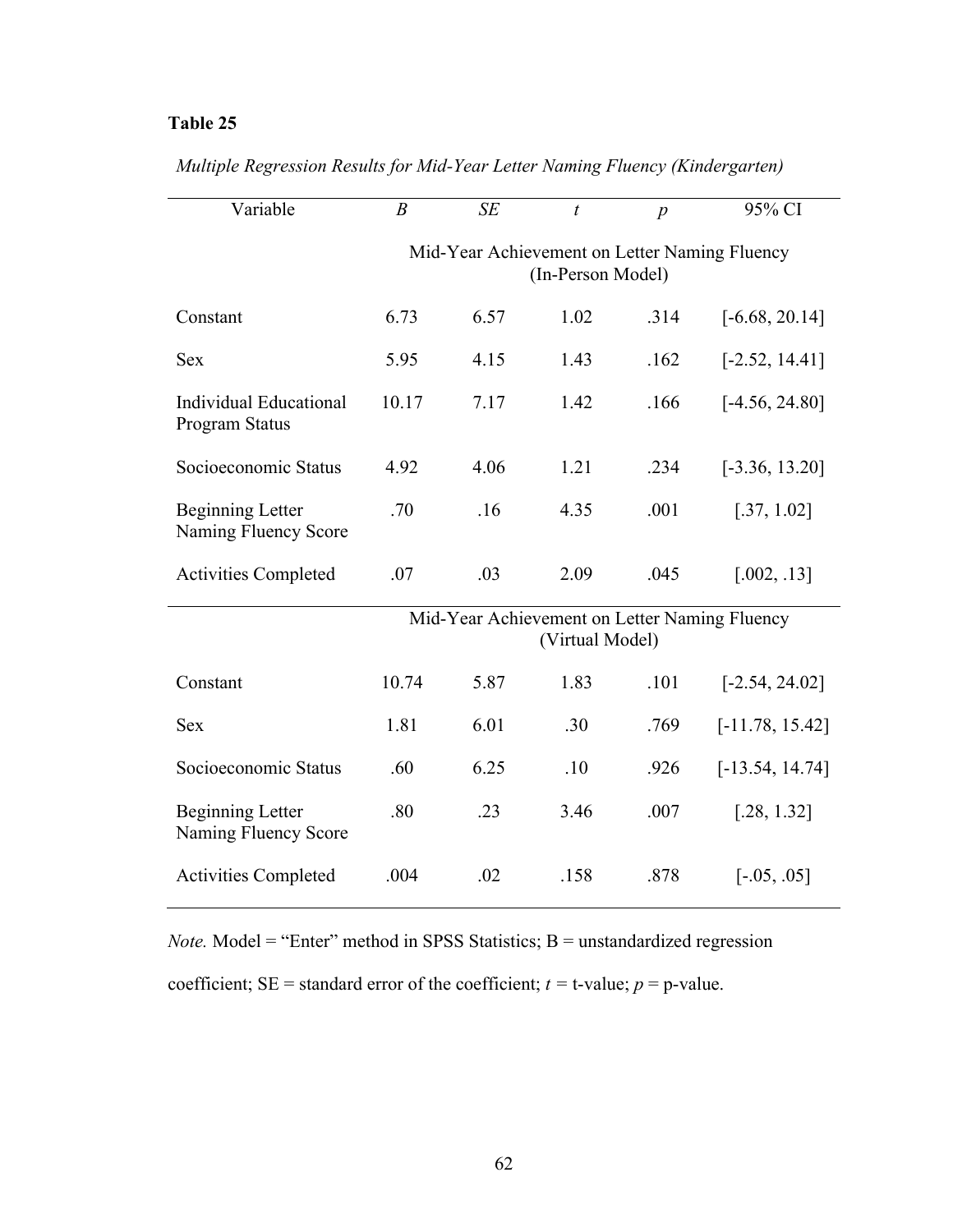| Variable                                        | $\boldsymbol{B}$                                                   | SE   | $\boldsymbol{t}$ | $\boldsymbol{p}$ | 95% CI                                        |
|-------------------------------------------------|--------------------------------------------------------------------|------|------------------|------------------|-----------------------------------------------|
|                                                 | Mid-Year Achievement on Letter Naming Fluency<br>(In-Person Model) |      |                  |                  |                                               |
| Constant                                        | 6.73                                                               | 6.57 | 1.02             | .314             | $[-6.68, 20.14]$                              |
| <b>Sex</b>                                      | 5.95                                                               | 4.15 | 1.43             | .162             | $[-2.52, 14.41]$                              |
| <b>Individual Educational</b><br>Program Status | 10.17                                                              | 7.17 | 1.42             | .166             | $[-4.56, 24.80]$                              |
| Socioeconomic Status                            | 4.92                                                               | 4.06 | 1.21             | .234             | $[-3.36, 13.20]$                              |
| <b>Beginning Letter</b><br>Naming Fluency Score | .70                                                                | .16  | 4.35             | .001             | [.37, 1.02]                                   |
| <b>Activities Completed</b>                     | .07                                                                | .03  | 2.09             | .045             | [.002, .13]                                   |
|                                                 |                                                                    |      | (Virtual Model)  |                  | Mid-Year Achievement on Letter Naming Fluency |
| Constant                                        | 10.74                                                              | 5.87 | 1.83             | .101             | $[-2.54, 24.02]$                              |
| <b>Sex</b>                                      | 1.81                                                               | 6.01 | .30              | .769             | $[-11.78, 15.42]$                             |
| Socioeconomic Status                            | .60                                                                | 6.25 | .10              | .926             | $[-13.54, 14.74]$                             |
| <b>Beginning Letter</b><br>Naming Fluency Score | .80                                                                | .23  | 3.46             | .007             | [.28, 1.32]                                   |
| <b>Activities Completed</b>                     | .004                                                               | .02  | .158             | .878             | $[-.05, .05]$                                 |

*Multiple Regression Results for Mid-Year Letter Naming Fluency (Kindergarten)*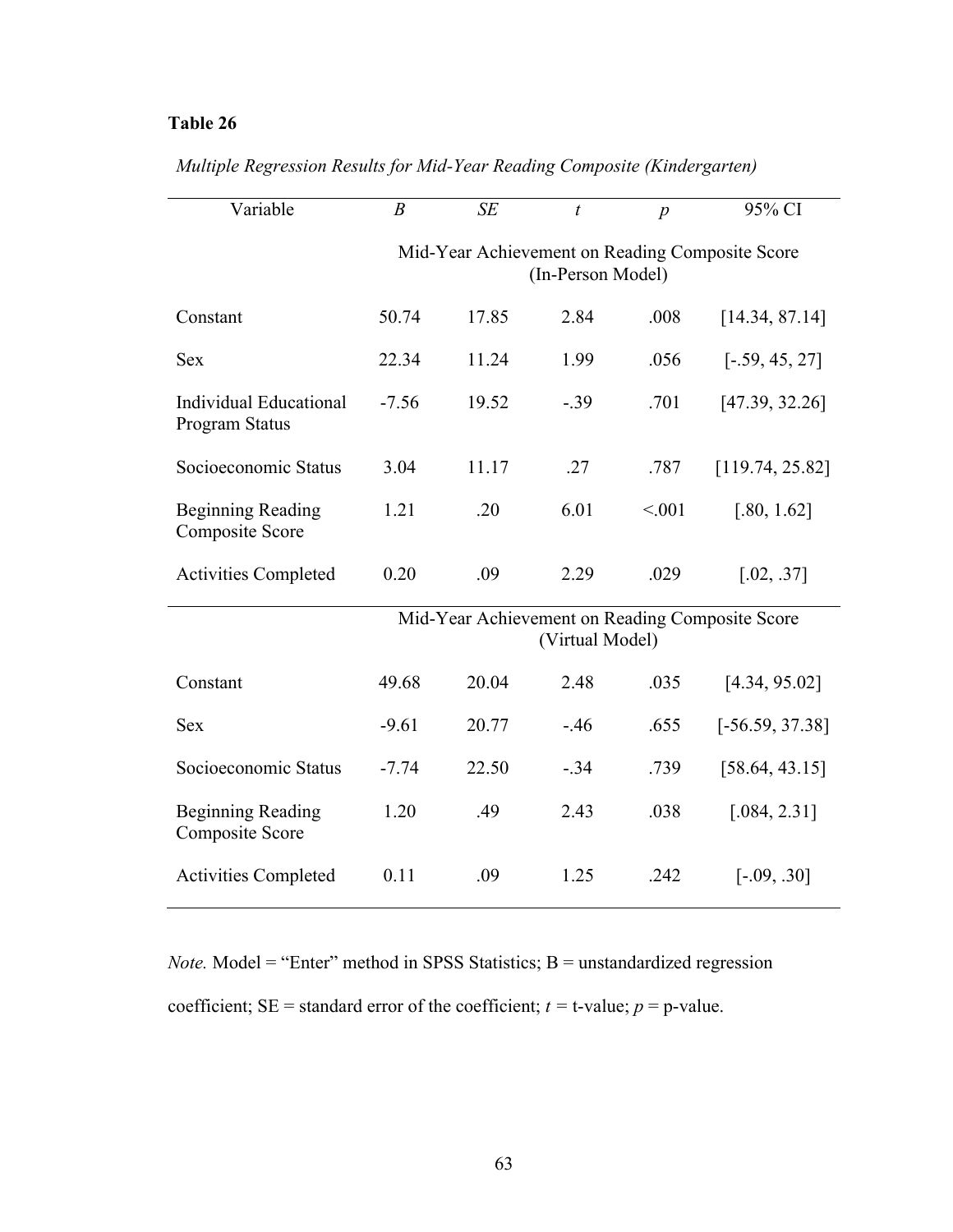| Variable                                           | $\boldsymbol{B}$                                                     | SE    | t               | $\overline{p}$ | 95% CI                                          |
|----------------------------------------------------|----------------------------------------------------------------------|-------|-----------------|----------------|-------------------------------------------------|
|                                                    | Mid-Year Achievement on Reading Composite Score<br>(In-Person Model) |       |                 |                |                                                 |
| Constant                                           | 50.74                                                                | 17.85 | 2.84            | .008           | [14.34, 87.14]                                  |
| <b>Sex</b>                                         | 22.34                                                                | 11.24 | 1.99            | .056           | $[-.59, 45, 27]$                                |
| Individual Educational<br><b>Program Status</b>    | $-7.56$                                                              | 19.52 | $-.39$          | .701           | [47.39, 32.26]                                  |
| Socioeconomic Status                               | 3.04                                                                 | 11.17 | .27             | .787           | [119.74, 25.82]                                 |
| <b>Beginning Reading</b><br><b>Composite Score</b> | 1.21                                                                 | .20   | 6.01            | < .001         | [.80, 1.62]                                     |
| <b>Activities Completed</b>                        | 0.20                                                                 | .09   | 2.29            | .029           | [.02, .37]                                      |
|                                                    |                                                                      |       | (Virtual Model) |                | Mid-Year Achievement on Reading Composite Score |
| Constant                                           | 49.68                                                                | 20.04 | 2.48            | .035           | [4.34, 95.02]                                   |
| <b>Sex</b>                                         | $-9.61$                                                              | 20.77 | $-.46$          | .655           | $[-56.59, 37.38]$                               |
| Socioeconomic Status                               | $-7.74$                                                              | 22.50 | $-.34$          | .739           | [58.64, 43.15]                                  |
| <b>Beginning Reading</b><br>Composite Score        | 1.20                                                                 | .49   | 2.43            | .038           | [.084, 2.31]                                    |
| <b>Activities Completed</b>                        | 0.11                                                                 | .09   | 1.25            | .242           | $[-.09, .30]$                                   |

#### *Multiple Regression Results for Mid-Year Reading Composite (Kindergarten)*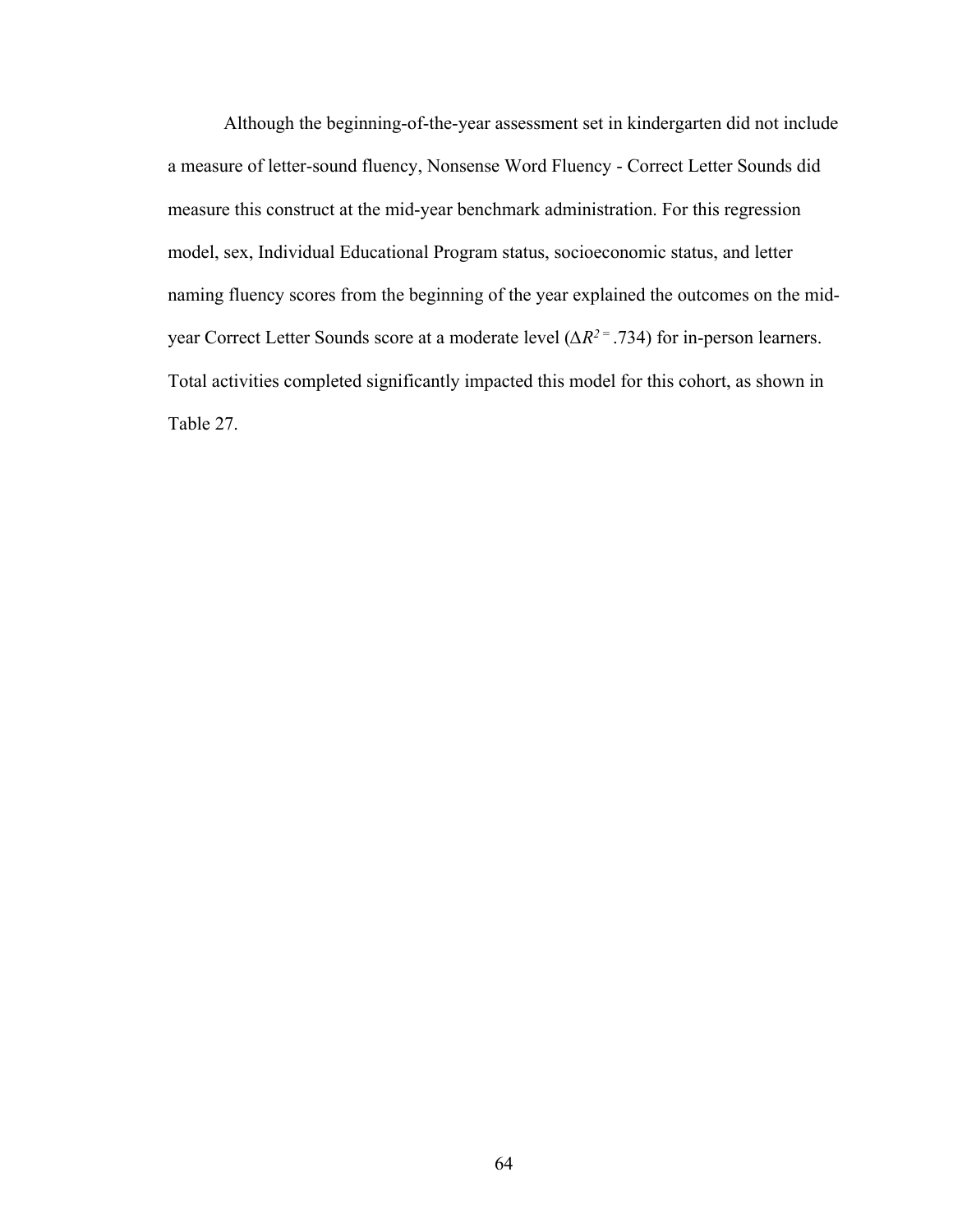Although the beginning-of-the-year assessment set in kindergarten did not include a measure of letter-sound fluency, Nonsense Word Fluency - Correct Letter Sounds did measure this construct at the mid-year benchmark administration. For this regression model, sex, Individual Educational Program status, socioeconomic status, and letter naming fluency scores from the beginning of the year explained the outcomes on the midyear Correct Letter Sounds score at a moderate level (*∆R2* = .734) for in-person learners. Total activities completed significantly impacted this model for this cohort, as shown in Table 27.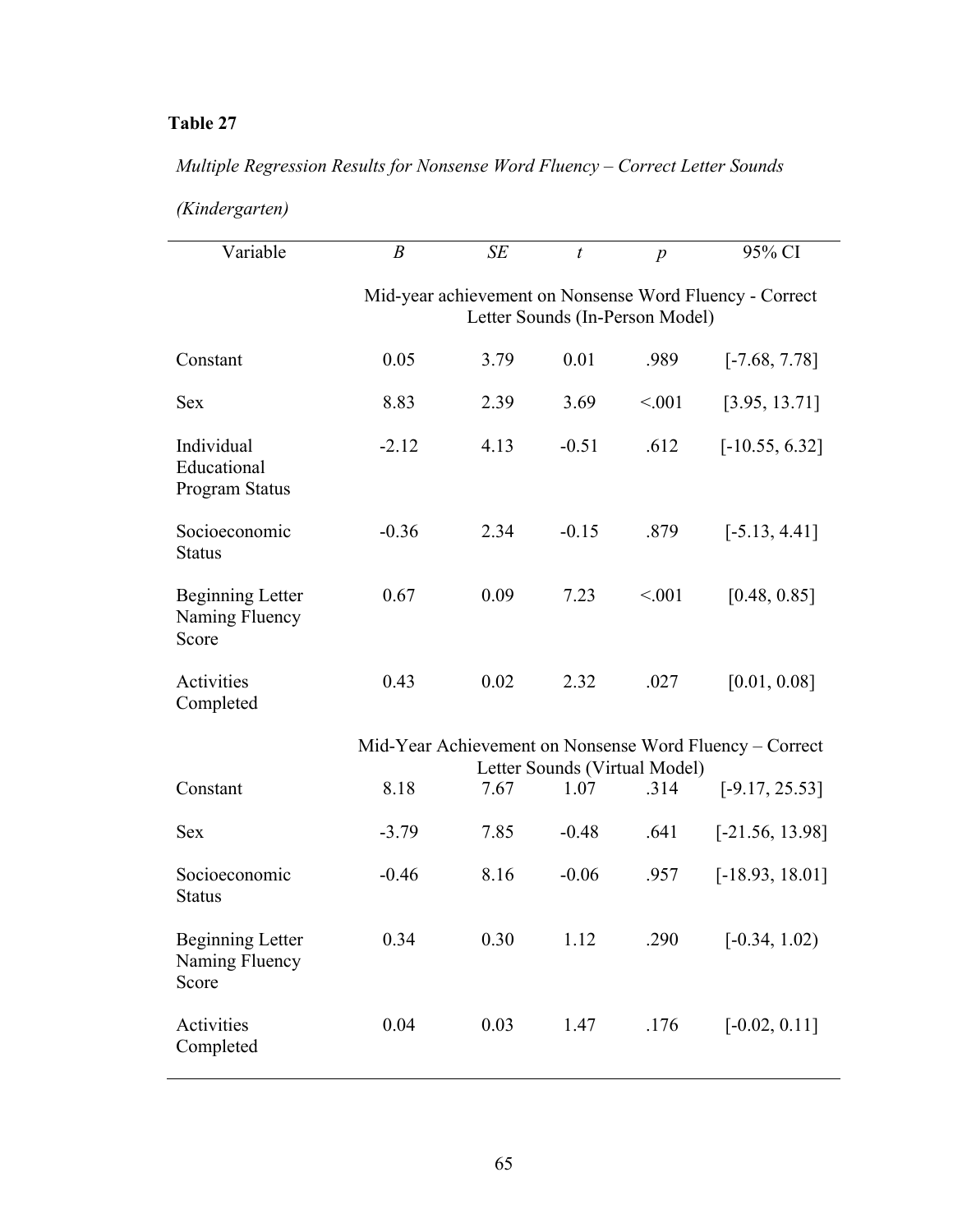# *Multiple Regression Results for Nonsense Word Fluency – Correct Letter Sounds*

| (Kindergarten) |  |  |  |
|----------------|--|--|--|
|----------------|--|--|--|

| Variable                                           | $\boldsymbol{B}$                                                                           | SE   | $\boldsymbol{t}$                      | $\boldsymbol{p}$ | 95% CI                                                  |  |  |
|----------------------------------------------------|--------------------------------------------------------------------------------------------|------|---------------------------------------|------------------|---------------------------------------------------------|--|--|
|                                                    | Mid-year achievement on Nonsense Word Fluency - Correct<br>Letter Sounds (In-Person Model) |      |                                       |                  |                                                         |  |  |
| Constant                                           | 0.05                                                                                       | 3.79 | 0.01                                  | .989             | $[-7.68, 7.78]$                                         |  |  |
| <b>Sex</b>                                         | 8.83                                                                                       | 2.39 | 3.69                                  | < 0.01           | [3.95, 13.71]                                           |  |  |
| Individual<br>Educational<br>Program Status        | $-2.12$                                                                                    | 4.13 | $-0.51$                               | .612             | $[-10.55, 6.32]$                                        |  |  |
| Socioeconomic<br><b>Status</b>                     | $-0.36$                                                                                    | 2.34 | $-0.15$                               | .879             | $[-5.13, 4.41]$                                         |  |  |
| <b>Beginning Letter</b><br>Naming Fluency<br>Score | 0.67                                                                                       | 0.09 | 7.23                                  | < 0.01           | [0.48, 0.85]                                            |  |  |
| Activities<br>Completed                            | 0.43                                                                                       | 0.02 | 2.32                                  | .027             | [0.01, 0.08]                                            |  |  |
|                                                    |                                                                                            |      |                                       |                  | Mid-Year Achievement on Nonsense Word Fluency – Correct |  |  |
| Constant                                           | 8.18                                                                                       | 7.67 | Letter Sounds (Virtual Model)<br>1.07 | .314             | $[-9.17, 25.53]$                                        |  |  |
| <b>Sex</b>                                         | $-3.79$                                                                                    | 7.85 | $-0.48$                               | .641             | $[-21.56, 13.98]$                                       |  |  |
| Socioeconomic<br><b>Status</b>                     | $-0.46$                                                                                    | 8.16 | $-0.06$                               | .957             | $[-18.93, 18.01]$                                       |  |  |
| <b>Beginning Letter</b><br>Naming Fluency<br>Score | 0.34                                                                                       | 0.30 | 1.12                                  | .290             | $[-0.34, 1.02)$                                         |  |  |
| Activities<br>Completed                            | 0.04                                                                                       | 0.03 | 1.47                                  | .176             | $[-0.02, 0.11]$                                         |  |  |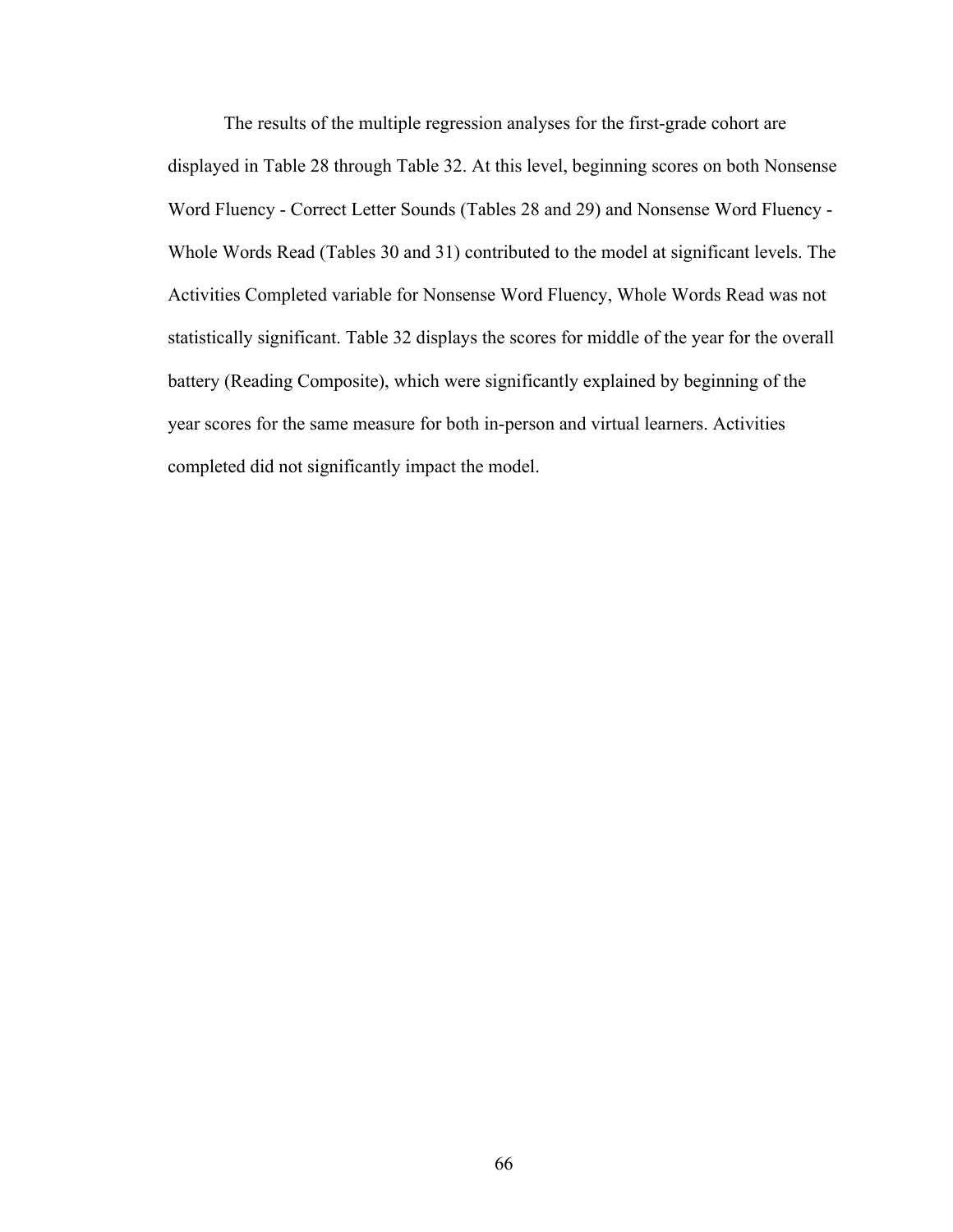The results of the multiple regression analyses for the first-grade cohort are displayed in Table 28 through Table 32. At this level, beginning scores on both Nonsense Word Fluency - Correct Letter Sounds (Tables 28 and 29) and Nonsense Word Fluency - Whole Words Read (Tables 30 and 31) contributed to the model at significant levels. The Activities Completed variable for Nonsense Word Fluency, Whole Words Read was not statistically significant. Table 32 displays the scores for middle of the year for the overall battery (Reading Composite), which were significantly explained by beginning of the year scores for the same measure for both in-person and virtual learners. Activities completed did not significantly impact the model.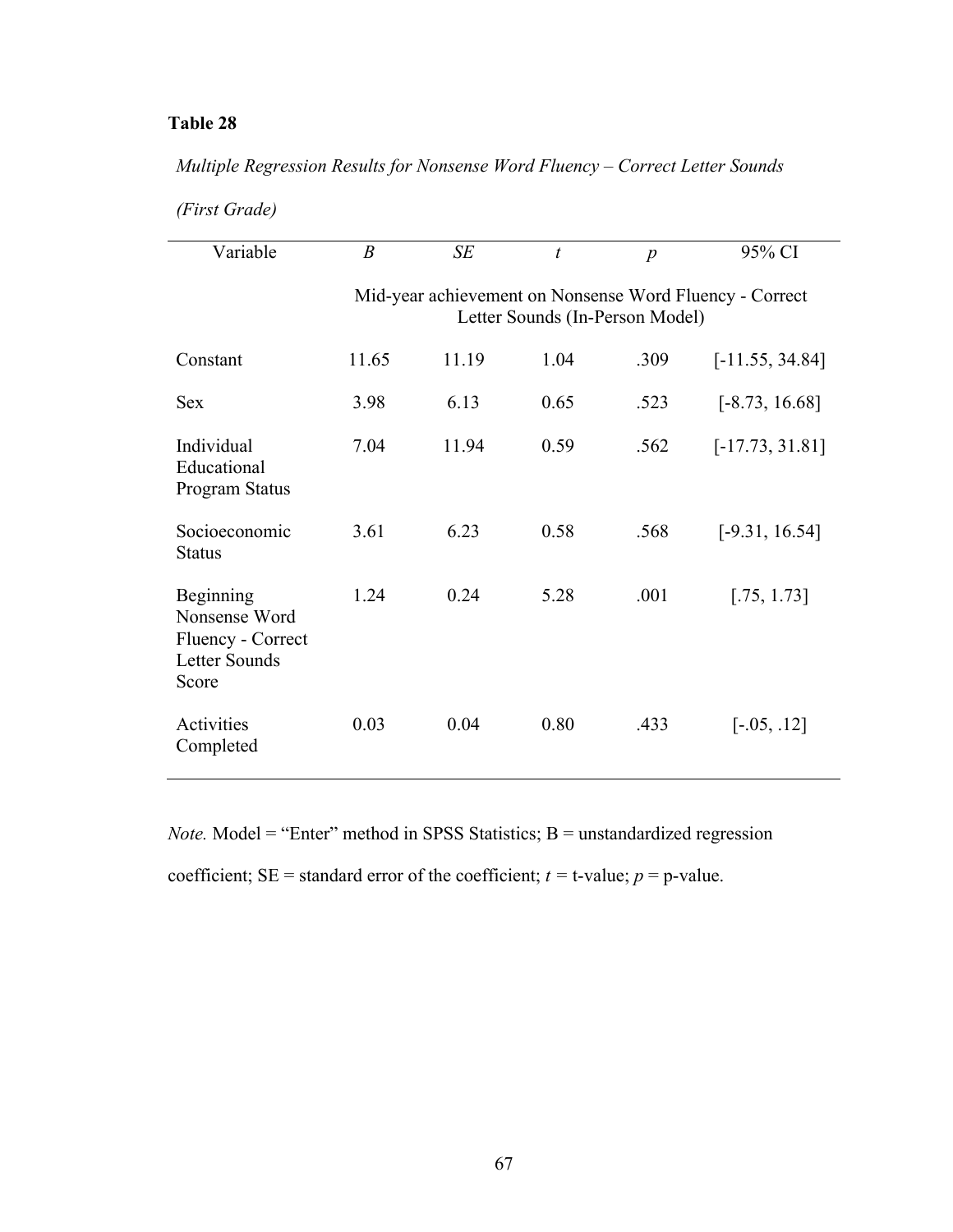### *Multiple Regression Results for Nonsense Word Fluency – Correct Letter Sounds*

| (First Grade) |
|---------------|

| Variable                                                                  | $\boldsymbol{B}$                                                                           | SE    | $\boldsymbol{t}$ | $\boldsymbol{p}$ | 95% CI            |  |  |  |
|---------------------------------------------------------------------------|--------------------------------------------------------------------------------------------|-------|------------------|------------------|-------------------|--|--|--|
|                                                                           | Mid-year achievement on Nonsense Word Fluency - Correct<br>Letter Sounds (In-Person Model) |       |                  |                  |                   |  |  |  |
| Constant                                                                  | 11.65                                                                                      | 11.19 | 1.04             | .309             | $[-11.55, 34.84]$ |  |  |  |
| <b>Sex</b>                                                                | 3.98                                                                                       | 6.13  | 0.65             | .523             | $[-8.73, 16.68]$  |  |  |  |
| Individual<br>Educational<br>Program Status                               | 7.04                                                                                       | 11.94 | 0.59             | .562             | $[-17.73, 31.81]$ |  |  |  |
| Socioeconomic<br><b>Status</b>                                            | 3.61                                                                                       | 6.23  | 0.58             | .568             | $[-9.31, 16.54]$  |  |  |  |
| Beginning<br>Nonsense Word<br>Fluency - Correct<br>Letter Sounds<br>Score | 1.24                                                                                       | 0.24  | 5.28             | .001             | [.75, 1.73]       |  |  |  |
| Activities<br>Completed                                                   | 0.03                                                                                       | 0.04  | 0.80             | .433             | $[-.05, .12]$     |  |  |  |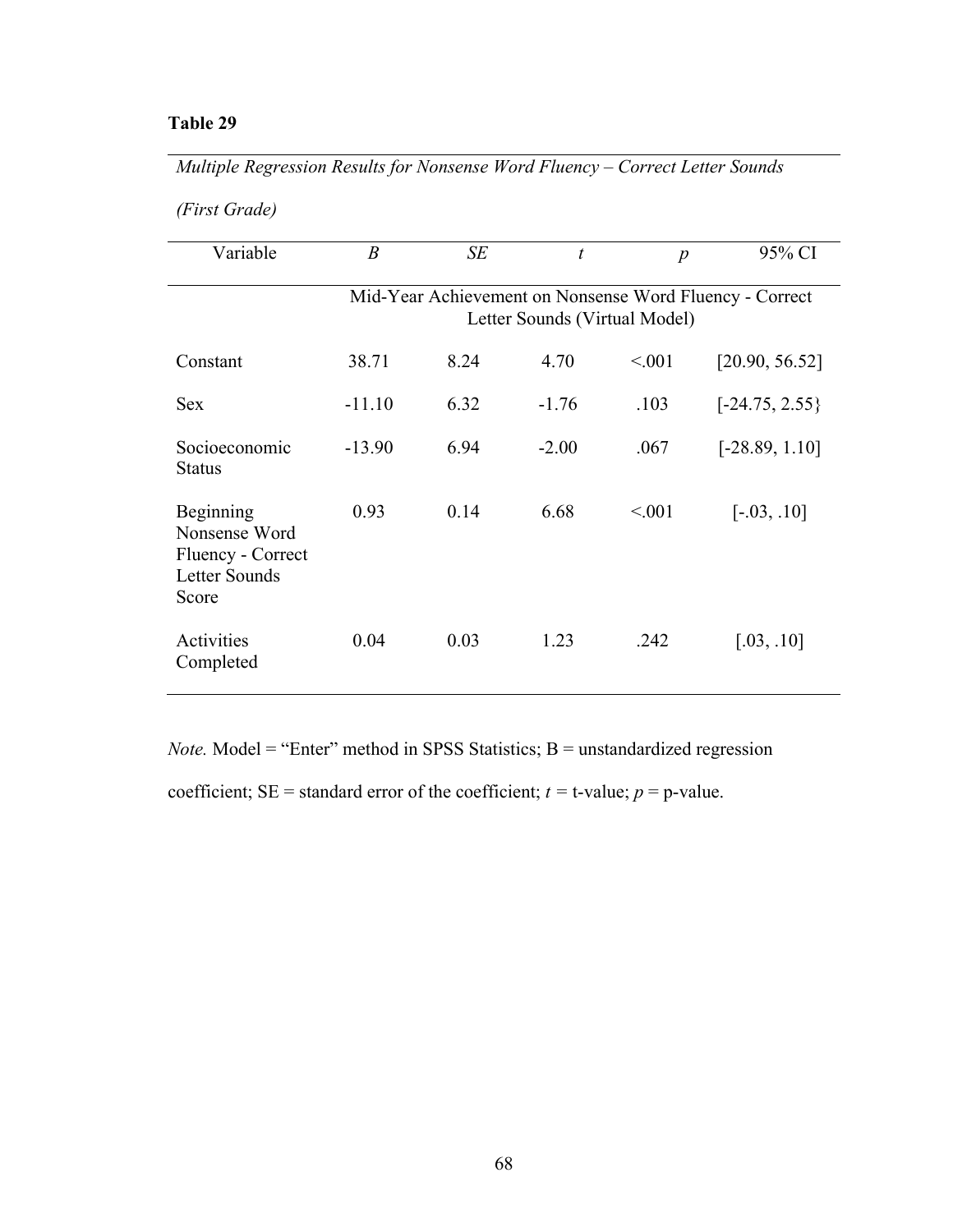*Multiple Regression Results for Nonsense Word Fluency – Correct Letter Sounds* 

|  | (First Grade) |
|--|---------------|
|--|---------------|

| Variable                                                                  | $\boldsymbol{B}$                                                                         | SE   | t       | $\boldsymbol{p}$ | 95% CI           |  |  |
|---------------------------------------------------------------------------|------------------------------------------------------------------------------------------|------|---------|------------------|------------------|--|--|
|                                                                           | Mid-Year Achievement on Nonsense Word Fluency - Correct<br>Letter Sounds (Virtual Model) |      |         |                  |                  |  |  |
| Constant                                                                  | 38.71                                                                                    | 8.24 | 4.70    | < 0.01           | [20.90, 56.52]   |  |  |
| <b>Sex</b>                                                                | $-11.10$                                                                                 | 6.32 | $-1.76$ | .103             | $[-24.75, 2.55]$ |  |  |
| Socioeconomic<br><b>Status</b>                                            | $-13.90$                                                                                 | 6.94 | $-2.00$ | .067             | $[-28.89, 1.10]$ |  |  |
| Beginning<br>Nonsense Word<br>Fluency - Correct<br>Letter Sounds<br>Score | 0.93                                                                                     | 0.14 | 6.68    | < 0.01           | $[-.03, .10]$    |  |  |
| Activities<br>Completed                                                   | 0.04                                                                                     | 0.03 | 1.23    | .242             | [.03, .10]       |  |  |

*Note.* Model = "Enter" method in SPSS Statistics; B = unstandardized regression

coefficient;  $SE =$  standard error of the coefficient;  $t =$  t-value;  $p =$  p-value.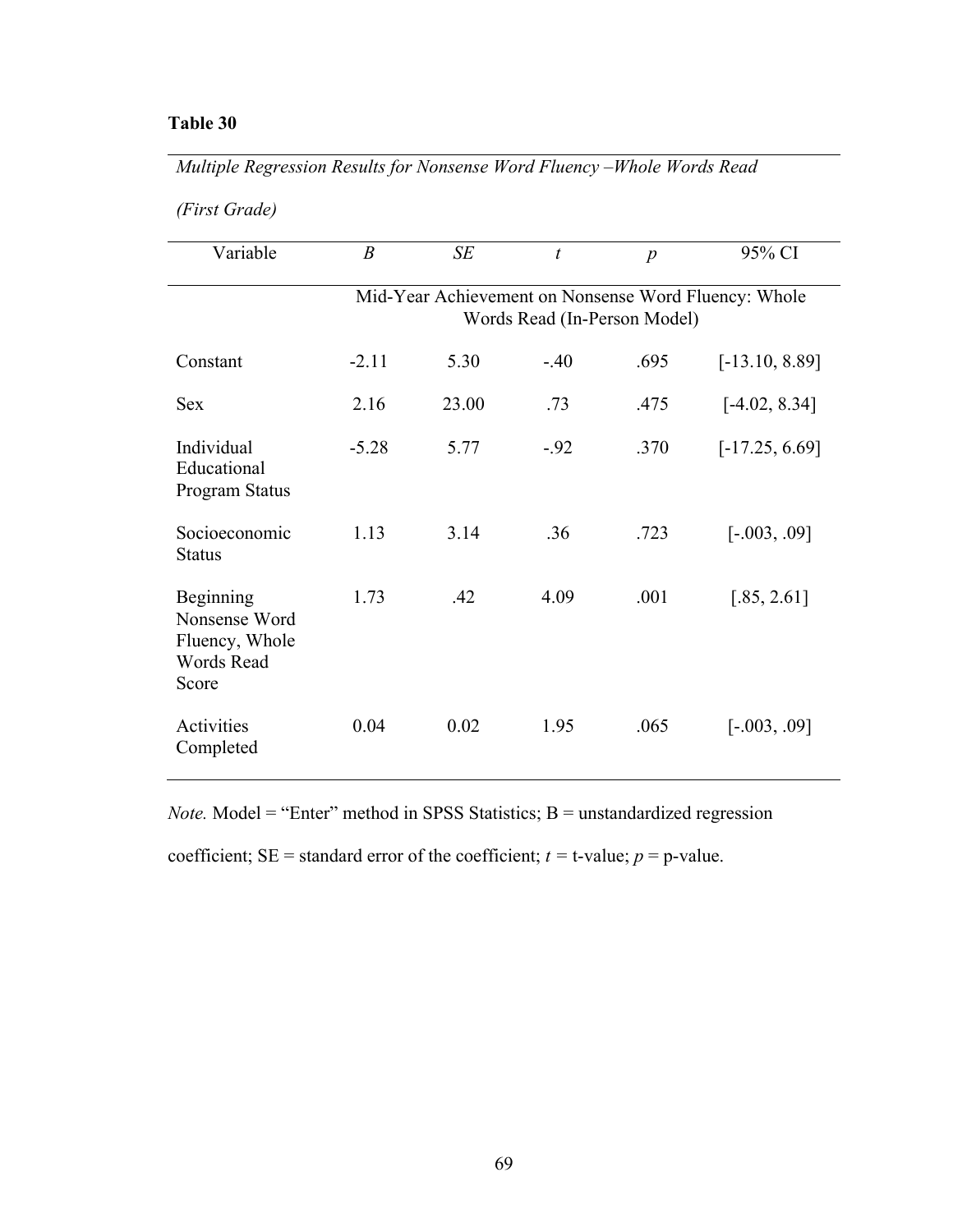*Multiple Regression Results for Nonsense Word Fluency –Whole Words Read*

|  | (First Grade) |
|--|---------------|
|  |               |

| Variable                                                            | $\boldsymbol{B}$                                                                     | SE    | $\boldsymbol{t}$ | $\boldsymbol{p}$ | 95% CI           |  |  |  |  |
|---------------------------------------------------------------------|--------------------------------------------------------------------------------------|-------|------------------|------------------|------------------|--|--|--|--|
|                                                                     | Mid-Year Achievement on Nonsense Word Fluency: Whole<br>Words Read (In-Person Model) |       |                  |                  |                  |  |  |  |  |
| Constant                                                            | $-2.11$                                                                              | 5.30  | $-.40$           | .695             | $[-13.10, 8.89]$ |  |  |  |  |
| <b>Sex</b>                                                          | 2.16                                                                                 | 23.00 | .73              | .475             | $[-4.02, 8.34]$  |  |  |  |  |
| Individual<br>Educational<br>Program Status                         | $-5.28$                                                                              | 5.77  | $-.92$           | .370             | $[-17.25, 6.69]$ |  |  |  |  |
| Socioeconomic<br><b>Status</b>                                      | 1.13                                                                                 | 3.14  | .36              | .723             | $[-.003, .09]$   |  |  |  |  |
| Beginning<br>Nonsense Word<br>Fluency, Whole<br>Words Read<br>Score | 1.73                                                                                 | .42   | 4.09             | .001             | [.85, 2.61]      |  |  |  |  |
| Activities<br>Completed                                             | 0.04                                                                                 | 0.02  | 1.95             | .065             | $[-.003, .09]$   |  |  |  |  |

*Note.* Model = "Enter" method in SPSS Statistics; B = unstandardized regression

coefficient;  $SE =$  standard error of the coefficient;  $t =$  t-value;  $p =$  p-value.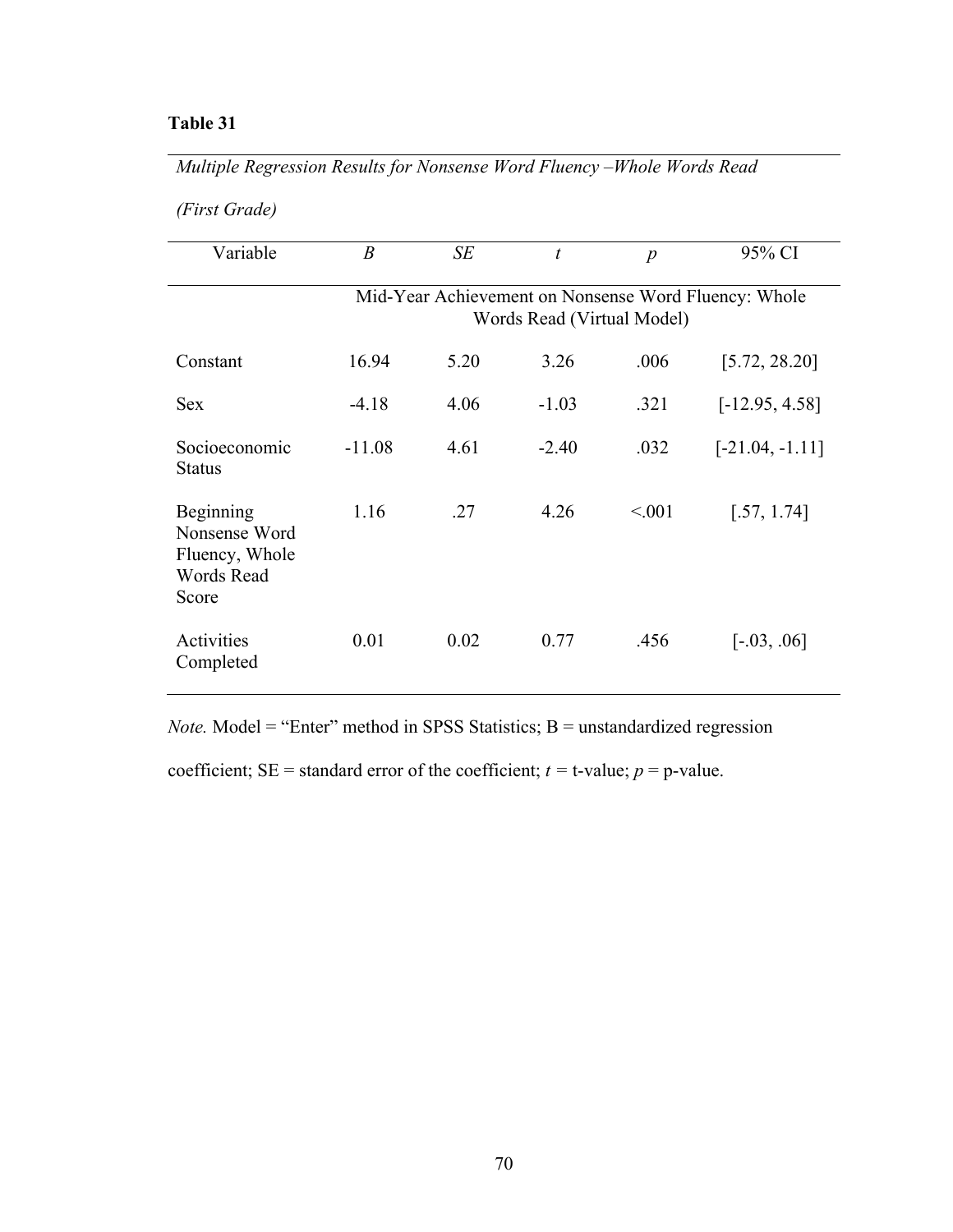*Multiple Regression Results for Nonsense Word Fluency –Whole Words Read*

| (First Grade) |  |  |  |  |
|---------------|--|--|--|--|
|---------------|--|--|--|--|

| Variable                                                                   | $\boldsymbol{B}$ | SE   | $\mathfrak{t}$             | $\boldsymbol{p}$ | 95% CI                                               |
|----------------------------------------------------------------------------|------------------|------|----------------------------|------------------|------------------------------------------------------|
|                                                                            |                  |      |                            |                  |                                                      |
|                                                                            |                  |      |                            |                  | Mid-Year Achievement on Nonsense Word Fluency: Whole |
|                                                                            |                  |      | Words Read (Virtual Model) |                  |                                                      |
| Constant                                                                   | 16.94            | 5.20 | 3.26                       | .006             | [5.72, 28.20]                                        |
| <b>Sex</b>                                                                 | $-4.18$          | 4.06 | $-1.03$                    | .321             | $[-12.95, 4.58]$                                     |
| Socioeconomic<br><b>Status</b>                                             | $-11.08$         | 4.61 | $-2.40$                    | .032             | $[-21.04, -1.11]$                                    |
| Beginning<br>Nonsense Word<br>Fluency, Whole<br><b>Words Read</b><br>Score | 1.16             | .27  | 4.26                       | < 0.001          | [.57, 1.74]                                          |
| Activities<br>Completed                                                    | 0.01             | 0.02 | 0.77                       | .456             | $[-.03, .06]$                                        |

*Note.* Model = "Enter" method in SPSS Statistics; B = unstandardized regression

coefficient;  $SE =$  standard error of the coefficient;  $t =$  t-value;  $p =$  p-value.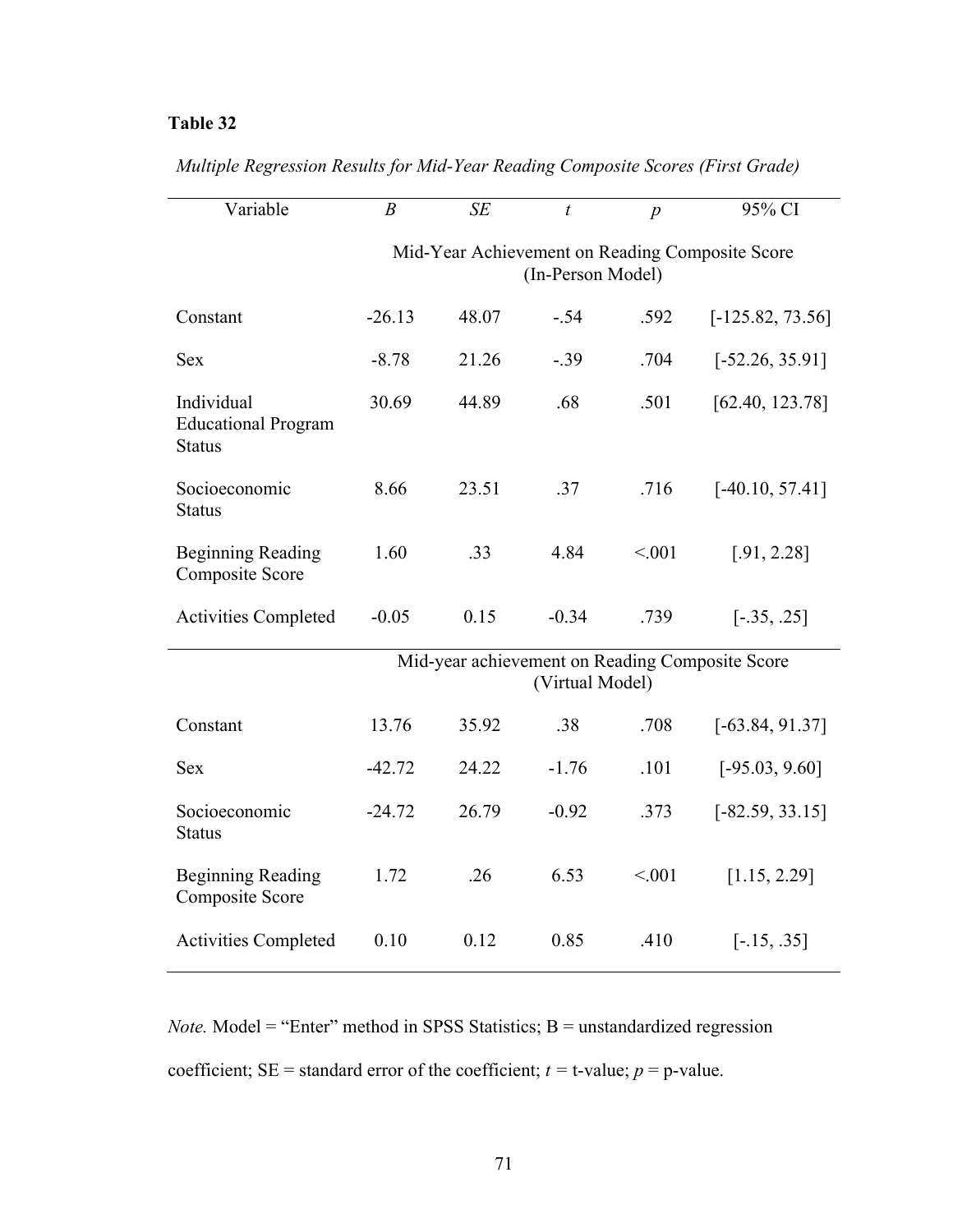| Variable                                                  | $\boldsymbol{B}$ | SE    | $\boldsymbol{t}$  | $\overline{p}$ | 95% CI                                          |
|-----------------------------------------------------------|------------------|-------|-------------------|----------------|-------------------------------------------------|
|                                                           |                  |       | (In-Person Model) |                | Mid-Year Achievement on Reading Composite Score |
| Constant                                                  | $-26.13$         | 48.07 | $-.54$            | .592           | $[-125.82, 73.56]$                              |
| <b>Sex</b>                                                | $-8.78$          | 21.26 | $-.39$            | .704           | $[-52.26, 35.91]$                               |
| Individual<br><b>Educational Program</b><br><b>Status</b> | 30.69            | 44.89 | .68               | .501           | [62.40, 123.78]                                 |
| Socioeconomic<br><b>Status</b>                            | 8.66             | 23.51 | .37               | .716           | $[-40.10, 57.41]$                               |
| <b>Beginning Reading</b><br><b>Composite Score</b>        | 1.60             | .33   | 4.84              | < 0.01         | [.91, 2.28]                                     |
| <b>Activities Completed</b>                               | $-0.05$          | 0.15  | $-0.34$           | .739           | $[-.35, .25]$                                   |
|                                                           |                  |       | (Virtual Model)   |                | Mid-year achievement on Reading Composite Score |
| Constant                                                  | 13.76            | 35.92 | .38               | .708           | $[-63.84, 91.37]$                               |
| <b>Sex</b>                                                | $-42.72$         | 24.22 | $-1.76$           | .101           | $[-95.03, 9.60]$                                |
| Socioeconomic<br><b>Status</b>                            | $-24.72$         | 26.79 | $-0.92$           | .373           | $[-82.59, 33.15]$                               |
| <b>Beginning Reading</b><br><b>Composite Score</b>        | 1.72             | .26   | 6.53              | < 0.01         | [1.15, 2.29]                                    |
| <b>Activities Completed</b>                               | 0.10             | 0.12  | 0.85              | .410           | $[-.15, .35]$                                   |

*Multiple Regression Results for Mid-Year Reading Composite Scores (First Grade)*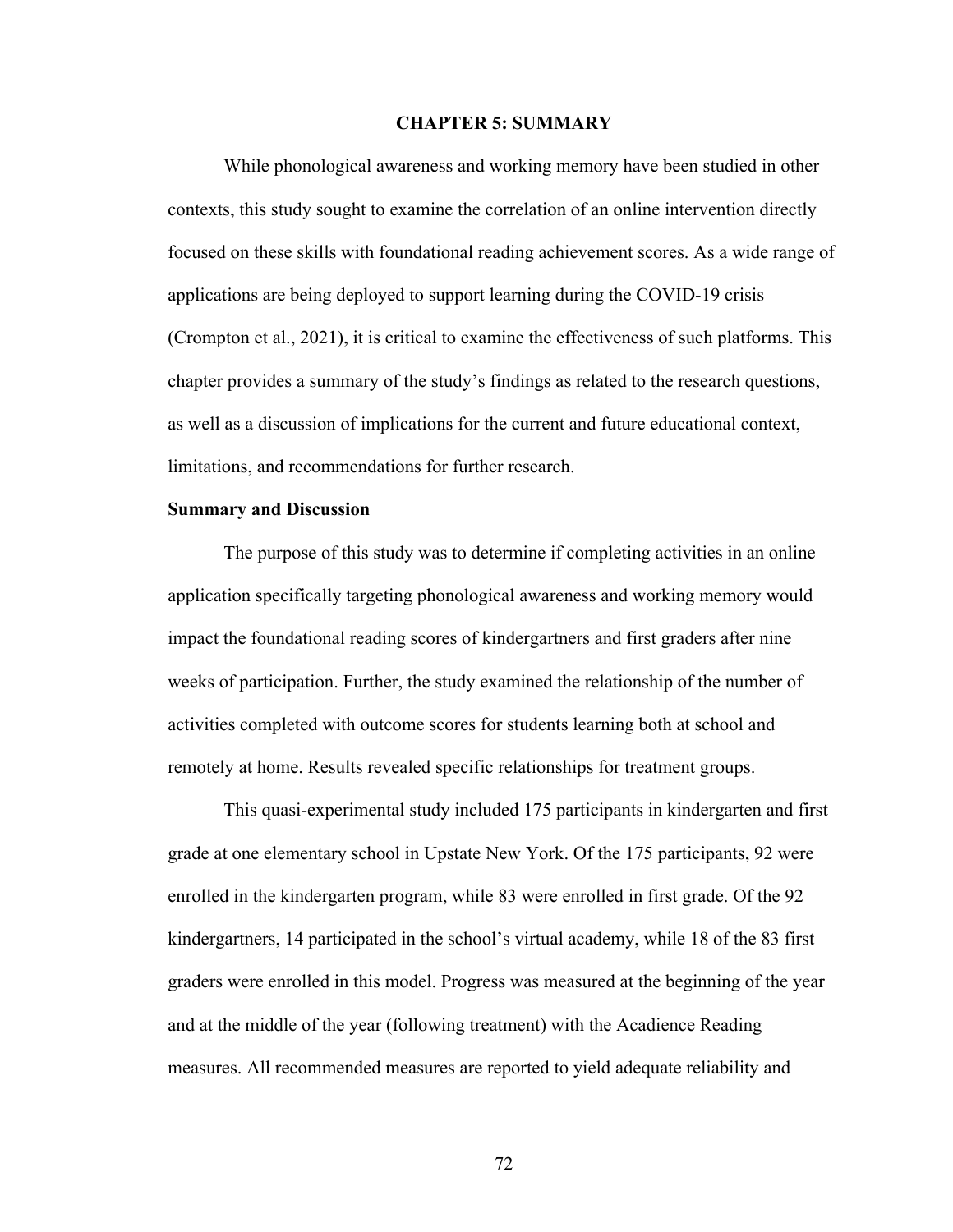#### **CHAPTER 5: SUMMARY**

While phonological awareness and working memory have been studied in other contexts, this study sought to examine the correlation of an online intervention directly focused on these skills with foundational reading achievement scores. As a wide range of applications are being deployed to support learning during the COVID-19 crisis (Crompton et al., 2021), it is critical to examine the effectiveness of such platforms. This chapter provides a summary of the study's findings as related to the research questions, as well as a discussion of implications for the current and future educational context, limitations, and recommendations for further research.

#### **Summary and Discussion**

The purpose of this study was to determine if completing activities in an online application specifically targeting phonological awareness and working memory would impact the foundational reading scores of kindergartners and first graders after nine weeks of participation. Further, the study examined the relationship of the number of activities completed with outcome scores for students learning both at school and remotely at home. Results revealed specific relationships for treatment groups.

This quasi-experimental study included 175 participants in kindergarten and first grade at one elementary school in Upstate New York. Of the 175 participants, 92 were enrolled in the kindergarten program, while 83 were enrolled in first grade. Of the 92 kindergartners, 14 participated in the school's virtual academy, while 18 of the 83 first graders were enrolled in this model. Progress was measured at the beginning of the year and at the middle of the year (following treatment) with the Acadience Reading measures. All recommended measures are reported to yield adequate reliability and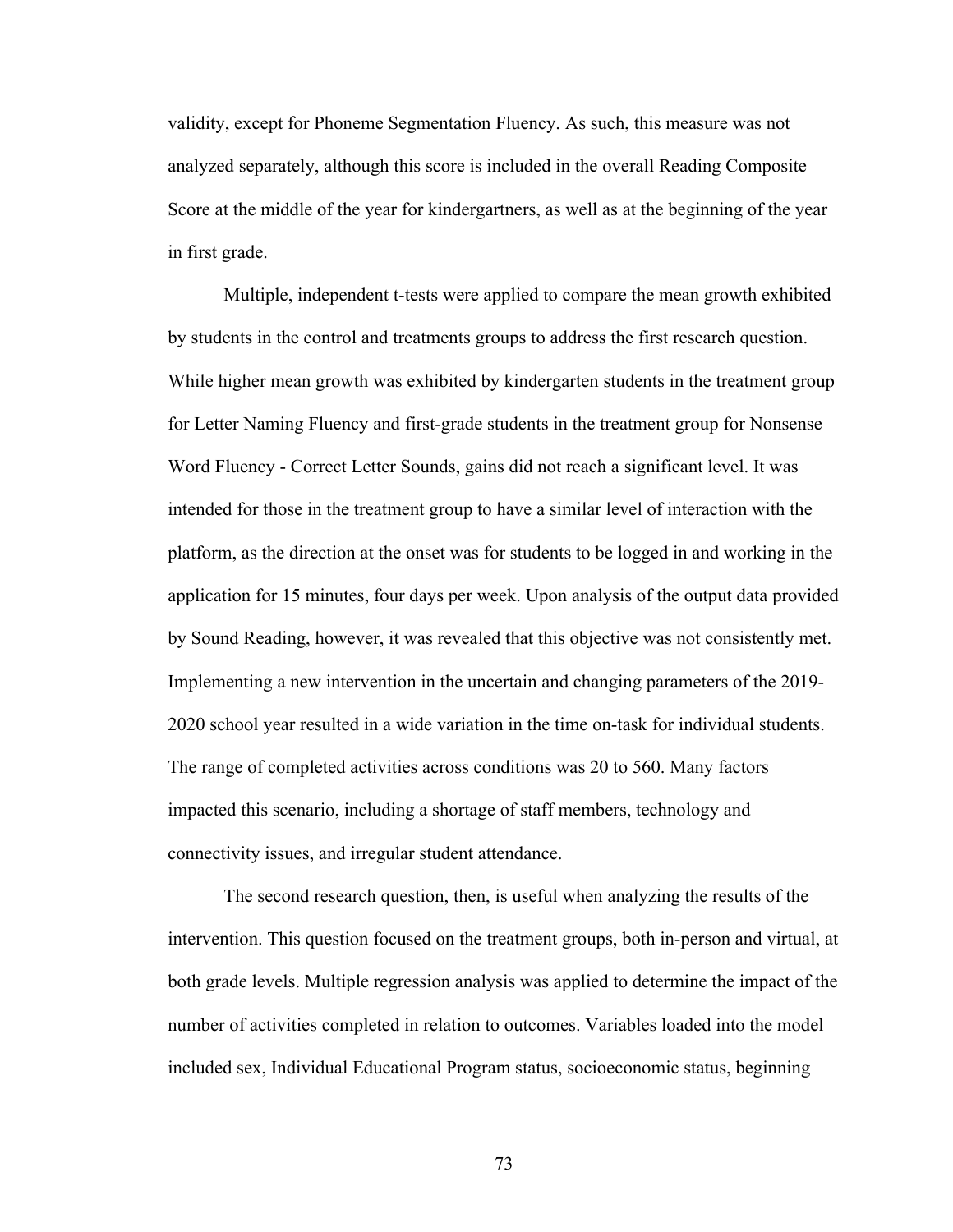validity, except for Phoneme Segmentation Fluency. As such, this measure was not analyzed separately, although this score is included in the overall Reading Composite Score at the middle of the year for kindergartners, as well as at the beginning of the year in first grade.

Multiple, independent t-tests were applied to compare the mean growth exhibited by students in the control and treatments groups to address the first research question. While higher mean growth was exhibited by kindergarten students in the treatment group for Letter Naming Fluency and first-grade students in the treatment group for Nonsense Word Fluency - Correct Letter Sounds, gains did not reach a significant level. It was intended for those in the treatment group to have a similar level of interaction with the platform, as the direction at the onset was for students to be logged in and working in the application for 15 minutes, four days per week. Upon analysis of the output data provided by Sound Reading, however, it was revealed that this objective was not consistently met. Implementing a new intervention in the uncertain and changing parameters of the 2019- 2020 school year resulted in a wide variation in the time on-task for individual students. The range of completed activities across conditions was 20 to 560. Many factors impacted this scenario, including a shortage of staff members, technology and connectivity issues, and irregular student attendance.

The second research question, then, is useful when analyzing the results of the intervention. This question focused on the treatment groups, both in-person and virtual, at both grade levels. Multiple regression analysis was applied to determine the impact of the number of activities completed in relation to outcomes. Variables loaded into the model included sex, Individual Educational Program status, socioeconomic status, beginning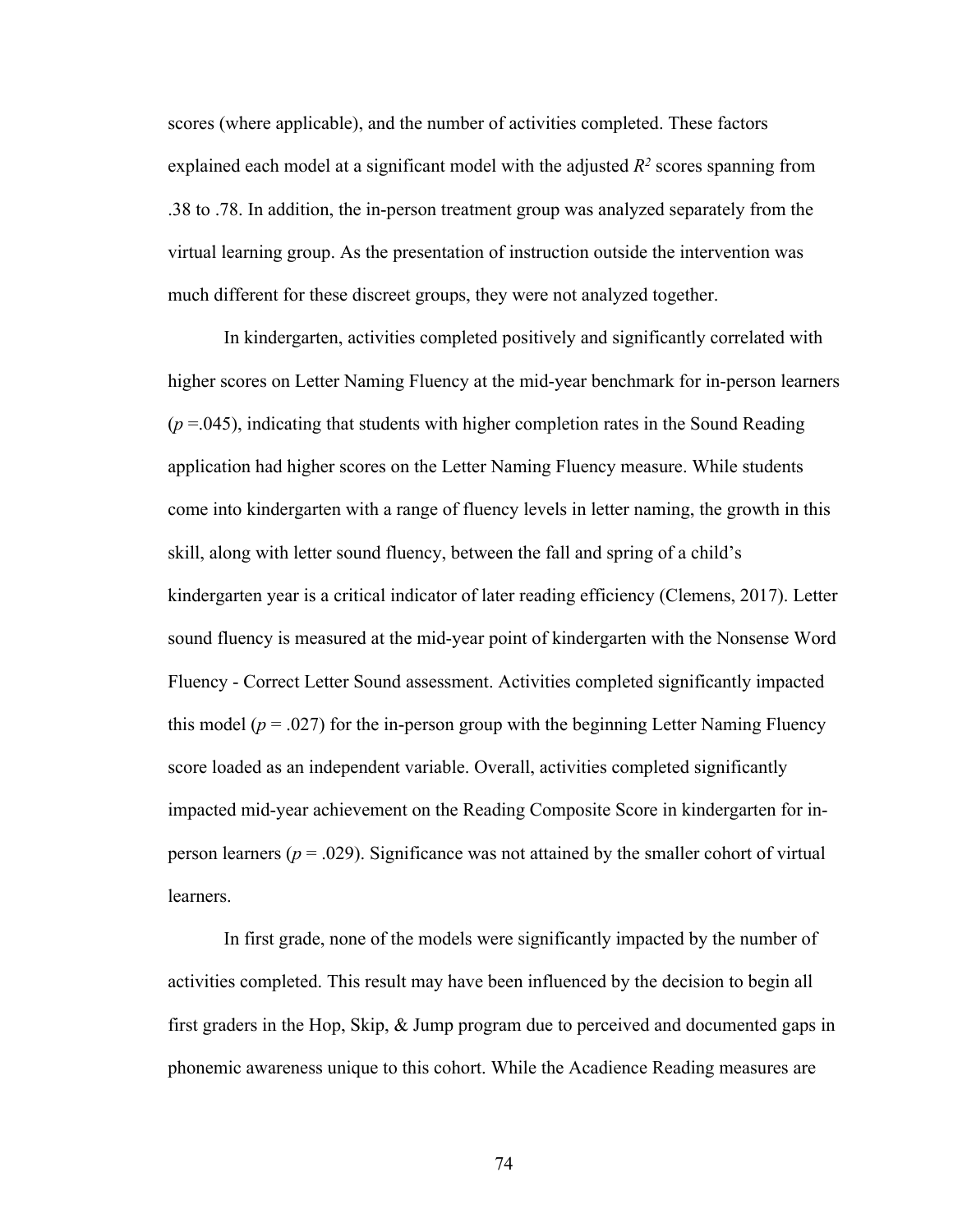scores (where applicable), and the number of activities completed. These factors explained each model at a significant model with the adjusted  $R^2$  scores spanning from .38 to .78. In addition, the in-person treatment group was analyzed separately from the virtual learning group. As the presentation of instruction outside the intervention was much different for these discreet groups, they were not analyzed together.

In kindergarten, activities completed positively and significantly correlated with higher scores on Letter Naming Fluency at the mid-year benchmark for in-person learners  $(p = .045)$ , indicating that students with higher completion rates in the Sound Reading application had higher scores on the Letter Naming Fluency measure. While students come into kindergarten with a range of fluency levels in letter naming, the growth in this skill, along with letter sound fluency, between the fall and spring of a child's kindergarten year is a critical indicator of later reading efficiency (Clemens, 2017). Letter sound fluency is measured at the mid-year point of kindergarten with the Nonsense Word Fluency - Correct Letter Sound assessment. Activities completed significantly impacted this model ( $p = .027$ ) for the in-person group with the beginning Letter Naming Fluency score loaded as an independent variable. Overall, activities completed significantly impacted mid-year achievement on the Reading Composite Score in kindergarten for inperson learners ( $p = .029$ ). Significance was not attained by the smaller cohort of virtual learners.

In first grade, none of the models were significantly impacted by the number of activities completed. This result may have been influenced by the decision to begin all first graders in the Hop, Skip, & Jump program due to perceived and documented gaps in phonemic awareness unique to this cohort. While the Acadience Reading measures are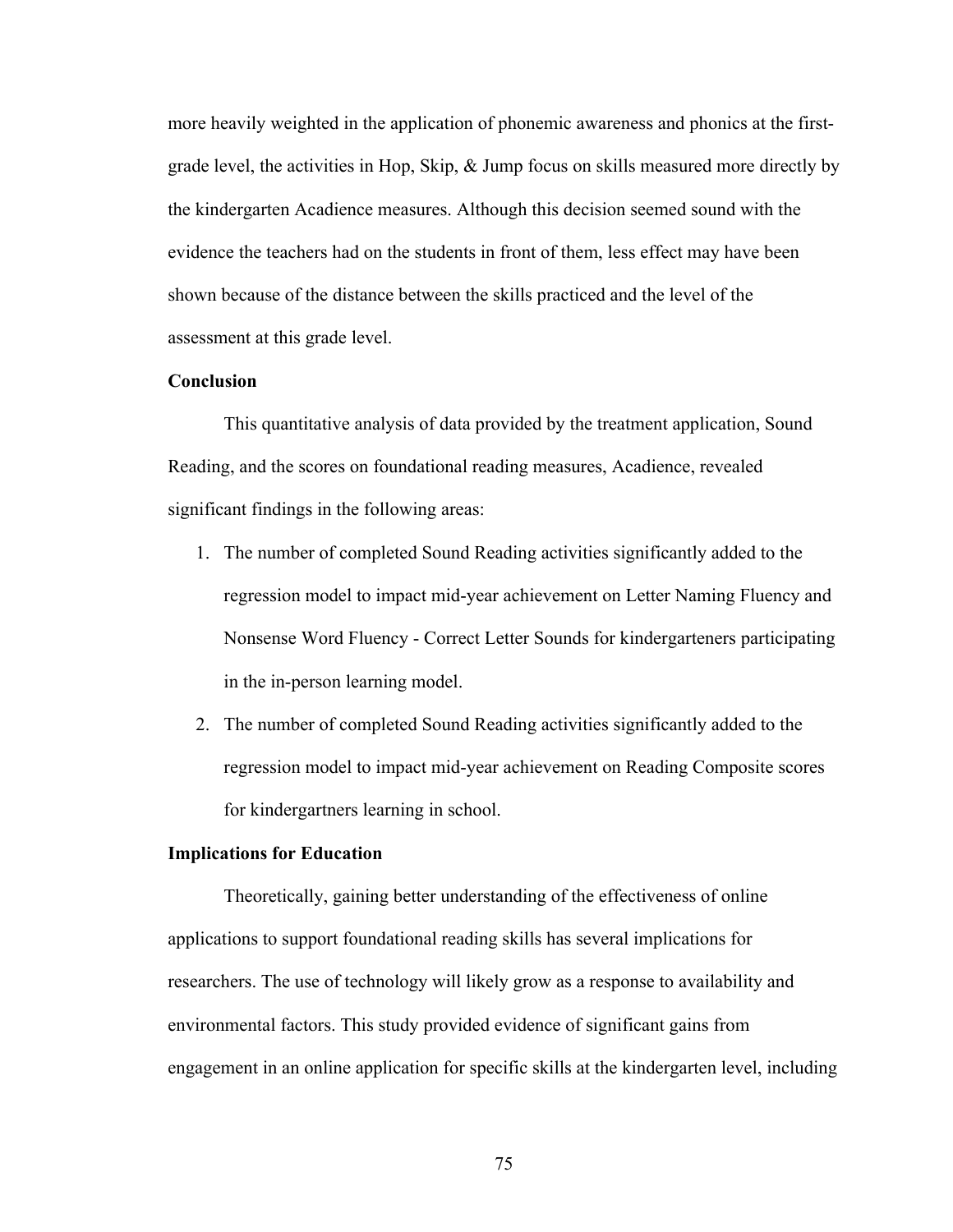more heavily weighted in the application of phonemic awareness and phonics at the firstgrade level, the activities in Hop, Skip, & Jump focus on skills measured more directly by the kindergarten Acadience measures. Although this decision seemed sound with the evidence the teachers had on the students in front of them, less effect may have been shown because of the distance between the skills practiced and the level of the assessment at this grade level.

#### **Conclusion**

This quantitative analysis of data provided by the treatment application, Sound Reading, and the scores on foundational reading measures, Acadience, revealed significant findings in the following areas:

- 1. The number of completed Sound Reading activities significantly added to the regression model to impact mid-year achievement on Letter Naming Fluency and Nonsense Word Fluency - Correct Letter Sounds for kindergarteners participating in the in-person learning model.
- 2. The number of completed Sound Reading activities significantly added to the regression model to impact mid-year achievement on Reading Composite scores for kindergartners learning in school.

#### **Implications for Education**

Theoretically, gaining better understanding of the effectiveness of online applications to support foundational reading skills has several implications for researchers. The use of technology will likely grow as a response to availability and environmental factors. This study provided evidence of significant gains from engagement in an online application for specific skills at the kindergarten level, including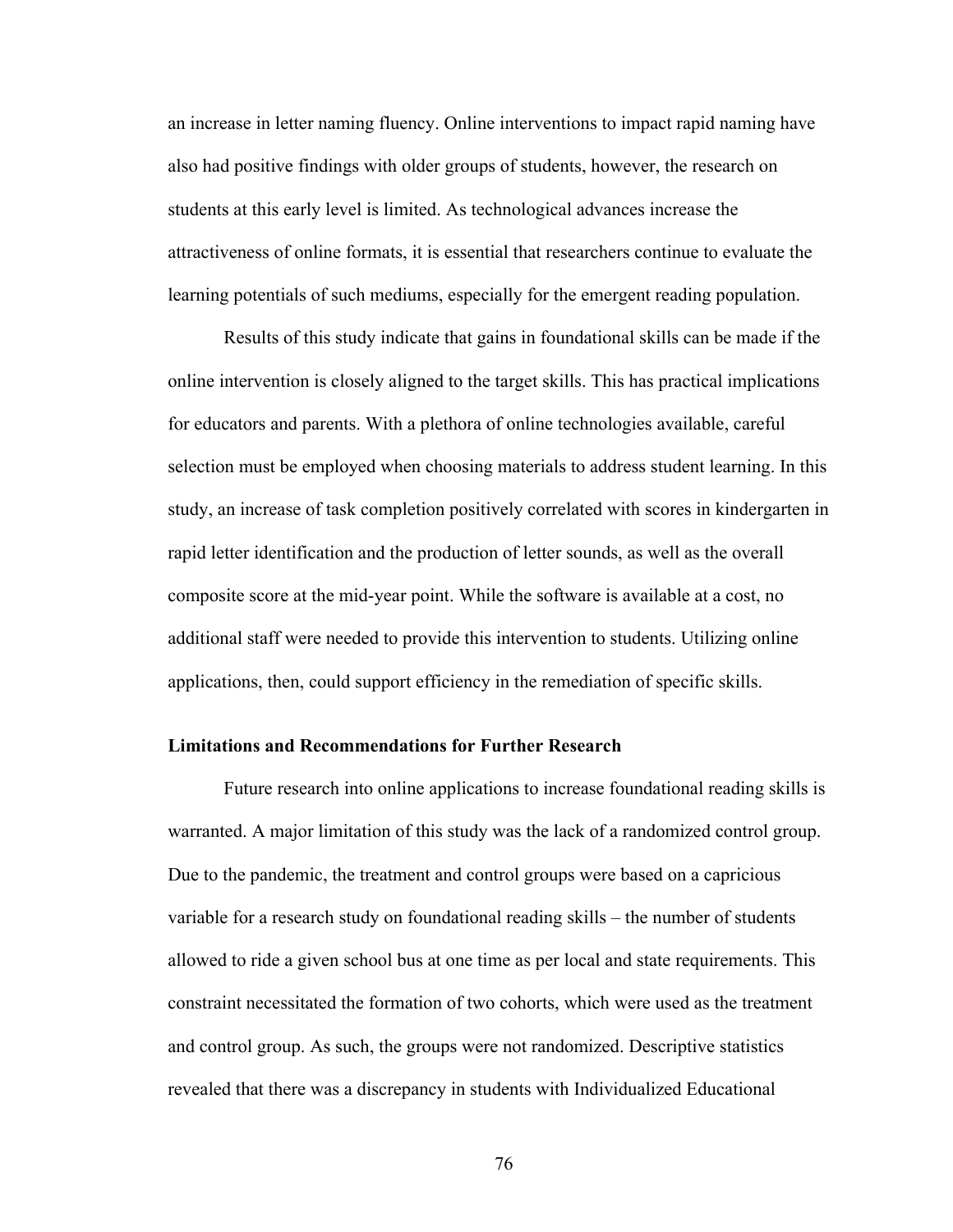an increase in letter naming fluency. Online interventions to impact rapid naming have also had positive findings with older groups of students, however, the research on students at this early level is limited. As technological advances increase the attractiveness of online formats, it is essential that researchers continue to evaluate the learning potentials of such mediums, especially for the emergent reading population.

Results of this study indicate that gains in foundational skills can be made if the online intervention is closely aligned to the target skills. This has practical implications for educators and parents. With a plethora of online technologies available, careful selection must be employed when choosing materials to address student learning. In this study, an increase of task completion positively correlated with scores in kindergarten in rapid letter identification and the production of letter sounds, as well as the overall composite score at the mid-year point. While the software is available at a cost, no additional staff were needed to provide this intervention to students. Utilizing online applications, then, could support efficiency in the remediation of specific skills.

#### **Limitations and Recommendations for Further Research**

Future research into online applications to increase foundational reading skills is warranted. A major limitation of this study was the lack of a randomized control group. Due to the pandemic, the treatment and control groups were based on a capricious variable for a research study on foundational reading skills – the number of students allowed to ride a given school bus at one time as per local and state requirements. This constraint necessitated the formation of two cohorts, which were used as the treatment and control group. As such, the groups were not randomized. Descriptive statistics revealed that there was a discrepancy in students with Individualized Educational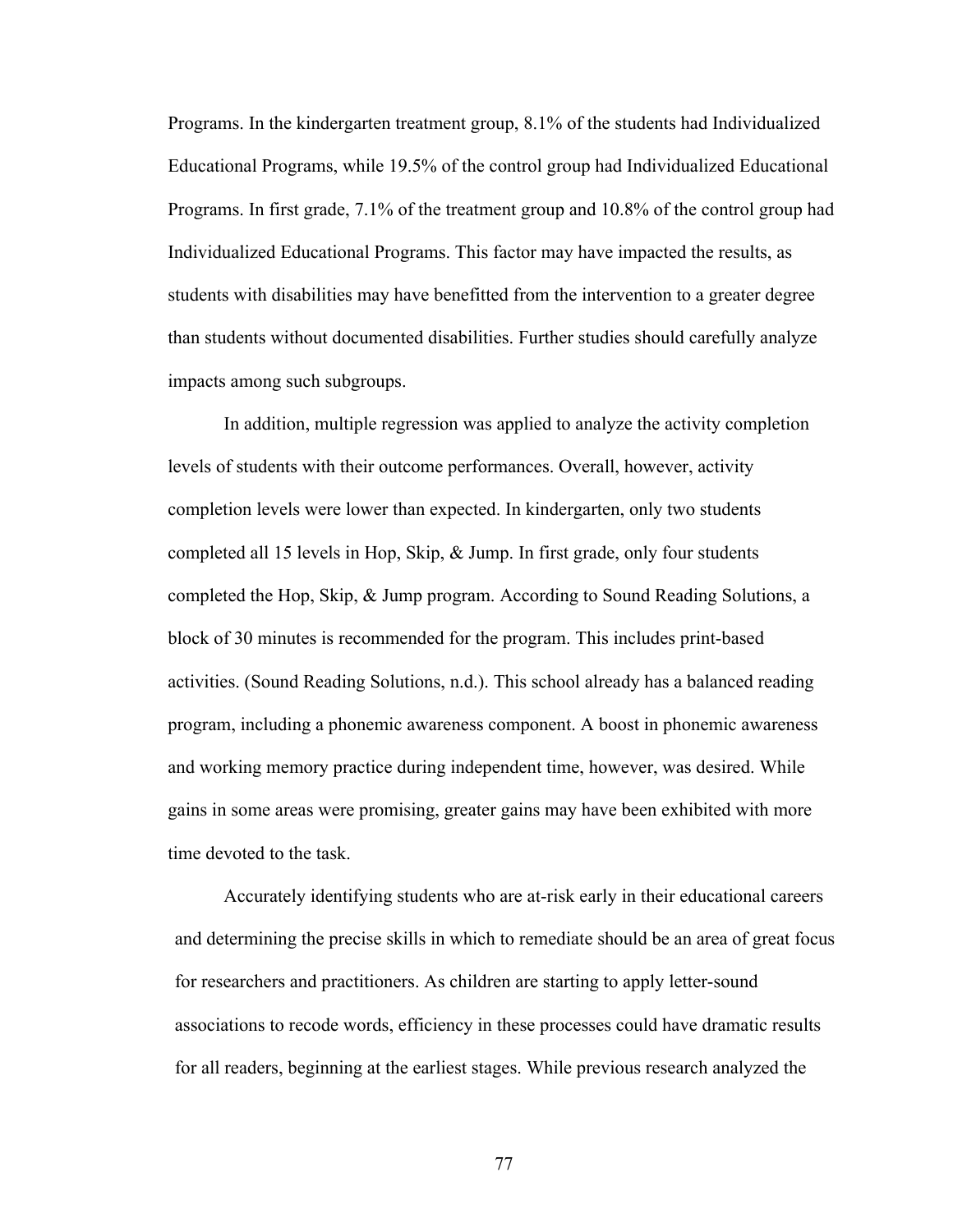Programs. In the kindergarten treatment group, 8.1% of the students had Individualized Educational Programs, while 19.5% of the control group had Individualized Educational Programs. In first grade, 7.1% of the treatment group and 10.8% of the control group had Individualized Educational Programs. This factor may have impacted the results, as students with disabilities may have benefitted from the intervention to a greater degree than students without documented disabilities. Further studies should carefully analyze impacts among such subgroups.

In addition, multiple regression was applied to analyze the activity completion levels of students with their outcome performances. Overall, however, activity completion levels were lower than expected. In kindergarten, only two students completed all 15 levels in Hop, Skip, & Jump. In first grade, only four students completed the Hop, Skip, & Jump program. According to Sound Reading Solutions, a block of 30 minutes is recommended for the program. This includes print-based activities. (Sound Reading Solutions, n.d.). This school already has a balanced reading program, including a phonemic awareness component. A boost in phonemic awareness and working memory practice during independent time, however, was desired. While gains in some areas were promising, greater gains may have been exhibited with more time devoted to the task.

Accurately identifying students who are at-risk early in their educational careers and determining the precise skills in which to remediate should be an area of great focus for researchers and practitioners. As children are starting to apply letter-sound associations to recode words, efficiency in these processes could have dramatic results for all readers, beginning at the earliest stages. While previous research analyzed the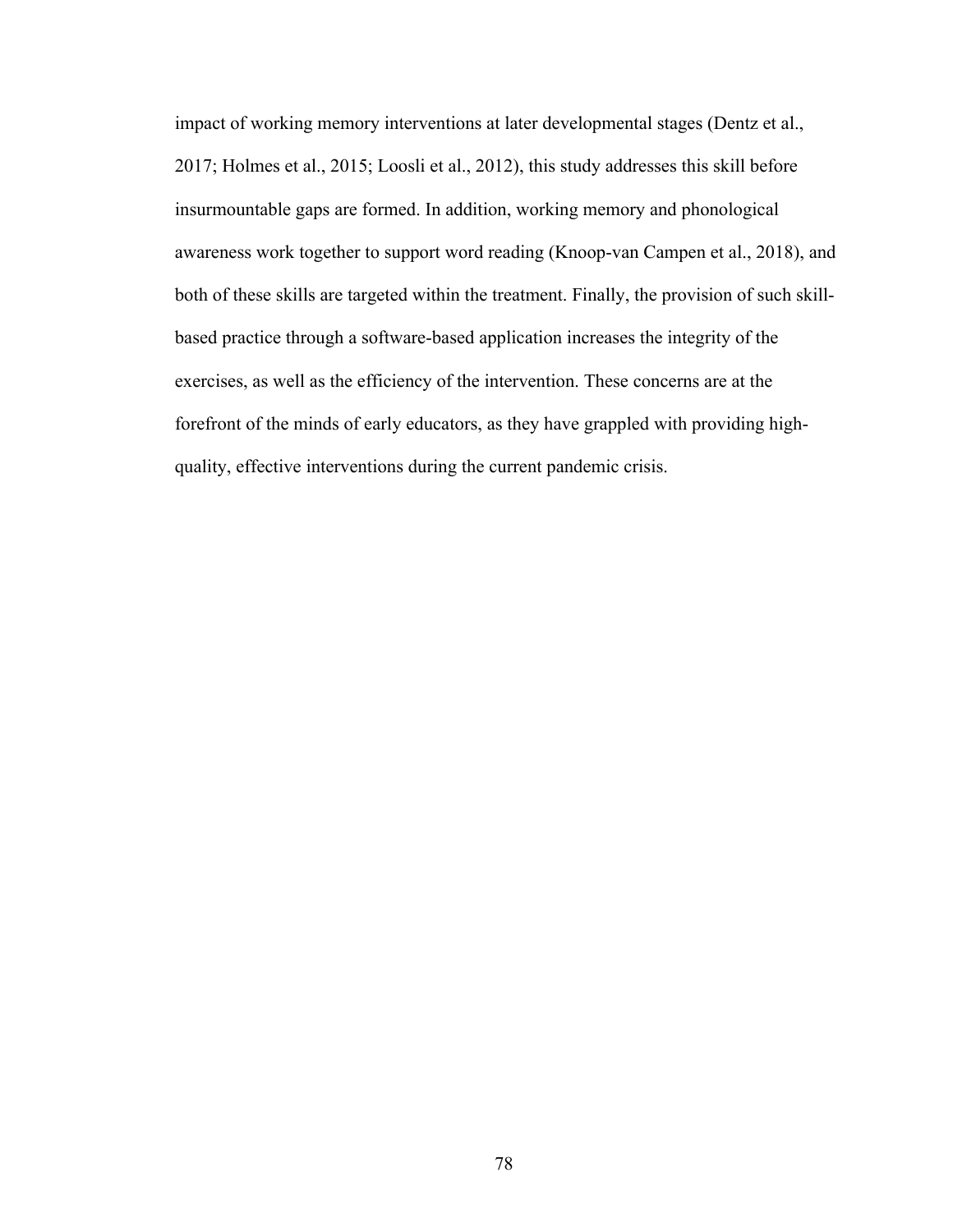impact of working memory interventions at later developmental stages (Dentz et al., 2017; Holmes et al., 2015; Loosli et al., 2012), this study addresses this skill before insurmountable gaps are formed. In addition, working memory and phonological awareness work together to support word reading (Knoop-van Campen et al., 2018), and both of these skills are targeted within the treatment. Finally, the provision of such skillbased practice through a software-based application increases the integrity of the exercises, as well as the efficiency of the intervention. These concerns are at the forefront of the minds of early educators, as they have grappled with providing highquality, effective interventions during the current pandemic crisis.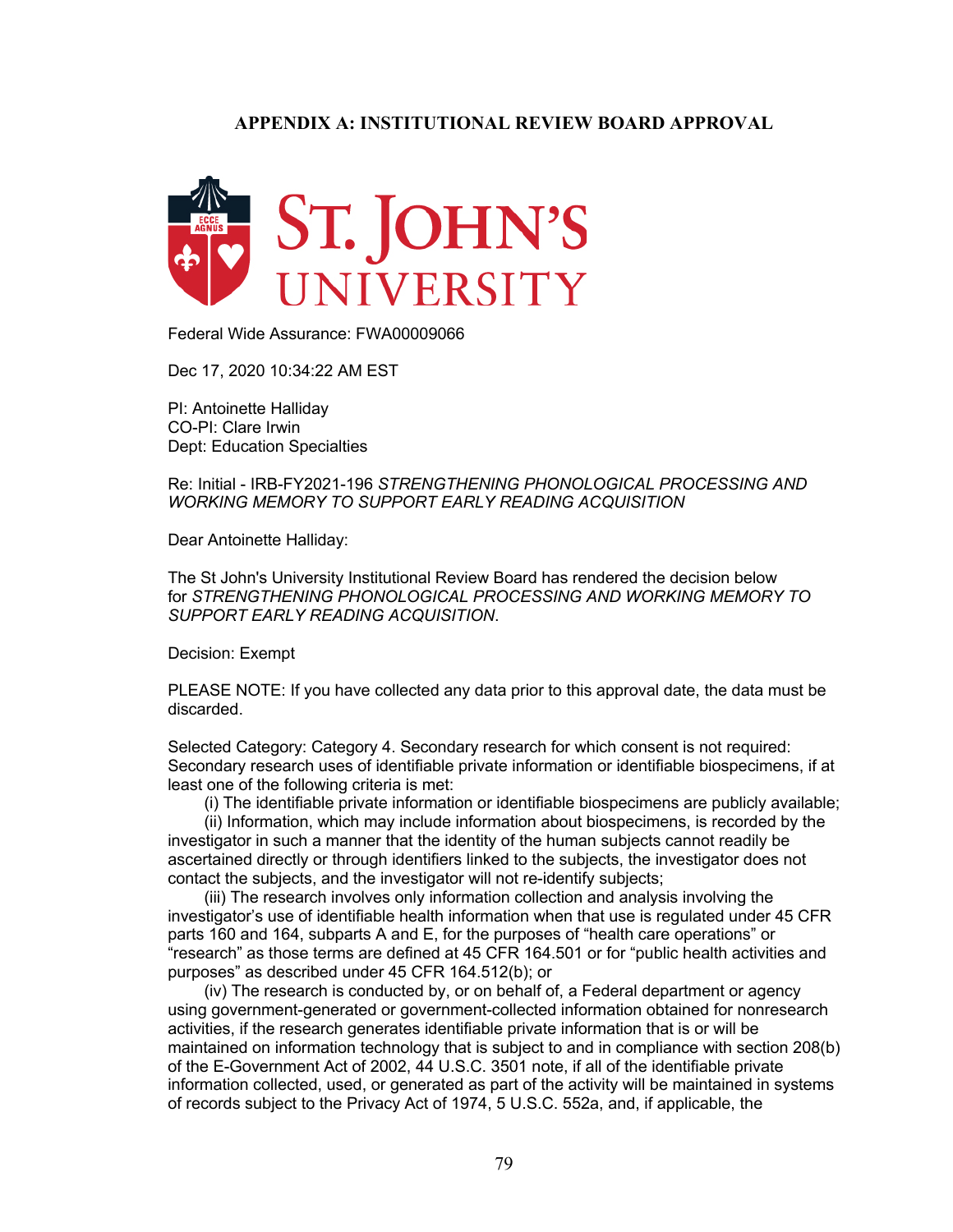#### **APPENDIX A: INSTITUTIONAL REVIEW BOARD APPROVAL**



Federal Wide Assurance: FWA00009066

Dec 17, 2020 10:34:22 AM EST

PI: Antoinette Halliday CO-PI: Clare Irwin Dept: Education Specialties

Re: Initial - IRB-FY2021-196 *STRENGTHENING PHONOLOGICAL PROCESSING AND WORKING MEMORY TO SUPPORT EARLY READING ACQUISITION*

Dear Antoinette Halliday:

The St John's University Institutional Review Board has rendered the decision below for *STRENGTHENING PHONOLOGICAL PROCESSING AND WORKING MEMORY TO SUPPORT EARLY READING ACQUISITION*.

Decision: Exempt

PLEASE NOTE: If you have collected any data prior to this approval date, the data must be discarded.

Selected Category: Category 4. Secondary research for which consent is not required: Secondary research uses of identifiable private information or identifiable biospecimens, if at least one of the following criteria is met:

(i) The identifiable private information or identifiable biospecimens are publicly available;

 (ii) Information, which may include information about biospecimens, is recorded by the investigator in such a manner that the identity of the human subjects cannot readily be ascertained directly or through identifiers linked to the subjects, the investigator does not contact the subjects, and the investigator will not re-identify subjects;

 (iii) The research involves only information collection and analysis involving the investigator's use of identifiable health information when that use is regulated under 45 CFR parts 160 and 164, subparts A and E, for the purposes of "health care operations" or "research" as those terms are defined at 45 CFR 164.501 or for "public health activities and purposes" as described under 45 CFR 164.512(b); or

 (iv) The research is conducted by, or on behalf of, a Federal department or agency using government-generated or government-collected information obtained for nonresearch activities, if the research generates identifiable private information that is or will be maintained on information technology that is subject to and in compliance with section 208(b) of the E-Government Act of 2002, 44 U.S.C. 3501 note, if all of the identifiable private information collected, used, or generated as part of the activity will be maintained in systems of records subject to the Privacy Act of 1974, 5 U.S.C. 552a, and, if applicable, the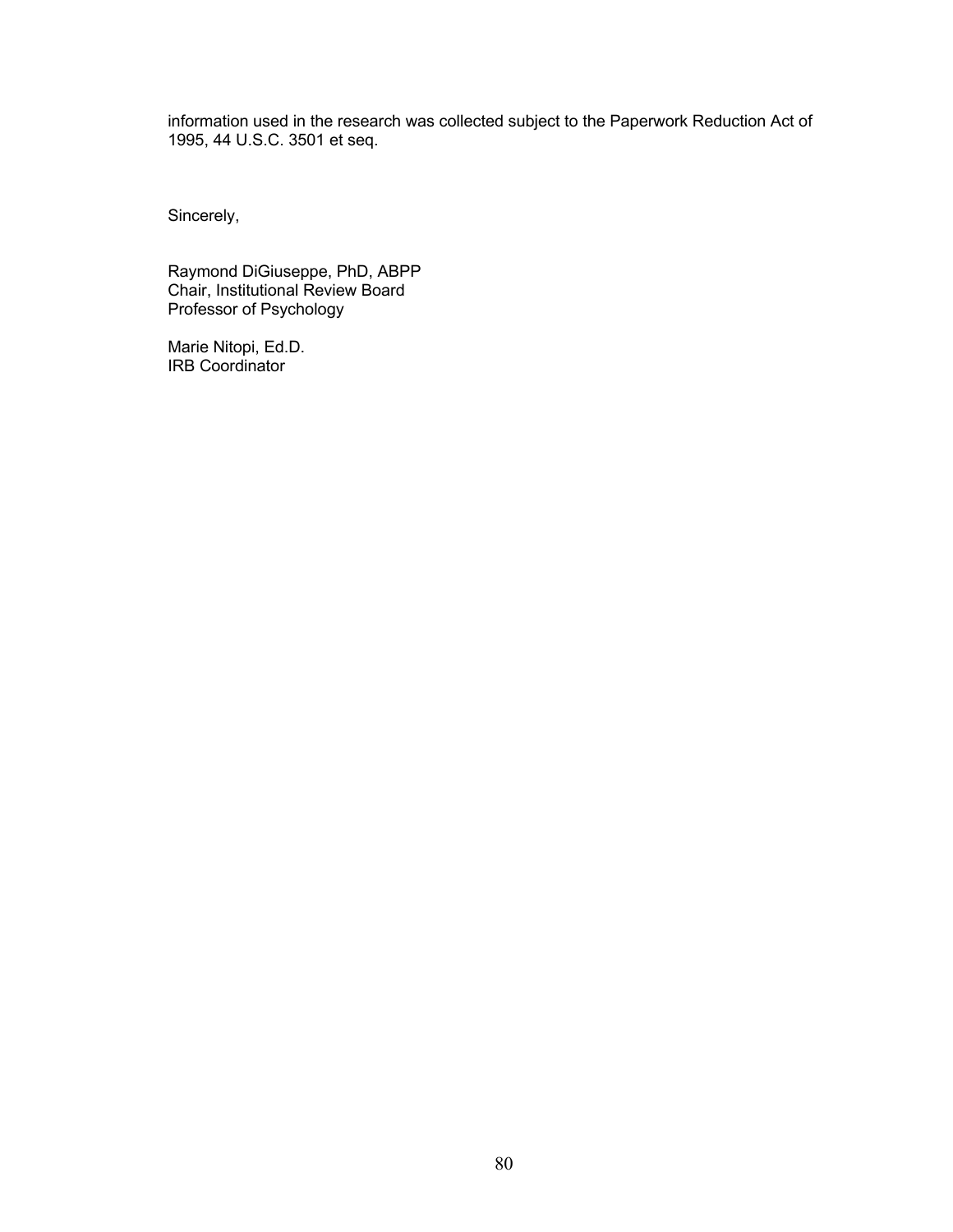information used in the research was collected subject to the Paperwork Reduction Act of 1995, 44 U.S.C. 3501 et seq.

Sincerely,

Raymond DiGiuseppe, PhD, ABPP Chair, Institutional Review Board Professor of Psychology

Marie Nitopi, Ed.D. IRB Coordinator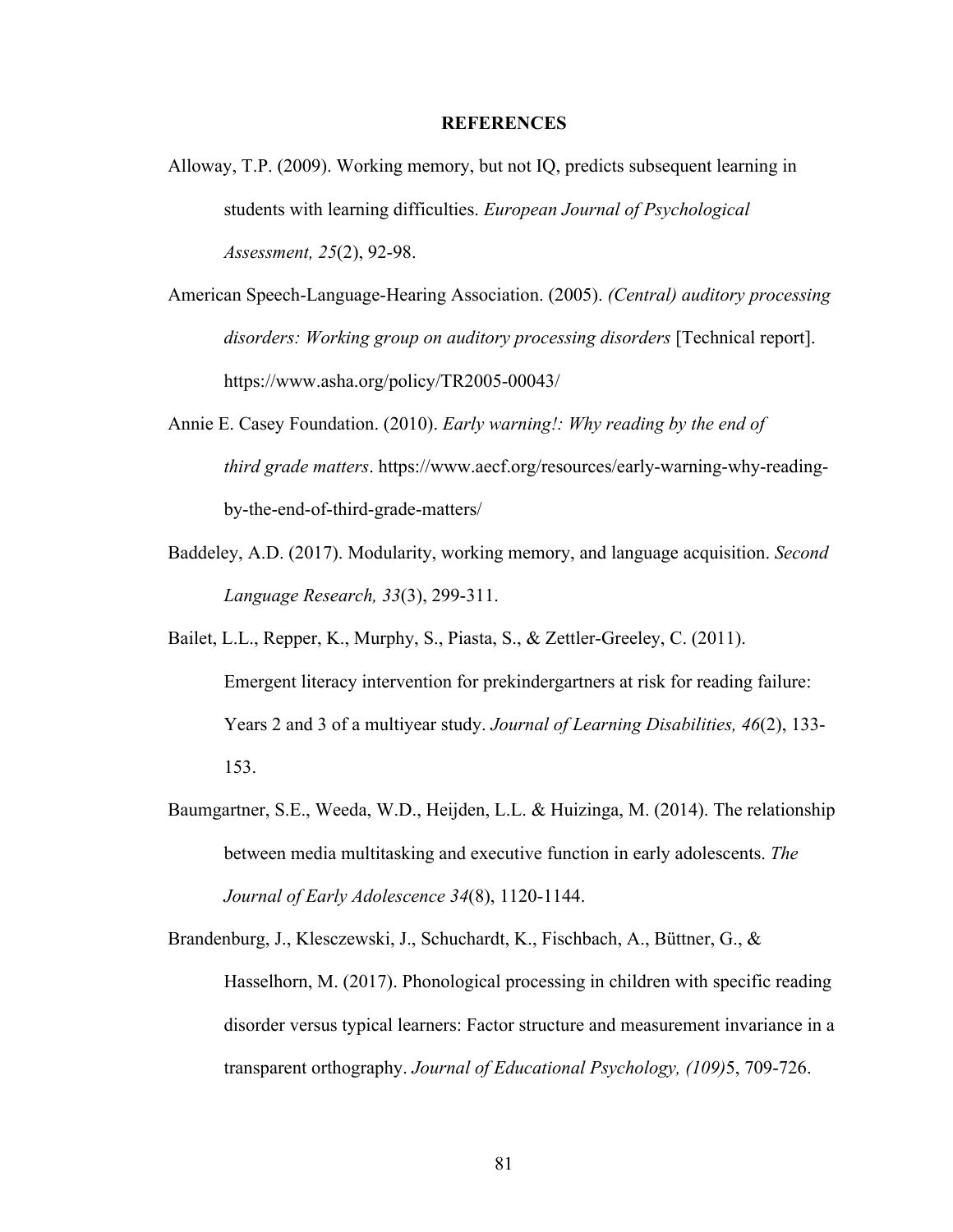#### **REFERENCES**

- Alloway, T.P. (2009). Working memory, but not IQ, predicts subsequent learning in students with learning difficulties. *European Journal of Psychological Assessment, 25*(2), 92-98.
- American Speech-Language-Hearing Association. (2005). *(Central) auditory processing disorders: Working group on auditory processing disorders* [Technical report]. https://www.asha.org/policy/TR2005-00043/
- Annie E. Casey Foundation. (2010). *Early warning!: Why reading by the end of third grade matters*. https://www.aecf.org/resources/early-warning-why-readingby-the-end-of-third-grade-matters/
- Baddeley, A.D. (2017). Modularity, working memory, and language acquisition. *Second Language Research, 33*(3), 299-311.
- Bailet, L.L., Repper, K., Murphy, S., Piasta, S., & Zettler-Greeley, C. (2011). Emergent literacy intervention for prekindergartners at risk for reading failure: Years 2 and 3 of a multiyear study. *Journal of Learning Disabilities, 46*(2), 133- 153.
- Baumgartner, S.E., Weeda, W.D., Heijden, L.L. & Huizinga, M. (2014). The relationship between media multitasking and executive function in early adolescents. *The Journal of Early Adolescence 34*(8), 1120-1144.

Brandenburg, J., Klesczewski, J., Schuchardt, K., Fischbach, A., Büttner, G., & Hasselhorn, M. (2017). Phonological processing in children with specific reading disorder versus typical learners: Factor structure and measurement invariance in a transparent orthography. *Journal of Educational Psychology, (109)*5, 709-726.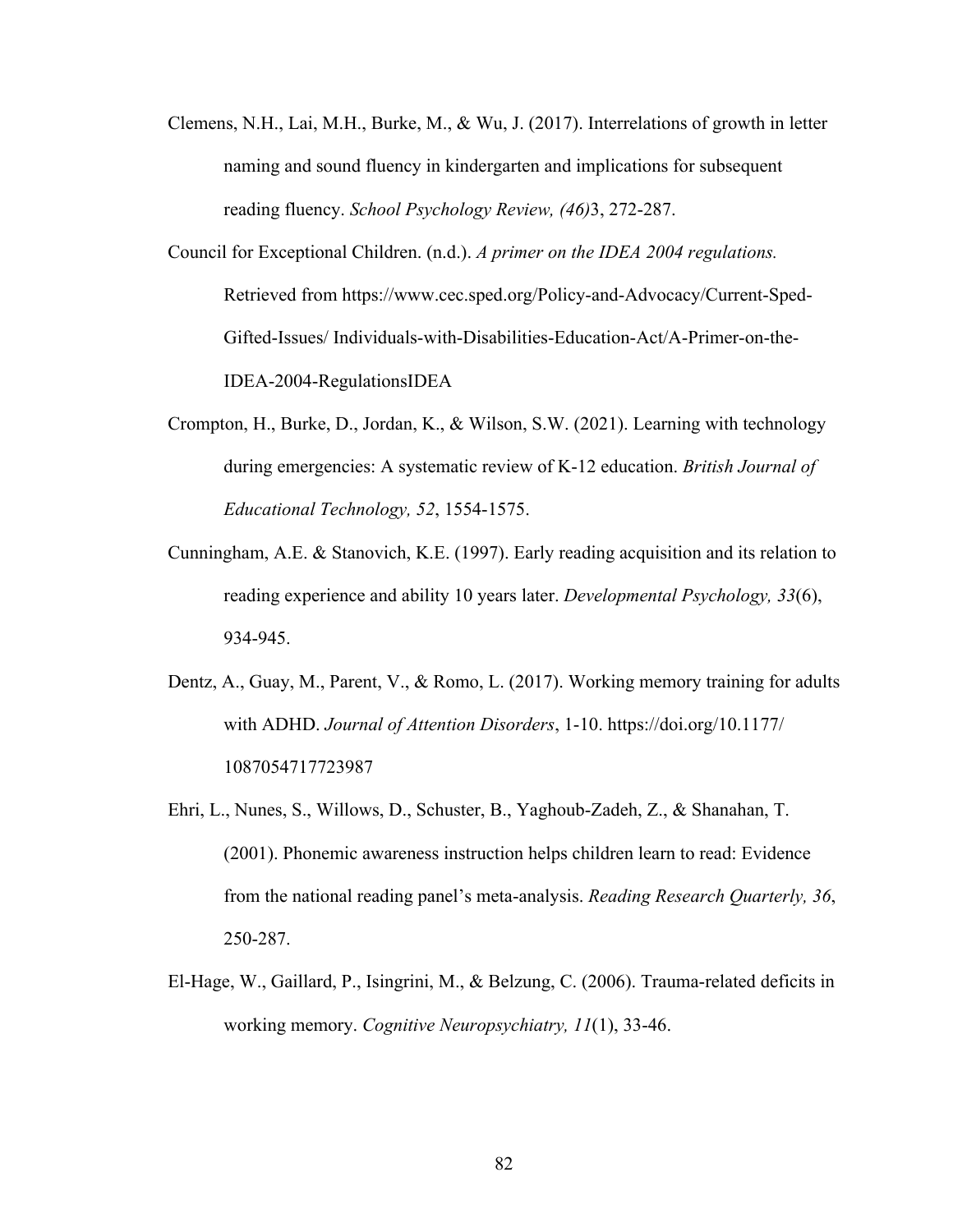- Clemens, N.H., Lai, M.H., Burke, M., & Wu, J. (2017). Interrelations of growth in letter naming and sound fluency in kindergarten and implications for subsequent reading fluency. *School Psychology Review, (46)*3, 272-287.
- Council for Exceptional Children. (n.d.). *A primer on the IDEA 2004 regulations.*  Retrieved from https://www.cec.sped.org/Policy-and-Advocacy/Current-Sped-Gifted-Issues/ Individuals-with-Disabilities-Education-Act/A-Primer-on-the-IDEA-2004-RegulationsIDEA
- Crompton, H., Burke, D., Jordan, K., & Wilson, S.W. (2021). Learning with technology during emergencies: A systematic review of K-12 education. *British Journal of Educational Technology, 52*, 1554-1575.
- Cunningham, A.E. & Stanovich, K.E. (1997). Early reading acquisition and its relation to reading experience and ability 10 years later. *Developmental Psychology, 33*(6), 934-945.
- Dentz, A., Guay, M., Parent, V., & Romo, L. (2017). Working memory training for adults with ADHD. *Journal of Attention Disorders*, 1-10. https://doi.org/10.1177/ 1087054717723987
- Ehri, L., Nunes, S., Willows, D., Schuster, B., Yaghoub-Zadeh, Z., & Shanahan, T. (2001). Phonemic awareness instruction helps children learn to read: Evidence from the national reading panel's meta-analysis. *Reading Research Quarterly, 36*, 250-287.
- El-Hage, W., Gaillard, P., Isingrini, M., & Belzung, C. (2006). Trauma-related deficits in working memory. *Cognitive Neuropsychiatry, 11*(1), 33-46.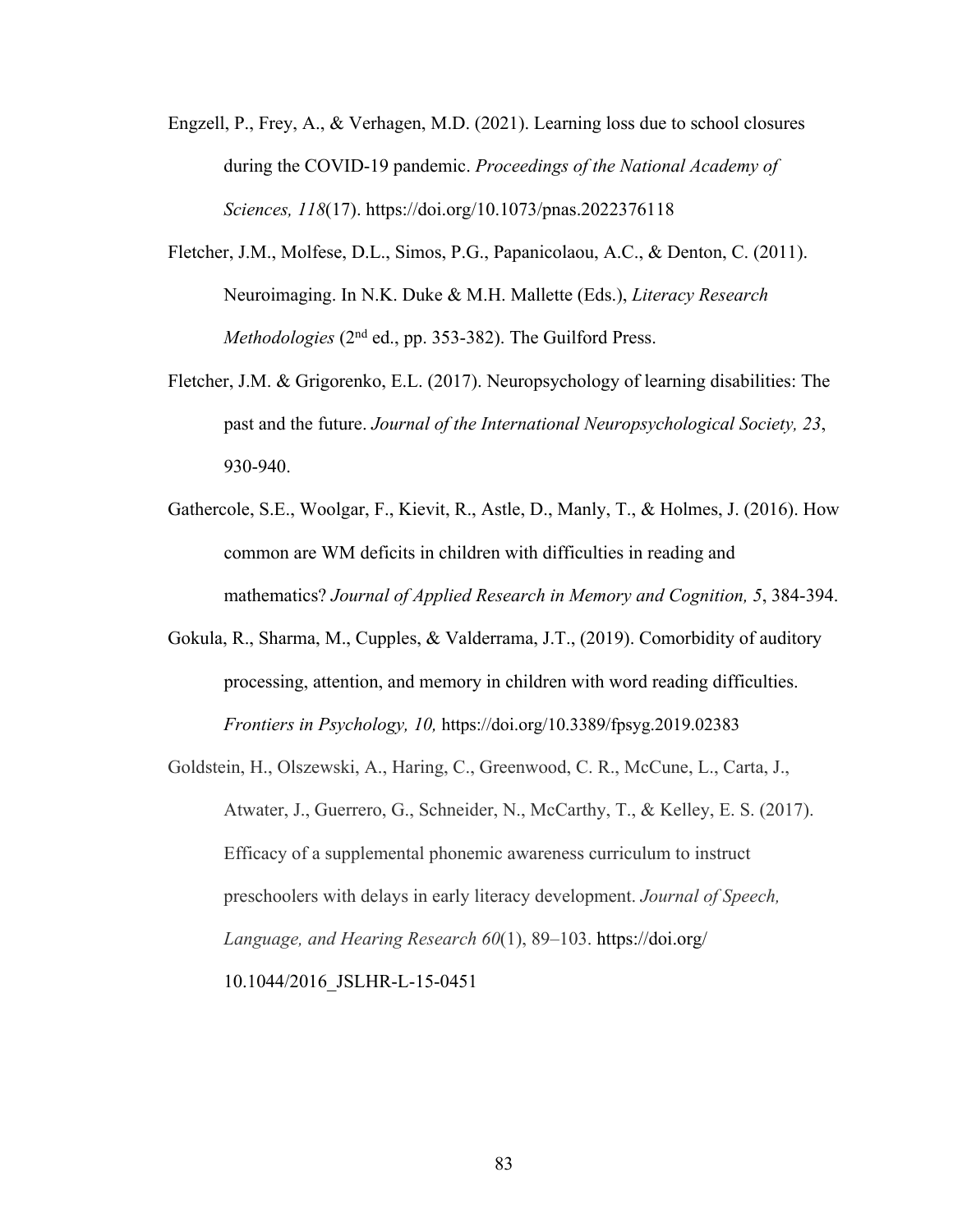- Engzell, P., Frey, A., & Verhagen, M.D. (2021). Learning loss due to school closures during the COVID-19 pandemic. *Proceedings of the National Academy of Sciences, 118*(17). https://doi.org/10.1073/pnas.2022376118
- Fletcher, J.M., Molfese, D.L., Simos, P.G., Papanicolaou, A.C., & Denton, C. (2011). Neuroimaging. In N.K. Duke & M.H. Mallette (Eds.), *Literacy Research Methodologies* (2<sup>nd</sup> ed., pp. 353-382). The Guilford Press.
- Fletcher, J.M. & Grigorenko, E.L. (2017). Neuropsychology of learning disabilities: The past and the future. *Journal of the International Neuropsychological Society, 23*, 930-940.
- Gathercole, S.E., Woolgar, F., Kievit, R., Astle, D., Manly, T., & Holmes, J. (2016). How common are WM deficits in children with difficulties in reading and mathematics? *Journal of Applied Research in Memory and Cognition, 5*, 384-394.
- Gokula, R., Sharma, M., Cupples, & Valderrama, J.T., (2019). Comorbidity of auditory processing, attention, and memory in children with word reading difficulties. *Frontiers in Psychology, 10,* https://doi.org/10.3389/fpsyg.2019.02383
- Goldstein, H., Olszewski, A., Haring, C., Greenwood, C. R., McCune, L., Carta, J., Atwater, J., Guerrero, G., Schneider, N., McCarthy, T., & Kelley, E. S. (2017). Efficacy of a supplemental phonemic awareness curriculum to instruct preschoolers with delays in early literacy development. *Journal of Speech, Language, and Hearing Research 60*(1), 89–103. https://doi.org/ 10.1044/2016\_JSLHR-L-15-0451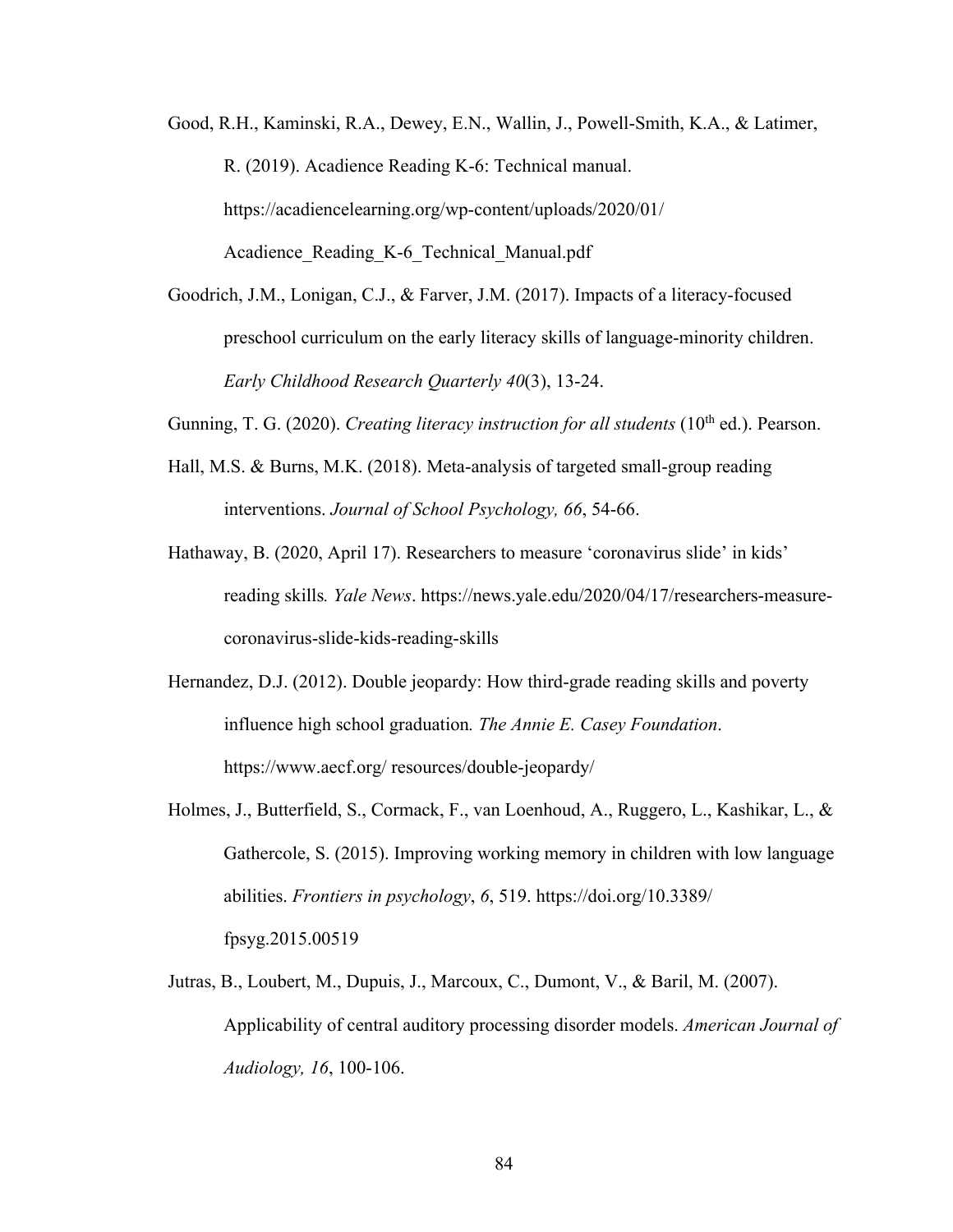- Good, R.H., Kaminski, R.A., Dewey, E.N., Wallin, J., Powell-Smith, K.A., & Latimer, R. (2019). Acadience Reading K-6: Technical manual. https://acadiencelearning.org/wp-content/uploads/2020/01/ Acadience Reading K-6 Technical Manual.pdf
- Goodrich, J.M., Lonigan, C.J., & Farver, J.M. (2017). Impacts of a literacy-focused preschool curriculum on the early literacy skills of language-minority children. *Early Childhood Research Quarterly 40*(3), 13-24.

Gunning, T. G. (2020). *Creating literacy instruction for all students* (10<sup>th</sup> ed.). Pearson.

- Hall, M.S. & Burns, M.K. (2018). Meta-analysis of targeted small-group reading interventions. *Journal of School Psychology, 66*, 54-66.
- Hathaway, B. (2020, April 17). Researchers to measure 'coronavirus slide' in kids' reading skills*. Yale News*. https://news.yale.edu/2020/04/17/researchers-measurecoronavirus-slide-kids-reading-skills
- Hernandez, D.J. (2012). Double jeopardy: How third-grade reading skills and poverty influence high school graduation*. The Annie E. Casey Foundation*. https://www.aecf.org/ resources/double-jeopardy/
- Holmes, J., Butterfield, S., Cormack, F., van Loenhoud, A., Ruggero, L., Kashikar, L., & Gathercole, S. (2015). Improving working memory in children with low language abilities. *Frontiers in psychology*, *6*, 519. https://doi.org/10.3389/ fpsyg.2015.00519
- Jutras, B., Loubert, M., Dupuis, J., Marcoux, C., Dumont, V., & Baril, M. (2007). Applicability of central auditory processing disorder models. *American Journal of Audiology, 16*, 100-106.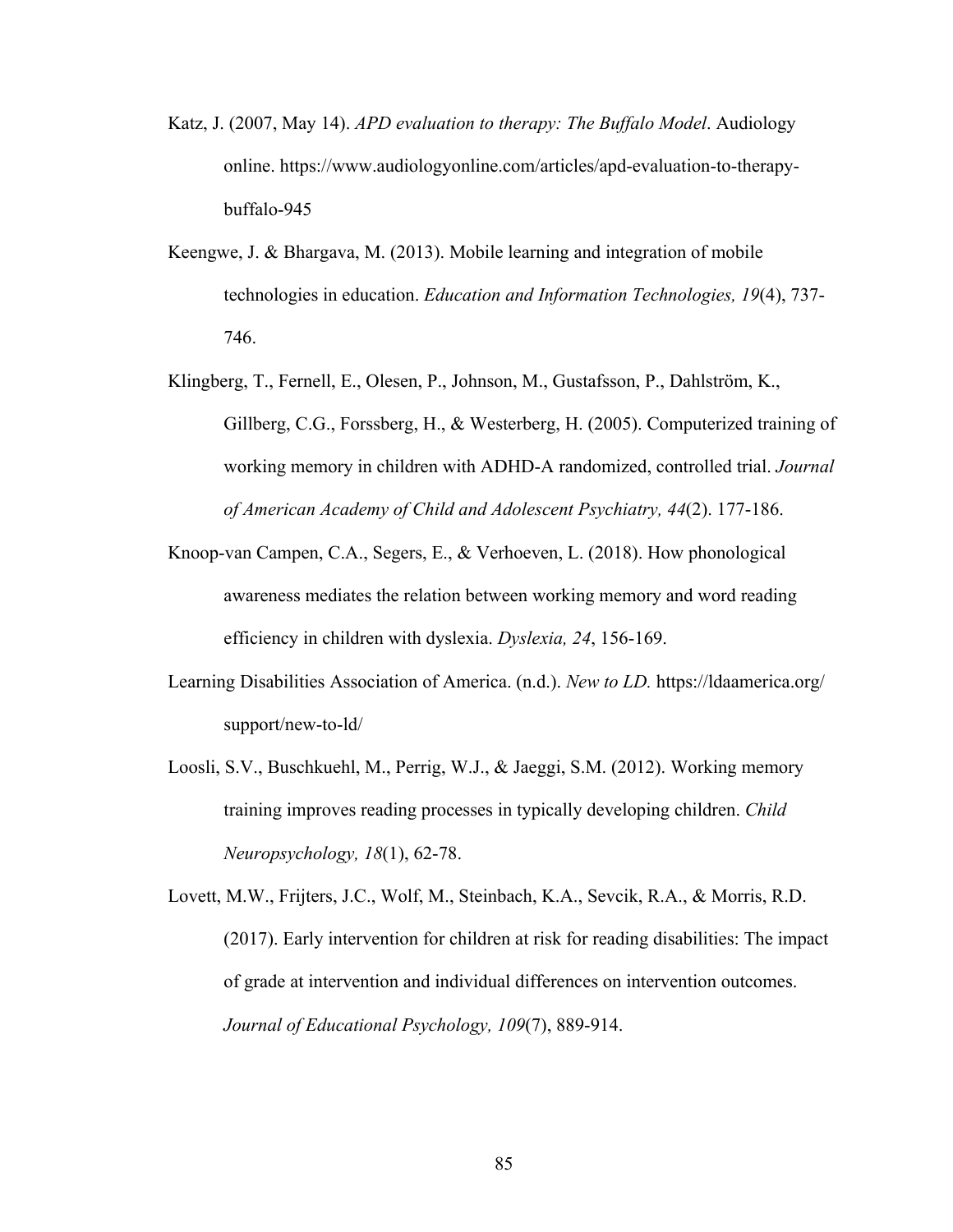- Katz, J. (2007, May 14). *APD evaluation to therapy: The Buffalo Model*. Audiology online. https://www.audiologyonline.com/articles/apd-evaluation-to-therapybuffalo-945
- Keengwe, J. & Bhargava, M. (2013). Mobile learning and integration of mobile technologies in education. *Education and Information Technologies, 19*(4), 737- 746.
- Klingberg, T., Fernell, E., Olesen, P., Johnson, M., Gustafsson, P., Dahlström, K., Gillberg, C.G., Forssberg, H., & Westerberg, H. (2005). Computerized training of working memory in children with ADHD-A randomized, controlled trial. *Journal of American Academy of Child and Adolescent Psychiatry, 44*(2). 177-186.
- Knoop-van Campen, C.A., Segers, E., & Verhoeven, L. (2018). How phonological awareness mediates the relation between working memory and word reading efficiency in children with dyslexia. *Dyslexia, 24*, 156-169.
- Learning Disabilities Association of America. (n.d.). *New to LD.* https://ldaamerica.org/ support/new-to-ld/
- Loosli, S.V., Buschkuehl, M., Perrig, W.J., & Jaeggi, S.M. (2012). Working memory training improves reading processes in typically developing children. *Child Neuropsychology, 18*(1), 62-78.

Lovett, M.W., Frijters, J.C., Wolf, M., Steinbach, K.A., Sevcik, R.A., & Morris, R.D. (2017). Early intervention for children at risk for reading disabilities: The impact of grade at intervention and individual differences on intervention outcomes. *Journal of Educational Psychology, 109*(7), 889-914.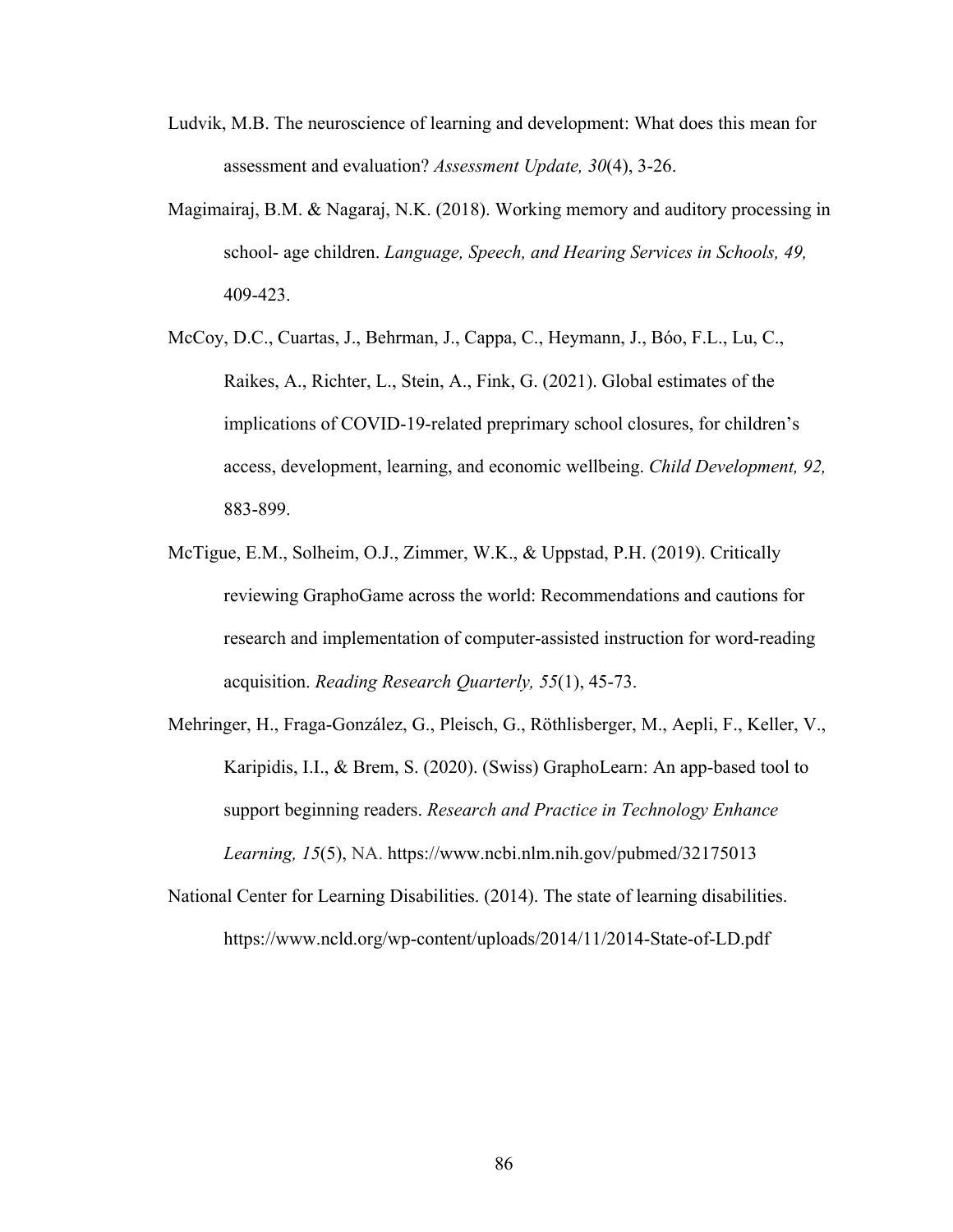- Ludvik, M.B. The neuroscience of learning and development: What does this mean for assessment and evaluation? *Assessment Update, 30*(4), 3-26.
- Magimairaj, B.M. & Nagaraj, N.K. (2018). Working memory and auditory processing in school- age children. *Language, Speech, and Hearing Services in Schools, 49,*  409-423.
- McCoy, D.C., Cuartas, J., Behrman, J., Cappa, C., Heymann, J., Bóo, F.L., Lu, C., Raikes, A., Richter, L., Stein, A., Fink, G. (2021). Global estimates of the implications of COVID-19-related preprimary school closures, for children's access, development, learning, and economic wellbeing. *Child Development, 92,*  883-899.
- McTigue, E.M., Solheim, O.J., Zimmer, W.K., & Uppstad, P.H. (2019). Critically reviewing GraphoGame across the world: Recommendations and cautions for research and implementation of computer-assisted instruction for word-reading acquisition. *Reading Research Quarterly, 55*(1), 45-73.
- Mehringer, H., Fraga-González, G., Pleisch, G., Röthlisberger, M., Aepli, F., Keller, V., Karipidis, I.I., & Brem, S. (2020). (Swiss) GraphoLearn: An app-based tool to support beginning readers. *Research and Practice in Technology Enhance Learning, 15*(5), NA. https://www.ncbi.nlm.nih.gov/pubmed/32175013
- National Center for Learning Disabilities. (2014). The state of learning disabilities. https://www.ncld.org/wp-content/uploads/2014/11/2014-State-of-LD.pdf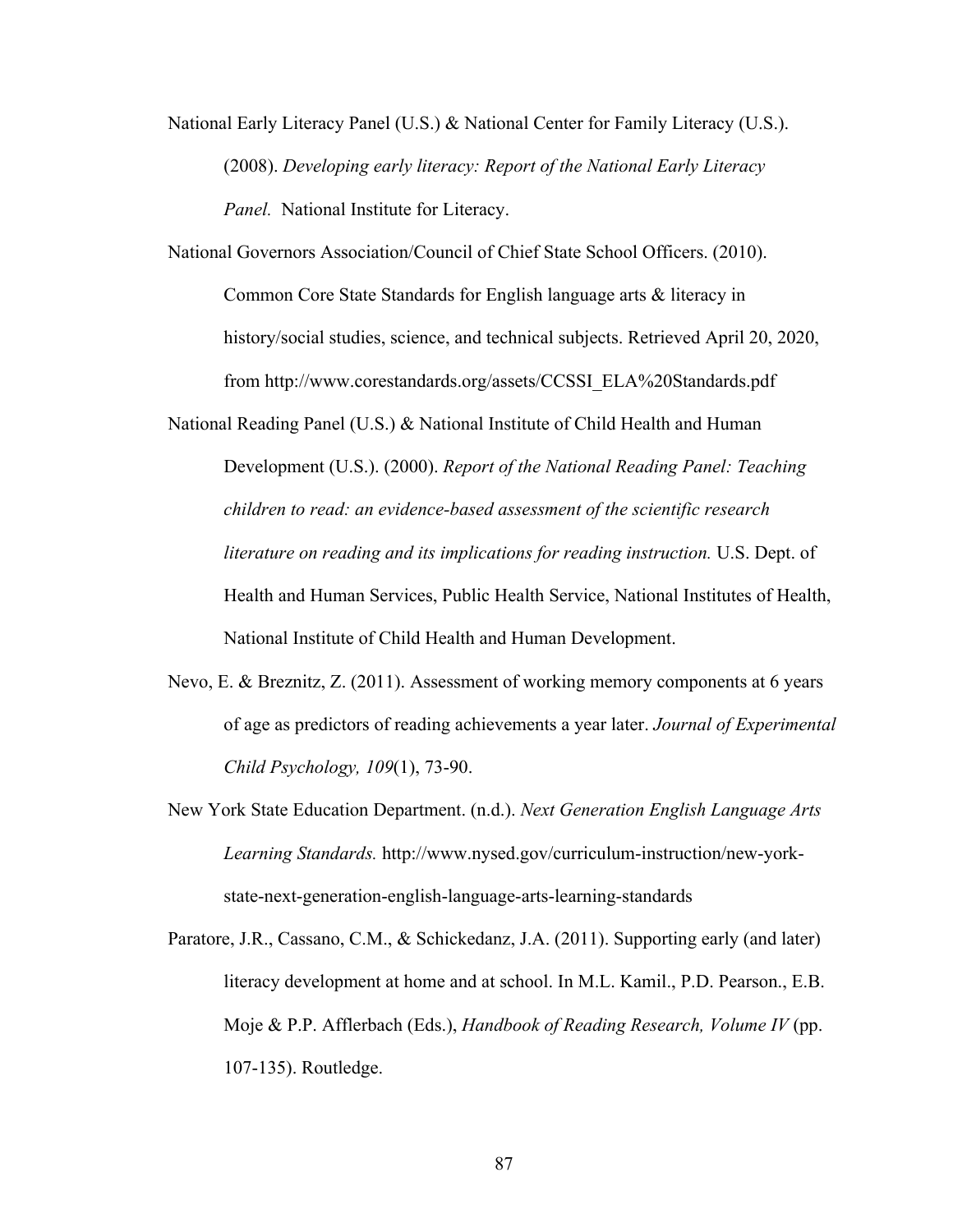National Early Literacy Panel (U.S.) & National Center for Family Literacy (U.S.). (2008). *Developing early literacy: Report of the National Early Literacy Panel.* National Institute for Literacy.

National Governors Association/Council of Chief State School Officers. (2010). Common Core State Standards for English language arts & literacy in history/social studies, science, and technical subjects. Retrieved April 20, 2020, from http://www.corestandards.org/assets/CCSSI\_ELA%20Standards.pdf

National Reading Panel (U.S.) & National Institute of Child Health and Human Development (U.S.). (2000). *Report of the National Reading Panel: Teaching children to read: an evidence-based assessment of the scientific research literature on reading and its implications for reading instruction.* U.S. Dept. of Health and Human Services, Public Health Service, National Institutes of Health, National Institute of Child Health and Human Development.

- Nevo, E. & Breznitz, Z. (2011). Assessment of working memory components at 6 years of age as predictors of reading achievements a year later. *Journal of Experimental Child Psychology, 109*(1), 73-90.
- New York State Education Department. (n.d.). *Next Generation English Language Arts Learning Standards.* http://www.nysed.gov/curriculum-instruction/new-yorkstate-next-generation-english-language-arts-learning-standards
- Paratore, J.R., Cassano, C.M., & Schickedanz, J.A. (2011). Supporting early (and later) literacy development at home and at school. In M.L. Kamil., P.D. Pearson., E.B. Moje & P.P. Afflerbach (Eds.), *Handbook of Reading Research, Volume IV* (pp. 107-135). Routledge.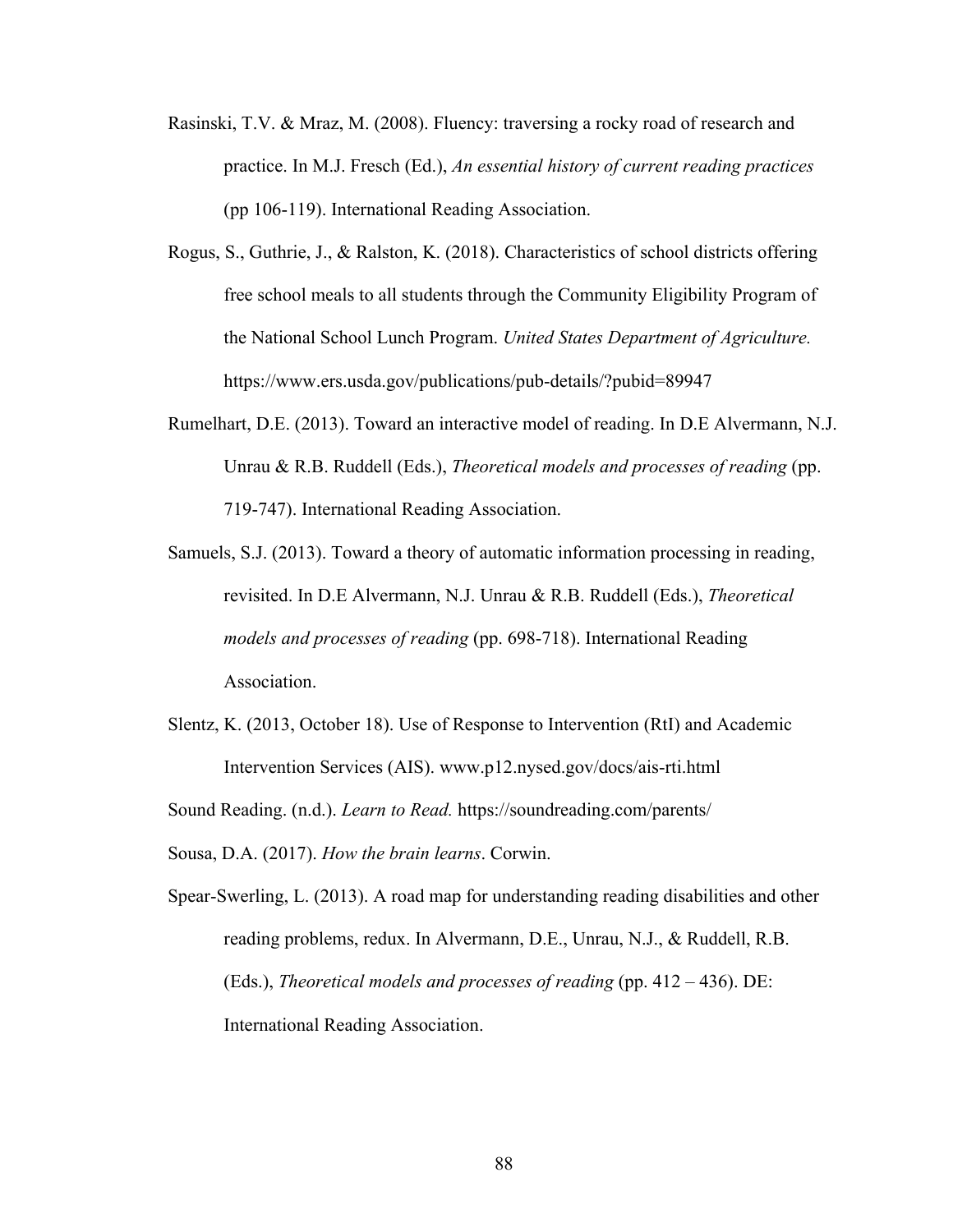- Rasinski, T.V. & Mraz, M. (2008). Fluency: traversing a rocky road of research and practice. In M.J. Fresch (Ed.), *An essential history of current reading practices* (pp 106-119). International Reading Association.
- Rogus, S., Guthrie, J., & Ralston, K. (2018). Characteristics of school districts offering free school meals to all students through the Community Eligibility Program of the National School Lunch Program. *United States Department of Agriculture.*  https://www.ers.usda.gov/publications/pub-details/?pubid=89947
- Rumelhart, D.E. (2013). Toward an interactive model of reading. In D.E Alvermann, N.J. Unrau & R.B. Ruddell (Eds.), *Theoretical models and processes of reading* (pp. 719-747). International Reading Association.
- Samuels, S.J. (2013). Toward a theory of automatic information processing in reading, revisited. In D.E Alvermann, N.J. Unrau & R.B. Ruddell (Eds.), *Theoretical models and processes of reading* (pp. 698-718). International Reading Association.
- Slentz, K. (2013, October 18). Use of Response to Intervention (RtI) and Academic Intervention Services (AIS). www.p12.nysed.gov/docs/ais-rti.html
- Sound Reading. (n.d.). *Learn to Read.* https://soundreading.com/parents/

Sousa, D.A. (2017). *How the brain learns*. Corwin.

Spear-Swerling, L. (2013). A road map for understanding reading disabilities and other reading problems, redux. In Alvermann, D.E., Unrau, N.J., & Ruddell, R.B. (Eds.), *Theoretical models and processes of reading* (pp. 412 – 436). DE: International Reading Association.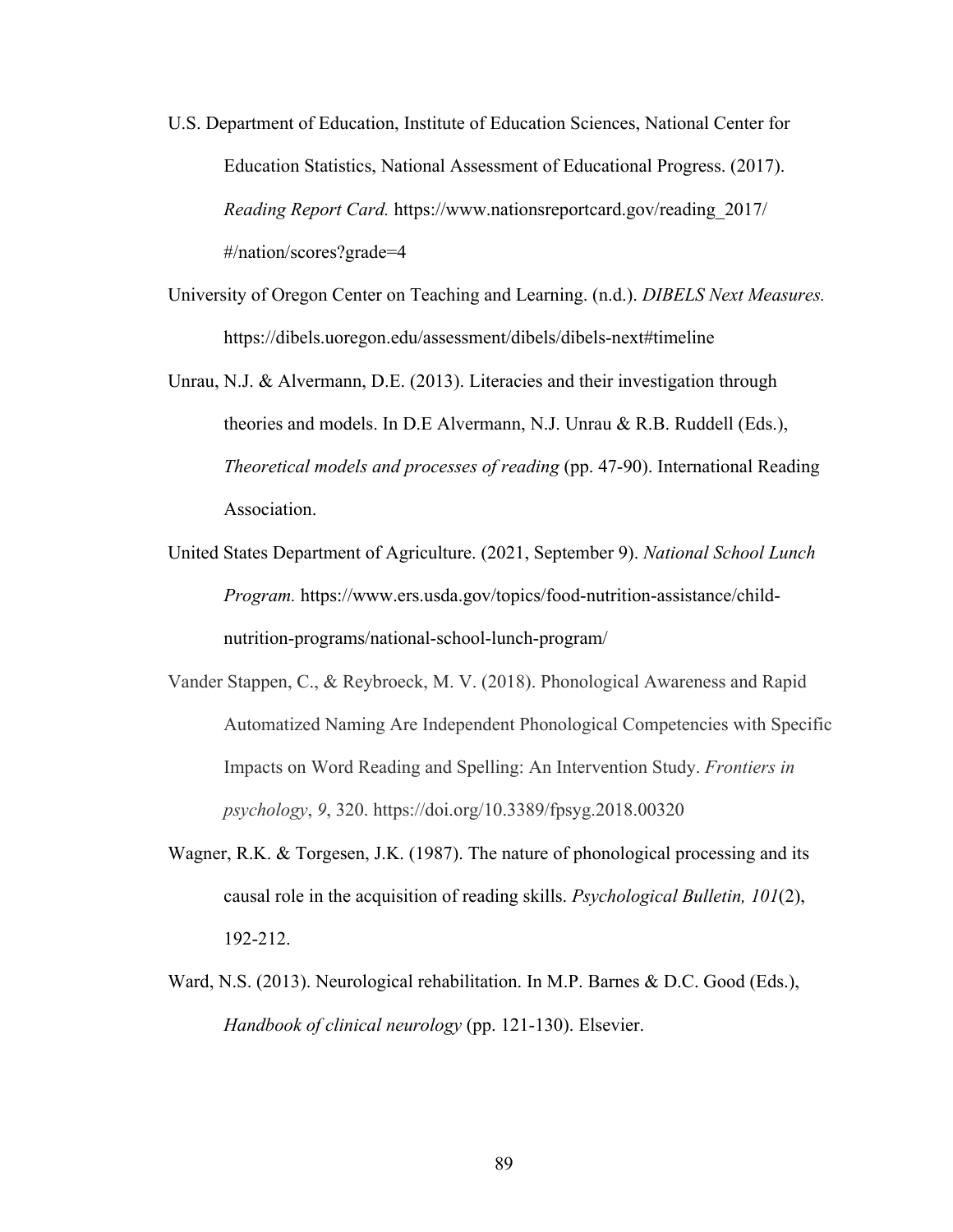- U.S. Department of Education, Institute of Education Sciences, National Center for Education Statistics, National Assessment of Educational Progress. (2017). *Reading Report Card.* https://www.nationsreportcard.gov/reading\_2017/ #/nation/scores?grade=4
- University of Oregon Center on Teaching and Learning. (n.d.). *DIBELS Next Measures.* https://dibels.uoregon.edu/assessment/dibels/dibels-next#timeline
- Unrau, N.J. & Alvermann, D.E. (2013). Literacies and their investigation through theories and models. In D.E Alvermann, N.J. Unrau & R.B. Ruddell (Eds.), *Theoretical models and processes of reading* (pp. 47-90). International Reading Association.
- United States Department of Agriculture. (2021, September 9). *National School Lunch Program.* https://www.ers.usda.gov/topics/food-nutrition-assistance/childnutrition-programs/national-school-lunch-program/
- Vander Stappen, C., & Reybroeck, M. V. (2018). Phonological Awareness and Rapid Automatized Naming Are Independent Phonological Competencies with Specific Impacts on Word Reading and Spelling: An Intervention Study. *Frontiers in psychology*, *9*, 320. https://doi.org/10.3389/fpsyg.2018.00320
- Wagner, R.K. & Torgesen, J.K. (1987). The nature of phonological processing and its causal role in the acquisition of reading skills. *Psychological Bulletin, 101*(2), 192-212.
- Ward, N.S. (2013). Neurological rehabilitation. In M.P. Barnes & D.C. Good (Eds.), *Handbook of clinical neurology* (pp. 121-130). Elsevier.